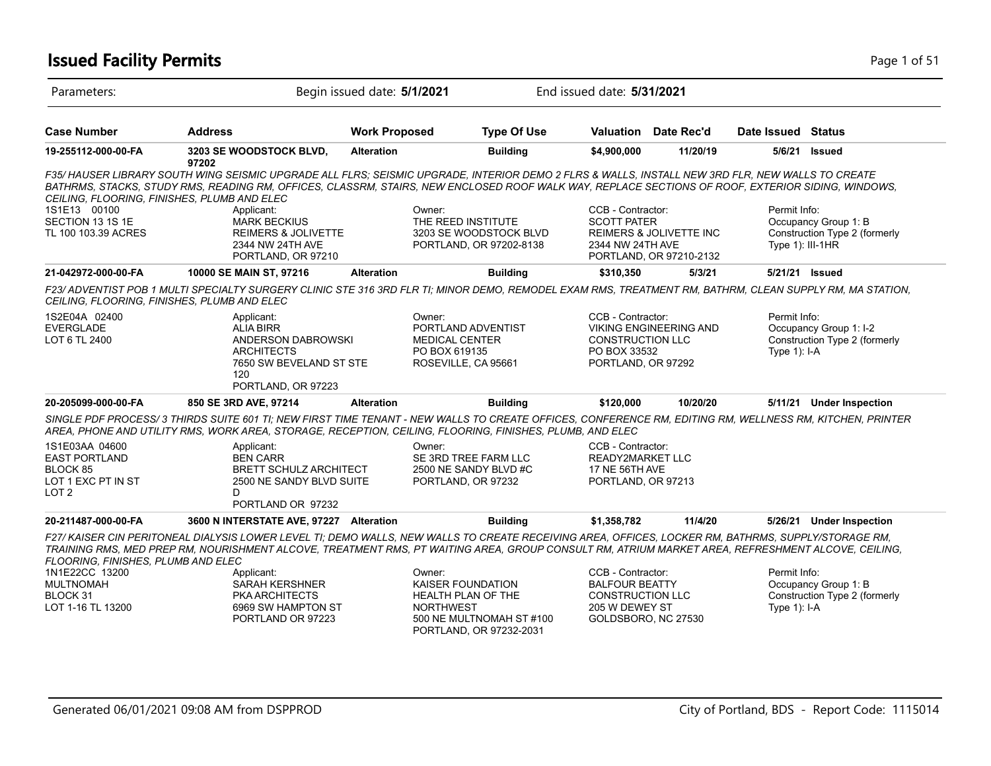### **Issued Facility Permits** Page 1 of 51

| Parameters:                                                                       |                                                                                                                                                                                                                                                                                                                                                     | Begin issued date: 5/1/2021 | End issued date: 5/31/2021                                                                            |                                                                                                         |                                                               |                                  |                                                         |
|-----------------------------------------------------------------------------------|-----------------------------------------------------------------------------------------------------------------------------------------------------------------------------------------------------------------------------------------------------------------------------------------------------------------------------------------------------|-----------------------------|-------------------------------------------------------------------------------------------------------|---------------------------------------------------------------------------------------------------------|---------------------------------------------------------------|----------------------------------|---------------------------------------------------------|
| <b>Case Number</b>                                                                | <b>Address</b>                                                                                                                                                                                                                                                                                                                                      | <b>Work Proposed</b>        | <b>Type Of Use</b>                                                                                    | Valuation                                                                                               | Date Rec'd                                                    | Date Issued Status               |                                                         |
| 19-255112-000-00-FA                                                               | 3203 SE WOODSTOCK BLVD,<br>97202                                                                                                                                                                                                                                                                                                                    | <b>Alteration</b>           | <b>Building</b>                                                                                       | \$4,900,000                                                                                             | 11/20/19                                                      | 5/6/21                           | <b>Issued</b>                                           |
|                                                                                   | F35/HAUSER LIBRARY SOUTH WING SEISMIC UPGRADE ALL FLRS: SEISMIC UPGRADE, INTERIOR DEMO 2 FLRS & WALLS, INSTALL NEW 3RD FLR, NEW WALLS TO CREATE<br>BATHRMS, STACKS, STUDY RMS, READING RM, OFFICES, CLASSRM, STAIRS, NEW ENCLOSED ROOF WALK WAY, REPLACE SECTIONS OF ROOF, EXTERIOR SIDING, WINDOWS,<br>CEILING, FLOORING, FINISHES, PLUMB AND ELEC |                             |                                                                                                       |                                                                                                         |                                                               |                                  |                                                         |
| 1S1E13 00100<br>SECTION 13 1S 1E<br>TL 100 103.39 ACRES                           | Applicant:<br><b>MARK BECKIUS</b><br><b>REIMERS &amp; JOLIVETTE</b><br>2344 NW 24TH AVE<br>PORTLAND, OR 97210                                                                                                                                                                                                                                       | Owner:                      | THE REED INSTITUTE<br>3203 SE WOODSTOCK BLVD<br>PORTLAND, OR 97202-8138                               | CCB - Contractor:<br><b>SCOTT PATER</b><br>2344 NW 24TH AVE                                             | <b>REIMERS &amp; JOLIVETTE INC</b><br>PORTLAND, OR 97210-2132 | Permit Info:<br>Type 1): III-1HR | Occupancy Group 1: B<br>Construction Type 2 (formerly   |
| 21-042972-000-00-FA                                                               | 10000 SE MAIN ST, 97216                                                                                                                                                                                                                                                                                                                             | <b>Alteration</b>           | <b>Building</b>                                                                                       | \$310,350                                                                                               | 5/3/21                                                        | 5/21/21 Issued                   |                                                         |
| CEILING, FLOORING, FINISHES, PLUMB AND ELEC                                       | F23/ADVENTIST POB 1 MULTI SPECIALTY SURGERY CLINIC STE 316 3RD FLR TI; MINOR DEMO, REMODEL EXAM RMS, TREATMENT RM, BATHRM, CLEAN SUPPLY RM, MA STATION,                                                                                                                                                                                             |                             |                                                                                                       |                                                                                                         |                                                               |                                  |                                                         |
| 1S2E04A 02400<br><b>EVERGLADE</b><br>LOT 6 TL 2400                                | Applicant:<br><b>ALIA BIRR</b><br>ANDERSON DABROWSKI<br><b>ARCHITECTS</b><br>7650 SW BEVELAND ST STE<br>120 <sub>1</sub><br>PORTLAND, OR 97223                                                                                                                                                                                                      | Owner:<br>PO BOX 619135     | PORTLAND ADVENTIST<br><b>MEDICAL CENTER</b><br>ROSEVILLE, CA 95661                                    | CCB - Contractor:<br><b>CONSTRUCTION LLC</b><br>PO BOX 33532<br>PORTLAND, OR 97292                      | <b>VIKING ENGINEERING AND</b>                                 | Permit Info:<br>Type $1$ : I-A   | Occupancy Group 1: I-2<br>Construction Type 2 (formerly |
| 20-205099-000-00-FA                                                               | 850 SE 3RD AVE, 97214                                                                                                                                                                                                                                                                                                                               | <b>Alteration</b>           | <b>Building</b>                                                                                       | \$120,000                                                                                               | 10/20/20                                                      |                                  | 5/11/21 Under Inspection                                |
|                                                                                   | SINGLE PDF PROCESS/3 THIRDS SUITE 601 TI; NEW FIRST TIME TENANT - NEW WALLS TO CREATE OFFICES, CONFERENCE RM, EDITING RM, WELLNESS RM, KITCHEN, PRINTER<br>AREA, PHONE AND UTILITY RMS, WORK AREA, STORAGE, RECEPTION, CEILING, FLOORING, FINISHES, PLUMB, AND ELEC                                                                                 |                             |                                                                                                       |                                                                                                         |                                                               |                                  |                                                         |
| 1S1E03AA 04600<br><b>EAST PORTLAND</b><br>BLOCK 85<br>LOT 1 EXC PT IN ST<br>LOT 2 | Applicant:<br><b>BEN CARR</b><br><b>BRETT SCHULZ ARCHITECT</b><br>2500 NE SANDY BLVD SUITE<br>D.<br>PORTLAND OR 97232                                                                                                                                                                                                                               | Owner:                      | SE 3RD TREE FARM LLC<br>2500 NE SANDY BLVD #C<br>PORTLAND, OR 97232                                   | CCB - Contractor:<br>READY2MARKET LLC<br>17 NE 56TH AVE<br>PORTLAND, OR 97213                           |                                                               |                                  |                                                         |
| 20-211487-000-00-FA                                                               | 3600 N INTERSTATE AVE, 97227 Alteration                                                                                                                                                                                                                                                                                                             |                             | <b>Building</b>                                                                                       | \$1,358,782                                                                                             | 11/4/20                                                       | 5/26/21                          | <b>Under Inspection</b>                                 |
| FLOORING, FINISHES, PLUMB AND ELEC                                                | F27/KAISER CIN PERITONEAL DIALYSIS LOWER LEVEL TI; DEMO WALLS, NEW WALLS TO CREATE RECEIVING AREA, OFFICES, LOCKER RM, BATHRMS, SUPPLY/STORAGE RM,<br>TRAINING RMS, MED PREP RM, NOURISHMENT ALCOVE, TREATMENT RMS, PT WAITING AREA, GROUP CONSULT RM, ATRIUM MARKET AREA, REFRESHMENT ALCOVE, CEILING,                                             |                             |                                                                                                       |                                                                                                         |                                                               |                                  |                                                         |
| 1N1E22CC 13200<br><b>MULTNOMAH</b><br>BLOCK 31<br>LOT 1-16 TL 13200               | Applicant:<br><b>SARAH KERSHNER</b><br><b>PKA ARCHITECTS</b><br>6969 SW HAMPTON ST<br>PORTLAND OR 97223                                                                                                                                                                                                                                             | Owner:<br><b>NORTHWEST</b>  | <b>KAISER FOUNDATION</b><br>HEALTH PLAN OF THE<br>500 NE MULTNOMAH ST #100<br>PORTLAND, OR 97232-2031 | CCB - Contractor:<br><b>BALFOUR BEATTY</b><br>CONSTRUCTION LLC<br>205 W DEWEY ST<br>GOLDSBORO, NC 27530 |                                                               | Permit Info:<br>Type $1$ : I-A   | Occupancy Group 1: B<br>Construction Type 2 (formerly   |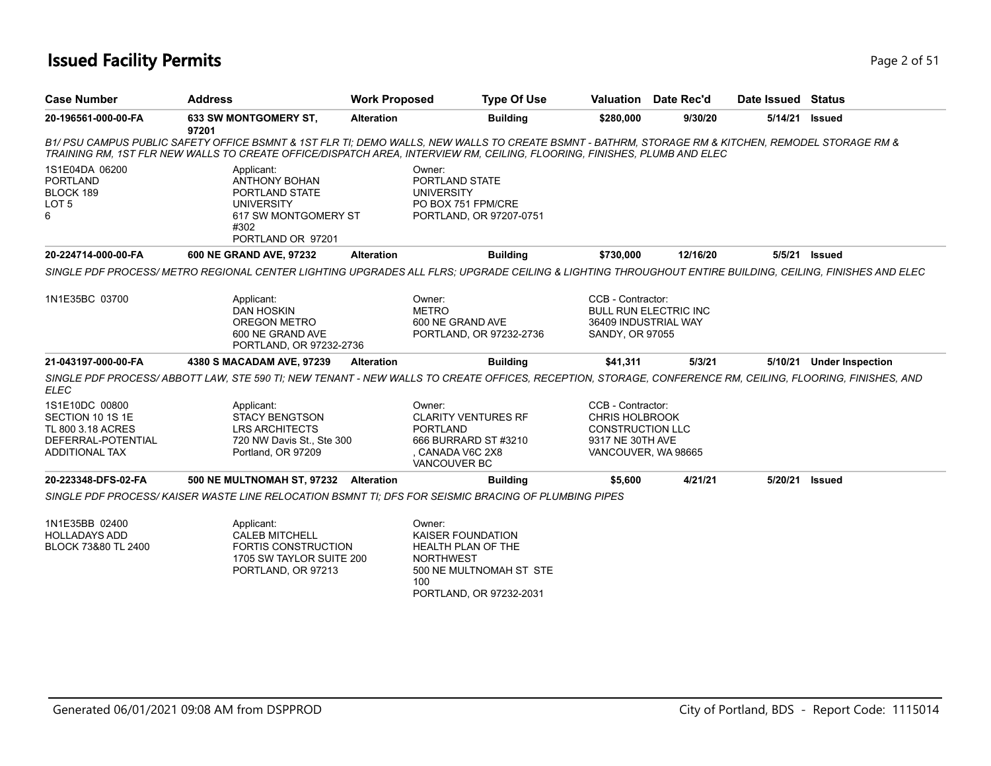### **Issued Facility Permits** Page 2 of 51

| <b>Case Number</b>                                                                                     | <b>Address</b>                                                                                                                                                                                                                                                                 | <b>Work Proposed</b> | <b>Type Of Use</b>                                                                                                                 |                                                                                                                  | <b>Valuation</b> Date Rec'd  | Date Issued Status |                          |
|--------------------------------------------------------------------------------------------------------|--------------------------------------------------------------------------------------------------------------------------------------------------------------------------------------------------------------------------------------------------------------------------------|----------------------|------------------------------------------------------------------------------------------------------------------------------------|------------------------------------------------------------------------------------------------------------------|------------------------------|--------------------|--------------------------|
| 20-196561-000-00-FA                                                                                    | <b>633 SW MONTGOMERY ST,</b><br>97201                                                                                                                                                                                                                                          | <b>Alteration</b>    | <b>Building</b>                                                                                                                    | \$280,000                                                                                                        | 9/30/20                      | 5/14/21            | <b>Issued</b>            |
|                                                                                                        | B1/ PSU CAMPUS PUBLIC SAFETY OFFICE BSMNT & 1ST FLR TI; DEMO WALLS, NEW WALLS TO CREATE BSMNT - BATHRM, STORAGE RM & KITCHEN, REMODEL STORAGE RM &<br>TRAINING RM, 1ST FLR NEW WALLS TO CREATE OFFICE/DISPATCH AREA, INTERVIEW RM, CEILING, FLOORING, FINISHES, PLUMB AND ELEC |                      |                                                                                                                                    |                                                                                                                  |                              |                    |                          |
| 1S1E04DA 06200<br><b>PORTLAND</b><br>BLOCK 189<br>LOT <sub>5</sub><br>6                                | Applicant:<br><b>ANTHONY BOHAN</b><br>PORTLAND STATE<br><b>UNIVERSITY</b><br>617 SW MONTGOMERY ST<br>#302<br>PORTLAND OR 97201                                                                                                                                                 |                      | Owner:<br>PORTLAND STATE<br><b>UNIVERSITY</b><br>PO BOX 751 FPM/CRE<br>PORTLAND, OR 97207-0751                                     |                                                                                                                  |                              |                    |                          |
| 20-224714-000-00-FA                                                                                    | 600 NE GRAND AVE, 97232                                                                                                                                                                                                                                                        | <b>Alteration</b>    | <b>Building</b>                                                                                                                    | \$730,000                                                                                                        | 12/16/20                     |                    | 5/5/21 <b>Issued</b>     |
|                                                                                                        | SINGLE PDF PROCESS/METRO REGIONAL CENTER LIGHTING UPGRADES ALL FLRS: UPGRADE CEILING & LIGHTING THROUGHOUT ENTIRE BUILDING, CEILING, FINISHES AND ELEC                                                                                                                         |                      |                                                                                                                                    |                                                                                                                  |                              |                    |                          |
| 1N1E35BC 03700                                                                                         | Applicant:<br><b>DAN HOSKIN</b><br><b>OREGON METRO</b><br>600 NE GRAND AVE<br>PORTLAND, OR 97232-2736                                                                                                                                                                          |                      | Owner:<br><b>METRO</b><br>600 NE GRAND AVE<br>PORTLAND, OR 97232-2736                                                              | CCB - Contractor:<br>36409 INDUSTRIAL WAY<br>SANDY, OR 97055                                                     | <b>BULL RUN ELECTRIC INC</b> |                    |                          |
| 21-043197-000-00-FA                                                                                    | 4380 S MACADAM AVE, 97239                                                                                                                                                                                                                                                      | <b>Alteration</b>    | <b>Building</b>                                                                                                                    | \$41,311                                                                                                         | 5/3/21                       |                    | 5/10/21 Under Inspection |
| <b>ELEC</b>                                                                                            | SINGLE PDF PROCESS/ABBOTT LAW, STE 590 TI; NEW TENANT - NEW WALLS TO CREATE OFFICES, RECEPTION, STORAGE, CONFERENCE RM, CEILING, FLOORING, FINISHES, AND                                                                                                                       |                      |                                                                                                                                    |                                                                                                                  |                              |                    |                          |
| 1S1E10DC 00800<br>SECTION 10 1S 1E<br>TL 800 3.18 ACRES<br>DEFERRAL-POTENTIAL<br><b>ADDITIONAL TAX</b> | Applicant:<br><b>STACY BENGTSON</b><br><b>LRS ARCHITECTS</b><br>720 NW Davis St., Ste 300<br>Portland, OR 97209                                                                                                                                                                |                      | Owner:<br><b>CLARITY VENTURES RF</b><br><b>PORTLAND</b><br>666 BURRARD ST #3210<br>CANADA V6C 2X8<br>VANCOUVER BC                  | CCB - Contractor:<br><b>CHRIS HOLBROOK</b><br><b>CONSTRUCTION LLC</b><br>9317 NE 30TH AVE<br>VANCOUVER, WA 98665 |                              |                    |                          |
| 20-223348-DFS-02-FA                                                                                    | 500 NE MULTNOMAH ST, 97232 Alteration                                                                                                                                                                                                                                          |                      | <b>Building</b>                                                                                                                    | \$5,600                                                                                                          | 4/21/21                      | 5/20/21 Issued     |                          |
|                                                                                                        | SINGLE PDF PROCESS/KAISER WASTE LINE RELOCATION BSMNT TI: DFS FOR SEISMIC BRACING OF PLUMBING PIPES                                                                                                                                                                            |                      |                                                                                                                                    |                                                                                                                  |                              |                    |                          |
| 1N1E35BB 02400<br><b>HOLLADAYS ADD</b><br>BLOCK 73&80 TL 2400                                          | Applicant:<br><b>CALEB MITCHELL</b><br><b>FORTIS CONSTRUCTION</b><br>1705 SW TAYLOR SUITE 200<br>PORTLAND, OR 97213                                                                                                                                                            |                      | Owner:<br>KAISER FOUNDATION<br>HEALTH PLAN OF THE<br><b>NORTHWEST</b><br>500 NE MULTNOMAH ST STE<br>100<br>PORTLAND, OR 97232-2031 |                                                                                                                  |                              |                    |                          |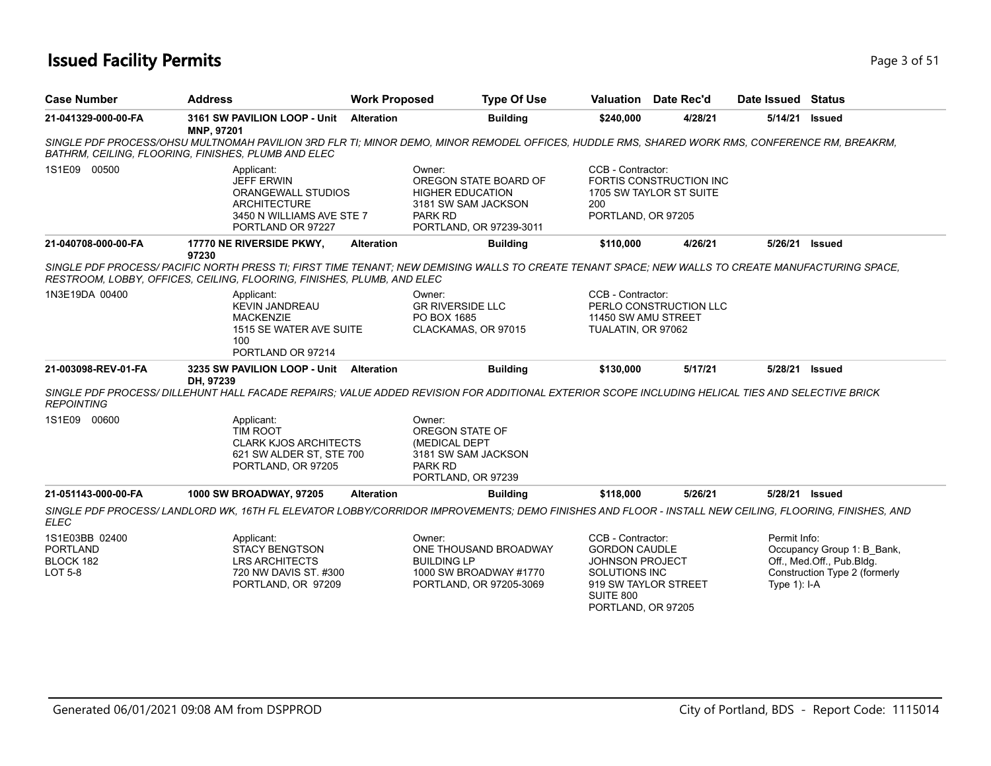### **Issued Facility Permits** Page 1 of 51

| <b>Case Number</b>                                        | <b>Address</b>                                                                                                                                                                                                                       | <b>Work Proposed</b> | <b>Type Of Use</b>                                                                                                             |                                                                                                                                                        | <b>Valuation</b> Date Rec'd                        | Date Issued Status             |                                                                                          |
|-----------------------------------------------------------|--------------------------------------------------------------------------------------------------------------------------------------------------------------------------------------------------------------------------------------|----------------------|--------------------------------------------------------------------------------------------------------------------------------|--------------------------------------------------------------------------------------------------------------------------------------------------------|----------------------------------------------------|--------------------------------|------------------------------------------------------------------------------------------|
| 21-041329-000-00-FA                                       | 3161 SW PAVILION LOOP - Unit<br>MNP, 97201                                                                                                                                                                                           | <b>Alteration</b>    | <b>Building</b>                                                                                                                | \$240,000                                                                                                                                              | 4/28/21                                            | 5/14/21                        | Issued                                                                                   |
|                                                           | SINGLE PDF PROCESS/OHSU MULTNOMAH PAVILION 3RD FLR TI; MINOR DEMO, MINOR REMODEL OFFICES, HUDDLE RMS, SHARED WORK RMS, CONFERENCE RM, BREAKRM,<br>BATHRM, CEILING, FLOORING, FINISHES, PLUMB AND ELEC                                |                      |                                                                                                                                |                                                                                                                                                        |                                                    |                                |                                                                                          |
| 1S1E09 00500                                              | Applicant:<br><b>JEFF ERWIN</b><br>ORANGEWALL STUDIOS<br><b>ARCHITECTURE</b><br>3450 N WILLIAMS AVE STE 7<br>PORTLAND OR 97227                                                                                                       |                      | Owner:<br>OREGON STATE BOARD OF<br><b>HIGHER EDUCATION</b><br>3181 SW SAM JACKSON<br><b>PARK RD</b><br>PORTLAND, OR 97239-3011 | CCB - Contractor:<br>200<br>PORTLAND, OR 97205                                                                                                         | FORTIS CONSTRUCTION INC<br>1705 SW TAYLOR ST SUITE |                                |                                                                                          |
| 21-040708-000-00-FA                                       | 17770 NE RIVERSIDE PKWY,                                                                                                                                                                                                             | <b>Alteration</b>    | <b>Building</b>                                                                                                                | \$110,000                                                                                                                                              | 4/26/21                                            | 5/26/21                        | Issued                                                                                   |
|                                                           | 97230<br>SINGLE PDF PROCESS/PACIFIC NORTH PRESS TI; FIRST TIME TENANT; NEW DEMISING WALLS TO CREATE TENANT SPACE; NEW WALLS TO CREATE MANUFACTURING SPACE,<br>RESTROOM, LOBBY, OFFICES, CEILING, FLOORING, FINISHES, PLUMB, AND ELEC |                      |                                                                                                                                |                                                                                                                                                        |                                                    |                                |                                                                                          |
| 1N3E19DA 00400                                            | Applicant:<br><b>KEVIN JANDREAU</b><br><b>MACKENZIE</b><br>1515 SE WATER AVE SUITE<br>100<br>PORTLAND OR 97214                                                                                                                       |                      | Owner:<br><b>GR RIVERSIDE LLC</b><br>PO BOX 1685<br>CLACKAMAS, OR 97015                                                        | CCB - Contractor:<br>11450 SW AMU STREET<br>TUALATIN, OR 97062                                                                                         | PERLO CONSTRUCTION LLC                             |                                |                                                                                          |
| 21-003098-REV-01-FA                                       | 3235 SW PAVILION LOOP - Unit Alteration<br>DH. 97239                                                                                                                                                                                 |                      | <b>Building</b>                                                                                                                | \$130,000                                                                                                                                              | 5/17/21                                            | 5/28/21                        | Issued                                                                                   |
| <b>REPOINTING</b>                                         | SINGLE PDF PROCESS/ DILLEHUNT HALL FACADE REPAIRS; VALUE ADDED REVISION FOR ADDITIONAL EXTERIOR SCOPE INCLUDING HELICAL TIES AND SELECTIVE BRICK                                                                                     |                      |                                                                                                                                |                                                                                                                                                        |                                                    |                                |                                                                                          |
| 1S1E09 00600                                              | Applicant:<br><b>TIM ROOT</b><br><b>CLARK KJOS ARCHITECTS</b><br>621 SW ALDER ST. STE 700<br>PORTLAND, OR 97205                                                                                                                      |                      | Owner:<br>OREGON STATE OF<br>(MEDICAL DEPT<br>3181 SW SAM JACKSON<br><b>PARK RD</b><br>PORTLAND, OR 97239                      |                                                                                                                                                        |                                                    |                                |                                                                                          |
| 21-051143-000-00-FA                                       | 1000 SW BROADWAY, 97205                                                                                                                                                                                                              | <b>Alteration</b>    | <b>Building</b>                                                                                                                | \$118,000                                                                                                                                              | 5/26/21                                            | 5/28/21 Issued                 |                                                                                          |
| <b>ELEC</b>                                               | SINGLE PDF PROCESS/ LANDLORD WK, 16TH FL ELEVATOR LOBBY/CORRIDOR IMPROVEMENTS; DEMO FINISHES AND FLOOR - INSTALL NEW CEILING, FLOORING, FINISHES, AND                                                                                |                      |                                                                                                                                |                                                                                                                                                        |                                                    |                                |                                                                                          |
| 1S1E03BB 02400<br><b>PORTLAND</b><br>BLOCK 182<br>LOT 5-8 | Applicant:<br><b>STACY BENGTSON</b><br><b>LRS ARCHITECTS</b><br>720 NW DAVIS ST. #300<br>PORTLAND, OR 97209                                                                                                                          |                      | Owner:<br>ONE THOUSAND BROADWAY<br><b>BUILDING LP</b><br>1000 SW BROADWAY #1770<br>PORTLAND, OR 97205-3069                     | CCB - Contractor:<br><b>GORDON CAUDLE</b><br><b>JOHNSON PROJECT</b><br><b>SOLUTIONS INC</b><br>919 SW TAYLOR STREET<br>SUITE 800<br>PORTLAND, OR 97205 |                                                    | Permit Info:<br>Type $1$ : I-A | Occupancy Group 1: B_Bank,<br>Off., Med.Off., Pub.Bldg.<br>Construction Type 2 (formerly |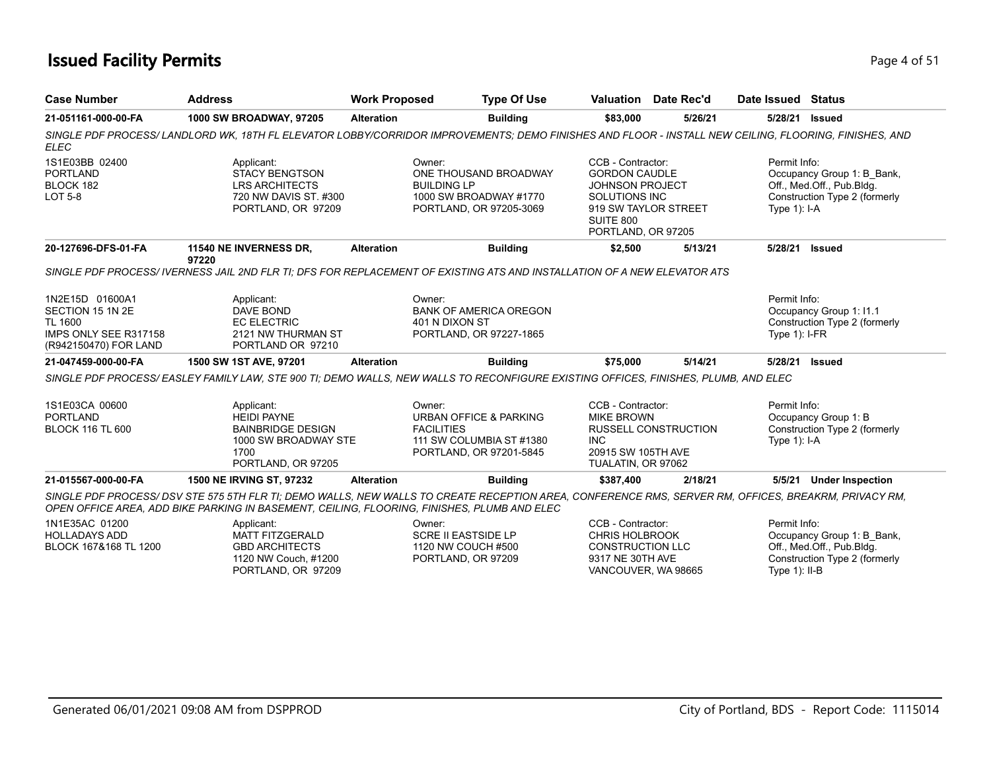### **Issued Facility Permits** Page 4 of 51

| <b>Case Number</b>                                                                                      | <b>Address</b>                                                                                                                                                                                                                                     | <b>Work Proposed</b>        | <b>Type Of Use</b>                                                                               |                                                                                                                                                 | Valuation Date Rec'd        | Date Issued Status               |                                                                                          |
|---------------------------------------------------------------------------------------------------------|----------------------------------------------------------------------------------------------------------------------------------------------------------------------------------------------------------------------------------------------------|-----------------------------|--------------------------------------------------------------------------------------------------|-------------------------------------------------------------------------------------------------------------------------------------------------|-----------------------------|----------------------------------|------------------------------------------------------------------------------------------|
| 21-051161-000-00-FA                                                                                     | 1000 SW BROADWAY, 97205                                                                                                                                                                                                                            | <b>Alteration</b>           | <b>Building</b>                                                                                  | \$83,000                                                                                                                                        | 5/26/21                     | 5/28/21                          | <b>Issued</b>                                                                            |
| <b>ELEC</b>                                                                                             | SINGLE PDF PROCESS/LANDLORD WK, 18TH FL ELEVATOR LOBBY/CORRIDOR IMPROVEMENTS; DEMO FINISHES AND FLOOR - INSTALL NEW CEILING, FLOORING, FINISHES, AND                                                                                               |                             |                                                                                                  |                                                                                                                                                 |                             |                                  |                                                                                          |
| 1S1E03BB 02400<br><b>PORTLAND</b><br>BLOCK 182<br><b>LOT 5-8</b>                                        | Applicant:<br><b>STACY BENGTSON</b><br><b>LRS ARCHITECTS</b><br>720 NW DAVIS ST. #300<br>PORTLAND, OR 97209                                                                                                                                        | Owner:                      | ONE THOUSAND BROADWAY<br><b>BUILDING LP</b><br>1000 SW BROADWAY #1770<br>PORTLAND, OR 97205-3069 | CCB - Contractor:<br><b>GORDON CAUDLE</b><br><b>JOHNSON PROJECT</b><br>SOLUTIONS INC<br>919 SW TAYLOR STREET<br>SUITE 800<br>PORTLAND, OR 97205 |                             | Permit Info:<br>Type $1$ : I-A   | Occupancy Group 1: B_Bank,<br>Off., Med.Off., Pub.Bldg.<br>Construction Type 2 (formerly |
| 20-127696-DFS-01-FA                                                                                     | 11540 NE INVERNESS DR,                                                                                                                                                                                                                             | <b>Alteration</b>           | <b>Building</b>                                                                                  | \$2,500                                                                                                                                         | 5/13/21                     | 5/28/21                          | <b>Issued</b>                                                                            |
|                                                                                                         | 97220<br>SINGLE PDF PROCESS/IVERNESS JAIL 2ND FLR TI; DFS FOR REPLACEMENT OF EXISTING ATS AND INSTALLATION OF A NEW ELEVATOR ATS                                                                                                                   |                             |                                                                                                  |                                                                                                                                                 |                             |                                  |                                                                                          |
| 1N2E15D 01600A1<br>SECTION 15 1N 2E<br><b>TL 1600</b><br>IMPS ONLY SEE R317158<br>(R942150470) FOR LAND | Applicant:<br><b>DAVE BOND</b><br><b>EC ELECTRIC</b><br>2121 NW THURMAN ST<br>PORTLAND OR 97210                                                                                                                                                    | Owner:                      | <b>BANK OF AMERICA OREGON</b><br>401 N DIXON ST<br>PORTLAND, OR 97227-1865                       |                                                                                                                                                 |                             | Permit Info:<br>Type $1$ : I-FR  | Occupancy Group 1: I1.1<br>Construction Type 2 (formerly                                 |
| 21-047459-000-00-FA                                                                                     | 1500 SW 1ST AVE, 97201                                                                                                                                                                                                                             | <b>Alteration</b>           | <b>Building</b>                                                                                  | \$75,000                                                                                                                                        | 5/14/21                     | 5/28/21                          | <b>Issued</b>                                                                            |
|                                                                                                         | SINGLE PDF PROCESS/EASLEY FAMILY LAW, STE 900 TI; DEMO WALLS, NEW WALLS TO RECONFIGURE EXISTING OFFICES, FINISHES, PLUMB, AND ELEC                                                                                                                 |                             |                                                                                                  |                                                                                                                                                 |                             |                                  |                                                                                          |
| 1S1E03CA 00600<br><b>PORTLAND</b><br><b>BLOCK 116 TL 600</b>                                            | Applicant:<br><b>HEIDI PAYNE</b><br><b>BAINBRIDGE DESIGN</b><br>1000 SW BROADWAY STE<br>1700<br>PORTLAND, OR 97205                                                                                                                                 | Owner:<br><b>FACILITIES</b> | <b>URBAN OFFICE &amp; PARKING</b><br>111 SW COLUMBIA ST #1380<br>PORTLAND, OR 97201-5845         | CCB - Contractor:<br><b>MIKE BROWN</b><br><b>INC</b><br>20915 SW 105TH AVE<br>TUALATIN, OR 97062                                                | <b>RUSSELL CONSTRUCTION</b> | Permit Info:<br>Type $1$ : I-A   | Occupancy Group 1: B<br>Construction Type 2 (formerly                                    |
| 21-015567-000-00-FA                                                                                     | 1500 NE IRVING ST, 97232                                                                                                                                                                                                                           | <b>Alteration</b>           | <b>Building</b>                                                                                  | \$387,400                                                                                                                                       | 2/18/21                     |                                  | 5/5/21 Under Inspection                                                                  |
|                                                                                                         | SINGLE PDF PROCESS/DSV STE 575 5TH FLR TI; DEMO WALLS, NEW WALLS TO CREATE RECEPTION AREA, CONFERENCE RMS, SERVER RM, OFFICES, BREAKRM, PRIVACY RM,<br>OPEN OFFICE AREA, ADD BIKE PARKING IN BASEMENT, CEILING, FLOORING, FINISHES, PLUMB AND ELEC |                             |                                                                                                  |                                                                                                                                                 |                             |                                  |                                                                                          |
| 1N1E35AC 01200<br><b>HOLLADAYS ADD</b><br>BLOCK 167&168 TL 1200                                         | Applicant:<br><b>MATT FITZGERALD</b><br><b>GBD ARCHITECTS</b><br>1120 NW Couch, #1200<br>PORTLAND, OR 97209                                                                                                                                        | Owner:                      | <b>SCRE II EASTSIDE LP</b><br>1120 NW COUCH #500<br>PORTLAND, OR 97209                           | CCB - Contractor:<br><b>CHRIS HOLBROOK</b><br><b>CONSTRUCTION LLC</b><br>9317 NE 30TH AVE<br>VANCOUVER, WA 98665                                |                             | Permit Info:<br>Type $1$ ): II-B | Occupancy Group 1: B_Bank,<br>Off., Med.Off., Pub.Bldg.<br>Construction Type 2 (formerly |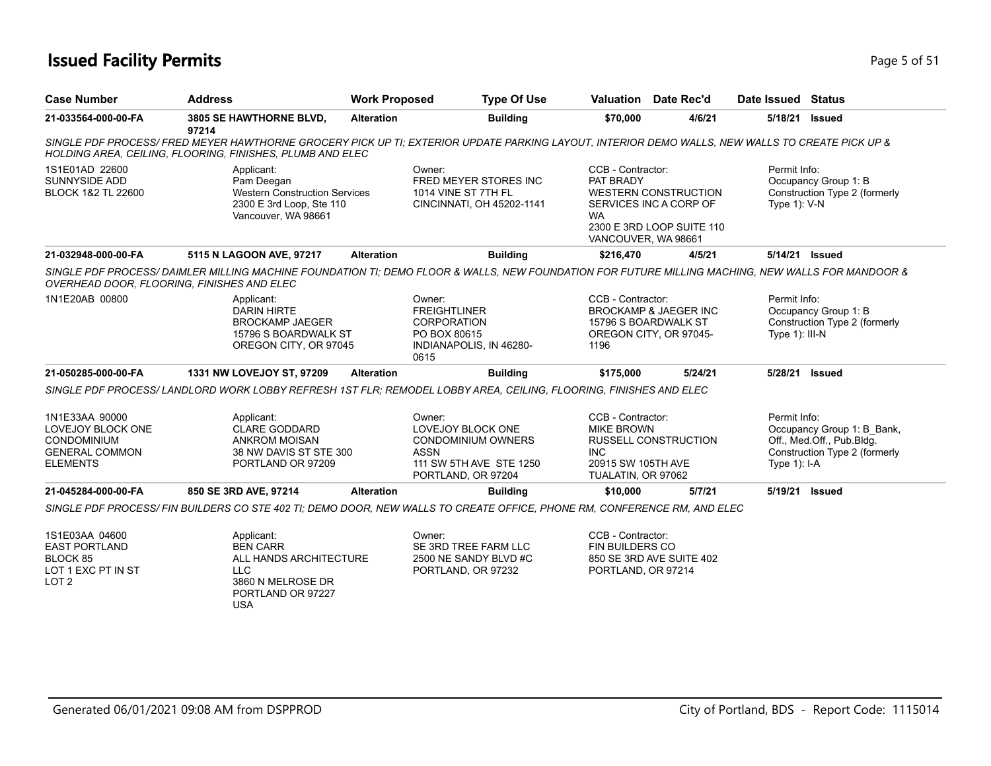### **Issued Facility Permits** Page 1 of 51

| <b>Case Number</b>                                                                                    | <b>Address</b>                                                                                                                                                                                              | <b>Work Proposed</b> | <b>Type Of Use</b>                                                                                                              |                                                                                            | Valuation Date Rec'd                                                               | Date Issued Status              |                                                                                          |
|-------------------------------------------------------------------------------------------------------|-------------------------------------------------------------------------------------------------------------------------------------------------------------------------------------------------------------|----------------------|---------------------------------------------------------------------------------------------------------------------------------|--------------------------------------------------------------------------------------------|------------------------------------------------------------------------------------|---------------------------------|------------------------------------------------------------------------------------------|
| 21-033564-000-00-FA                                                                                   | 3805 SE HAWTHORNE BLVD,<br>97214                                                                                                                                                                            | <b>Alteration</b>    | <b>Building</b>                                                                                                                 | \$70,000                                                                                   | 4/6/21                                                                             | 5/18/21                         | <b>Issued</b>                                                                            |
|                                                                                                       | SINGLE PDF PROCESS/FRED MEYER HAWTHORNE GROCERY PICK UP TI; EXTERIOR UPDATE PARKING LAYOUT, INTERIOR DEMO WALLS, NEW WALLS TO CREATE PICK UP &<br>HOLDING AREA, CEILING, FLOORING, FINISHES, PLUMB AND ELEC |                      |                                                                                                                                 |                                                                                            |                                                                                    |                                 |                                                                                          |
| 1S1E01AD 22600<br>SUNNYSIDE ADD<br>BLOCK 1&2 TL 22600                                                 | Applicant:<br>Pam Deegan<br><b>Western Construction Services</b><br>2300 E 3rd Loop, Ste 110<br>Vancouver, WA 98661                                                                                         |                      | Owner:<br>FRED MEYER STORES INC<br>1014 VINE ST 7TH FL<br>CINCINNATI, OH 45202-1141                                             | CCB - Contractor:<br>PAT BRADY<br><b>WA</b><br>VANCOUVER, WA 98661                         | <b>WESTERN CONSTRUCTION</b><br>SERVICES INC A CORP OF<br>2300 E 3RD LOOP SUITE 110 | Permit Info:<br>Type $1$ ): V-N | Occupancy Group 1: B<br>Construction Type 2 (formerly                                    |
| 21-032948-000-00-FA                                                                                   | 5115 N LAGOON AVE, 97217                                                                                                                                                                                    | <b>Alteration</b>    | <b>Building</b>                                                                                                                 | \$216,470                                                                                  | 4/5/21                                                                             | 5/14/21 Issued                  |                                                                                          |
|                                                                                                       | SINGLE PDF PROCESS/DAIMLER MILLING MACHINE FOUNDATION TI; DEMO FLOOR & WALLS, NEW FOUNDATION FOR FUTURE MILLING MACHING, NEW WALLS FOR MANDOOR &<br>OVERHEAD DOOR, FLOORING, FINISHES AND ELEC              |                      |                                                                                                                                 |                                                                                            |                                                                                    |                                 |                                                                                          |
| 1N1E20AB 00800                                                                                        | Applicant:<br><b>DARIN HIRTE</b><br><b>BROCKAMP JAEGER</b><br>15796 S BOARDWALK ST<br>OREGON CITY, OR 97045                                                                                                 |                      | Owner:<br><b>FREIGHTLINER</b><br><b>CORPORATION</b><br>PO BOX 80615<br>INDIANAPOLIS, IN 46280-<br>0615                          | CCB - Contractor:<br>15796 S BOARDWALK ST<br>1196                                          | <b>BROCKAMP &amp; JAEGER INC</b><br>OREGON CITY, OR 97045-                         | Permit Info:<br>Type 1): III-N  | Occupancy Group 1: B<br>Construction Type 2 (formerly                                    |
| 21-050285-000-00-FA                                                                                   | 1331 NW LOVEJOY ST, 97209                                                                                                                                                                                   | <b>Alteration</b>    | <b>Building</b>                                                                                                                 | \$175,000                                                                                  | 5/24/21                                                                            | 5/28/21 Issued                  |                                                                                          |
|                                                                                                       | SINGLE PDF PROCESS/ LANDLORD WORK LOBBY REFRESH 1ST FLR: REMODEL LOBBY AREA, CEILING, FLOORING, FINISHES AND ELEC                                                                                           |                      |                                                                                                                                 |                                                                                            |                                                                                    |                                 |                                                                                          |
| 1N1E33AA 90000<br>LOVEJOY BLOCK ONE<br><b>CONDOMINIUM</b><br><b>GENERAL COMMON</b><br><b>ELEMENTS</b> | Applicant:<br><b>CLARE GODDARD</b><br><b>ANKROM MOISAN</b><br>38 NW DAVIS ST STE 300<br>PORTLAND OR 97209                                                                                                   |                      | Owner:<br><b>LOVEJOY BLOCK ONE</b><br><b>CONDOMINIUM OWNERS</b><br><b>ASSN</b><br>111 SW 5TH AVE STE 1250<br>PORTLAND, OR 97204 | CCB - Contractor:<br><b>MIKE BROWN</b><br>INC.<br>20915 SW 105TH AVE<br>TUALATIN, OR 97062 | <b>RUSSELL CONSTRUCTION</b>                                                        | Permit Info:<br>Type 1): I-A    | Occupancy Group 1: B Bank,<br>Off., Med.Off., Pub.Bldg.<br>Construction Type 2 (formerly |
| 21-045284-000-00-FA                                                                                   | 850 SE 3RD AVE, 97214                                                                                                                                                                                       | <b>Alteration</b>    | <b>Building</b>                                                                                                                 | \$10,000                                                                                   | 5/7/21                                                                             | 5/19/21 Issued                  |                                                                                          |
|                                                                                                       | SINGLE PDF PROCESS/ FIN BUILDERS CO STE 402 TI; DEMO DOOR, NEW WALLS TO CREATE OFFICE, PHONE RM, CONFERENCE RM, AND ELEC                                                                                    |                      |                                                                                                                                 |                                                                                            |                                                                                    |                                 |                                                                                          |
| 1S1E03AA 04600<br><b>EAST PORTLAND</b><br>BLOCK 85<br>LOT 1 EXC PT IN ST<br>LOT <sub>2</sub>          | Applicant:<br><b>BEN CARR</b><br>ALL HANDS ARCHITECTURE<br><b>LLC</b><br>3860 N MELROSE DR<br>PORTLAND OR 97227                                                                                             |                      | Owner:<br>SE 3RD TREE FARM LLC<br>2500 NE SANDY BLVD #C<br>PORTLAND, OR 97232                                                   | CCB - Contractor:<br>FIN BUILDERS CO<br>PORTLAND, OR 97214                                 | 850 SE 3RD AVE SUITE 402                                                           |                                 |                                                                                          |

USA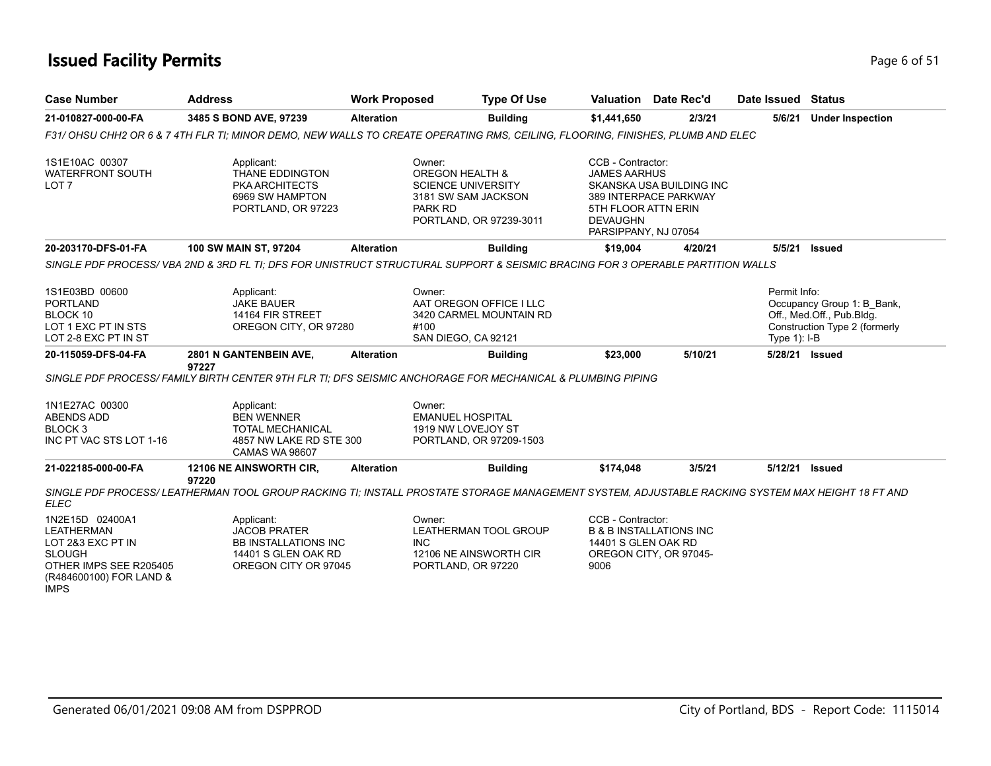### **Issued Facility Permits** Page 6 of 51

| <b>Case Number</b>                                                                                                                             | <b>Address</b>                                                                                                                                   | <b>Work Proposed</b> | <b>Type Of Use</b>                                                                                                             |                                                                                                            | <b>Valuation</b> Date Rec'd                                  | Date Issued Status           |                                                                                          |
|------------------------------------------------------------------------------------------------------------------------------------------------|--------------------------------------------------------------------------------------------------------------------------------------------------|----------------------|--------------------------------------------------------------------------------------------------------------------------------|------------------------------------------------------------------------------------------------------------|--------------------------------------------------------------|------------------------------|------------------------------------------------------------------------------------------|
| 21-010827-000-00-FA                                                                                                                            | 3485 S BOND AVE, 97239                                                                                                                           | <b>Alteration</b>    | <b>Building</b>                                                                                                                | \$1,441,650                                                                                                | 2/3/21                                                       | 5/6/21                       | <b>Under Inspection</b>                                                                  |
|                                                                                                                                                | F31/ OHSU CHH2 OR 6 & 7 4TH FLR TI; MINOR DEMO, NEW WALLS TO CREATE OPERATING RMS, CEILING, FLOORING, FINISHES, PLUMB AND ELEC                   |                      |                                                                                                                                |                                                                                                            |                                                              |                              |                                                                                          |
| 1S1E10AC 00307<br><b>WATERFRONT SOUTH</b><br>LOT 7                                                                                             | Applicant:<br>THANE EDDINGTON<br><b>PKA ARCHITECTS</b><br>6969 SW HAMPTON<br>PORTLAND, OR 97223                                                  |                      | Owner:<br><b>OREGON HEALTH &amp;</b><br><b>SCIENCE UNIVERSITY</b><br>3181 SW SAM JACKSON<br>PARK RD<br>PORTLAND, OR 97239-3011 | CCB - Contractor:<br><b>JAMES AARHUS</b><br>5TH FLOOR ATTN ERIN<br><b>DEVAUGHN</b><br>PARSIPPANY, NJ 07054 | SKANSKA USA BUILDING INC<br>389 INTERPACE PARKWAY            |                              |                                                                                          |
| 20-203170-DFS-01-FA                                                                                                                            | 100 SW MAIN ST, 97204                                                                                                                            | <b>Alteration</b>    | <b>Building</b>                                                                                                                | \$19,004                                                                                                   | 4/20/21                                                      | 5/5/21                       | Issued                                                                                   |
|                                                                                                                                                | SINGLE PDF PROCESS/VBA 2ND & 3RD FL TI; DFS FOR UNISTRUCT STRUCTURAL SUPPORT & SEISMIC BRACING FOR 3 OPERABLE PARTITION WALLS                    |                      |                                                                                                                                |                                                                                                            |                                                              |                              |                                                                                          |
| 1S1E03BD 00600<br><b>PORTLAND</b><br>BLOCK 10<br>LOT 1 EXC PT IN STS<br>LOT 2-8 EXC PT IN ST                                                   | Applicant:<br><b>JAKE BAUER</b><br>14164 FIR STREET<br>OREGON CITY, OR 97280                                                                     |                      | Owner:<br>AAT OREGON OFFICE I LLC<br>3420 CARMEL MOUNTAIN RD<br>#100<br>SAN DIEGO, CA 92121                                    |                                                                                                            |                                                              | Permit Info:<br>Type 1): I-B | Occupancy Group 1: B_Bank,<br>Off., Med.Off., Pub.Bldg.<br>Construction Type 2 (formerly |
| 20-115059-DFS-04-FA                                                                                                                            | 2801 N GANTENBEIN AVE,<br>97227                                                                                                                  | <b>Alteration</b>    | <b>Building</b>                                                                                                                | \$23,000                                                                                                   | 5/10/21                                                      |                              | 5/28/21 Issued                                                                           |
|                                                                                                                                                | SINGLE PDF PROCESS/ FAMILY BIRTH CENTER 9TH FLR TI: DFS SEISMIC ANCHORAGE FOR MECHANICAL & PLUMBING PIPING                                       |                      |                                                                                                                                |                                                                                                            |                                                              |                              |                                                                                          |
| 1N1E27AC 00300<br><b>ABENDS ADD</b><br><b>BLOCK3</b><br>INC PT VAC STS LOT 1-16                                                                | Applicant:<br><b>BEN WENNER</b><br><b>TOTAL MECHANICAL</b><br>4857 NW LAKE RD STE 300<br><b>CAMAS WA 98607</b>                                   |                      | Owner:<br><b>EMANUEL HOSPITAL</b><br>1919 NW LOVEJOY ST<br>PORTLAND, OR 97209-1503                                             |                                                                                                            |                                                              |                              |                                                                                          |
| 21-022185-000-00-FA                                                                                                                            | 12106 NE AINSWORTH CIR,<br>97220                                                                                                                 | <b>Alteration</b>    | <b>Building</b>                                                                                                                | \$174,048                                                                                                  | 3/5/21                                                       | 5/12/21 Issued               |                                                                                          |
| <b>ELEC</b>                                                                                                                                    | SINGLE PDF PROCESS/ LEATHERMAN TOOL GROUP RACKING TI: INSTALL PROSTATE STORAGE MANAGEMENT SYSTEM, ADJUSTABLE RACKING SYSTEM MAX HEIGHT 18 FT AND |                      |                                                                                                                                |                                                                                                            |                                                              |                              |                                                                                          |
| 1N2E15D 02400A1<br><b>LEATHERMAN</b><br>LOT 2&3 EXC PT IN<br><b>SLOUGH</b><br>OTHER IMPS SEE R205405<br>(R484600100) FOR LAND &<br><b>IMPS</b> | Applicant:<br><b>JACOB PRATER</b><br><b>BB INSTALLATIONS INC</b><br>14401 S GLEN OAK RD<br>OREGON CITY OR 97045                                  |                      | Owner:<br>LEATHERMAN TOOL GROUP<br><b>INC</b><br>12106 NE AINSWORTH CIR<br>PORTLAND, OR 97220                                  | CCB - Contractor:<br>14401 S GLEN OAK RD<br>9006                                                           | <b>B &amp; B INSTALLATIONS INC</b><br>OREGON CITY, OR 97045- |                              |                                                                                          |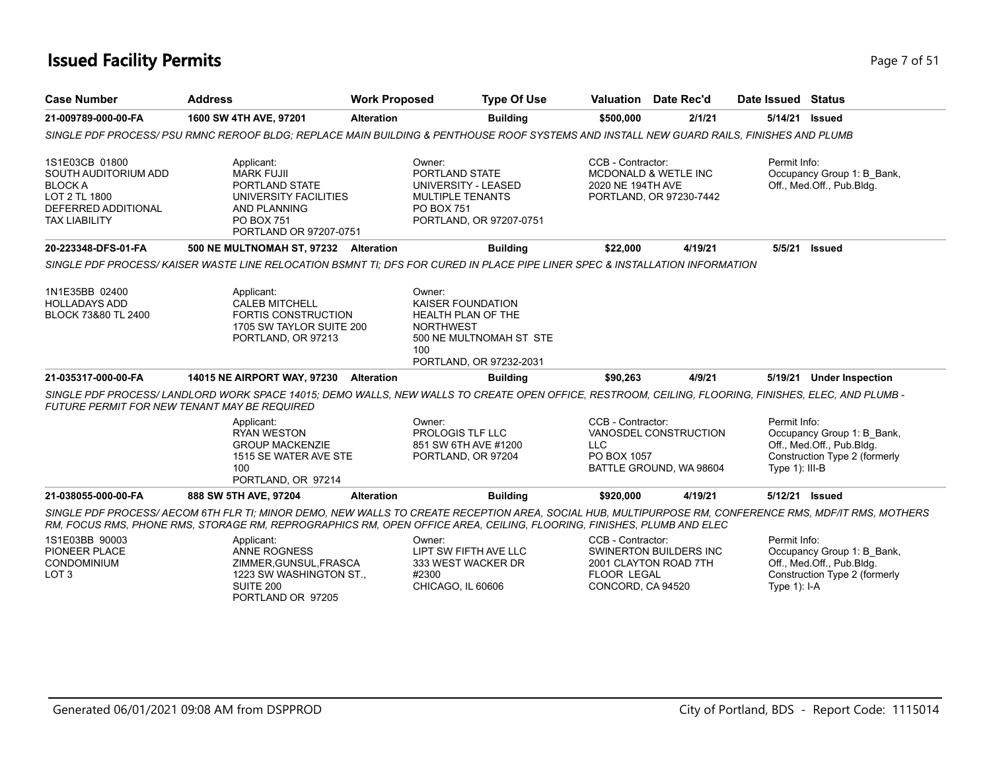### **Issued Facility Permits** Page 7 of 51

| <b>Case Number</b>                                                                                                       | <b>Address</b>                                                                                                                                                                                                                                                                 | <b>Work Proposed</b>                  | <b>Type Of Use</b>                                                                                   |                                                              | <b>Valuation</b> Date Rec'd                                | Date Issued Status             |                                                                                          |
|--------------------------------------------------------------------------------------------------------------------------|--------------------------------------------------------------------------------------------------------------------------------------------------------------------------------------------------------------------------------------------------------------------------------|---------------------------------------|------------------------------------------------------------------------------------------------------|--------------------------------------------------------------|------------------------------------------------------------|--------------------------------|------------------------------------------------------------------------------------------|
| 21-009789-000-00-FA                                                                                                      | 1600 SW 4TH AVE, 97201                                                                                                                                                                                                                                                         | <b>Alteration</b>                     | <b>Building</b>                                                                                      | \$500,000                                                    | 2/1/21                                                     | 5/14/21                        | <b>Issued</b>                                                                            |
|                                                                                                                          | SINGLE PDF PROCESS/ PSU RMNC REROOF BLDG: REPLACE MAIN BUILDING & PENTHOUSE ROOF SYSTEMS AND INSTALL NEW GUARD RAILS, FINISHES AND PLUMB                                                                                                                                       |                                       |                                                                                                      |                                                              |                                                            |                                |                                                                                          |
| 1S1E03CB 01800<br>SOUTH AUDITORIUM ADD<br><b>BLOCK A</b><br>LOT 2 TL 1800<br>DEFERRED ADDITIONAL<br><b>TAX LIABILITY</b> | Applicant:<br><b>MARK FUJII</b><br>PORTLAND STATE<br>UNIVERSITY FACILITIES<br>AND PLANNING<br><b>PO BOX 751</b><br>PORTLAND OR 97207-0751                                                                                                                                      | Owner:<br><b>PO BOX 751</b>           | PORTLAND STATE<br>UNIVERSITY - LEASED<br><b>MULTIPLE TENANTS</b><br>PORTLAND, OR 97207-0751          | CCB - Contractor:<br>2020 NE 194TH AVE                       | <b>MCDONALD &amp; WETLE INC</b><br>PORTLAND, OR 97230-7442 | Permit Info:                   | Occupancy Group 1: B Bank.<br>Off., Med.Off., Pub.Bldg.                                  |
| 20-223348-DFS-01-FA                                                                                                      | 500 NE MULTNOMAH ST, 97232 Alteration                                                                                                                                                                                                                                          |                                       | <b>Building</b>                                                                                      | \$22,000                                                     | 4/19/21                                                    | 5/5/21                         | Issued                                                                                   |
|                                                                                                                          | SINGLE PDF PROCESS/KAISER WASTE LINE RELOCATION BSMNT TI: DFS FOR CURED IN PLACE PIPE LINER SPEC & INSTALLATION INFORMATION                                                                                                                                                    |                                       |                                                                                                      |                                                              |                                                            |                                |                                                                                          |
| 1N1E35BB 02400<br><b>HOLLADAYS ADD</b><br>BLOCK 73&80 TL 2400                                                            | Applicant:<br><b>CALEB MITCHELL</b><br><b>FORTIS CONSTRUCTION</b><br>1705 SW TAYLOR SUITE 200<br>PORTLAND, OR 97213                                                                                                                                                            | Owner:<br><b>NORTHWEST</b><br>$100 -$ | KAISER FOUNDATION<br><b>HEALTH PLAN OF THE</b><br>500 NE MULTNOMAH ST STE<br>PORTLAND, OR 97232-2031 |                                                              |                                                            |                                |                                                                                          |
| 21-035317-000-00-FA                                                                                                      | <b>14015 NE AIRPORT WAY, 97230</b>                                                                                                                                                                                                                                             | <b>Alteration</b>                     | <b>Building</b>                                                                                      | \$90,263                                                     | 4/9/21                                                     |                                | 5/19/21 Under Inspection                                                                 |
|                                                                                                                          | SINGLE PDF PROCESS/ LANDLORD WORK SPACE 14015; DEMO WALLS, NEW WALLS TO CREATE OPEN OFFICE, RESTROOM, CEILING, FLOORING, FINISHES, ELEC, AND PLUMB -<br><b>FUTURE PERMIT FOR NEW TENANT MAY BE REQUIRED</b>                                                                    |                                       |                                                                                                      |                                                              |                                                            |                                |                                                                                          |
|                                                                                                                          | Applicant:<br><b>RYAN WESTON</b><br><b>GROUP MACKENZIE</b><br>1515 SE WATER AVE STE<br>100<br>PORTLAND, OR 97214                                                                                                                                                               | Owner:                                | <b>PROLOGIS TLF LLC</b><br>851 SW 6TH AVE #1200<br>PORTLAND, OR 97204                                | CCB - Contractor:<br>LLC.<br>PO BOX 1057                     | VANOSDEL CONSTRUCTION<br>BATTLE GROUND, WA 98604           | Permit Info:<br>Type 1): III-B | Occupancy Group 1: B Bank,<br>Off., Med.Off., Pub.Bldg.<br>Construction Type 2 (formerly |
| 21-038055-000-00-FA                                                                                                      | 888 SW 5TH AVE, 97204                                                                                                                                                                                                                                                          | <b>Alteration</b>                     | <b>Building</b>                                                                                      | \$920,000                                                    | 4/19/21                                                    | 5/12/21                        | Issued                                                                                   |
|                                                                                                                          | SINGLE PDF PROCESS/AECOM 6TH FLR TI; MINOR DEMO, NEW WALLS TO CREATE RECEPTION AREA, SOCIAL HUB, MULTIPURPOSE RM, CONFERENCE RMS, MDF/IT RMS, MOTHERS<br>RM, FOCUS RMS, PHONE RMS, STORAGE RM, REPROGRAPHICS RM, OPEN OFFICE AREA, CEILING, FLOORING, FINISHES, PLUMB AND ELEC |                                       |                                                                                                      |                                                              |                                                            |                                |                                                                                          |
| 1S1E03BB 90003<br>PIONEER PLACE<br>CONDOMINIUM<br>LOT <sub>3</sub>                                                       | Applicant:<br><b>ANNE ROGNESS</b><br>ZIMMER, GUNSUL, FRASCA<br>1223 SW WASHINGTON ST.,<br>SUITE 200<br>PORTLAND OR 97205                                                                                                                                                       | Owner:<br>#2300                       | LIPT SW FIFTH AVE LLC<br>333 WEST WACKER DR<br>CHICAGO, IL 60606                                     | CCB - Contractor:<br><b>FLOOR LEGAL</b><br>CONCORD, CA 94520 | SWINERTON BUILDERS INC<br>2001 CLAYTON ROAD 7TH            | Permit Info:<br>Type 1): I-A   | Occupancy Group 1: B_Bank,<br>Off., Med.Off., Pub.Bldg.<br>Construction Type 2 (formerly |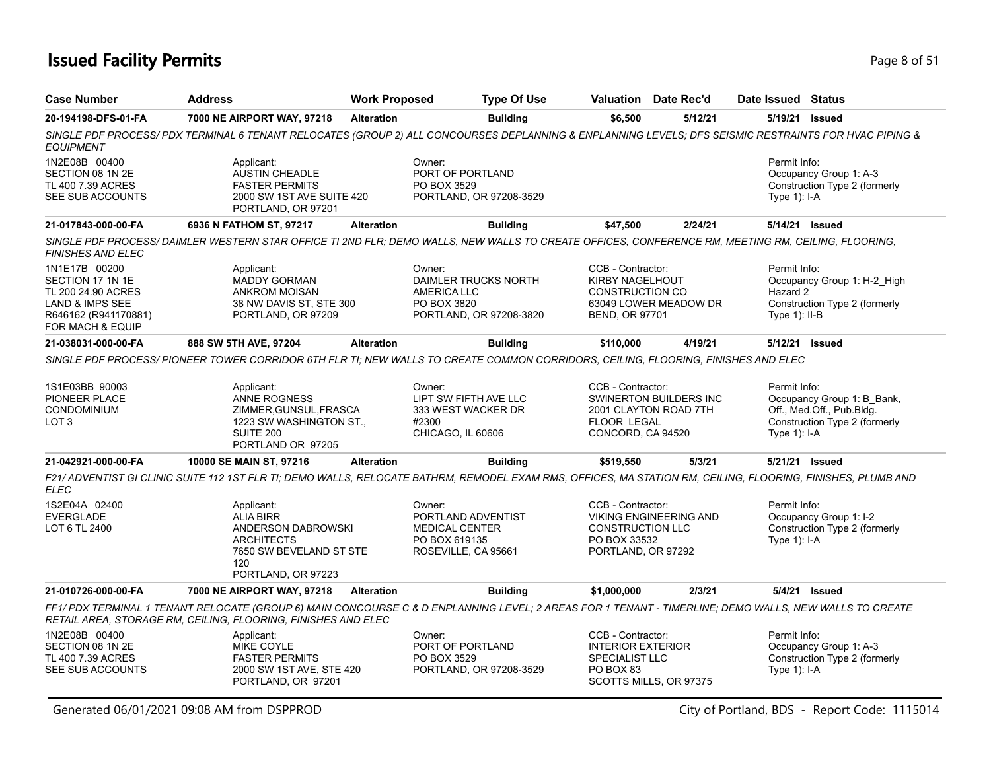## **Issued Facility Permits** Page 8 of 51

| <b>Case Number</b>                                                                                                                | <b>Address</b>                                                                                                                                                                                                          | <b>Work Proposed</b> |                                                                                               | <b>Type Of Use</b>                              |                                                                                                | <b>Valuation</b> Date Rec'd                     | Date Issued Status                           |                                                                                          |
|-----------------------------------------------------------------------------------------------------------------------------------|-------------------------------------------------------------------------------------------------------------------------------------------------------------------------------------------------------------------------|----------------------|-----------------------------------------------------------------------------------------------|-------------------------------------------------|------------------------------------------------------------------------------------------------|-------------------------------------------------|----------------------------------------------|------------------------------------------------------------------------------------------|
| 20-194198-DFS-01-FA                                                                                                               | 7000 NE AIRPORT WAY, 97218                                                                                                                                                                                              | <b>Alteration</b>    |                                                                                               | <b>Building</b>                                 | \$6,500                                                                                        | 5/12/21                                         |                                              | 5/19/21 Issued                                                                           |
| <b>EQUIPMENT</b>                                                                                                                  | SINGLE PDF PROCESS/ PDX TERMINAL 6 TENANT RELOCATES (GROUP 2) ALL CONCOURSES DEPLANNING & ENPLANNING LEVELS; DFS SEISMIC RESTRAINTS FOR HVAC PIPING &                                                                   |                      |                                                                                               |                                                 |                                                                                                |                                                 |                                              |                                                                                          |
| 1N2E08B 00400<br>SECTION 08 1N 2E<br>TL 400 7.39 ACRES<br>SEE SUB ACCOUNTS                                                        | Applicant:<br><b>AUSTIN CHEADLE</b><br><b>FASTER PERMITS</b><br>2000 SW 1ST AVE SUITE 420<br>PORTLAND, OR 97201                                                                                                         |                      | Owner:<br>PORT OF PORTLAND<br>PO BOX 3529                                                     | PORTLAND, OR 97208-3529                         |                                                                                                |                                                 | Permit Info:<br>Type $1$ : I-A               | Occupancy Group 1: A-3<br>Construction Type 2 (formerly                                  |
| 21-017843-000-00-FA                                                                                                               | 6936 N FATHOM ST, 97217                                                                                                                                                                                                 | <b>Alteration</b>    |                                                                                               | <b>Building</b>                                 | \$47,500                                                                                       | 2/24/21                                         |                                              | 5/14/21 Issued                                                                           |
| FINISHES AND ELEC                                                                                                                 | SINGLE PDF PROCESS/ DAIMLER WESTERN STAR OFFICE TI 2ND FLR; DEMO WALLS, NEW WALLS TO CREATE OFFICES, CONFERENCE RM, MEETING RM, CEILING, FLOORING,                                                                      |                      |                                                                                               |                                                 |                                                                                                |                                                 |                                              |                                                                                          |
| 1N1E17B 00200<br>SECTION 17 1N 1E<br>TL 200 24.90 ACRES<br><b>LAND &amp; IMPS SEE</b><br>R646162 (R941170881)<br>FOR MACH & EQUIP | Applicant:<br><b>MADDY GORMAN</b><br><b>ANKROM MOISAN</b><br>38 NW DAVIS ST, STE 300<br>PORTLAND, OR 97209                                                                                                              |                      | Owner:<br>AMERICA LLC<br>PO BOX 3820                                                          | DAIMLER TRUCKS NORTH<br>PORTLAND, OR 97208-3820 | CCB - Contractor:<br><b>KIRBY NAGELHOUT</b><br><b>CONSTRUCTION CO</b><br><b>BEND, OR 97701</b> | 63049 LOWER MEADOW DR                           | Permit Info:<br>Hazard 2<br>Type $1$ ): II-B | Occupancy Group 1: H-2 High<br>Construction Type 2 (formerly                             |
| 21-038031-000-00-FA                                                                                                               | 888 SW 5TH AVE, 97204                                                                                                                                                                                                   | <b>Alteration</b>    |                                                                                               | <b>Building</b>                                 | \$110,000                                                                                      | 4/19/21                                         |                                              | 5/12/21 Issued                                                                           |
|                                                                                                                                   | SINGLE PDF PROCESS/ PIONEER TOWER CORRIDOR 6TH FLR TI; NEW WALLS TO CREATE COMMON CORRIDORS, CEILING, FLOORING, FINISHES AND ELEC                                                                                       |                      |                                                                                               |                                                 |                                                                                                |                                                 |                                              |                                                                                          |
| 1S1E03BB 90003<br>PIONEER PLACE<br>CONDOMINIUM<br>LOT 3                                                                           | Applicant:<br>ANNE ROGNESS<br>ZIMMER, GUNSUL, FRASCA<br>1223 SW WASHINGTON ST.,<br>SUITE 200<br>PORTLAND OR 97205                                                                                                       |                      | Owner:<br>LIPT SW FIFTH AVE LLC<br>333 WEST WACKER DR<br>#2300<br>CHICAGO, IL 60606           |                                                 | CCB - Contractor:<br><b>FLOOR LEGAL</b><br>CONCORD, CA 94520                                   | SWINERTON BUILDERS INC<br>2001 CLAYTON ROAD 7TH | Permit Info:<br>Type $1$ : I-A               | Occupancy Group 1: B_Bank,<br>Off., Med.Off., Pub.Bldg.<br>Construction Type 2 (formerly |
| 21-042921-000-00-FA                                                                                                               | 10000 SE MAIN ST, 97216                                                                                                                                                                                                 | <b>Alteration</b>    |                                                                                               | <b>Building</b>                                 | \$519,550                                                                                      | 5/3/21                                          |                                              | 5/21/21 Issued                                                                           |
| <b>ELEC</b>                                                                                                                       | F21/ ADVENTIST GI CLINIC SUITE 112 1ST FLR TI; DEMO WALLS, RELOCATE BATHRM, REMODEL EXAM RMS, OFFICES, MA STATION RM, CEILING, FLOORING, FINISHES, PLUMB AND                                                            |                      |                                                                                               |                                                 |                                                                                                |                                                 |                                              |                                                                                          |
| 1S2E04A 02400<br><b>EVERGLADE</b><br>LOT 6 TL 2400                                                                                | Applicant:<br><b>ALIA BIRR</b><br>ANDERSON DABROWSKI<br><b>ARCHITECTS</b><br>7650 SW BEVELAND ST STE<br>120<br>PORTLAND, OR 97223                                                                                       |                      | Owner:<br>PORTLAND ADVENTIST<br><b>MEDICAL CENTER</b><br>PO BOX 619135<br>ROSEVILLE, CA 95661 |                                                 | CCB - Contractor:<br><b>CONSTRUCTION LLC</b><br>PO BOX 33532<br>PORTLAND, OR 97292             | <b>VIKING ENGINEERING AND</b>                   | Permit Info:<br>Type $1$ : I-A               | Occupancy Group 1: I-2<br>Construction Type 2 (formerly                                  |
| 21-010726-000-00-FA                                                                                                               | 7000 NE AIRPORT WAY, 97218                                                                                                                                                                                              | <b>Alteration</b>    |                                                                                               | <b>Building</b>                                 | \$1,000,000                                                                                    | 2/3/21                                          |                                              | 5/4/21 Issued                                                                            |
|                                                                                                                                   | FF1/ PDX TERMINAL 1 TENANT RELOCATE (GROUP 6) MAIN CONCOURSE C & D ENPLANNING LEVEL; 2 AREAS FOR 1 TENANT - TIMERLINE; DEMO WALLS, NEW WALLS TO CREATE<br>RETAIL AREA, STORAGE RM, CEILING, FLOORING, FINISHES AND ELEC |                      |                                                                                               |                                                 |                                                                                                |                                                 |                                              |                                                                                          |
| 1N2E08B 00400<br>SECTION 08 1N 2E<br>TL 400 7.39 ACRES<br>SEE SUB ACCOUNTS                                                        | Applicant:<br><b>MIKE COYLE</b><br><b>FASTER PERMITS</b><br>2000 SW 1ST AVE, STE 420<br>PORTLAND, OR 97201                                                                                                              |                      | Owner:<br>PORT OF PORTLAND<br>PO BOX 3529                                                     | PORTLAND, OR 97208-3529                         | CCB - Contractor:<br><b>INTERIOR EXTERIOR</b><br><b>SPECIALIST LLC</b><br>PO BOX 83            | SCOTTS MILLS, OR 97375                          | Permit Info:<br>Type $1$ : I-A               | Occupancy Group 1: A-3<br>Construction Type 2 (formerly                                  |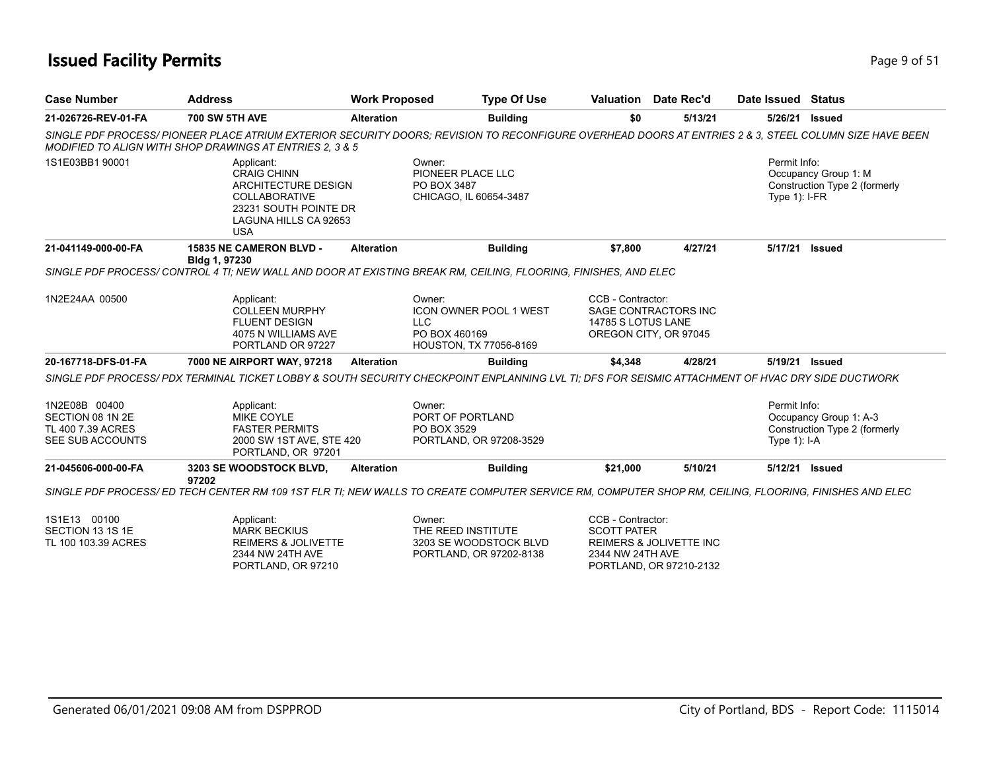### **Issued Facility Permits** Page 9 of 51

| <b>Case Number</b>                                                         | <b>Address</b>                                                                                                                                                                                                     | <b>Work Proposed</b> | <b>Type Of Use</b>                                                                 |                                                                  | Valuation Date Rec'd                                          | Date Issued Status              |                                                         |
|----------------------------------------------------------------------------|--------------------------------------------------------------------------------------------------------------------------------------------------------------------------------------------------------------------|----------------------|------------------------------------------------------------------------------------|------------------------------------------------------------------|---------------------------------------------------------------|---------------------------------|---------------------------------------------------------|
| 21-026726-REV-01-FA                                                        | <b>700 SW 5TH AVE</b>                                                                                                                                                                                              | <b>Alteration</b>    | <b>Building</b>                                                                    | \$0                                                              | 5/13/21                                                       | 5/26/21                         | Issued                                                  |
|                                                                            | SINGLE PDF PROCESS/ PIONEER PLACE ATRIUM EXTERIOR SECURITY DOORS: REVISION TO RECONFIGURE OVERHEAD DOORS AT ENTRIES 2 & 3, STEEL COLUMN SIZE HAVE BEEN<br>MODIFIED TO ALIGN WITH SHOP DRAWINGS AT ENTRIES 2, 3 & 5 |                      |                                                                                    |                                                                  |                                                               |                                 |                                                         |
| 1S1E03BB1 90001                                                            | Applicant:<br><b>CRAIG CHINN</b><br>ARCHITECTURE DESIGN<br><b>COLLABORATIVE</b><br>23231 SOUTH POINTE DR<br>LAGUNA HILLS CA 92653<br><b>USA</b>                                                                    | Owner:               | PIONEER PLACE LLC<br>PO BOX 3487<br>CHICAGO, IL 60654-3487                         |                                                                  |                                                               | Permit Info:<br>Type $1$ : I-FR | Occupancy Group 1: M<br>Construction Type 2 (formerly   |
| 21-041149-000-00-FA                                                        | 15835 NE CAMERON BLVD -<br>Bldg 1, 97230                                                                                                                                                                           | <b>Alteration</b>    | <b>Building</b>                                                                    | \$7,800                                                          | 4/27/21                                                       |                                 | 5/17/21 Issued                                          |
|                                                                            | SINGLE PDF PROCESS/ CONTROL 4 TI; NEW WALL AND DOOR AT EXISTING BREAK RM, CEILING, FLOORING, FINISHES, AND ELEC                                                                                                    |                      |                                                                                    |                                                                  |                                                               |                                 |                                                         |
| 1N2E24AA 00500                                                             | Applicant:<br><b>COLLEEN MURPHY</b><br><b>FLUENT DESIGN</b><br>4075 N WILLIAMS AVE<br>PORTLAND OR 97227                                                                                                            | <b>LLC</b>           | Owner:<br><b>ICON OWNER POOL 1 WEST</b><br>PO BOX 460169<br>HOUSTON, TX 77056-8169 | CCB - Contractor:<br>14785 S LOTUS LANE<br>OREGON CITY, OR 97045 | SAGE CONTRACTORS INC                                          |                                 |                                                         |
| 20-167718-DFS-01-FA                                                        | 7000 NE AIRPORT WAY, 97218                                                                                                                                                                                         | <b>Alteration</b>    | <b>Building</b>                                                                    | \$4,348                                                          | 4/28/21                                                       |                                 | 5/19/21 Issued                                          |
|                                                                            | SINGLE PDF PROCESS/ PDX TERMINAL TICKET LOBBY & SOUTH SECURITY CHECKPOINT ENPLANNING LVL TI; DFS FOR SEISMIC ATTACHMENT OF HVAC DRY SIDE DUCTWORK                                                                  |                      |                                                                                    |                                                                  |                                                               |                                 |                                                         |
| 1N2E08B 00400<br>SECTION 08 1N 2E<br>TL 400 7.39 ACRES<br>SEE SUB ACCOUNTS | Applicant:<br><b>MIKE COYLE</b><br><b>FASTER PERMITS</b><br>2000 SW 1ST AVE, STE 420<br>PORTLAND, OR 97201                                                                                                         | Owner:               | PORT OF PORTLAND<br>PO BOX 3529<br>PORTLAND, OR 97208-3529                         |                                                                  |                                                               | Permit Info:<br>Type $1$ : I-A  | Occupancy Group 1: A-3<br>Construction Type 2 (formerly |
| 21-045606-000-00-FA                                                        | 3203 SE WOODSTOCK BLVD,<br>97202                                                                                                                                                                                   | <b>Alteration</b>    | <b>Building</b>                                                                    | \$21,000                                                         | 5/10/21                                                       | 5/12/21                         | <b>Issued</b>                                           |
|                                                                            | SINGLE PDF PROCESS/ ED TECH CENTER RM 109 1ST FLR TI; NEW WALLS TO CREATE COMPUTER SERVICE RM, COMPUTER SHOP RM, CEILING, FLOORING, FINISHES AND ELEC                                                              |                      |                                                                                    |                                                                  |                                                               |                                 |                                                         |
| 1S1E13 00100<br>SECTION 13 1S 1E<br>TL 100 103.39 ACRES                    | Applicant:<br><b>MARK BECKIUS</b><br><b>REIMERS &amp; JOLIVETTE</b><br>2344 NW 24TH AVE<br>PORTLAND, OR 97210                                                                                                      |                      | Owner:<br>THE REED INSTITUTE<br>3203 SE WOODSTOCK BLVD<br>PORTLAND, OR 97202-8138  | CCB - Contractor:<br><b>SCOTT PATER</b><br>2344 NW 24TH AVE      | <b>REIMERS &amp; JOLIVETTE INC</b><br>PORTLAND, OR 97210-2132 |                                 |                                                         |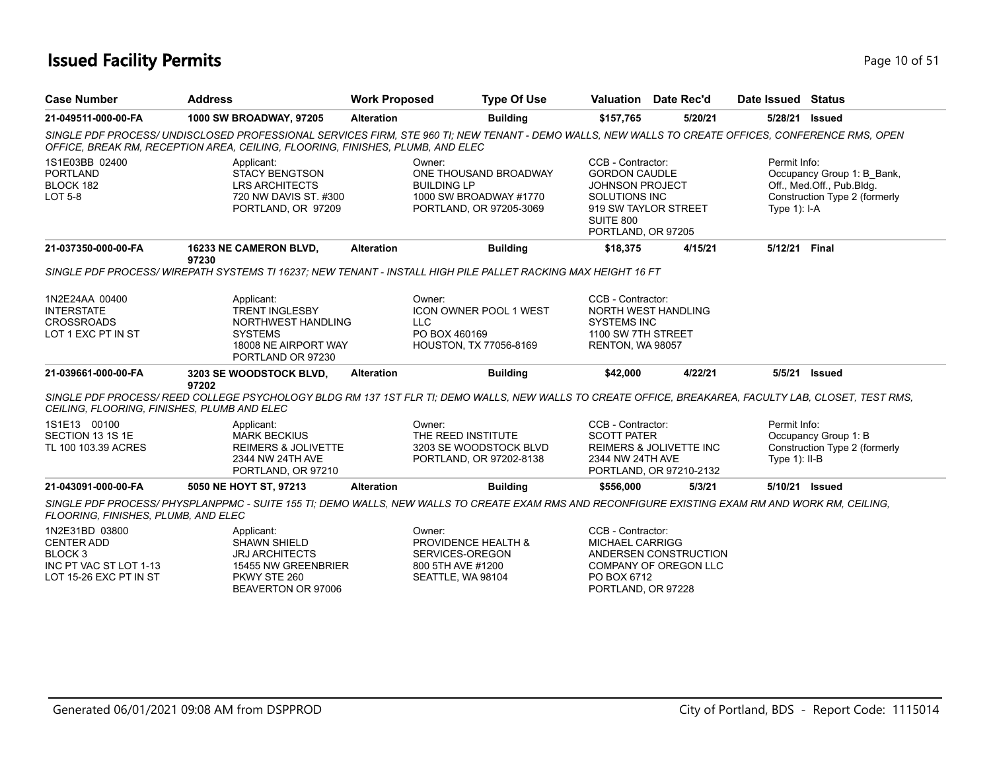#### **Issued Facility Permits** Page 10 of 51

| <b>Case Number</b>                                                             | <b>Address</b>                                                                                                                                                                                                                      | <b>Work Proposed</b>         | <b>Type Of Use</b>                                                              |                                                                                                                                                 | <b>Valuation</b> Date Rec'd | Date Issued                     | Status                                                                                   |
|--------------------------------------------------------------------------------|-------------------------------------------------------------------------------------------------------------------------------------------------------------------------------------------------------------------------------------|------------------------------|---------------------------------------------------------------------------------|-------------------------------------------------------------------------------------------------------------------------------------------------|-----------------------------|---------------------------------|------------------------------------------------------------------------------------------|
| 21-049511-000-00-FA                                                            | <b>1000 SW BROADWAY, 97205</b>                                                                                                                                                                                                      | <b>Alteration</b>            | <b>Building</b>                                                                 | \$157,765                                                                                                                                       | 5/20/21                     | 5/28/21                         | Issued                                                                                   |
|                                                                                | SINGLE PDF PROCESS/UNDISCLOSED PROFESSIONAL SERVICES FIRM. STE 960 TI: NEW TENANT - DEMO WALLS, NEW WALLS TO CREATE OFFICES, CONFERENCE RMS, OPEN<br>OFFICE, BREAK RM, RECEPTION AREA, CEILING, FLOORING, FINISHES, PLUMB, AND ELEC |                              |                                                                                 |                                                                                                                                                 |                             |                                 |                                                                                          |
| 1S1E03BB 02400<br><b>PORTLAND</b><br>BLOCK 182<br>LOT 5-8                      | Applicant:<br><b>STACY BENGTSON</b><br>LRS ARCHITECTS<br>720 NW DAVIS ST. #300<br>PORTLAND, OR 97209                                                                                                                                | Owner:<br><b>BUILDING LP</b> | ONE THOUSAND BROADWAY<br>1000 SW BROADWAY #1770<br>PORTLAND, OR 97205-3069      | CCB - Contractor:<br><b>GORDON CAUDLE</b><br><b>JOHNSON PROJECT</b><br>SOLUTIONS INC<br>919 SW TAYLOR STREET<br>SUITE 800<br>PORTLAND, OR 97205 |                             | Permit Info:<br>Type $1$ ): I-A | Occupancy Group 1: B Bank,<br>Off., Med.Off., Pub.Bldg.<br>Construction Type 2 (formerly |
| 21-037350-000-00-FA                                                            | <b>16233 NE CAMERON BLVD,</b><br>97230                                                                                                                                                                                              | <b>Alteration</b>            | <b>Building</b>                                                                 | \$18,375                                                                                                                                        | 4/15/21                     | 5/12/21                         | Final                                                                                    |
|                                                                                | SINGLE PDF PROCESS/WIREPATH SYSTEMS TI 16237; NEW TENANT - INSTALL HIGH PILE PALLET RACKING MAX HEIGHT 16 FT                                                                                                                        |                              |                                                                                 |                                                                                                                                                 |                             |                                 |                                                                                          |
| 1N2E24AA 00400<br><b>INTERSTATE</b><br><b>CROSSROADS</b><br>LOT 1 EXC PT IN ST | Applicant:<br><b>TRENT INGLESBY</b><br>NORTHWEST HANDLING<br><b>SYSTEMS</b><br>18008 NE AIRPORT WAY<br>PORTLAND OR 97230                                                                                                            | Owner:<br>LLC                | <b>ICON OWNER POOL 1 WEST</b><br>PO BOX 460169<br><b>HOUSTON, TX 77056-8169</b> | CCB - Contractor:<br>NORTH WEST HANDLING<br><b>SYSTEMS INC</b><br>1100 SW 7TH STREET<br>RENTON, WA 98057                                        |                             |                                 |                                                                                          |

| 21-039661<br>1-000-00-FA | 3 SE WOODSTOCK BLVD<br>3203 | Alteration | <i><b>Building</b></i> | \$42,000 | 1/22/21<br><b>THERE</b> | 5/5/21<br><b>Issued</b> |
|--------------------------|-----------------------------|------------|------------------------|----------|-------------------------|-------------------------|
|                          | יחרים<br>97 ZUZ             |            |                        |          |                         |                         |

*SINGLE PDF PROCESS/ REED COLLEGE PSYCHOLOGY BLDG RM 137 1ST FLR TI; DEMO WALLS, NEW WALLS TO CREATE OFFICE, BREAKAREA, FACULTY LAB, CLOSET, TEST RMS, CEILING, FLOORING, FINISHES, PLUMB AND ELEC*

| 21-043091-000-00-FA                     | 5050 NE HOYT ST. 97213                     | <b>Alteration</b> | <b>Building</b>                              | \$556,000                                     | 5/3/21 | 5/10/21<br>Issued                                     |
|-----------------------------------------|--------------------------------------------|-------------------|----------------------------------------------|-----------------------------------------------|--------|-------------------------------------------------------|
|                                         | 2344 NW 24TH AVE<br>PORTLAND, OR 97210     |                   | PORTLAND, OR 97202-8138                      | 2344 NW 24TH AVE<br>PORTLAND, OR 97210-2132   |        | Type $1$ : II-B                                       |
| SECTION 13 1S 1E<br>TL 100 103.39 ACRES | <b>MARK BECKIUS</b><br>REIMERS & JOLIVETTE |                   | THE REED INSTITUTE<br>3203 SE WOODSTOCK BLVD | <b>SCOTT PATER</b><br>REIMERS & JOLIVETTE INC |        | Occupancy Group 1: B<br>Construction Type 2 (formerly |
| 1S1E13 00100                            | Applicant:                                 |                   | Owner:                                       | CCB - Contractor:                             |        | Permit Info:                                          |

*SINGLE PDF PROCESS/ PHYSPLANPPMC - SUITE 155 TI; DEMO WALLS, NEW WALLS TO CREATE EXAM RMS AND RECONFIGURE EXISTING EXAM RM AND WORK RM, CEILING, FLOORING, FINISHES, PLUMB, AND ELEC*

| 1N2E31BD 03800         | Applicant:            | Owner:                         | CCB - Contractor:     |
|------------------------|-----------------------|--------------------------------|-----------------------|
| CENTER ADD             | <b>SHAWN SHIELD</b>   | <b>PROVIDENCE HEALTH &amp;</b> | MICHAEL CARRIGG       |
| BLOCK 3                | <b>JRJ ARCHITECTS</b> | SERVICES-OREGON                | ANDERSEN CONSTRUCTION |
| INC PT VAC ST LOT 1-13 | 15455 NW GREENBRIER   | 800 5TH AVE #1200              | COMPANY OF OREGON LLC |
| LOT 15-26 EXC PT IN ST | PKWY STE 260          | SEATTLE. WA 98104              | PO BOX 6712           |
|                        | BEAVERTON OR 97006    |                                | PORTLAND, OR 97228    |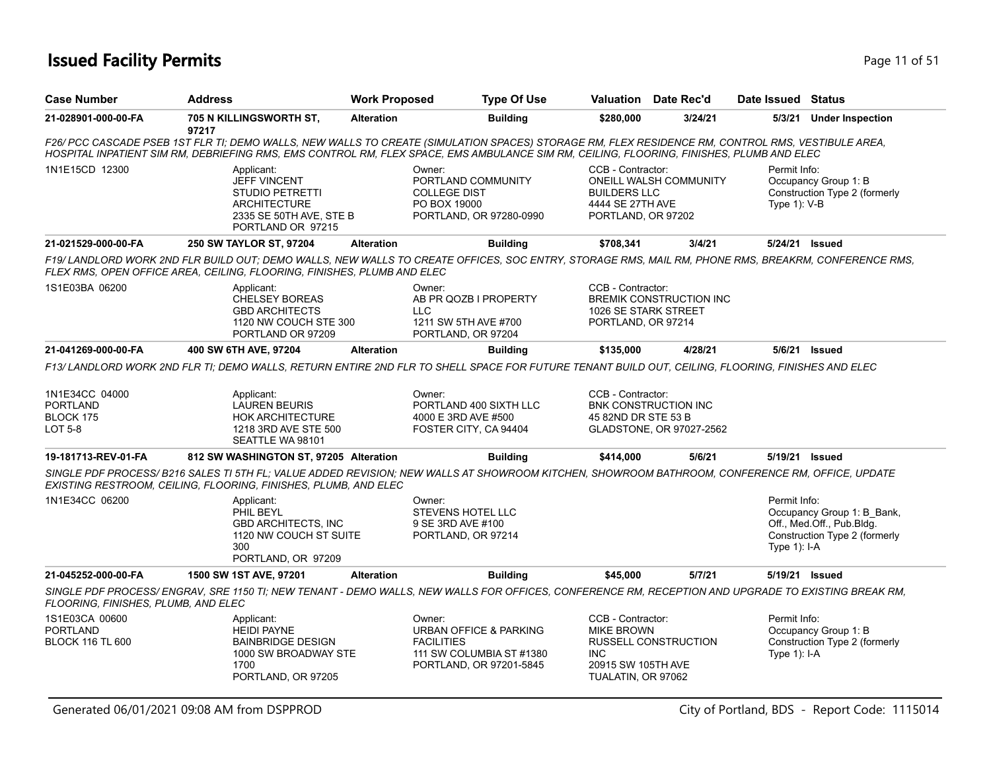### **Issued Facility Permits** Provide the Contract of 51 and 200 minutes and 200 minutes of 51 and 200 minutes and 200 minutes and 200 minutes and 200 minutes and 200 minutes and 200 minutes and 200 minutes and 200 minutes and

| <b>Case Number</b>                                               | <b>Address</b>                                                                                                                                                                                                                                                                                | <b>Work Proposed</b> |                                                                                             | <b>Type Of Use</b>                                                            |                                                                                                  | Valuation Date Rec'd                             | Date Issued Status                |                                                                                          |
|------------------------------------------------------------------|-----------------------------------------------------------------------------------------------------------------------------------------------------------------------------------------------------------------------------------------------------------------------------------------------|----------------------|---------------------------------------------------------------------------------------------|-------------------------------------------------------------------------------|--------------------------------------------------------------------------------------------------|--------------------------------------------------|-----------------------------------|------------------------------------------------------------------------------------------|
| 21-028901-000-00-FA                                              | 705 N KILLINGSWORTH ST,<br>97217                                                                                                                                                                                                                                                              | <b>Alteration</b>    |                                                                                             | <b>Building</b>                                                               | \$280,000                                                                                        | 3/24/21                                          | 5/3/21                            | <b>Under Inspection</b>                                                                  |
|                                                                  | F26/ PCC CASCADE PSEB 1ST FLR TI; DEMO WALLS, NEW WALLS TO CREATE (SIMULATION SPACES) STORAGE RM, FLEX RESIDENCE RM, CONTROL RMS, VESTIBULE AREA,<br>HOSPITAL INPATIENT SIM RM, DEBRIEFING RMS, EMS CONTROL RM, FLEX SPACE, EMS AMBULANCE SIM RM, CEILING, FLOORING, FINISHES, PLUMB AND ELEC |                      |                                                                                             |                                                                               |                                                                                                  |                                                  |                                   |                                                                                          |
| 1N1E15CD 12300                                                   | Applicant:<br><b>JEFF VINCENT</b><br><b>STUDIO PETRETTI</b><br><b>ARCHITECTURE</b><br>2335 SE 50TH AVE, STE B<br>PORTLAND OR 97215                                                                                                                                                            |                      | Owner:<br>PORTLAND COMMUNITY<br><b>COLLEGE DIST</b><br>PO BOX 19000                         | PORTLAND, OR 97280-0990                                                       | CCB - Contractor:<br><b>BUILDERS LLC</b><br>4444 SE 27TH AVE<br>PORTLAND, OR 97202               | ONEILL WALSH COMMUNITY                           | Permit Info:<br>Type $1$ ): $V-B$ | Occupancy Group 1: B<br>Construction Type 2 (formerly                                    |
| 21-021529-000-00-FA                                              | 250 SW TAYLOR ST, 97204                                                                                                                                                                                                                                                                       | <b>Alteration</b>    |                                                                                             | <b>Building</b>                                                               | \$708,341                                                                                        | 3/4/21                                           | 5/24/21 Issued                    |                                                                                          |
|                                                                  | F19/LANDLORD WORK 2ND FLR BUILD OUT; DEMO WALLS, NEW WALLS TO CREATE OFFICES, SOC ENTRY, STORAGE RMS, MAIL RM, PHONE RMS, BREAKRM, CONFERENCE RMS,<br>FLEX RMS, OPEN OFFICE AREA, CEILING, FLOORING, FINISHES, PLUMB AND ELEC                                                                 |                      |                                                                                             |                                                                               |                                                                                                  |                                                  |                                   |                                                                                          |
| 1S1E03BA 06200                                                   | Applicant:<br><b>CHELSEY BOREAS</b><br><b>GBD ARCHITECTS</b><br>1120 NW COUCH STE 300<br>PORTLAND OR 97209                                                                                                                                                                                    |                      | Owner:<br>AB PR QOZB I PROPERTY<br><b>LLC</b><br>1211 SW 5TH AVE #700<br>PORTLAND, OR 97204 |                                                                               | CCB - Contractor:<br>1026 SE STARK STREET<br>PORTLAND, OR 97214                                  | <b>BREMIK CONSTRUCTION INC</b>                   |                                   |                                                                                          |
| 21-041269-000-00-FA                                              | 400 SW 6TH AVE, 97204                                                                                                                                                                                                                                                                         | <b>Alteration</b>    |                                                                                             | <b>Building</b>                                                               | \$135,000                                                                                        | 4/28/21                                          |                                   | 5/6/21 Issued                                                                            |
| 1N1E34CC 04000<br><b>PORTLAND</b><br>BLOCK 175<br><b>LOT 5-8</b> | F13/ LANDLORD WORK 2ND FLR TI; DEMO WALLS, RETURN ENTIRE 2ND FLR TO SHELL SPACE FOR FUTURE TENANT BUILD OUT, CEILING, FLOORING, FINISHES AND ELEC<br>Applicant:<br><b>LAUREN BEURIS</b><br><b>HOK ARCHITECTURE</b><br>1218 3RD AVE STE 500<br>SEATTLE WA 98101                                |                      | Owner:<br>4000 E 3RD AVE #500<br>FOSTER CITY, CA 94404                                      | PORTLAND 400 SIXTH LLC                                                        | CCB - Contractor:<br>45 82ND DR STE 53 B                                                         | BNK CONSTRUCTION INC<br>GLADSTONE, OR 97027-2562 |                                   |                                                                                          |
| 19-181713-REV-01-FA                                              | 812 SW WASHINGTON ST, 97205 Alteration                                                                                                                                                                                                                                                        |                      |                                                                                             | <b>Building</b>                                                               | \$414,000                                                                                        | 5/6/21                                           | 5/19/21 Issued                    |                                                                                          |
|                                                                  | SINGLE PDF PROCESS/ B216 SALES TI 5TH FL; VALUE ADDED REVISION; NEW WALLS AT SHOWROOM KITCHEN, SHOWROOM BATHROOM, CONFERENCE RM, OFFICE, UPDATE<br>EXISTING RESTROOM, CEILING, FLOORING, FINISHES, PLUMB, AND ELEC                                                                            |                      |                                                                                             |                                                                               |                                                                                                  |                                                  |                                   |                                                                                          |
| 1N1E34CC 06200                                                   | Applicant:<br>PHIL BEYL<br><b>GBD ARCHITECTS, INC</b><br>1120 NW COUCH ST SUITE<br>300<br>PORTLAND, OR 97209                                                                                                                                                                                  |                      | Owner:<br><b>STEVENS HOTEL LLC</b><br>9 SE 3RD AVE #100<br>PORTLAND, OR 97214               |                                                                               |                                                                                                  |                                                  | Permit Info:<br>Type $1$ ): I-A   | Occupancy Group 1: B Bank,<br>Off., Med.Off., Pub.Bldg.<br>Construction Type 2 (formerly |
| 21-045252-000-00-FA                                              | 1500 SW 1ST AVE, 97201                                                                                                                                                                                                                                                                        | <b>Alteration</b>    |                                                                                             | <b>Building</b>                                                               | \$45,000                                                                                         | 5/7/21                                           | 5/19/21 Issued                    |                                                                                          |
| FLOORING, FINISHES, PLUMB, AND ELEC                              | SINGLE PDF PROCESS/ ENGRAV, SRE 1150 TI; NEW TENANT - DEMO WALLS, NEW WALLS FOR OFFICES, CONFERENCE RM, RECEPTION AND UPGRADE TO EXISTING BREAK RM,                                                                                                                                           |                      |                                                                                             |                                                                               |                                                                                                  |                                                  |                                   |                                                                                          |
| 1S1E03CA 00600<br><b>PORTLAND</b><br><b>BLOCK 116 TL 600</b>     | Applicant:<br><b>HEIDI PAYNE</b><br><b>BAINBRIDGE DESIGN</b><br>1000 SW BROADWAY STE<br>1700<br>PORTLAND, OR 97205                                                                                                                                                                            |                      | Owner:<br><b>FACILITIES</b>                                                                 | URBAN OFFICE & PARKING<br>111 SW COLUMBIA ST #1380<br>PORTLAND, OR 97201-5845 | CCB - Contractor:<br><b>MIKE BROWN</b><br><b>INC</b><br>20915 SW 105TH AVE<br>TUALATIN, OR 97062 | <b>RUSSELL CONSTRUCTION</b>                      | Permit Info:<br>Type 1): I-A      | Occupancy Group 1: B<br>Construction Type 2 (formerly                                    |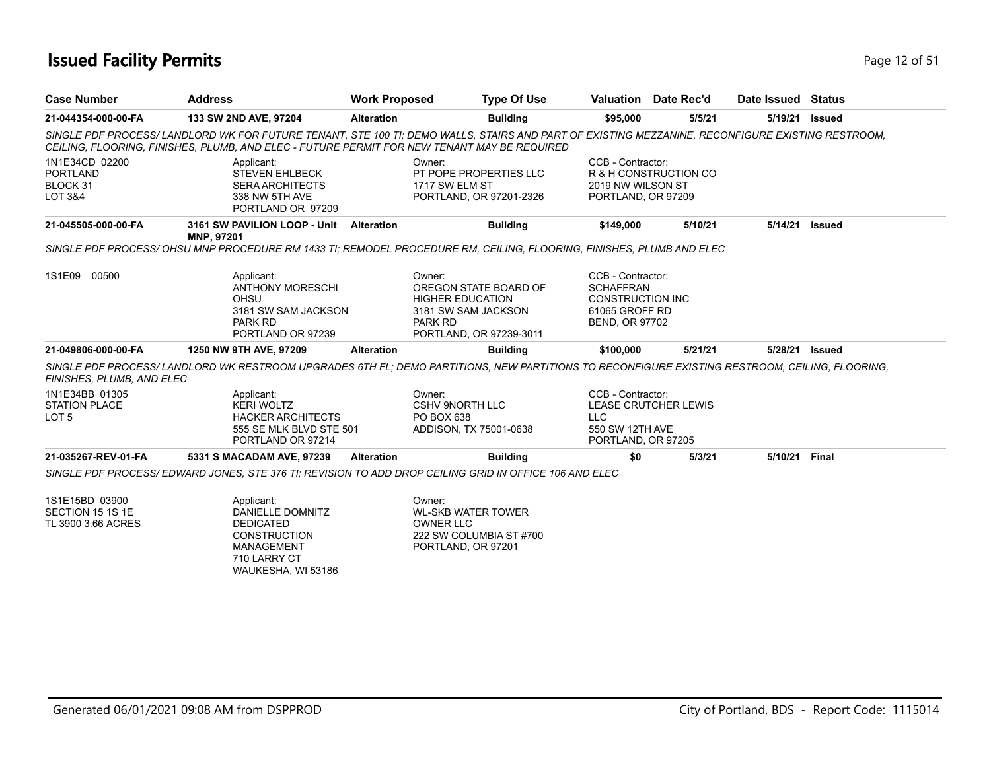### **Issued Facility Permits** Provide the Contract of 51 and 2 of 51 and 2 of 51 and 2 of 51 and 2 of 51 and 2 of 51

| <b>Case Number</b>                                         | <b>Address</b>                                                                                                                                                                                                                                 | <b>Work Proposed</b>       | <b>Type Of Use</b>                                                                                 |                                                                                                             | Valuation Date Rec'd        | Date Issued Status |                |  |  |
|------------------------------------------------------------|------------------------------------------------------------------------------------------------------------------------------------------------------------------------------------------------------------------------------------------------|----------------------------|----------------------------------------------------------------------------------------------------|-------------------------------------------------------------------------------------------------------------|-----------------------------|--------------------|----------------|--|--|
| 21-044354-000-00-FA                                        | 133 SW 2ND AVE, 97204                                                                                                                                                                                                                          | <b>Alteration</b>          | <b>Building</b>                                                                                    | \$95,000                                                                                                    | 5/5/21                      | 5/19/21            | <b>Issued</b>  |  |  |
|                                                            | SINGLE PDF PROCESS/LANDLORD WK FOR FUTURE TENANT, STE 100 TI; DEMO WALLS, STAIRS AND PART OF EXISTING MEZZANINE, RECONFIGURE EXISTING RESTROOM,<br>CEILING, FLOORING, FINISHES, PLUMB, AND ELEC - FUTURE PERMIT FOR NEW TENANT MAY BE REQUIRED |                            |                                                                                                    |                                                                                                             |                             |                    |                |  |  |
| 1N1E34CD 02200<br><b>PORTLAND</b><br>BLOCK 31<br>LOT 3&4   | Applicant:<br><b>STEVEN EHLBECK</b><br><b>SERA ARCHITECTS</b><br>338 NW 5TH AVE<br>PORTLAND OR 97209                                                                                                                                           | Owner:<br>1717 SW ELM ST   | PT POPE PROPERTIES LLC<br>PORTLAND, OR 97201-2326                                                  | CCB - Contractor:<br>2019 NW WILSON ST<br>PORTLAND, OR 97209                                                | R & H CONSTRUCTION CO       |                    |                |  |  |
| 21-045505-000-00-FA                                        | 3161 SW PAVILION LOOP - Unit Alteration<br>MNP, 97201                                                                                                                                                                                          |                            | <b>Building</b>                                                                                    | \$149,000                                                                                                   | 5/10/21                     |                    | 5/14/21 Issued |  |  |
|                                                            | SINGLE PDF PROCESS/OHSU MNP PROCEDURE RM 1433 TI; REMODEL PROCEDURE RM, CEILING, FLOORING, FINISHES, PLUMB AND ELEC                                                                                                                            |                            |                                                                                                    |                                                                                                             |                             |                    |                |  |  |
| 1S1E09 00500                                               | Applicant:<br><b>ANTHONY MORESCHI</b><br>OHSU<br>3181 SW SAM JACKSON<br>PARK RD<br>PORTLAND OR 97239                                                                                                                                           | Owner:<br><b>PARK RD</b>   | OREGON STATE BOARD OF<br><b>HIGHER EDUCATION</b><br>3181 SW SAM JACKSON<br>PORTLAND, OR 97239-3011 | CCB - Contractor:<br><b>SCHAFFRAN</b><br><b>CONSTRUCTION INC</b><br>61065 GROFF RD<br><b>BEND, OR 97702</b> |                             |                    |                |  |  |
| 21-049806-000-00-FA                                        | 1250 NW 9TH AVE, 97209                                                                                                                                                                                                                         | <b>Alteration</b>          | <b>Building</b>                                                                                    | \$100,000                                                                                                   | 5/21/21                     | 5/28/21            | <b>Issued</b>  |  |  |
| FINISHES, PLUMB, AND ELEC                                  | SINGLE PDF PROCESS/LANDLORD WK RESTROOM UPGRADES 6TH FL: DEMO PARTITIONS, NEW PARTITIONS TO RECONFIGURE EXISTING RESTROOM, CEILING, FLOORING,                                                                                                  |                            |                                                                                                    |                                                                                                             |                             |                    |                |  |  |
| 1N1E34BB 01305<br><b>STATION PLACE</b><br>LOT <sub>5</sub> | Applicant:<br><b>KERI WOLTZ</b><br><b>HACKER ARCHITECTS</b><br>555 SE MLK BLVD STE 501<br>PORTLAND OR 97214                                                                                                                                    | Owner:<br>PO BOX 638       | <b>CSHV 9NORTH LLC</b><br>ADDISON, TX 75001-0638                                                   | CCB - Contractor:<br><b>LLC</b><br>550 SW 12TH AVE<br>PORTLAND, OR 97205                                    | <b>LEASE CRUTCHER LEWIS</b> |                    |                |  |  |
| 21-035267-REV-01-FA                                        | 5331 S MACADAM AVE, 97239                                                                                                                                                                                                                      | <b>Alteration</b>          | <b>Building</b>                                                                                    | \$0                                                                                                         | 5/3/21                      | 5/10/21 Final      |                |  |  |
|                                                            | SINGLE PDF PROCESS/EDWARD JONES. STE 376 TI: REVISION TO ADD DROP CEILING GRID IN OFFICE 106 AND ELEC                                                                                                                                          |                            |                                                                                                    |                                                                                                             |                             |                    |                |  |  |
| 1S1E15BD 03900<br>SECTION 15 1S 1E<br>TL 3900 3.66 ACRES   | Applicant:<br><b>DANIELLE DOMNITZ</b><br><b>DEDICATED</b><br><b>CONSTRUCTION</b><br><b>MANAGEMENT</b><br>710 LARRY CT<br>WAUKESHA, WI 53186                                                                                                    | Owner:<br><b>OWNER LLC</b> | <b>WL-SKB WATER TOWER</b><br>222 SW COLUMBIA ST #700<br>PORTLAND, OR 97201                         |                                                                                                             |                             |                    |                |  |  |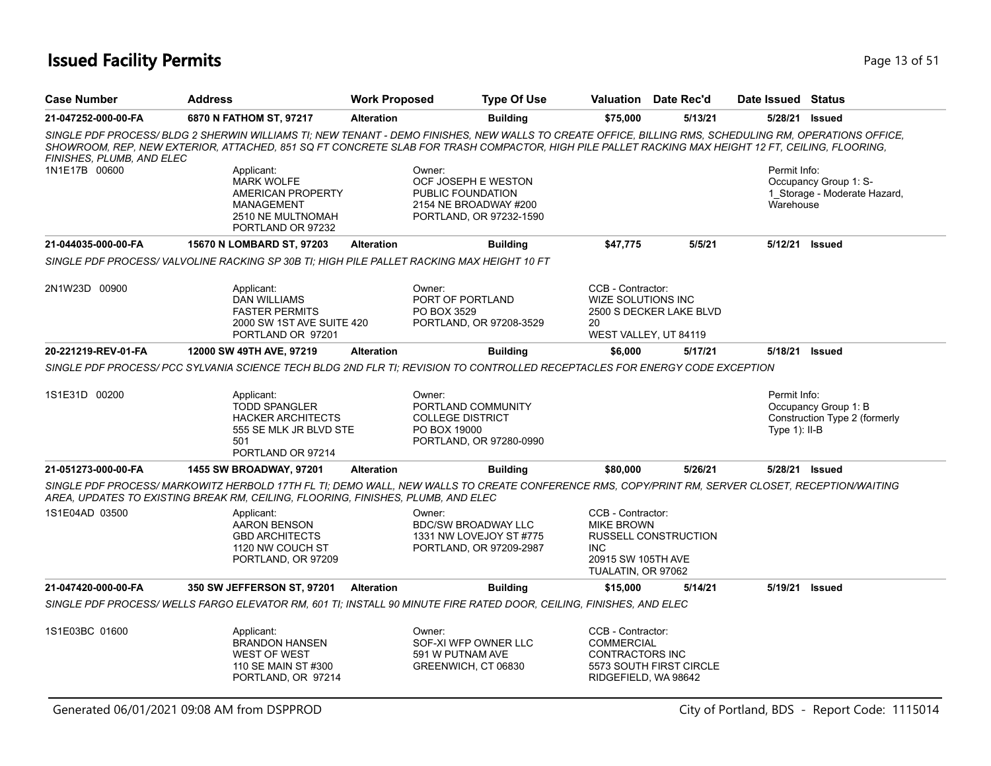### **Issued Facility Permits** Provide the Contract of Studies and Page 13 of 51 and Page 13 of 51

| <b>Case Number</b>        | <b>Address</b>                                                                                                                                                                                                                                                                                              | <b>Work Proposed</b> | <b>Type Of Use</b>                                                                           | <b>Valuation</b> Date Rec'd                                                                                              |         | Date Issued Status              |                                                       |
|---------------------------|-------------------------------------------------------------------------------------------------------------------------------------------------------------------------------------------------------------------------------------------------------------------------------------------------------------|----------------------|----------------------------------------------------------------------------------------------|--------------------------------------------------------------------------------------------------------------------------|---------|---------------------------------|-------------------------------------------------------|
| 21-047252-000-00-FA       | 6870 N FATHOM ST, 97217                                                                                                                                                                                                                                                                                     | <b>Alteration</b>    | <b>Building</b>                                                                              | \$75,000                                                                                                                 | 5/13/21 |                                 | 5/28/21 Issued                                        |
| FINISHES, PLUMB, AND ELEC | SINGLE PDF PROCESS/ BLDG 2 SHERWIN WILLIAMS TI: NEW TENANT - DEMO FINISHES, NEW WALLS TO CREATE OFFICE, BILLING RMS, SCHEDULING RM, OPERATIONS OFFICE,<br>SHOWROOM, REP, NEW EXTERIOR, ATTACHED, 851 SQ FT CONCRETE SLAB FOR TRASH COMPACTOR, HIGH PILE PALLET RACKING MAX HEIGHT 12 FT, CEILING, FLOORING, |                      |                                                                                              |                                                                                                                          |         |                                 |                                                       |
| 1N1E17B 00600             | Applicant:<br><b>MARK WOLFE</b><br>AMERICAN PROPERTY<br>MANAGEMENT<br>2510 NE MULTNOMAH<br>PORTLAND OR 97232                                                                                                                                                                                                | Owner:               | OCF JOSEPH E WESTON<br>PUBLIC FOUNDATION<br>2154 NE BROADWAY #200<br>PORTLAND, OR 97232-1590 |                                                                                                                          |         | Permit Info:<br>Warehouse       | Occupancy Group 1: S-<br>1_Storage - Moderate Hazard, |
| 21-044035-000-00-FA       | 15670 N LOMBARD ST, 97203                                                                                                                                                                                                                                                                                   | <b>Alteration</b>    | <b>Building</b>                                                                              | \$47,775                                                                                                                 | 5/5/21  |                                 | 5/12/21 Issued                                        |
|                           | SINGLE PDF PROCESS/VALVOLINE RACKING SP 30B TI; HIGH PILE PALLET RACKING MAX HEIGHT 10 FT                                                                                                                                                                                                                   |                      |                                                                                              |                                                                                                                          |         |                                 |                                                       |
| 2N1W23D 00900             | Applicant:<br><b>DAN WILLIAMS</b><br><b>FASTER PERMITS</b><br>2000 SW 1ST AVE SUITE 420<br>PORTLAND OR 97201                                                                                                                                                                                                | Owner:               | PORT OF PORTLAND<br>PO BOX 3529<br>PORTLAND, OR 97208-3529                                   | CCB - Contractor:<br><b>WIZE SOLUTIONS INC</b><br>2500 S DECKER LAKE BLVD<br>20<br>WEST VALLEY, UT 84119                 |         |                                 |                                                       |
| 20-221219-REV-01-FA       | 12000 SW 49TH AVE, 97219                                                                                                                                                                                                                                                                                    | <b>Alteration</b>    | <b>Building</b>                                                                              | \$6,000                                                                                                                  | 5/17/21 | 5/18/21                         | <b>Issued</b>                                         |
| 1S1E31D 00200             | SINGLE PDF PROCESS/ PCC SYLVANIA SCIENCE TECH BLDG 2ND FLR TI: REVISION TO CONTROLLED RECEPTACLES FOR ENERGY CODE EXCEPTION<br>Applicant:<br><b>TODD SPANGLER</b><br><b>HACKER ARCHITECTS</b><br>555 SE MLK JR BLVD STE                                                                                     | Owner:               | PORTLAND COMMUNITY<br><b>COLLEGE DISTRICT</b><br>PO BOX 19000                                |                                                                                                                          |         | Permit Info:<br>Type $1$ : II-B | Occupancy Group 1: B<br>Construction Type 2 (formerly |
|                           | 501<br>PORTLAND OR 97214                                                                                                                                                                                                                                                                                    |                      | PORTLAND, OR 97280-0990                                                                      |                                                                                                                          |         |                                 |                                                       |
| 21-051273-000-00-FA       | <b>1455 SW BROADWAY, 97201</b>                                                                                                                                                                                                                                                                              | <b>Alteration</b>    | <b>Building</b>                                                                              | \$80,000                                                                                                                 | 5/26/21 |                                 | 5/28/21 Issued                                        |
|                           | SINGLE PDF PROCESS/MARKOWITZ HERBOLD 17TH FL TI; DEMO WALL, NEW WALLS TO CREATE CONFERENCE RMS, COPY/PRINT RM, SERVER CLOSET, RECEPTION/WAITING<br>AREA, UPDATES TO EXISTING BREAK RM, CEILING, FLOORING, FINISHES, PLUMB, AND ELEC                                                                         |                      |                                                                                              |                                                                                                                          |         |                                 |                                                       |
| 1S1E04AD 03500            | Applicant:<br>AARON BENSON<br><b>GBD ARCHITECTS</b><br>1120 NW COUCH ST<br>PORTLAND, OR 97209                                                                                                                                                                                                               | Owner:               | <b>BDC/SW BROADWAY LLC</b><br>1331 NW LOVEJOY ST #775<br>PORTLAND, OR 97209-2987             | CCB - Contractor:<br><b>MIKE BROWN</b><br>RUSSELL CONSTRUCTION<br><b>INC</b><br>20915 SW 105TH AVE<br>TUALATIN, OR 97062 |         |                                 |                                                       |
| 21-047420-000-00-FA       | 350 SW JEFFERSON ST, 97201                                                                                                                                                                                                                                                                                  | <b>Alteration</b>    | <b>Building</b>                                                                              | \$15,000                                                                                                                 | 5/14/21 |                                 | 5/19/21 Issued                                        |
|                           | SINGLE PDF PROCESS/WELLS FARGO ELEVATOR RM, 601 TI; INSTALL 90 MINUTE FIRE RATED DOOR, CEILING, FINISHES, AND ELEC                                                                                                                                                                                          |                      |                                                                                              |                                                                                                                          |         |                                 |                                                       |
| 1S1E03BC 01600            | Applicant:<br><b>BRANDON HANSEN</b><br><b>WEST OF WEST</b><br>110 SE MAIN ST #300<br>PORTLAND, OR 97214                                                                                                                                                                                                     | Owner:               | SOF-XI WFP OWNER LLC<br>591 W PUTNAM AVE<br>GREENWICH, CT 06830                              | CCB - Contractor:<br><b>COMMERCIAL</b><br>CONTRACTORS INC<br>5573 SOUTH FIRST CIRCLE<br>RIDGEFIELD, WA 98642             |         |                                 |                                                       |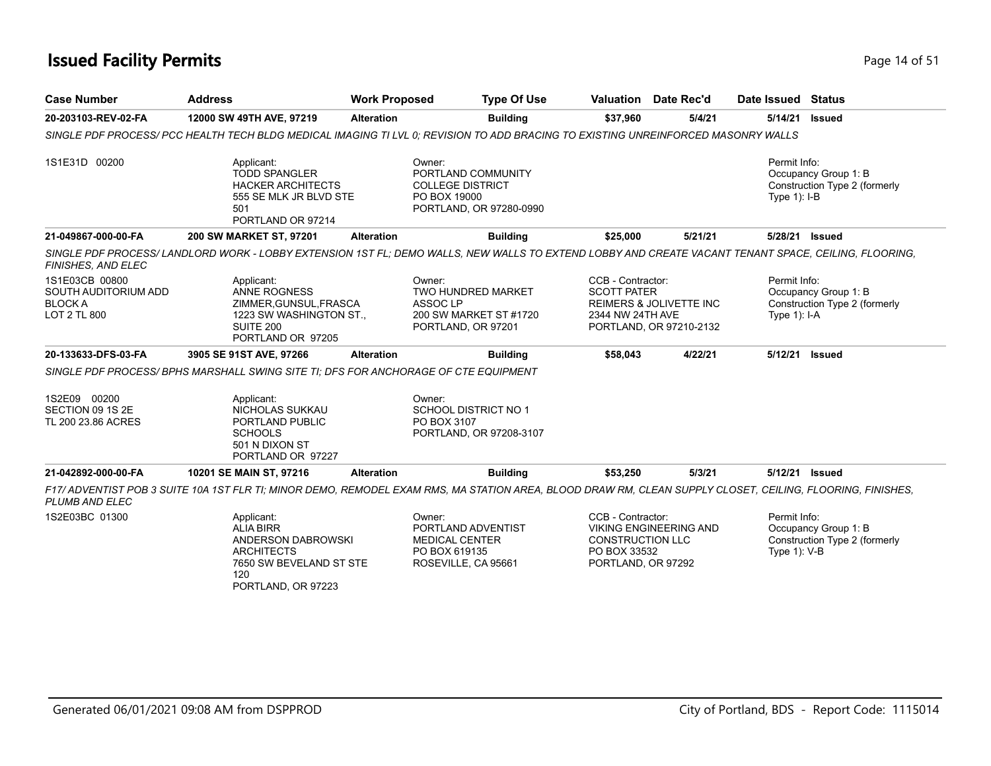### **Issued Facility Permits** Provide the Contract of 51 and 200 **Page 14 of 51**

| <b>Case Number</b>                                                      | <b>Address</b>                                                                                                                                             | <b>Work Proposed</b>          | <b>Type Of Use</b>                                                       |                                                                                    | <b>Valuation</b> Date Rec'd                                   | Date Issued Status                |                                                       |
|-------------------------------------------------------------------------|------------------------------------------------------------------------------------------------------------------------------------------------------------|-------------------------------|--------------------------------------------------------------------------|------------------------------------------------------------------------------------|---------------------------------------------------------------|-----------------------------------|-------------------------------------------------------|
| 20-203103-REV-02-FA                                                     | 12000 SW 49TH AVE, 97219                                                                                                                                   | <b>Alteration</b>             | <b>Building</b>                                                          | \$37,960                                                                           | 5/4/21                                                        | 5/14/21                           | <b>Issued</b>                                         |
|                                                                         | SINGLE PDF PROCESS/ PCC HEALTH TECH BLDG MEDICAL IMAGING TI LVL 0; REVISION TO ADD BRACING TO EXISTING UNREINFORCED MASONRY WALLS                          |                               |                                                                          |                                                                                    |                                                               |                                   |                                                       |
| 1S1E31D 00200                                                           | Applicant:<br><b>TODD SPANGLER</b><br><b>HACKER ARCHITECTS</b><br>555 SE MLK JR BLVD STE<br>501<br>PORTLAND OR 97214                                       | Owner:<br>PO BOX 19000        | PORTLAND COMMUNITY<br><b>COLLEGE DISTRICT</b><br>PORTLAND, OR 97280-0990 |                                                                                    |                                                               | Permit Info:<br>Type $1$ ): $I-B$ | Occupancy Group 1: B<br>Construction Type 2 (formerly |
| 21-049867-000-00-FA                                                     | 200 SW MARKET ST, 97201                                                                                                                                    | <b>Alteration</b>             | <b>Building</b>                                                          | \$25,000                                                                           | 5/21/21                                                       | 5/28/21 Issued                    |                                                       |
| FINISHES, AND ELEC                                                      | SINGLE PDF PROCESS/LANDLORD WORK - LOBBY EXTENSION 1ST FL; DEMO WALLS, NEW WALLS TO EXTEND LOBBY AND CREATE VACANT TENANT SPACE, CEILING, FLOORING,        |                               |                                                                          |                                                                                    |                                                               |                                   |                                                       |
| 1S1E03CB 00800<br>SOUTH AUDITORIUM ADD<br><b>BLOCKA</b><br>LOT 2 TL 800 | Applicant:<br>ANNE ROGNESS<br>ZIMMER, GUNSUL, FRASCA<br>1223 SW WASHINGTON ST.<br>SUITE 200<br>PORTLAND OR 97205                                           | Owner:<br>ASSOC <sub>LP</sub> | TWO HUNDRED MARKET<br>200 SW MARKET ST #1720<br>PORTLAND, OR 97201       | CCB - Contractor:<br><b>SCOTT PATER</b><br>2344 NW 24TH AVE                        | <b>REIMERS &amp; JOLIVETTE INC</b><br>PORTLAND, OR 97210-2132 | Permit Info:<br>Type $1$ : I-A    | Occupancy Group 1: B<br>Construction Type 2 (formerly |
| 20-133633-DFS-03-FA                                                     | 3905 SE 91ST AVE, 97266                                                                                                                                    | <b>Alteration</b>             | <b>Building</b>                                                          | \$58,043                                                                           | 4/22/21                                                       | 5/12/21 Issued                    |                                                       |
|                                                                         | SINGLE PDF PROCESS/BPHS MARSHALL SWING SITE TI: DFS FOR ANCHORAGE OF CTE EQUIPMENT                                                                         |                               |                                                                          |                                                                                    |                                                               |                                   |                                                       |
| 1S2E09 00200<br>SECTION 09 1S 2E<br>TL 200 23.86 ACRES                  | Applicant:<br>NICHOLAS SUKKAU<br>PORTLAND PUBLIC<br><b>SCHOOLS</b><br>501 N DIXON ST<br>PORTLAND OR 97227                                                  | Owner:<br>PO BOX 3107         | <b>SCHOOL DISTRICT NO 1</b><br>PORTLAND, OR 97208-3107                   |                                                                                    |                                                               |                                   |                                                       |
| 21-042892-000-00-FA                                                     | 10201 SE MAIN ST, 97216                                                                                                                                    | <b>Alteration</b>             | <b>Building</b>                                                          | \$53,250                                                                           | 5/3/21                                                        | 5/12/21 Issued                    |                                                       |
| <b>PLUMB AND ELEC</b>                                                   | F17/ ADVENTIST POB 3 SUITE 10A 1ST FLR TI: MINOR DEMO, REMODEL EXAM RMS, MA STATION AREA, BLOOD DRAW RM, CLEAN SUPPLY CLOSET, CEILING, FLOORING, FINISHES, |                               |                                                                          |                                                                                    |                                                               |                                   |                                                       |
| 1S2E03BC 01300                                                          | Applicant:<br><b>ALIA BIRR</b><br>ANDERSON DABROWSKI<br><b>ARCHITECTS</b><br>7650 SW BEVELAND ST STE<br>120<br>PORTLAND, OR 97223                          | Owner:<br>PO BOX 619135       | PORTLAND ADVENTIST<br><b>MEDICAL CENTER</b><br>ROSEVILLE, CA 95661       | CCB - Contractor:<br><b>CONSTRUCTION LLC</b><br>PO BOX 33532<br>PORTLAND, OR 97292 | <b>VIKING ENGINEERING AND</b>                                 | Permit Info:<br>Type 1): V-B      | Occupancy Group 1: B<br>Construction Type 2 (formerly |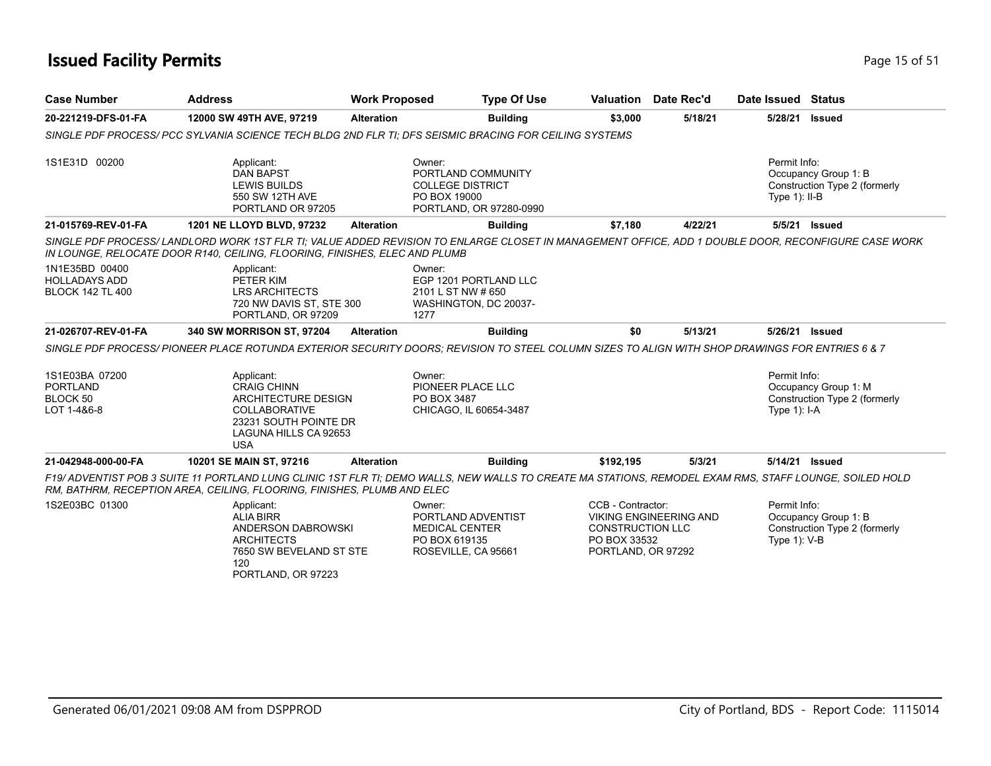### **Issued Facility Permits** Provide a strategies of 51 and 200 minutes and 200 minutes of 51 and 200 minutes and 200 minutes and 200 minutes and 200 minutes and 200 minutes and 200 minutes and 200 minutes and 200 minutes and

| <b>Case Number</b>                                                | <b>Address</b>                                                                                                                                                                                                                    | <b>Work Proposed</b> | <b>Type Of Use</b>                                                                       |                                                                                    | Valuation Date Rec'd          | Date Issued Status              |                                                       |
|-------------------------------------------------------------------|-----------------------------------------------------------------------------------------------------------------------------------------------------------------------------------------------------------------------------------|----------------------|------------------------------------------------------------------------------------------|------------------------------------------------------------------------------------|-------------------------------|---------------------------------|-------------------------------------------------------|
| 20-221219-DFS-01-FA                                               | 12000 SW 49TH AVE, 97219                                                                                                                                                                                                          | <b>Alteration</b>    | <b>Building</b>                                                                          | \$3,000                                                                            | 5/18/21                       | 5/28/21                         | <b>Issued</b>                                         |
|                                                                   | SINGLE PDF PROCESS/ PCC SYLVANIA SCIENCE TECH BLDG 2ND FLR TI: DFS SEISMIC BRACING FOR CEILING SYSTEMS                                                                                                                            |                      |                                                                                          |                                                                                    |                               |                                 |                                                       |
| 1S1E31D 00200                                                     | Applicant:<br><b>DAN BAPST</b><br><b>LEWIS BUILDS</b><br>550 SW 12TH AVE<br>PORTLAND OR 97205                                                                                                                                     | Owner:               | PORTLAND COMMUNITY<br><b>COLLEGE DISTRICT</b><br>PO BOX 19000<br>PORTLAND, OR 97280-0990 |                                                                                    |                               | Permit Info:<br>Type $1$ : II-B | Occupancy Group 1: B<br>Construction Type 2 (formerly |
| 21-015769-REV-01-FA                                               | 1201 NE LLOYD BLVD, 97232                                                                                                                                                                                                         | <b>Alteration</b>    | <b>Building</b>                                                                          | \$7,180                                                                            | 4/22/21                       |                                 | 5/5/21 Issued                                         |
|                                                                   | SINGLE PDF PROCESS/LANDLORD WORK 1ST FLR TI; VALUE ADDED REVISION TO ENLARGE CLOSET IN MANAGEMENT OFFICE, ADD 1 DOUBLE DOOR, RECONFIGURE CASE WORK<br>IN LOUNGE, RELOCATE DOOR R140, CEILING, FLOORING, FINISHES, ELEC AND PLUMB  |                      |                                                                                          |                                                                                    |                               |                                 |                                                       |
| 1N1E35BD 00400<br><b>HOLLADAYS ADD</b><br><b>BLOCK 142 TL 400</b> | Applicant:<br>PETER KIM<br><b>LRS ARCHITECTS</b><br>720 NW DAVIS ST, STE 300<br>PORTLAND, OR 97209                                                                                                                                | Owner:<br>1277       | EGP 1201 PORTLAND LLC<br>2101 L ST NW # 650<br>WASHINGTON, DC 20037-                     |                                                                                    |                               |                                 |                                                       |
| 21-026707-REV-01-FA                                               | 340 SW MORRISON ST, 97204                                                                                                                                                                                                         | <b>Alteration</b>    | <b>Building</b>                                                                          | \$0                                                                                | 5/13/21                       | 5/26/21 Issued                  |                                                       |
|                                                                   | SINGLE PDF PROCESS/ PIONEER PLACE ROTUNDA EXTERIOR SECURITY DOORS; REVISION TO STEEL COLUMN SIZES TO ALIGN WITH SHOP DRAWINGS FOR ENTRIES 6 & 7                                                                                   |                      |                                                                                          |                                                                                    |                               |                                 |                                                       |
| 1S1E03BA 07200<br><b>PORTLAND</b><br>BLOCK 50<br>LOT 1-4&6-8      | Applicant:<br><b>CRAIG CHINN</b><br>ARCHITECTURE DESIGN<br><b>COLLABORATIVE</b><br>23231 SOUTH POINTE DR<br>LAGUNA HILLS CA 92653<br><b>USA</b>                                                                                   | Owner:               | PIONEER PLACE LLC<br>PO BOX 3487<br>CHICAGO, IL 60654-3487                               |                                                                                    |                               | Permit Info:<br>Type $1$ : I-A  | Occupancy Group 1: M<br>Construction Type 2 (formerly |
| 21-042948-000-00-FA                                               | 10201 SE MAIN ST, 97216                                                                                                                                                                                                           | <b>Alteration</b>    | <b>Building</b>                                                                          | \$192,195                                                                          | 5/3/21                        | 5/14/21 Issued                  |                                                       |
|                                                                   | F19/ADVENTIST POB 3 SUITE 11 PORTLAND LUNG CLINIC 1ST FLR TI; DEMO WALLS, NEW WALLS TO CREATE MA STATIONS, REMODEL EXAM RMS, STAFF LOUNGE, SOILED HOLD<br>RM, BATHRM, RECEPTION AREA, CEILING, FLOORING, FINISHES, PLUMB AND ELEC |                      |                                                                                          |                                                                                    |                               |                                 |                                                       |
| 1S2E03BC 01300                                                    | Applicant:<br><b>ALIA BIRR</b><br>ANDERSON DABROWSKI<br><b>ARCHITECTS</b><br>7650 SW BEVELAND ST STE<br>120<br>PORTLAND, OR 97223                                                                                                 | Owner:               | PORTLAND ADVENTIST<br><b>MEDICAL CENTER</b><br>PO BOX 619135<br>ROSEVILLE, CA 95661      | CCB - Contractor:<br><b>CONSTRUCTION LLC</b><br>PO BOX 33532<br>PORTLAND, OR 97292 | <b>VIKING ENGINEERING AND</b> | Permit Info:<br>Type 1): V-B    | Occupancy Group 1: B<br>Construction Type 2 (formerly |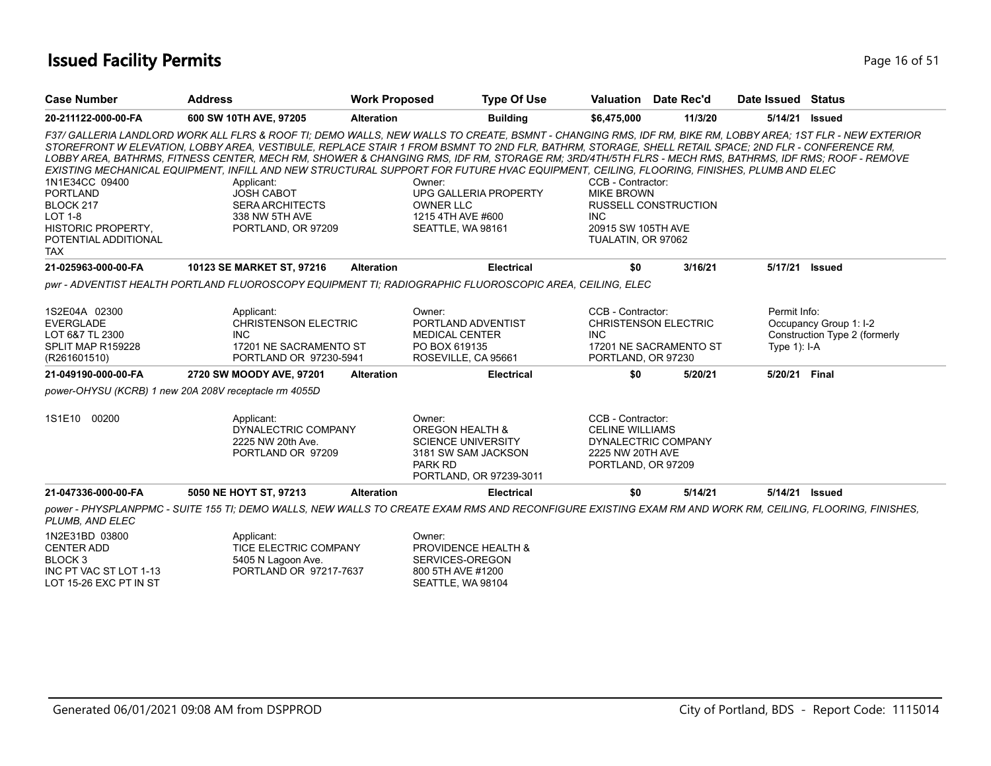### **Issued Facility Permits** Provide the Contract of 51 and 200 minutes and 200 minutes of 51 and 200 minutes and 200 minutes and 200 minutes and 200 minutes and 200 minutes and 200 minutes and 200 minutes and 200 minutes and

| <b>Case Number</b>        | <b>Address</b>                                                                                                                                                                                                                                                                                                                                                                                                                                                                                                                                                                                                                      | <b>Work Proposed</b> | <b>Type Of Use</b>                                                                                                                    | Valuation Date Rec'd                                                                                         |                             | Date Issued Status |                               |
|---------------------------|-------------------------------------------------------------------------------------------------------------------------------------------------------------------------------------------------------------------------------------------------------------------------------------------------------------------------------------------------------------------------------------------------------------------------------------------------------------------------------------------------------------------------------------------------------------------------------------------------------------------------------------|----------------------|---------------------------------------------------------------------------------------------------------------------------------------|--------------------------------------------------------------------------------------------------------------|-----------------------------|--------------------|-------------------------------|
| 20-211122-000-00-FA       | 600 SW 10TH AVE, 97205                                                                                                                                                                                                                                                                                                                                                                                                                                                                                                                                                                                                              | <b>Alteration</b>    | <b>Building</b>                                                                                                                       | \$6,475,000                                                                                                  | 11/3/20                     | 5/14/21            | <b>Issued</b>                 |
| 1N1E34CC 09400            | F37/ GALLERIA LANDLORD WORK ALL FLRS & ROOF TI; DEMO WALLS, NEW WALLS TO CREATE, BSMNT - CHANGING RMS, IDF RM, BIKE RM, LOBBY AREA; 1ST FLR - NEW EXTERIOR<br>STOREFRONT W ELEVATION, LOBBY AREA, VESTIBULE, REPLACE STAIR 1 FROM BSMNT TO 2ND FLR, BATHRM, STORAGE, SHELL RETAIL SPACE; 2ND FLR - CONFERENCE RM,<br>LOBBY AREA. BATHRMS. FITNESS CENTER. MECH RM. SHOWER & CHANGING RMS. IDF RM. STORAGE RM: 3RD/4TH/5TH FLRS - MECH RMS. BATHRMS. IDF RMS: ROOF - REMOVE<br>EXISTING MECHANICAL EQUIPMENT, INFILL AND NEW STRUCTURAL SUPPORT FOR FUTURE HVAC EQUIPMENT, CEILING, FLOORING, FINISHES, PLUMB AND ELEC<br>Applicant: |                      | Owner:                                                                                                                                | CCB - Contractor:                                                                                            |                             |                    |                               |
| <b>PORTLAND</b>           | <b>JOSH CABOT</b>                                                                                                                                                                                                                                                                                                                                                                                                                                                                                                                                                                                                                   |                      | UPG GALLERIA PROPERTY                                                                                                                 | <b>MIKE BROWN</b>                                                                                            |                             |                    |                               |
| BLOCK 217                 | <b>SERA ARCHITECTS</b>                                                                                                                                                                                                                                                                                                                                                                                                                                                                                                                                                                                                              |                      | <b>OWNER LLC</b>                                                                                                                      |                                                                                                              | <b>RUSSELL CONSTRUCTION</b> |                    |                               |
| <b>LOT 1-8</b>            | 338 NW 5TH AVE                                                                                                                                                                                                                                                                                                                                                                                                                                                                                                                                                                                                                      |                      | 1215 4TH AVE #600                                                                                                                     | <b>INC</b>                                                                                                   |                             |                    |                               |
| <b>HISTORIC PROPERTY,</b> | PORTLAND, OR 97209                                                                                                                                                                                                                                                                                                                                                                                                                                                                                                                                                                                                                  |                      | SEATTLE, WA 98161                                                                                                                     | 20915 SW 105TH AVE                                                                                           |                             |                    |                               |
| POTENTIAL ADDITIONAL      |                                                                                                                                                                                                                                                                                                                                                                                                                                                                                                                                                                                                                                     |                      |                                                                                                                                       | TUALATIN, OR 97062                                                                                           |                             |                    |                               |
| <b>TAX</b>                |                                                                                                                                                                                                                                                                                                                                                                                                                                                                                                                                                                                                                                     |                      |                                                                                                                                       |                                                                                                              |                             |                    |                               |
| 21-025963-000-00-FA       | 10123 SE MARKET ST, 97216                                                                                                                                                                                                                                                                                                                                                                                                                                                                                                                                                                                                           | <b>Alteration</b>    | <b>Electrical</b>                                                                                                                     | \$0                                                                                                          | 3/16/21                     | 5/17/21 Issued     |                               |
|                           | pwr - ADVENTIST HEALTH PORTLAND FLUOROSCOPY EQUIPMENT TI; RADIOGRAPHIC FLUOROSCOPIC AREA, CEILING, ELEC                                                                                                                                                                                                                                                                                                                                                                                                                                                                                                                             |                      |                                                                                                                                       |                                                                                                              |                             |                    |                               |
| 1S2E04A 02300             | Applicant:                                                                                                                                                                                                                                                                                                                                                                                                                                                                                                                                                                                                                          |                      | Owner:                                                                                                                                | CCB - Contractor:                                                                                            |                             | Permit Info:       |                               |
| <b>EVERGLADE</b>          | <b>CHRISTENSON ELECTRIC</b>                                                                                                                                                                                                                                                                                                                                                                                                                                                                                                                                                                                                         |                      | PORTLAND ADVENTIST                                                                                                                    | <b>CHRISTENSON ELECTRIC</b>                                                                                  |                             |                    | Occupancy Group 1: I-2        |
| LOT 6&7 TL 2300           | <b>INC</b>                                                                                                                                                                                                                                                                                                                                                                                                                                                                                                                                                                                                                          |                      | <b>MEDICAL CENTER</b>                                                                                                                 | <b>INC</b>                                                                                                   |                             |                    | Construction Type 2 (formerly |
| SPLIT MAP R159228         | 17201 NE SACRAMENTO ST                                                                                                                                                                                                                                                                                                                                                                                                                                                                                                                                                                                                              |                      | PO BOX 619135                                                                                                                         |                                                                                                              | 17201 NE SACRAMENTO ST      | Type $1$ : I-A     |                               |
| (R261601510)              | PORTLAND OR 97230-5941                                                                                                                                                                                                                                                                                                                                                                                                                                                                                                                                                                                                              |                      | ROSEVILLE, CA 95661                                                                                                                   | PORTLAND, OR 97230                                                                                           |                             |                    |                               |
| 21-049190-000-00-FA       | 2720 SW MOODY AVE, 97201                                                                                                                                                                                                                                                                                                                                                                                                                                                                                                                                                                                                            | <b>Alteration</b>    | <b>Electrical</b>                                                                                                                     | \$0                                                                                                          | 5/20/21                     | 5/20/21 Final      |                               |
|                           | power-OHYSU (KCRB) 1 new 20A 208V receptacle rm 4055D                                                                                                                                                                                                                                                                                                                                                                                                                                                                                                                                                                               |                      |                                                                                                                                       |                                                                                                              |                             |                    |                               |
| 1S1E10 00200              | Applicant:<br>DYNALECTRIC COMPANY<br>2225 NW 20th Ave.<br>PORTLAND OR 97209                                                                                                                                                                                                                                                                                                                                                                                                                                                                                                                                                         |                      | Owner:<br><b>OREGON HEALTH &amp;</b><br><b>SCIENCE UNIVERSITY</b><br>3181 SW SAM JACKSON<br><b>PARK RD</b><br>PORTLAND, OR 97239-3011 | CCB - Contractor:<br><b>CELINE WILLIAMS</b><br>DYNALECTRIC COMPANY<br>2225 NW 20TH AVE<br>PORTLAND, OR 97209 |                             |                    |                               |
| 21-047336-000-00-FA       | 5050 NE HOYT ST, 97213                                                                                                                                                                                                                                                                                                                                                                                                                                                                                                                                                                                                              | <b>Alteration</b>    | <b>Electrical</b>                                                                                                                     | \$0                                                                                                          | 5/14/21                     | 5/14/21            | Issued                        |
| PLUMB, AND ELEC           | power - PHYSPLANPPMC - SUITE 155 TI; DEMO WALLS, NEW WALLS TO CREATE EXAM RMS AND RECONFIGURE EXISTING EXAM RM AND WORK RM, CEILING, FLOORING, FINISHES,                                                                                                                                                                                                                                                                                                                                                                                                                                                                            |                      |                                                                                                                                       |                                                                                                              |                             |                    |                               |
| 1N2E31BD 03800            | Applicant:                                                                                                                                                                                                                                                                                                                                                                                                                                                                                                                                                                                                                          |                      | Owner:                                                                                                                                |                                                                                                              |                             |                    |                               |
| <b>CENTER ADD</b>         | TICE ELECTRIC COMPANY                                                                                                                                                                                                                                                                                                                                                                                                                                                                                                                                                                                                               |                      | PROVIDENCE HEALTH &                                                                                                                   |                                                                                                              |                             |                    |                               |
| BLOCK <sub>3</sub>        | 5405 N Lagoon Ave.                                                                                                                                                                                                                                                                                                                                                                                                                                                                                                                                                                                                                  |                      | SERVICES-OREGON                                                                                                                       |                                                                                                              |                             |                    |                               |
| INC PT VAC ST LOT 1-13    | PORTLAND OR 97217-7637                                                                                                                                                                                                                                                                                                                                                                                                                                                                                                                                                                                                              |                      | 800 5TH AVE #1200                                                                                                                     |                                                                                                              |                             |                    |                               |

SEATTLE, WA 98104

LOT 15-26 EXC PT IN ST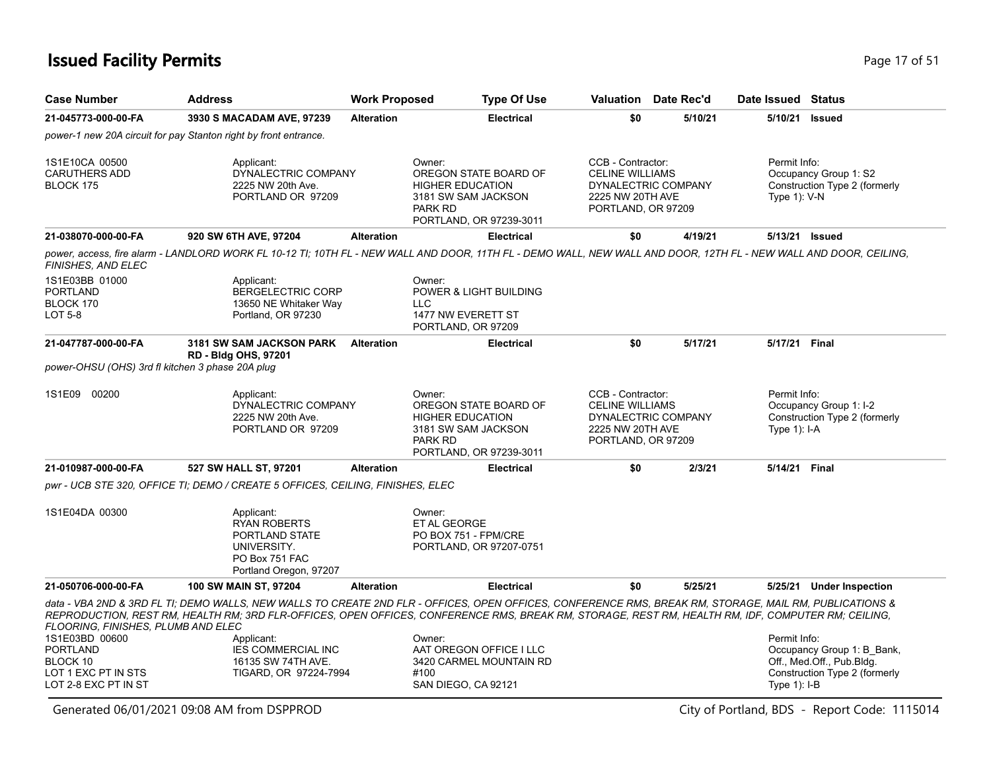## **Issued Facility Permits** Page 17 of 51

| <b>Case Number</b>                                                                           | <b>Address</b>                                                                                                                                                                                                                                                                                                | <b>Work Proposed</b> | <b>Type Of Use</b>                                                                                                             |                                                                                       | <b>Valuation</b> Date Rec'd | Date Issued Status              |                                                                                          |
|----------------------------------------------------------------------------------------------|---------------------------------------------------------------------------------------------------------------------------------------------------------------------------------------------------------------------------------------------------------------------------------------------------------------|----------------------|--------------------------------------------------------------------------------------------------------------------------------|---------------------------------------------------------------------------------------|-----------------------------|---------------------------------|------------------------------------------------------------------------------------------|
| 21-045773-000-00-FA                                                                          | 3930 S MACADAM AVE, 97239                                                                                                                                                                                                                                                                                     | <b>Alteration</b>    | <b>Electrical</b>                                                                                                              | \$0                                                                                   | 5/10/21                     | 5/10/21                         | <b>Issued</b>                                                                            |
|                                                                                              | power-1 new 20A circuit for pay Stanton right by front entrance.                                                                                                                                                                                                                                              |                      |                                                                                                                                |                                                                                       |                             |                                 |                                                                                          |
| 1S1E10CA 00500<br><b>CARUTHERS ADD</b><br><b>BLOCK 175</b>                                   | Applicant:<br>DYNALECTRIC COMPANY<br>2225 NW 20th Ave.<br>PORTLAND OR 97209                                                                                                                                                                                                                                   |                      | Owner:<br>OREGON STATE BOARD OF<br><b>HIGHER EDUCATION</b><br>3181 SW SAM JACKSON<br>PARK RD<br>PORTLAND, OR 97239-3011        | CCB - Contractor:<br><b>CELINE WILLIAMS</b><br>2225 NW 20TH AVE<br>PORTLAND, OR 97209 | DYNALECTRIC COMPANY         | Permit Info:<br>Type $1$ ): V-N | Occupancy Group 1: S2<br>Construction Type 2 (formerly                                   |
| 21-038070-000-00-FA                                                                          | 920 SW 6TH AVE, 97204                                                                                                                                                                                                                                                                                         | <b>Alteration</b>    | <b>Electrical</b>                                                                                                              | \$0                                                                                   | 4/19/21                     | 5/13/21 Issued                  |                                                                                          |
| FINISHES, AND ELEC                                                                           | power, access, fire alarm - LANDLORD WORK FL 10-12 TI; 10TH FL - NEW WALL AND DOOR, 11TH FL - DEMO WALL, NEW WALL AND DOOR, 12TH FL - NEW WALL AND DOOR, CEILING,                                                                                                                                             |                      |                                                                                                                                |                                                                                       |                             |                                 |                                                                                          |
| 1S1E03BB 01000<br><b>PORTLAND</b><br>BLOCK 170<br><b>LOT 5-8</b>                             | Applicant:<br><b>BERGELECTRIC CORP</b><br>13650 NE Whitaker Way<br>Portland, OR 97230                                                                                                                                                                                                                         |                      | Owner:<br>POWER & LIGHT BUILDING<br><b>LLC</b><br>1477 NW EVERETT ST<br>PORTLAND, OR 97209                                     |                                                                                       |                             |                                 |                                                                                          |
| 21-047787-000-00-FA                                                                          | <b>3181 SW SAM JACKSON PARK</b>                                                                                                                                                                                                                                                                               | <b>Alteration</b>    | <b>Electrical</b>                                                                                                              | \$0                                                                                   | 5/17/21                     | 5/17/21 Final                   |                                                                                          |
| power-OHSU (OHS) 3rd fl kitchen 3 phase 20A plug                                             | <b>RD - Bldg OHS, 97201</b>                                                                                                                                                                                                                                                                                   |                      |                                                                                                                                |                                                                                       |                             |                                 |                                                                                          |
| 1S1E09 00200                                                                                 | Applicant:<br>DYNALECTRIC COMPANY<br>2225 NW 20th Ave.<br>PORTLAND OR 97209                                                                                                                                                                                                                                   |                      | Owner:<br>OREGON STATE BOARD OF<br><b>HIGHER EDUCATION</b><br>3181 SW SAM JACKSON<br><b>PARK RD</b><br>PORTLAND, OR 97239-3011 | CCB - Contractor:<br><b>CELINE WILLIAMS</b><br>2225 NW 20TH AVE<br>PORTLAND, OR 97209 | DYNALECTRIC COMPANY         | Permit Info:<br>Type $1$ : I-A  | Occupancy Group 1: I-2<br>Construction Type 2 (formerly                                  |
| 21-010987-000-00-FA                                                                          | 527 SW HALL ST, 97201                                                                                                                                                                                                                                                                                         | <b>Alteration</b>    | <b>Electrical</b>                                                                                                              | \$0                                                                                   | 2/3/21                      | 5/14/21 Final                   |                                                                                          |
|                                                                                              | pwr - UCB STE 320, OFFICE TI; DEMO / CREATE 5 OFFICES, CEILING, FINISHES, ELEC                                                                                                                                                                                                                                |                      |                                                                                                                                |                                                                                       |                             |                                 |                                                                                          |
| 1S1E04DA 00300                                                                               | Applicant:<br><b>RYAN ROBERTS</b><br>PORTLAND STATE<br>UNIVERSITY.<br>PO Box 751 FAC<br>Portland Oregon, 97207                                                                                                                                                                                                |                      | Owner:<br>ET AL GEORGE<br>PO BOX 751 - FPM/CRE<br>PORTLAND, OR 97207-0751                                                      |                                                                                       |                             |                                 |                                                                                          |
| 21-050706-000-00-FA                                                                          | 100 SW MAIN ST, 97204                                                                                                                                                                                                                                                                                         | <b>Alteration</b>    | <b>Electrical</b>                                                                                                              | \$0                                                                                   | 5/25/21                     |                                 | 5/25/21 Under Inspection                                                                 |
| FLOORING, FINISHES, PLUMB AND ELEC                                                           | data - VBA 2ND & 3RD FL TI; DEMO WALLS, NEW WALLS TO CREATE 2ND FLR - OFFICES, OPEN OFFICES, CONFERENCE RMS, BREAK RM, STORAGE, MAIL RM, PUBLICATIONS &<br>REPRODUCTION, REST RM, HEALTH RM; 3RD FLR-OFFICES, OPEN OFFICES, CONFERENCE RMS, BREAK RM, STORAGE, REST RM, HEALTH RM, IDF, COMPUTER RM; CEILING, |                      |                                                                                                                                |                                                                                       |                             |                                 |                                                                                          |
| 1S1E03BD 00600<br><b>PORTLAND</b><br>BLOCK 10<br>LOT 1 EXC PT IN STS<br>LOT 2-8 EXC PT IN ST | Applicant:<br><b>IES COMMERCIAL INC</b><br>16135 SW 74TH AVE.<br>TIGARD, OR 97224-7994                                                                                                                                                                                                                        |                      | Owner:<br>AAT OREGON OFFICE I LLC<br>3420 CARMEL MOUNTAIN RD<br>#100<br>SAN DIEGO, CA 92121                                    |                                                                                       |                             | Permit Info:<br>Type $1$ : I-B  | Occupancy Group 1: B Bank,<br>Off., Med.Off., Pub.Bldg.<br>Construction Type 2 (formerly |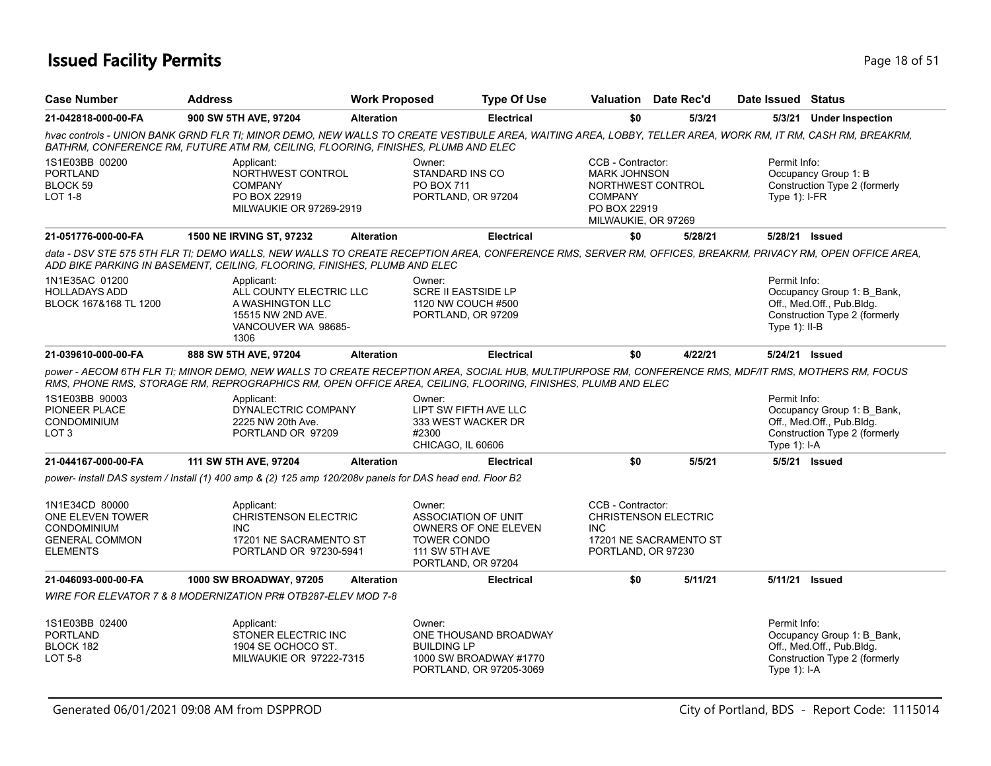### **Issued Facility Permits** Provide the Contract of Studies and Page 18 of 51 and Page 18 of 51

| <b>Case Number</b>                                                                                   | <b>Address</b>                                                                                                | <b>Work Proposed</b> | <b>Type Of Use</b>                                                                                                                                                                                                                                                  |                                                                                                                        | <b>Valuation</b> Date Rec'd                           | Date Issued Status              |                                                                                          |
|------------------------------------------------------------------------------------------------------|---------------------------------------------------------------------------------------------------------------|----------------------|---------------------------------------------------------------------------------------------------------------------------------------------------------------------------------------------------------------------------------------------------------------------|------------------------------------------------------------------------------------------------------------------------|-------------------------------------------------------|---------------------------------|------------------------------------------------------------------------------------------|
| 21-042818-000-00-FA                                                                                  | 900 SW 5TH AVE, 97204                                                                                         | <b>Alteration</b>    | <b>Electrical</b>                                                                                                                                                                                                                                                   | \$0                                                                                                                    | 5/3/21                                                |                                 | 5/3/21 Under Inspection                                                                  |
|                                                                                                      | BATHRM, CONFERENCE RM, FUTURE ATM RM, CEILING, FLOORING, FINISHES, PLUMB AND ELEC                             |                      | hvac controls - UNION BANK GRND FLR TI; MINOR DEMO, NEW WALLS TO CREATE VESTIBULE AREA, WAITING AREA, LOBBY, TELLER AREA, WORK RM, IT RM, CASH RM, BREAKRM,                                                                                                         |                                                                                                                        |                                                       |                                 |                                                                                          |
| 1S1E03BB 00200<br><b>PORTLAND</b><br>BLOCK 59<br>LOT 1-8                                             | Applicant:<br>NORTHWEST CONTROL<br><b>COMPANY</b><br>PO BOX 22919<br>MILWAUKIE OR 97269-2919                  |                      | Owner:<br>STANDARD INS CO<br>PO BOX 711<br>PORTLAND, OR 97204                                                                                                                                                                                                       | CCB - Contractor:<br><b>MARK JOHNSON</b><br>NORTHWEST CONTROL<br><b>COMPANY</b><br>PO BOX 22919<br>MILWAUKIE, OR 97269 |                                                       | Permit Info:<br>Type $1$ : I-FR | Occupancy Group 1: B<br>Construction Type 2 (formerly                                    |
| 21-051776-000-00-FA                                                                                  | <b>1500 NE IRVING ST, 97232</b>                                                                               | <b>Alteration</b>    | <b>Electrical</b>                                                                                                                                                                                                                                                   | \$0                                                                                                                    | 5/28/21                                               | 5/28/21 Issued                  |                                                                                          |
|                                                                                                      | ADD BIKE PARKING IN BASEMENT, CEILING, FLOORING, FINISHES, PLUMB AND ELEC                                     |                      | data - DSV STE 575 5TH FLR TI; DEMO WALLS, NEW WALLS TO CREATE RECEPTION AREA, CONFERENCE RMS, SERVER RM, OFFICES, BREAKRM, PRIVACY RM, OPEN OFFICE AREA,                                                                                                           |                                                                                                                        |                                                       |                                 |                                                                                          |
| 1N1E35AC 01200<br><b>HOLLADAYS ADD</b><br>BLOCK 167&168 TL 1200                                      | Applicant:<br>ALL COUNTY ELECTRIC LLC<br>A WASHINGTON LLC<br>15515 NW 2ND AVE.<br>VANCOUVER WA 98685-<br>1306 |                      | Owner:<br><b>SCRE II EASTSIDE LP</b><br>1120 NW COUCH #500<br>PORTLAND, OR 97209                                                                                                                                                                                    |                                                                                                                        |                                                       | Permit Info:<br>Type $1$ : II-B | Occupancy Group 1: B Bank,<br>Off., Med.Off., Pub.Bldg.<br>Construction Type 2 (formerly |
| 21-039610-000-00-FA                                                                                  | 888 SW 5TH AVE, 97204                                                                                         | <b>Alteration</b>    | <b>Electrical</b>                                                                                                                                                                                                                                                   | \$0                                                                                                                    | 4/22/21                                               | 5/24/21 Issued                  |                                                                                          |
|                                                                                                      |                                                                                                               |                      | power - AECOM 6TH FLR TI; MINOR DEMO, NEW WALLS TO CREATE RECEPTION AREA, SOCIAL HUB, MULTIPURPOSE RM, CONFERENCE RMS, MDF/IT RMS, MOTHERS RM, FOCUS<br>RMS, PHONE RMS, STORAGE RM, REPROGRAPHICS RM, OPEN OFFICE AREA, CEILING, FLOORING, FINISHES, PLUMB AND ELEC |                                                                                                                        |                                                       |                                 |                                                                                          |
| 1S1E03BB 90003<br>PIONEER PLACE<br><b>CONDOMINIUM</b><br>LOT <sub>3</sub>                            | Applicant:<br>DYNALECTRIC COMPANY<br>2225 NW 20th Ave.<br>PORTLAND OR 97209                                   |                      | Owner:<br>LIPT SW FIFTH AVE LLC<br>333 WEST WACKER DR<br>#2300<br>CHICAGO, IL 60606                                                                                                                                                                                 |                                                                                                                        |                                                       | Permit Info:<br>Type 1): I-A    | Occupancy Group 1: B Bank,<br>Off., Med.Off., Pub.Bldg.<br>Construction Type 2 (formerly |
| 21-044167-000-00-FA                                                                                  | 111 SW 5TH AVE, 97204                                                                                         | <b>Alteration</b>    | <b>Electrical</b>                                                                                                                                                                                                                                                   | \$0                                                                                                                    | 5/5/21                                                |                                 | 5/5/21 Issued                                                                            |
|                                                                                                      | power- install DAS system / Install (1) 400 amp & (2) 125 amp 120/208v panels for DAS head end. Floor B2      |                      |                                                                                                                                                                                                                                                                     |                                                                                                                        |                                                       |                                 |                                                                                          |
| 1N1E34CD 80000<br>ONE ELEVEN TOWER<br><b>CONDOMINIUM</b><br><b>GENERAL COMMON</b><br><b>ELEMENTS</b> | Applicant:<br><b>CHRISTENSON ELECTRIC</b><br><b>INC</b><br>17201 NE SACRAMENTO ST<br>PORTLAND OR 97230-5941   |                      | Owner:<br><b>ASSOCIATION OF UNIT</b><br><b>OWNERS OF ONE ELEVEN</b><br>TOWER CONDO<br>111 SW 5TH AVE<br>PORTLAND, OR 97204                                                                                                                                          | CCB - Contractor:<br>INC.<br>PORTLAND, OR 97230                                                                        | <b>CHRISTENSON ELECTRIC</b><br>17201 NE SACRAMENTO ST |                                 |                                                                                          |
| 21-046093-000-00-FA                                                                                  | <b>1000 SW BROADWAY, 97205</b>                                                                                | <b>Alteration</b>    | Electrical                                                                                                                                                                                                                                                          | \$0                                                                                                                    | 5/11/21                                               |                                 | 5/11/21 Issued                                                                           |
|                                                                                                      | WIRE FOR ELEVATOR 7 & 8 MODERNIZATION PR# OTB287-ELEV MOD 7-8                                                 |                      |                                                                                                                                                                                                                                                                     |                                                                                                                        |                                                       |                                 |                                                                                          |
| 1S1E03BB 02400<br><b>PORTLAND</b><br>BLOCK 182<br>LOT 5-8                                            | Applicant:<br>STONER ELECTRIC INC<br>1904 SE OCHOCO ST.<br>MILWAUKIE OR 97222-7315                            |                      | Owner:<br>ONE THOUSAND BROADWAY<br><b>BUILDING LP</b><br>1000 SW BROADWAY #1770<br>PORTLAND, OR 97205-3069                                                                                                                                                          |                                                                                                                        |                                                       | Permit Info:<br>Type $1$ : I-A  | Occupancy Group 1: B Bank,<br>Off., Med.Off., Pub.Bldg.<br>Construction Type 2 (formerly |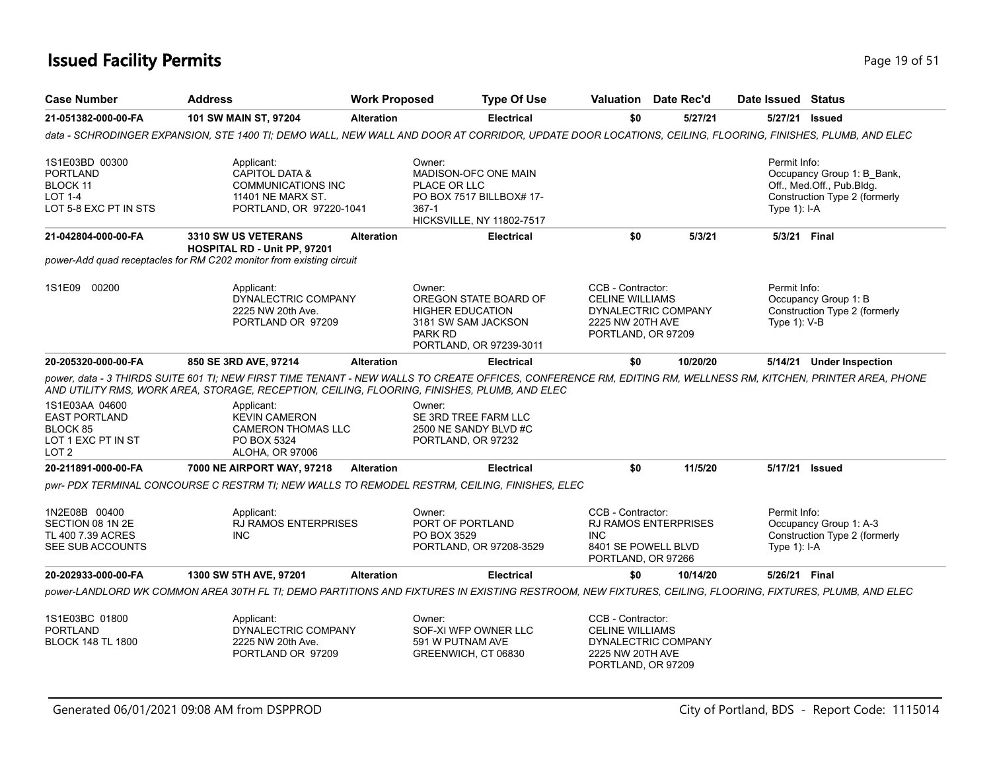### **Issued Facility Permits** Provide a strategies of 51 and 200 minutes and 200 minutes of 51 and 200 minutes and 200 minutes of 51 and 200 minutes and 200 minutes and 200 minutes and 200 minutes and 200 minutes and 200 minut

| <b>Case Number</b>                                                                           | <b>Address</b>                                                                                                                                                                                                                                                                                                                                                      | <b>Work Proposed</b> |                                                                            | <b>Type Of Use</b>                                                                   |                                                                                       | Valuation Date Rec'd        | Date Issued Status              |                                                                                          |
|----------------------------------------------------------------------------------------------|---------------------------------------------------------------------------------------------------------------------------------------------------------------------------------------------------------------------------------------------------------------------------------------------------------------------------------------------------------------------|----------------------|----------------------------------------------------------------------------|--------------------------------------------------------------------------------------|---------------------------------------------------------------------------------------|-----------------------------|---------------------------------|------------------------------------------------------------------------------------------|
| 21-051382-000-00-FA                                                                          | 101 SW MAIN ST, 97204                                                                                                                                                                                                                                                                                                                                               | <b>Alteration</b>    |                                                                            | <b>Electrical</b>                                                                    | \$0                                                                                   | 5/27/21                     |                                 | 5/27/21 Issued                                                                           |
|                                                                                              | data - SCHRODINGER EXPANSION, STE 1400 TI; DEMO WALL, NEW WALL AND DOOR AT CORRIDOR, UPDATE DOOR LOCATIONS, CEILING, FLOORING, FINISHES, PLUMB, AND ELEC                                                                                                                                                                                                            |                      |                                                                            |                                                                                      |                                                                                       |                             |                                 |                                                                                          |
| 1S1E03BD 00300<br><b>PORTLAND</b><br>BLOCK 11<br><b>LOT 1-4</b><br>LOT 5-8 EXC PT IN STS     | Applicant:<br><b>CAPITOL DATA &amp;</b><br><b>COMMUNICATIONS INC</b><br>11401 NE MARX ST.<br>PORTLAND, OR 97220-1041                                                                                                                                                                                                                                                |                      | Owner:<br>PLACE OR LLC<br>$367 - 1$                                        | <b>MADISON-OFC ONE MAIN</b><br>PO BOX 7517 BILLBOX# 17-<br>HICKSVILLE, NY 11802-7517 |                                                                                       |                             | Permit Info:<br>Type 1): I-A    | Occupancy Group 1: B Bank,<br>Off., Med.Off., Pub.Bldg.<br>Construction Type 2 (formerly |
| 21-042804-000-00-FA                                                                          | 3310 SW US VETERANS<br>HOSPITAL RD - Unit PP, 97201<br>power-Add quad receptacles for RM C202 monitor from existing circuit                                                                                                                                                                                                                                         | <b>Alteration</b>    |                                                                            | <b>Electrical</b>                                                                    | \$0                                                                                   | 5/3/21                      |                                 | 5/3/21 Final                                                                             |
|                                                                                              |                                                                                                                                                                                                                                                                                                                                                                     |                      |                                                                            |                                                                                      |                                                                                       |                             |                                 |                                                                                          |
| 1S1E09 00200                                                                                 | Applicant:<br>DYNALECTRIC COMPANY<br>2225 NW 20th Ave.<br>PORTLAND OR 97209                                                                                                                                                                                                                                                                                         |                      | Owner:<br><b>HIGHER EDUCATION</b><br>3181 SW SAM JACKSON<br><b>PARK RD</b> | OREGON STATE BOARD OF<br>PORTLAND, OR 97239-3011                                     | CCB - Contractor:<br><b>CELINE WILLIAMS</b><br>2225 NW 20TH AVE<br>PORTLAND, OR 97209 | DYNALECTRIC COMPANY         | Permit Info:<br>Type $1$ ): V-B | Occupancy Group 1: B<br>Construction Type 2 (formerly                                    |
| 20-205320-000-00-FA                                                                          | 850 SE 3RD AVE, 97214                                                                                                                                                                                                                                                                                                                                               | <b>Alteration</b>    |                                                                            | <b>Electrical</b>                                                                    | \$0                                                                                   | 10/20/20                    |                                 | 5/14/21 Under Inspection                                                                 |
| 1S1E03AA 04600<br><b>EAST PORTLAND</b><br>BLOCK 85<br>LOT 1 EXC PT IN ST<br>LOT <sub>2</sub> | power, data - 3 THIRDS SUITE 601 TI; NEW FIRST TIME TENANT - NEW WALLS TO CREATE OFFICES, CONFERENCE RM, EDITING RM, WELLNESS RM, KITCHEN, PRINTER AREA, PHONE<br>AND UTILITY RMS, WORK AREA, STORAGE, RECEPTION, CEILING, FLOORING, FINISHES, PLUMB, AND ELEC<br>Applicant:<br><b>KEVIN CAMERON</b><br><b>CAMERON THOMAS LLC</b><br>PO BOX 5324<br>ALOHA, OR 97006 |                      | Owner:<br>PORTLAND, OR 97232                                               | SE 3RD TREE FARM LLC<br>2500 NE SANDY BLVD #C                                        |                                                                                       |                             |                                 |                                                                                          |
| 20-211891-000-00-FA                                                                          | 7000 NE AIRPORT WAY, 97218                                                                                                                                                                                                                                                                                                                                          | <b>Alteration</b>    |                                                                            | <b>Electrical</b>                                                                    | \$0                                                                                   | 11/5/20                     |                                 | 5/17/21 Issued                                                                           |
|                                                                                              | pwr- PDX TERMINAL CONCOURSE C RESTRM TI; NEW WALLS TO REMODEL RESTRM, CEILING, FINISHES, ELEC                                                                                                                                                                                                                                                                       |                      |                                                                            |                                                                                      |                                                                                       |                             |                                 |                                                                                          |
| 1N2E08B 00400<br>SECTION 08 1N 2E<br>TL 400 7.39 ACRES<br>SEE SUB ACCOUNTS                   | Applicant:<br><b>RJ RAMOS ENTERPRISES</b><br><b>INC</b>                                                                                                                                                                                                                                                                                                             |                      | Owner:<br>PORT OF PORTLAND<br>PO BOX 3529                                  | PORTLAND, OR 97208-3529                                                              | CCB - Contractor:<br><b>INC</b><br>8401 SE POWELL BLVD<br>PORTLAND, OR 97266          | <b>RJ RAMOS ENTERPRISES</b> | Permit Info:<br>Type 1): I-A    | Occupancy Group 1: A-3<br>Construction Type 2 (formerly                                  |
| 20-202933-000-00-FA                                                                          | 1300 SW 5TH AVE, 97201                                                                                                                                                                                                                                                                                                                                              | <b>Alteration</b>    |                                                                            | <b>Electrical</b>                                                                    | \$0                                                                                   | 10/14/20                    | 5/26/21 Final                   |                                                                                          |
|                                                                                              | power-LANDLORD WK COMMON AREA 30TH FL TI; DEMO PARTITIONS AND FIXTURES IN EXISTING RESTROOM, NEW FIXTURES, CEILING, FLOORING, FIXTURES, PLUMB, AND ELEC                                                                                                                                                                                                             |                      |                                                                            |                                                                                      |                                                                                       |                             |                                 |                                                                                          |
| 1S1E03BC 01800<br><b>PORTLAND</b><br><b>BLOCK 148 TL 1800</b>                                | Applicant:<br>DYNALECTRIC COMPANY<br>2225 NW 20th Ave.<br>PORTLAND OR 97209                                                                                                                                                                                                                                                                                         |                      | Owner:<br>591 W PUTNAM AVE<br>GREENWICH, CT 06830                          | SOF-XI WFP OWNER LLC                                                                 | CCB - Contractor:<br><b>CELINE WILLIAMS</b><br>2225 NW 20TH AVE<br>PORTLAND, OR 97209 | DYNALECTRIC COMPANY         |                                 |                                                                                          |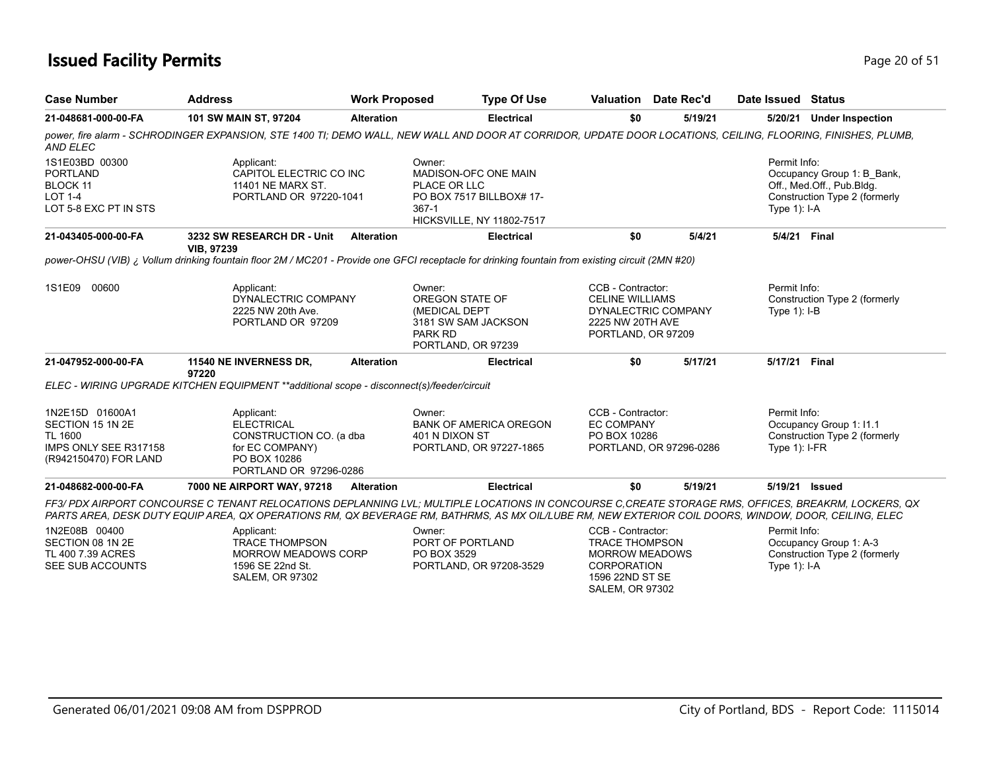### **Issued Facility Permits** Provide the Contract of the Page 20 of 51

| <b>Case Number</b>                                                                                      | <b>Address</b>                                                                                                                                                                                                                                                                                              | <b>Work Proposed</b> | <b>Type Of Use</b>                                                                                                        |                                                                                                              | Valuation Date Rec'd    | Date Issued Status              |                                                                                          |
|---------------------------------------------------------------------------------------------------------|-------------------------------------------------------------------------------------------------------------------------------------------------------------------------------------------------------------------------------------------------------------------------------------------------------------|----------------------|---------------------------------------------------------------------------------------------------------------------------|--------------------------------------------------------------------------------------------------------------|-------------------------|---------------------------------|------------------------------------------------------------------------------------------|
| 21-048681-000-00-FA                                                                                     | 101 SW MAIN ST, 97204                                                                                                                                                                                                                                                                                       | <b>Alteration</b>    | <b>Electrical</b>                                                                                                         | \$0                                                                                                          | 5/19/21                 |                                 | 5/20/21 Under Inspection                                                                 |
| <b>AND ELEC</b>                                                                                         | power, fire alarm - SCHRODINGER EXPANSION, STE 1400 TI; DEMO WALL, NEW WALL AND DOOR AT CORRIDOR, UPDATE DOOR LOCATIONS, CEILING, FLOORING, FINISHES, PLUMB,                                                                                                                                                |                      |                                                                                                                           |                                                                                                              |                         |                                 |                                                                                          |
| 1S1E03BD 00300<br><b>PORTLAND</b><br><b>BLOCK 11</b><br><b>LOT 1-4</b><br>LOT 5-8 EXC PT IN STS         | Applicant:<br>CAPITOL ELECTRIC CO INC<br>11401 NE MARX ST.<br>PORTLAND OR 97220-1041                                                                                                                                                                                                                        |                      | Owner:<br>MADISON-OFC ONE MAIN<br>PLACE OR LLC<br>PO BOX 7517 BILLBOX# 17-<br>$367-1$<br><b>HICKSVILLE, NY 11802-7517</b> |                                                                                                              |                         | Permit Info:<br>Type $1$ : I-A  | Occupancy Group 1: B_Bank,<br>Off., Med.Off., Pub.Bldg.<br>Construction Type 2 (formerly |
| 21-043405-000-00-FA                                                                                     | 3232 SW RESEARCH DR - Unit<br><b>VIB, 97239</b>                                                                                                                                                                                                                                                             | <b>Alteration</b>    | <b>Electrical</b>                                                                                                         | \$0                                                                                                          | 5/4/21                  | 5/4/21 Final                    |                                                                                          |
|                                                                                                         | power-OHSU (VIB) ¿ Vollum drinking fountain floor 2M / MC201 - Provide one GFCI receptacle for drinking fountain from existing circuit (2MN #20)                                                                                                                                                            |                      |                                                                                                                           |                                                                                                              |                         |                                 |                                                                                          |
| 1S1E09 00600                                                                                            | Applicant:<br>DYNALECTRIC COMPANY<br>2225 NW 20th Ave.<br>PORTLAND OR 97209                                                                                                                                                                                                                                 |                      | Owner:<br>OREGON STATE OF<br>(MEDICAL DEPT<br>3181 SW SAM JACKSON<br>PARK RD<br>PORTLAND, OR 97239                        | CCB - Contractor:<br><b>CELINE WILLIAMS</b><br>2225 NW 20TH AVE<br>PORTLAND, OR 97209                        | DYNALECTRIC COMPANY     | Permit Info:<br>Type $1$ : I-B  | Construction Type 2 (formerly                                                            |
| 21-047952-000-00-FA                                                                                     | 11540 NE INVERNESS DR,<br>97220                                                                                                                                                                                                                                                                             | <b>Alteration</b>    | <b>Electrical</b>                                                                                                         | \$0                                                                                                          | 5/17/21                 | 5/17/21 Final                   |                                                                                          |
|                                                                                                         | ELEC - WIRING UPGRADE KITCHEN EQUIPMENT **additional scope - disconnect(s)/feeder/circuit                                                                                                                                                                                                                   |                      |                                                                                                                           |                                                                                                              |                         |                                 |                                                                                          |
| 1N2E15D 01600A1<br>SECTION 15 1N 2E<br><b>TL 1600</b><br>IMPS ONLY SEE R317158<br>(R942150470) FOR LAND | Applicant:<br><b>ELECTRICAL</b><br>CONSTRUCTION CO. (a dba<br>for EC COMPANY)<br>PO BOX 10286<br>PORTLAND OR 97296-0286                                                                                                                                                                                     |                      | Owner:<br><b>BANK OF AMERICA OREGON</b><br>401 N DIXON ST<br>PORTLAND, OR 97227-1865                                      | CCB - Contractor:<br><b>EC COMPANY</b><br>PO BOX 10286                                                       | PORTLAND, OR 97296-0286 | Permit Info:<br>Type $1$ : I-FR | Occupancy Group 1: I1.1<br>Construction Type 2 (formerly                                 |
| 21-048682-000-00-FA                                                                                     | 7000 NE AIRPORT WAY, 97218                                                                                                                                                                                                                                                                                  | <b>Alteration</b>    | <b>Electrical</b>                                                                                                         | \$0                                                                                                          | 5/19/21                 | 5/19/21 Issued                  |                                                                                          |
|                                                                                                         | FF3/ PDX AIRPORT CONCOURSE C TENANT RELOCATIONS DEPLANNING LVL; MULTIPLE LOCATIONS IN CONCOURSE C.CREATE STORAGE RMS, OFFICES, BREAKRM, LOCKERS, QX<br>PARTS AREA, DESK DUTY EQUIP AREA, QX OPERATIONS RM, QX BEVERAGE RM, BATHRMS, AS MX OIL/LUBE RM, NEW EXTERIOR COIL DOORS, WINDOW, DOOR, CEILING, ELEC |                      |                                                                                                                           |                                                                                                              |                         |                                 |                                                                                          |
| 1N2E08B 00400<br>SECTION 08 1N 2E<br>TL 400 7.39 ACRES<br>SEE SUB ACCOUNTS                              | Applicant:<br><b>TRACE THOMPSON</b><br>MORROW MEADOWS CORP<br>1596 SE 22nd St.<br><b>SALEM, OR 97302</b>                                                                                                                                                                                                    |                      | Owner:<br>PORT OF PORTLAND<br>PO BOX 3529<br>PORTLAND, OR 97208-3529                                                      | CCB - Contractor:<br><b>TRACE THOMPSON</b><br><b>MORROW MEADOWS</b><br><b>CORPORATION</b><br>1596 22ND ST SE |                         | Permit Info:<br>Type $1$ : I-A  | Occupancy Group 1: A-3<br>Construction Type 2 (formerly                                  |

SALEM, OR 97302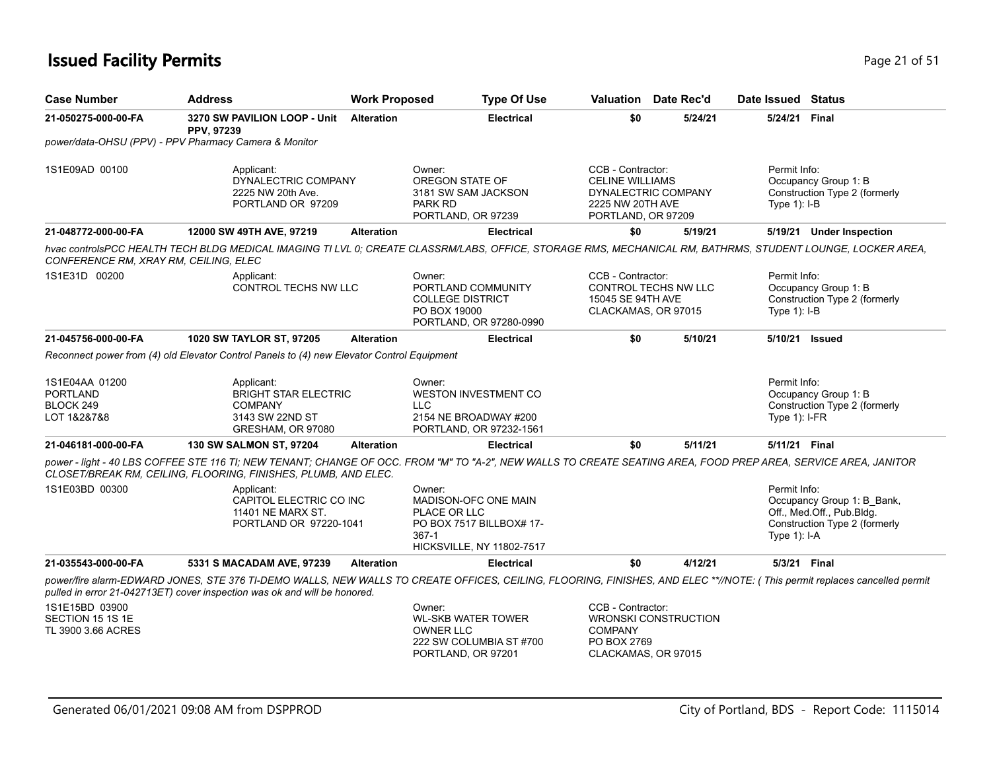### **Issued Facility Permits** Provide the Contract of 51 and 21 of 51 and 21 of 51 and 21 of 51

| <b>Case Number</b>                                       | <b>Address</b>                                                                                      | <b>Work Proposed</b> | <b>Type Of Use</b>                                                                                                          |                                                                                       | <b>Valuation</b> Date Rec'd | Date Issued Status                                                                                                                                                        |
|----------------------------------------------------------|-----------------------------------------------------------------------------------------------------|----------------------|-----------------------------------------------------------------------------------------------------------------------------|---------------------------------------------------------------------------------------|-----------------------------|---------------------------------------------------------------------------------------------------------------------------------------------------------------------------|
| 21-050275-000-00-FA                                      | 3270 SW PAVILION LOOP - Unit Alteration<br>PPV, 97239                                               |                      | <b>Electrical</b>                                                                                                           | \$0                                                                                   | 5/24/21                     | 5/24/21 Final                                                                                                                                                             |
|                                                          | power/data-OHSU (PPV) - PPV Pharmacy Camera & Monitor                                               |                      |                                                                                                                             |                                                                                       |                             |                                                                                                                                                                           |
| 1S1E09AD 00100                                           | Applicant:<br>DYNALECTRIC COMPANY<br>2225 NW 20th Ave.<br>PORTLAND OR 97209                         |                      | Owner:<br><b>OREGON STATE OF</b><br>3181 SW SAM JACKSON<br>PARK RD<br>PORTLAND, OR 97239                                    | CCB - Contractor:<br><b>CELINE WILLIAMS</b><br>2225 NW 20TH AVE<br>PORTLAND, OR 97209 | DYNALECTRIC COMPANY         | Permit Info:<br>Occupancy Group 1: B<br>Construction Type 2 (formerly<br>Type $1$ : I-B                                                                                   |
| 21-048772-000-00-FA                                      | 12000 SW 49TH AVE, 97219                                                                            | <b>Alteration</b>    | <b>Electrical</b>                                                                                                           | \$0                                                                                   | 5/19/21                     | 5/19/21 Under Inspection                                                                                                                                                  |
| CONFERENCE RM, XRAY RM, CEILING, ELEC                    |                                                                                                     |                      |                                                                                                                             |                                                                                       |                             | hvac controlsPCC HEALTH TECH BLDG MEDICAL IMAGING TI LVL 0; CREATE CLASSRM/LABS, OFFICE, STORAGE RMS, MECHANICAL RM, BATHRMS, STUDENT LOUNGE, LOCKER AREA,                |
| 1S1E31D 00200                                            | Applicant:<br>CONTROL TECHS NW LLC                                                                  |                      | Owner:<br>PORTLAND COMMUNITY<br><b>COLLEGE DISTRICT</b><br>PO BOX 19000<br>PORTLAND, OR 97280-0990                          | CCB - Contractor:<br>15045 SE 94TH AVE<br>CLACKAMAS, OR 97015                         | CONTROL TECHS NW LLC        | Permit Info:<br>Occupancy Group 1: B<br>Construction Type 2 (formerly<br>Type $1$ : I-B                                                                                   |
| 21-045756-000-00-FA                                      | 1020 SW TAYLOR ST, 97205                                                                            | <b>Alteration</b>    | <b>Electrical</b>                                                                                                           | \$0                                                                                   | 5/10/21                     | 5/10/21 Issued                                                                                                                                                            |
|                                                          | Reconnect power from (4) old Elevator Control Panels to (4) new Elevator Control Equipment          |                      |                                                                                                                             |                                                                                       |                             |                                                                                                                                                                           |
| 1S1E04AA 01200<br>PORTLAND<br>BLOCK 249<br>LOT 1&2&7&8   | Applicant:<br><b>BRIGHT STAR ELECTRIC</b><br><b>COMPANY</b><br>3143 SW 22ND ST<br>GRESHAM, OR 97080 |                      | Owner:<br><b>WESTON INVESTMENT CO</b><br><b>LLC</b><br>2154 NE BROADWAY #200<br>PORTLAND, OR 97232-1561                     |                                                                                       |                             | Permit Info:<br>Occupancy Group 1: B<br>Construction Type 2 (formerly<br>Type $1$ : I-FR                                                                                  |
| 21-046181-000-00-FA                                      | 130 SW SALMON ST, 97204                                                                             | <b>Alteration</b>    | <b>Electrical</b>                                                                                                           | \$0                                                                                   | 5/11/21                     | 5/11/21 Final                                                                                                                                                             |
|                                                          | CLOSET/BREAK RM, CEILING, FLOORING, FINISHES, PLUMB, AND ELEC.                                      |                      |                                                                                                                             |                                                                                       |                             | power - light - 40 LBS COFFEE STE 116 TI; NEW TENANT; CHANGE OF OCC. FROM "M" TO "A-2", NEW WALLS TO CREATE SEATING AREA, FOOD PREP AREA, SERVICE AREA, JANITOR           |
| 1S1E03BD 00300                                           | Applicant:<br>CAPITOL ELECTRIC CO INC<br>11401 NE MARX ST.<br>PORTLAND OR 97220-1041                |                      | Owner:<br>MADISON-OFC ONE MAIN<br>PLACE OR LLC<br>PO BOX 7517 BILLBOX# 17-<br>$367 - 1$<br><b>HICKSVILLE, NY 11802-7517</b> |                                                                                       |                             | Permit Info:<br>Occupancy Group 1: B_Bank,<br>Off., Med.Off., Pub.Bldg.<br>Construction Type 2 (formerly<br>Type 1): I-A                                                  |
| 21-035543-000-00-FA                                      | 5331 S MACADAM AVE, 97239                                                                           | <b>Alteration</b>    | <b>Electrical</b>                                                                                                           | \$0                                                                                   | 4/12/21                     | 5/3/21 Final                                                                                                                                                              |
|                                                          | pulled in error 21-042713ET) cover inspection was ok and will be honored.                           |                      |                                                                                                                             |                                                                                       |                             | power/fire alarm-EDWARD JONES, STE 376 TI-DEMO WALLS, NEW WALLS TO CREATE OFFICES, CEILING, FLOORING, FINISHES, AND ELEC **//NOTE: (This permit replaces cancelled permit |
| 1S1E15BD 03900<br>SECTION 15 1S 1E<br>TL 3900 3.66 ACRES |                                                                                                     |                      | Owner:<br><b>WL-SKB WATER TOWER</b><br><b>OWNER LLC</b><br>222 SW COLUMBIA ST #700<br>PORTLAND, OR 97201                    | CCB - Contractor:<br><b>COMPANY</b><br>PO BOX 2769<br>CLACKAMAS, OR 97015             | <b>WRONSKI CONSTRUCTION</b> |                                                                                                                                                                           |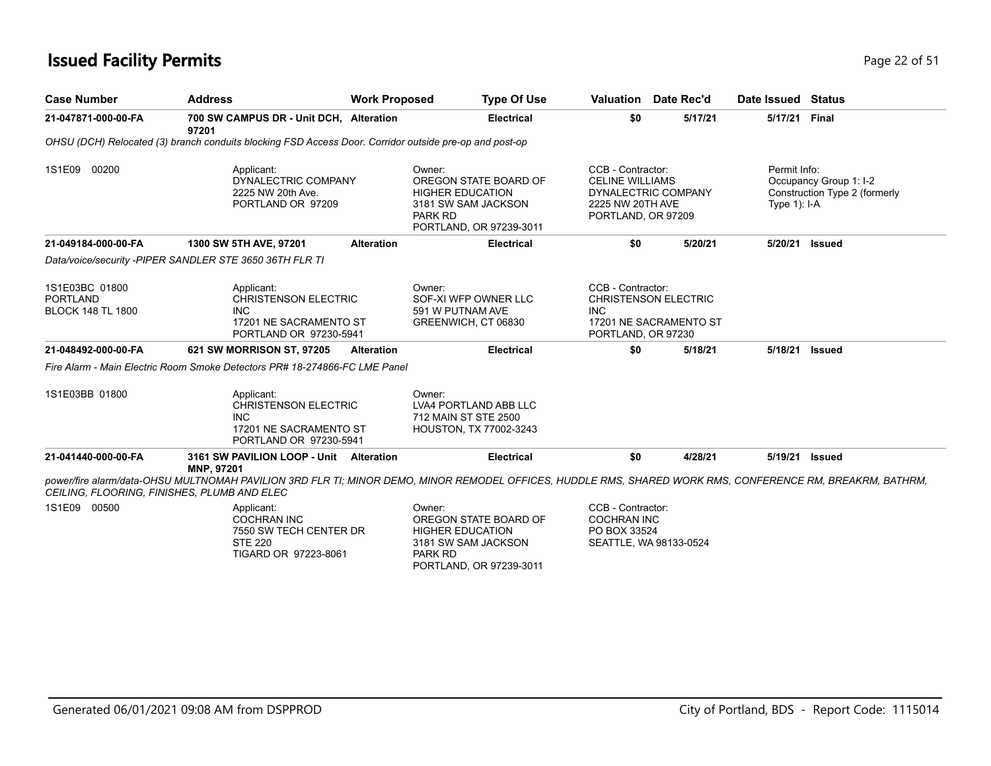## **Issued Facility Permits** Page 22 of 51

| <b>Case Number</b>                                            | <b>Address</b>                                                                                                                                                                                           | <b>Work Proposed</b>     | <b>Type Of Use</b>                                                                                 |                                                                                       | Valuation Date Rec'd                                  | Date Issued Status             |                                                         |
|---------------------------------------------------------------|----------------------------------------------------------------------------------------------------------------------------------------------------------------------------------------------------------|--------------------------|----------------------------------------------------------------------------------------------------|---------------------------------------------------------------------------------------|-------------------------------------------------------|--------------------------------|---------------------------------------------------------|
| 21-047871-000-00-FA                                           | 700 SW CAMPUS DR - Unit DCH. Alteration<br>97201                                                                                                                                                         |                          | <b>Electrical</b>                                                                                  | \$0                                                                                   | 5/17/21                                               | 5/17/21 Final                  |                                                         |
|                                                               | OHSU (DCH) Relocated (3) branch conduits blocking FSD Access Door. Corridor outside pre-op and post-op                                                                                                   |                          |                                                                                                    |                                                                                       |                                                       |                                |                                                         |
| 1S1E09 00200                                                  | Applicant:<br>DYNALECTRIC COMPANY<br>2225 NW 20th Ave.<br>PORTLAND OR 97209                                                                                                                              | Owner:<br>PARK RD        | OREGON STATE BOARD OF<br><b>HIGHER EDUCATION</b><br>3181 SW SAM JACKSON<br>PORTLAND, OR 97239-3011 | CCB - Contractor:<br><b>CELINE WILLIAMS</b><br>2225 NW 20TH AVE<br>PORTLAND, OR 97209 | DYNALECTRIC COMPANY                                   | Permit Info:<br>Type $1$ : I-A | Occupancy Group 1: I-2<br>Construction Type 2 (formerly |
| 21-049184-000-00-FA                                           | 1300 SW 5TH AVE, 97201                                                                                                                                                                                   | <b>Alteration</b>        | <b>Electrical</b>                                                                                  | \$0                                                                                   | 5/20/21                                               | 5/20/21                        | <b>Issued</b>                                           |
|                                                               | Data/voice/security -PIPER SANDLER STE 3650 36TH FLR TI                                                                                                                                                  |                          |                                                                                                    |                                                                                       |                                                       |                                |                                                         |
| 1S1E03BC 01800<br><b>PORTLAND</b><br><b>BLOCK 148 TL 1800</b> | Applicant:<br><b>CHRISTENSON ELECTRIC</b><br><b>INC</b><br>17201 NE SACRAMENTO ST<br>PORTLAND OR 97230-5941                                                                                              | Owner:                   | SOF-XI WFP OWNER LLC<br>591 W PUTNAM AVE<br>GREENWICH, CT 06830                                    | CCB - Contractor:<br><b>INC</b><br>PORTLAND, OR 97230                                 | <b>CHRISTENSON ELECTRIC</b><br>17201 NE SACRAMENTO ST |                                |                                                         |
| 21-048492-000-00-FA                                           | 621 SW MORRISON ST, 97205                                                                                                                                                                                | <b>Alteration</b>        | <b>Electrical</b>                                                                                  | \$0                                                                                   | 5/18/21                                               | 5/18/21                        | <b>Issued</b>                                           |
|                                                               | Fire Alarm - Main Electric Room Smoke Detectors PR# 18-274866-FC LME Panel                                                                                                                               |                          |                                                                                                    |                                                                                       |                                                       |                                |                                                         |
| 1S1E03BB 01800                                                | Applicant:<br><b>CHRISTENSON ELECTRIC</b><br><b>INC</b><br>17201 NE SACRAMENTO ST<br>PORTLAND OR 97230-5941                                                                                              | Owner:                   | LVA4 PORTLAND ABB LLC<br>712 MAIN ST STE 2500<br>HOUSTON, TX 77002-3243                            |                                                                                       |                                                       |                                |                                                         |
| 21-041440-000-00-FA                                           | 3161 SW PAVILION LOOP - Unit Alteration<br>MNP, 97201                                                                                                                                                    |                          | <b>Electrical</b>                                                                                  | \$0                                                                                   | 4/28/21                                               | 5/19/21                        | <b>Issued</b>                                           |
|                                                               | power/fire alarm/data-OHSU MULTNOMAH PAVILION 3RD FLR TI; MINOR DEMO, MINOR REMODEL OFFICES, HUDDLE RMS, SHARED WORK RMS, CONFERENCE RM, BREAKRM, BATHRM,<br>CEILING, FLOORING, FINISHES, PLUMB AND ELEC |                          |                                                                                                    |                                                                                       |                                                       |                                |                                                         |
| 1S1E09 00500                                                  | Applicant:<br><b>COCHRAN INC</b><br>7550 SW TECH CENTER DR<br><b>STE 220</b><br>TIGARD OR 97223-8061                                                                                                     | Owner:<br><b>PARK RD</b> | OREGON STATE BOARD OF<br><b>HIGHER EDUCATION</b><br>3181 SW SAM JACKSON<br>PORTLAND, OR 97239-3011 | CCB - Contractor:<br><b>COCHRAN INC</b><br>PO BOX 33524                               | SEATTLE, WA 98133-0524                                |                                |                                                         |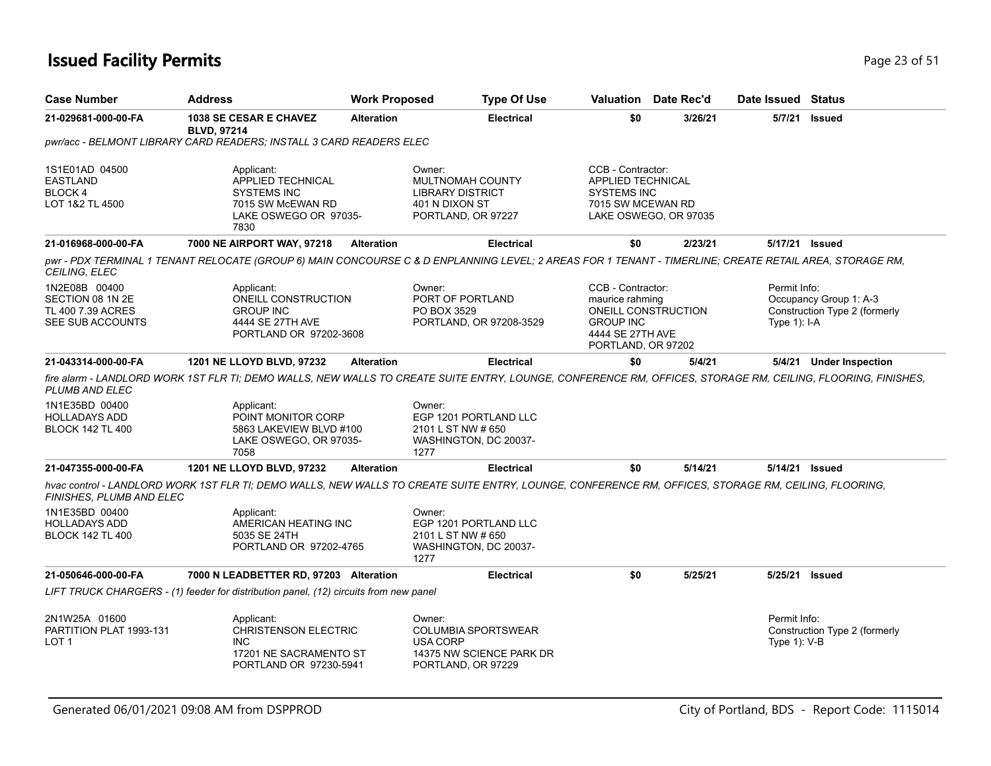## **Issued Facility Permits** Page 23 of 51

| <b>Case Number</b>                                                                  | <b>Address</b>                                                                                                                                                                                                                                                | <b>Work Proposed</b> | <b>Type Of Use</b>                                                                                        |                                                                                          | Valuation Date Rec'd                      | Date Issued Status             |                                                         |
|-------------------------------------------------------------------------------------|---------------------------------------------------------------------------------------------------------------------------------------------------------------------------------------------------------------------------------------------------------------|----------------------|-----------------------------------------------------------------------------------------------------------|------------------------------------------------------------------------------------------|-------------------------------------------|--------------------------------|---------------------------------------------------------|
| 21-029681-000-00-FA                                                                 | 1038 SE CESAR E CHAVEZ<br><b>BLVD, 97214</b>                                                                                                                                                                                                                  | <b>Alteration</b>    | <b>Electrical</b>                                                                                         | \$0                                                                                      | 3/26/21                                   |                                | 5/7/21 Issued                                           |
|                                                                                     | pwr/acc - BELMONT LIBRARY CARD READERS; INSTALL 3 CARD READERS ELEC                                                                                                                                                                                           |                      |                                                                                                           |                                                                                          |                                           |                                |                                                         |
| 1S1E01AD 04500<br><b>EASTLAND</b><br>BLOCK 4<br>LOT 1&2 TL 4500                     | Applicant:<br>APPLIED TECHNICAL<br><b>SYSTEMS INC</b><br>7015 SW McEWAN RD<br>LAKE OSWEGO OR 97035-<br>7830                                                                                                                                                   |                      | Owner:<br>MULTNOMAH COUNTY<br><b>LIBRARY DISTRICT</b><br>401 N DIXON ST<br>PORTLAND, OR 97227             | CCB - Contractor:<br><b>APPLIED TECHNICAL</b><br><b>SYSTEMS INC</b><br>7015 SW MCEWAN RD | LAKE OSWEGO, OR 97035                     |                                |                                                         |
| 21-016968-000-00-FA                                                                 | 7000 NE AIRPORT WAY, 97218                                                                                                                                                                                                                                    | <b>Alteration</b>    | <b>Electrical</b>                                                                                         | \$0                                                                                      | 2/23/21                                   |                                | 5/17/21 Issued                                          |
| CEILING, ELEC                                                                       | pwr - PDX TERMINAL 1 TENANT RELOCATE (GROUP 6) MAIN CONCOURSE C & D ENPLANNING LEVEL; 2 AREAS FOR 1 TENANT - TIMERLINE; CREATE RETAIL AREA, STORAGE RM,                                                                                                       |                      |                                                                                                           |                                                                                          |                                           |                                |                                                         |
| 1N2E08B 00400<br>SECTION 08 1N 2E<br>TL 400 7.39 ACRES<br>SEE SUB ACCOUNTS          | Applicant:<br>ONEILL CONSTRUCTION<br><b>GROUP INC</b><br>4444 SE 27TH AVE<br>PORTLAND OR 97202-3608                                                                                                                                                           |                      | Owner:<br>PORT OF PORTLAND<br>PO BOX 3529<br>PORTLAND, OR 97208-3529                                      | CCB - Contractor:<br>maurice rahming<br><b>GROUP INC</b><br>4444 SE 27TH AVE             | ONEILL CONSTRUCTION<br>PORTLAND, OR 97202 | Permit Info:<br>Type $1$ : I-A | Occupancy Group 1: A-3<br>Construction Type 2 (formerly |
| 21-043314-000-00-FA                                                                 | <b>1201 NE LLOYD BLVD, 97232</b>                                                                                                                                                                                                                              | <b>Alteration</b>    | <b>Electrical</b>                                                                                         | \$0                                                                                      | 5/4/21                                    |                                | 5/4/21 Under Inspection                                 |
| PLUMB AND ELEC<br>1N1E35BD 00400<br><b>HOLLADAYS ADD</b><br><b>BLOCK 142 TL 400</b> | fire alarm - LANDLORD WORK 1ST FLR TI; DEMO WALLS, NEW WALLS TO CREATE SUITE ENTRY, LOUNGE, CONFERENCE RM, OFFICES, STORAGE RM, CEILING, FLOORING, FINISHES,<br>Applicant:<br>POINT MONITOR CORP<br>5863 LAKEVIEW BLVD #100<br>LAKE OSWEGO, OR 97035-<br>7058 |                      | Owner:<br>EGP 1201 PORTLAND LLC<br>2101 L ST NW # 650<br>WASHINGTON, DC 20037-<br>1277                    |                                                                                          |                                           |                                |                                                         |
| 21-047355-000-00-FA                                                                 | 1201 NE LLOYD BLVD, 97232                                                                                                                                                                                                                                     | <b>Alteration</b>    | <b>Electrical</b>                                                                                         | \$0                                                                                      | 5/14/21                                   |                                | 5/14/21 Issued                                          |
| FINISHES, PLUMB AND ELEC                                                            | hvac control - LANDLORD WORK 1ST FLR TI; DEMO WALLS, NEW WALLS TO CREATE SUITE ENTRY, LOUNGE, CONFERENCE RM, OFFICES, STORAGE RM, CEILING, FLOORING,                                                                                                          |                      |                                                                                                           |                                                                                          |                                           |                                |                                                         |
| 1N1E35BD 00400<br><b>HOLLADAYS ADD</b><br><b>BLOCK 142 TL 400</b>                   | Applicant:<br>AMERICAN HEATING INC<br>5035 SE 24TH<br>PORTLAND OR 97202-4765                                                                                                                                                                                  |                      | Owner:<br>EGP 1201 PORTLAND LLC<br>2101 L ST NW # 650<br>WASHINGTON, DC 20037-<br>1277                    |                                                                                          |                                           |                                |                                                         |
| 21-050646-000-00-FA                                                                 | 7000 N LEADBETTER RD, 97203 Alteration                                                                                                                                                                                                                        |                      | <b>Electrical</b>                                                                                         | \$0                                                                                      | 5/25/21                                   | 5/25/21                        | <b>Issued</b>                                           |
|                                                                                     | LIFT TRUCK CHARGERS - (1) feeder for distribution panel, (12) circuits from new panel                                                                                                                                                                         |                      |                                                                                                           |                                                                                          |                                           |                                |                                                         |
| 2N1W25A 01600<br>PARTITION PLAT 1993-131<br>LOT <sub>1</sub>                        | Applicant:<br><b>CHRISTENSON ELECTRIC</b><br>INC.<br>17201 NE SACRAMENTO ST<br>PORTLAND OR 97230-5941                                                                                                                                                         |                      | Owner:<br><b>COLUMBIA SPORTSWEAR</b><br><b>USA CORP</b><br>14375 NW SCIENCE PARK DR<br>PORTLAND, OR 97229 |                                                                                          |                                           | Permit Info:<br>Type 1): V-B   | Construction Type 2 (formerly                           |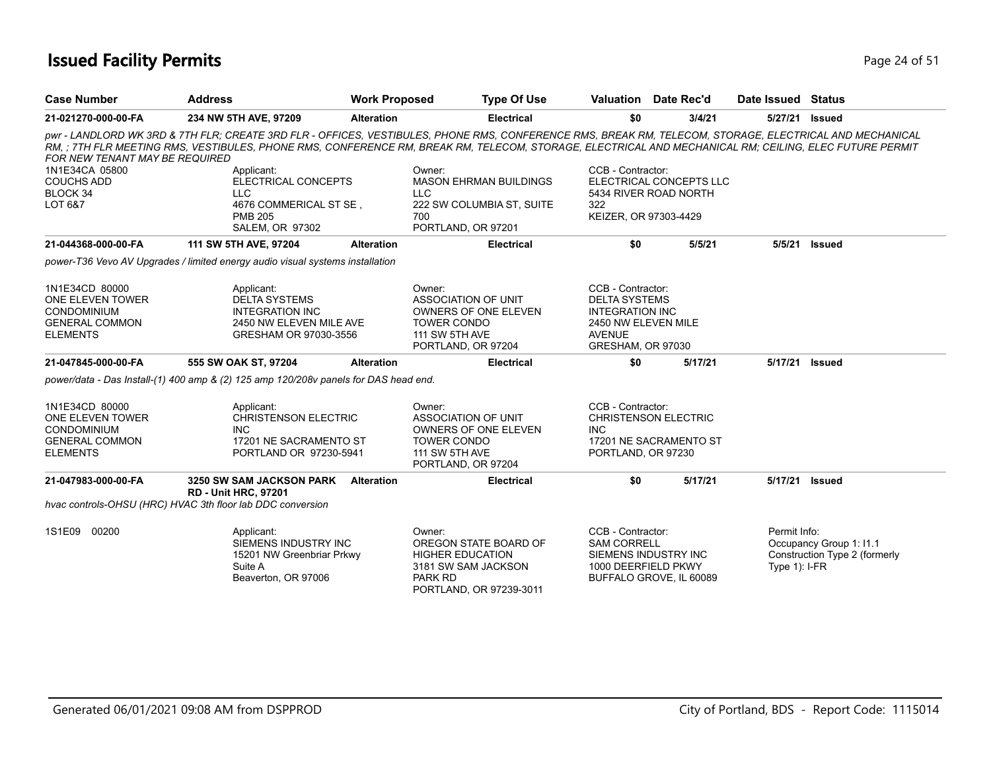### **Issued Facility Permits** Provide the Contract of the Page 24 of 51

| <b>Case Number</b>                                                                                   | <b>Address</b>                                                                                                                                                                                                                                                                                                    | <b>Work Proposed</b> |                                                                                                    | <b>Type Of Use</b>                                         | <b>Valuation</b> Date Rec'd                                                                                                      |         | Date Issued                     | Status                                                   |
|------------------------------------------------------------------------------------------------------|-------------------------------------------------------------------------------------------------------------------------------------------------------------------------------------------------------------------------------------------------------------------------------------------------------------------|----------------------|----------------------------------------------------------------------------------------------------|------------------------------------------------------------|----------------------------------------------------------------------------------------------------------------------------------|---------|---------------------------------|----------------------------------------------------------|
| 21-021270-000-00-FA                                                                                  | 234 NW 5TH AVE, 97209                                                                                                                                                                                                                                                                                             | <b>Alteration</b>    |                                                                                                    | <b>Electrical</b>                                          | \$0                                                                                                                              | 3/4/21  | 5/27/21                         | <b>Issued</b>                                            |
| FOR NEW TENANT MAY BE REQUIRED                                                                       | pwr - LANDLORD WK 3RD & 7TH FLR; CREATE 3RD FLR - OFFICES, VESTIBULES, PHONE RMS, CONFERENCE RMS, BREAK RM, TELECOM, STORAGE, ELECTRICAL AND MECHANICAL<br>RM, ; 7TH FLR MEETING RMS, VESTIBULES, PHONE RMS, CONFERENCE RM, BREAK RM, TELECOM, STORAGE, ELECTRICAL AND MECHANICAL RM; CEILING, ELEC FUTURE PERMIT |                      |                                                                                                    |                                                            |                                                                                                                                  |         |                                 |                                                          |
| 1N1E34CA 05800<br><b>COUCHS ADD</b><br>BLOCK 34<br>LOT 6&7                                           | Applicant:<br>ELECTRICAL CONCEPTS<br>LLC.<br>4676 COMMERICAL ST SE,<br><b>PMB 205</b><br><b>SALEM, OR 97302</b>                                                                                                                                                                                                   |                      | Owner:<br><b>LLC</b><br>700<br>PORTLAND, OR 97201                                                  | <b>MASON EHRMAN BUILDINGS</b><br>222 SW COLUMBIA ST, SUITE | CCB - Contractor:<br>ELECTRICAL CONCEPTS LLC<br>5434 RIVER ROAD NORTH<br>322<br>KEIZER, OR 97303-4429                            |         |                                 |                                                          |
| 21-044368-000-00-FA                                                                                  | 111 SW 5TH AVE, 97204                                                                                                                                                                                                                                                                                             | <b>Alteration</b>    |                                                                                                    | <b>Electrical</b>                                          | \$0                                                                                                                              | 5/5/21  | 5/5/21                          | <b>Issued</b>                                            |
|                                                                                                      | power-T36 Vevo AV Upgrades / limited energy audio visual systems installation                                                                                                                                                                                                                                     |                      |                                                                                                    |                                                            |                                                                                                                                  |         |                                 |                                                          |
| 1N1E34CD 80000<br>ONE ELEVEN TOWER<br><b>CONDOMINIUM</b><br><b>GENERAL COMMON</b><br><b>ELEMENTS</b> | Applicant:<br><b>DELTA SYSTEMS</b><br><b>INTEGRATION INC</b><br>2450 NW ELEVEN MILE AVE<br>GRESHAM OR 97030-3556                                                                                                                                                                                                  |                      | Owner:<br><b>ASSOCIATION OF UNIT</b><br><b>TOWER CONDO</b><br>111 SW 5TH AVE<br>PORTLAND, OR 97204 | <b>OWNERS OF ONE ELEVEN</b>                                | CCB - Contractor:<br><b>DELTA SYSTEMS</b><br><b>INTEGRATION INC</b><br>2450 NW ELEVEN MILE<br><b>AVENUE</b><br>GRESHAM, OR 97030 |         |                                 |                                                          |
| 21-047845-000-00-FA                                                                                  | 555 SW OAK ST, 97204                                                                                                                                                                                                                                                                                              | <b>Alteration</b>    |                                                                                                    | <b>Electrical</b>                                          | \$0                                                                                                                              | 5/17/21 | 5/17/21                         | <b>Issued</b>                                            |
|                                                                                                      | power/data - Das Install-(1) 400 amp & (2) 125 amp 120/208v panels for DAS head end.                                                                                                                                                                                                                              |                      |                                                                                                    |                                                            |                                                                                                                                  |         |                                 |                                                          |
| 1N1E34CD 80000<br>ONE ELEVEN TOWER<br><b>CONDOMINIUM</b><br><b>GENERAL COMMON</b><br><b>ELEMENTS</b> | Applicant:<br><b>CHRISTENSON ELECTRIC</b><br><b>INC</b><br>17201 NE SACRAMENTO ST<br>PORTLAND OR 97230-5941                                                                                                                                                                                                       |                      | Owner:<br>ASSOCIATION OF UNIT<br><b>TOWER CONDO</b><br><b>111 SW 5TH AVE</b><br>PORTLAND, OR 97204 | OWNERS OF ONE ELEVEN                                       | CCB - Contractor:<br><b>CHRISTENSON ELECTRIC</b><br><b>INC</b><br>17201 NE SACRAMENTO ST<br>PORTLAND, OR 97230                   |         |                                 |                                                          |
| 21-047983-000-00-FA                                                                                  | <b>3250 SW SAM JACKSON PARK</b><br><b>RD - Unit HRC, 97201</b>                                                                                                                                                                                                                                                    | <b>Alteration</b>    |                                                                                                    | <b>Electrical</b>                                          | \$0                                                                                                                              | 5/17/21 | 5/17/21                         | Issued                                                   |
|                                                                                                      | hvac controls-OHSU (HRC) HVAC 3th floor lab DDC conversion                                                                                                                                                                                                                                                        |                      |                                                                                                    |                                                            |                                                                                                                                  |         |                                 |                                                          |
| 1S1E09 00200                                                                                         | Applicant:<br>SIEMENS INDUSTRY INC<br>15201 NW Greenbriar Prkwy<br>Suite A<br>Beaverton, OR 97006                                                                                                                                                                                                                 |                      | Owner:<br><b>HIGHER EDUCATION</b><br>3181 SW SAM JACKSON<br><b>PARK RD</b>                         | OREGON STATE BOARD OF<br>PORTLAND, OR 97239-3011           | CCB - Contractor:<br><b>SAM CORRELL</b><br>SIEMENS INDUSTRY INC<br>1000 DEERFIELD PKWY<br>BUFFALO GROVE, IL 60089                |         | Permit Info:<br>Type $1$ : I-FR | Occupancy Group 1: I1.1<br>Construction Type 2 (formerly |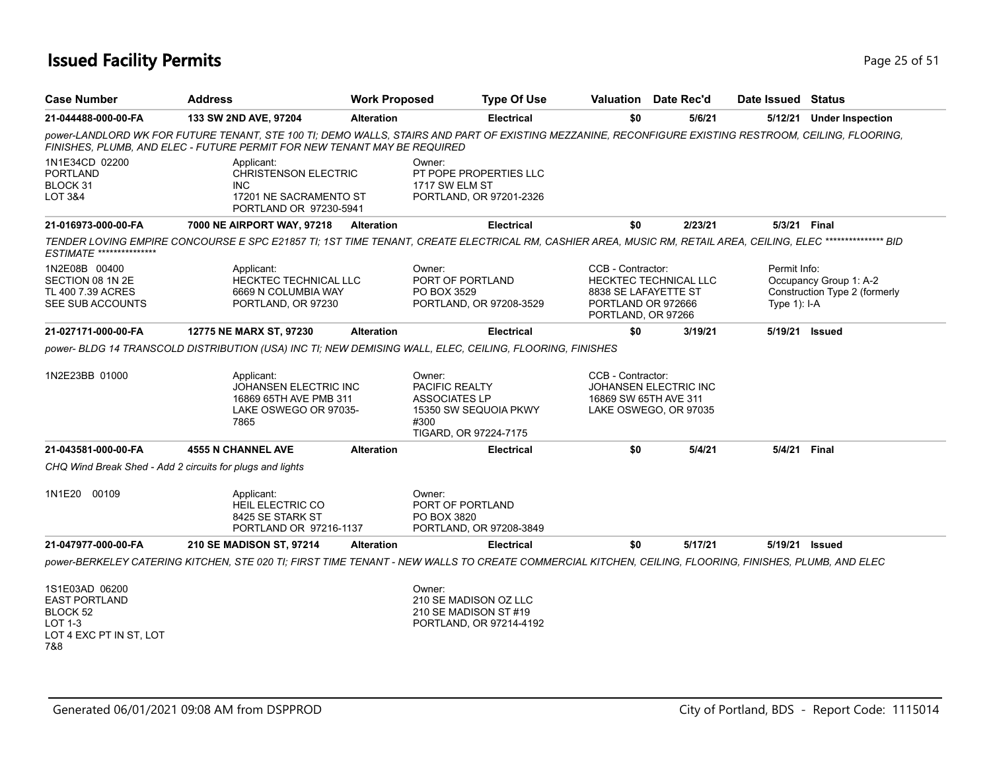### **Issued Facility Permits** Provide the Contract of the Page 25 of 51

| <b>Case Number</b>                                                                              | <b>Address</b>                                                                                                                                                                                                                    | <b>Work Proposed</b> | <b>Type Of Use</b>                                                                                                |                                                                                       | <b>Valuation</b> Date Rec'd                    | Date Issued Status             |                                                         |
|-------------------------------------------------------------------------------------------------|-----------------------------------------------------------------------------------------------------------------------------------------------------------------------------------------------------------------------------------|----------------------|-------------------------------------------------------------------------------------------------------------------|---------------------------------------------------------------------------------------|------------------------------------------------|--------------------------------|---------------------------------------------------------|
| 21-044488-000-00-FA                                                                             | 133 SW 2ND AVE, 97204                                                                                                                                                                                                             | <b>Alteration</b>    | <b>Electrical</b>                                                                                                 | \$0                                                                                   | 5/6/21                                         |                                | 5/12/21 Under Inspection                                |
|                                                                                                 | power-LANDLORD WK FOR FUTURE TENANT, STE 100 TI; DEMO WALLS, STAIRS AND PART OF EXISTING MEZZANINE, RECONFIGURE EXISTING RESTROOM, CEILING, FLOORING,<br>FINISHES, PLUMB, AND ELEC - FUTURE PERMIT FOR NEW TENANT MAY BE REQUIRED |                      |                                                                                                                   |                                                                                       |                                                |                                |                                                         |
| 1N1E34CD 02200<br><b>PORTLAND</b><br>BLOCK 31<br><b>LOT 3&amp;4</b>                             | Applicant:<br><b>CHRISTENSON ELECTRIC</b><br><b>INC</b><br>17201 NE SACRAMENTO ST<br>PORTLAND OR 97230-5941                                                                                                                       |                      | Owner:<br>PT POPE PROPERTIES LLC<br>1717 SW ELM ST<br>PORTLAND, OR 97201-2326                                     |                                                                                       |                                                |                                |                                                         |
| 21-016973-000-00-FA                                                                             | 7000 NE AIRPORT WAY, 97218                                                                                                                                                                                                        | <b>Alteration</b>    | <b>Electrical</b>                                                                                                 | \$0                                                                                   | 2/23/21                                        | 5/3/21 Final                   |                                                         |
| ESTIMATE ***************                                                                        | TENDER LOVING EMPIRE CONCOURSE E SPC E21857 TI; 1ST TIME TENANT, CREATE ELECTRICAL RM, CASHIER AREA, MUSIC RM, RETAIL AREA, CEILING, ELEC *************** BID                                                                     |                      |                                                                                                                   |                                                                                       |                                                |                                |                                                         |
| 1N2E08B 00400<br>SECTION 08 1N 2E<br>TL 400 7.39 ACRES<br>SEE SUB ACCOUNTS                      | Applicant:<br><b>HECKTEC TECHNICAL LLC</b><br>6669 N COLUMBIA WAY<br>PORTLAND, OR 97230                                                                                                                                           |                      | Owner:<br>PORT OF PORTLAND<br>PO BOX 3529<br>PORTLAND, OR 97208-3529                                              | CCB - Contractor:<br>8838 SE LAFAYETTE ST<br>PORTLAND OR 972666<br>PORTLAND, OR 97266 | HECKTEC TECHNICAL LLC                          | Permit Info:<br>Type $1$ : I-A | Occupancy Group 1: A-2<br>Construction Type 2 (formerly |
| 21-027171-000-00-FA                                                                             | 12775 NE MARX ST, 97230                                                                                                                                                                                                           | <b>Alteration</b>    | <b>Electrical</b>                                                                                                 | \$0                                                                                   | 3/19/21                                        |                                | 5/19/21 Issued                                          |
|                                                                                                 | power- BLDG 14 TRANSCOLD DISTRIBUTION (USA) INC TI; NEW DEMISING WALL, ELEC, CEILING, FLOORING, FINISHES                                                                                                                          |                      |                                                                                                                   |                                                                                       |                                                |                                |                                                         |
| 1N2E23BB 01000                                                                                  | Applicant:<br>JOHANSEN ELECTRIC INC<br>16869 65TH AVE PMB 311<br>LAKE OSWEGO OR 97035-<br>7865                                                                                                                                    |                      | Owner:<br><b>PACIFIC REALTY</b><br><b>ASSOCIATES LP</b><br>15350 SW SEQUOIA PKWY<br>#300<br>TIGARD, OR 97224-7175 | CCB - Contractor:<br>16869 SW 65TH AVE 311                                            | JOHANSEN ELECTRIC INC<br>LAKE OSWEGO, OR 97035 |                                |                                                         |
| 21-043581-000-00-FA                                                                             | <b>4555 N CHANNEL AVE</b>                                                                                                                                                                                                         | <b>Alteration</b>    | <b>Electrical</b>                                                                                                 | \$0                                                                                   | 5/4/21                                         | 5/4/21                         | Final                                                   |
|                                                                                                 | CHQ Wind Break Shed - Add 2 circuits for plugs and lights                                                                                                                                                                         |                      |                                                                                                                   |                                                                                       |                                                |                                |                                                         |
| 1N1E20 00109                                                                                    | Applicant:<br><b>HEIL ELECTRIC CO</b><br>8425 SE STARK ST<br>PORTLAND OR 97216-1137                                                                                                                                               |                      | Owner:<br>PORT OF PORTLAND<br>PO BOX 3820<br>PORTLAND, OR 97208-3849                                              |                                                                                       |                                                |                                |                                                         |
| 21-047977-000-00-FA                                                                             | 210 SE MADISON ST, 97214                                                                                                                                                                                                          | <b>Alteration</b>    | <b>Electrical</b>                                                                                                 | \$0                                                                                   | 5/17/21                                        |                                | 5/19/21 Issued                                          |
|                                                                                                 | power-BERKELEY CATERING KITCHEN, STE 020 TI; FIRST TIME TENANT - NEW WALLS TO CREATE COMMERCIAL KITCHEN, CEILING, FLOORING, FINISHES, PLUMB, AND ELEC                                                                             |                      |                                                                                                                   |                                                                                       |                                                |                                |                                                         |
| 1S1E03AD 06200<br><b>EAST PORTLAND</b><br>BLOCK 52<br>LOT 1-3<br>LOT 4 EXC PT IN ST, LOT<br>7&8 |                                                                                                                                                                                                                                   |                      | Owner:<br>210 SE MADISON OZ LLC<br>210 SE MADISON ST #19<br>PORTLAND, OR 97214-4192                               |                                                                                       |                                                |                                |                                                         |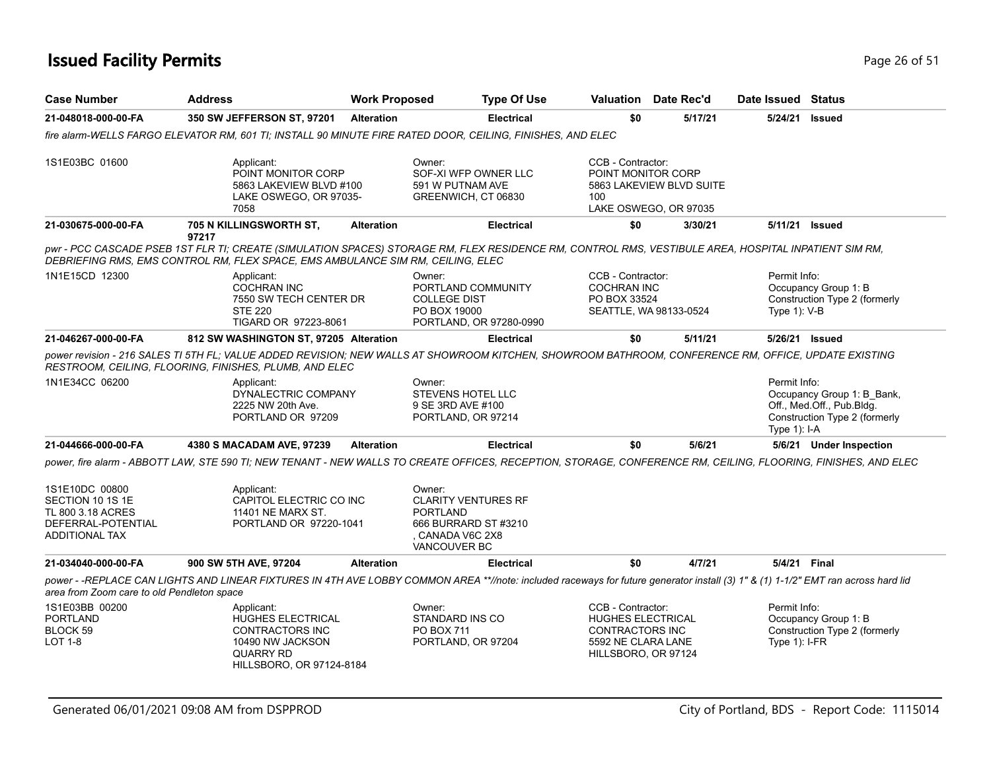## **Issued Facility Permits** Page 26 of 51

| <b>Case Number</b>                                                                              | <b>Address</b>                                                                                                                                                                                                                          | <b>Work Proposed</b> |                                                                                                                     | <b>Type Of Use</b> | <b>Valuation</b> Date Rec'd                                                                                          |         | Date Issued Status              |                                                                                          |
|-------------------------------------------------------------------------------------------------|-----------------------------------------------------------------------------------------------------------------------------------------------------------------------------------------------------------------------------------------|----------------------|---------------------------------------------------------------------------------------------------------------------|--------------------|----------------------------------------------------------------------------------------------------------------------|---------|---------------------------------|------------------------------------------------------------------------------------------|
| 21-048018-000-00-FA                                                                             | <b>350 SW JEFFERSON ST, 97201</b>                                                                                                                                                                                                       | Alteration           |                                                                                                                     | <b>Electrical</b>  | \$0                                                                                                                  | 5/17/21 | 5/24/21                         | <b>Issued</b>                                                                            |
|                                                                                                 | fire alarm-WELLS FARGO ELEVATOR RM. 601 TI: INSTALL 90 MINUTE FIRE RATED DOOR. CEILING. FINISHES. AND ELEC                                                                                                                              |                      |                                                                                                                     |                    |                                                                                                                      |         |                                 |                                                                                          |
| 1S1E03BC 01600                                                                                  | Applicant:<br>POINT MONITOR CORP<br>5863 LAKEVIEW BLVD #100<br>LAKE OSWEGO, OR 97035-<br>7058                                                                                                                                           |                      | Owner:<br>SOF-XI WFP OWNER LLC<br>591 W PUTNAM AVE<br>GREENWICH, CT 06830                                           |                    | CCB - Contractor:<br>POINT MONITOR CORP<br>5863 LAKEVIEW BLVD SUITE<br>100<br>LAKE OSWEGO, OR 97035                  |         |                                 |                                                                                          |
| 21-030675-000-00-FA                                                                             | 705 N KILLINGSWORTH ST,<br>97217                                                                                                                                                                                                        | <b>Alteration</b>    |                                                                                                                     | <b>Electrical</b>  | \$0                                                                                                                  | 3/30/21 | 5/11/21 <b>Issued</b>           |                                                                                          |
|                                                                                                 | pwr - PCC CASCADE PSEB 1ST FLR TI; CREATE (SIMULATION SPACES) STORAGE RM, FLEX RESIDENCE RM, CONTROL RMS, VESTIBULE AREA, HOSPITAL INPATIENT SIM RM,<br>DEBRIEFING RMS, EMS CONTROL RM, FLEX SPACE, EMS AMBULANCE SIM RM, CEILING, ELEC |                      |                                                                                                                     |                    |                                                                                                                      |         |                                 |                                                                                          |
| 1N1E15CD 12300                                                                                  | Applicant:<br><b>COCHRAN INC</b><br>7550 SW TECH CENTER DR<br><b>STE 220</b><br>TIGARD OR 97223-8061                                                                                                                                    |                      | Owner:<br>PORTLAND COMMUNITY<br><b>COLLEGE DIST</b><br>PO BOX 19000<br>PORTLAND, OR 97280-0990                      |                    | CCB - Contractor:<br><b>COCHRAN INC</b><br>PO BOX 33524<br>SEATTLE, WA 98133-0524                                    |         | Permit Info:<br>Type $1$ ): V-B | Occupancy Group 1: B<br>Construction Type 2 (formerly                                    |
| 21-046267-000-00-FA                                                                             | 812 SW WASHINGTON ST, 97205 Alteration                                                                                                                                                                                                  |                      |                                                                                                                     | <b>Electrical</b>  | \$0                                                                                                                  | 5/11/21 | 5/26/21 Issued                  |                                                                                          |
|                                                                                                 | power revision - 216 SALES TI 5TH FL; VALUE ADDED REVISION; NEW WALLS AT SHOWROOM KITCHEN, SHOWROOM BATHROOM, CONFERENCE RM, OFFICE, UPDATE EXISTING<br>RESTROOM, CEILING, FLOORING, FINISHES, PLUMB, AND ELEC                          |                      |                                                                                                                     |                    |                                                                                                                      |         |                                 |                                                                                          |
| 1N1E34CC 06200                                                                                  | Applicant:<br>DYNALECTRIC COMPANY<br>2225 NW 20th Ave.<br>PORTLAND OR 97209                                                                                                                                                             |                      | Owner:<br><b>STEVENS HOTEL LLC</b><br>9 SE 3RD AVE #100<br>PORTLAND, OR 97214                                       |                    |                                                                                                                      |         | Permit Info:<br>Type $1$ : I-A  | Occupancy Group 1: B Bank,<br>Off., Med.Off., Pub.Bldg.<br>Construction Type 2 (formerly |
| 21-044666-000-00-FA                                                                             | 4380 S MACADAM AVE, 97239                                                                                                                                                                                                               | <b>Alteration</b>    |                                                                                                                     | Electrical         | \$0                                                                                                                  | 5/6/21  |                                 | 5/6/21 Under Inspection                                                                  |
|                                                                                                 | power, fire alarm - ABBOTT LAW, STE 590 TI; NEW TENANT - NEW WALLS TO CREATE OFFICES, RECEPTION, STORAGE, CONFERENCE RM, CEILING, FLOORING, FINISHES, AND ELEC                                                                          |                      |                                                                                                                     |                    |                                                                                                                      |         |                                 |                                                                                          |
| 1S1E10DC 00800<br>SECTION 10 1S 1E<br>TL 800 3.18 ACRES<br>DEFERRAL-POTENTIAL<br>ADDITIONAL TAX | Applicant:<br>CAPITOL ELECTRIC CO INC<br><b>11401 NE MARX ST.</b><br>PORTLAND OR 97220-1041                                                                                                                                             |                      | Owner:<br><b>CLARITY VENTURES RF</b><br><b>PORTLAND</b><br>666 BURRARD ST #3210<br>. CANADA V6C 2X8<br>VANCOUVER BC |                    |                                                                                                                      |         |                                 |                                                                                          |
| 21-034040-000-00-FA                                                                             | 900 SW 5TH AVE, 97204                                                                                                                                                                                                                   | <b>Alteration</b>    |                                                                                                                     | <b>Electrical</b>  | \$0                                                                                                                  | 4/7/21  | 5/4/21 Final                    |                                                                                          |
| area from Zoom care to old Pendleton space                                                      | power - -REPLACE CAN LIGHTS AND LINEAR FIXTURES IN 4TH AVE LOBBY COMMON AREA **//note: included raceways for future generator install (3) 1" & (1) 1-1/2" EMT ran across hard lid                                                       |                      |                                                                                                                     |                    |                                                                                                                      |         |                                 |                                                                                          |
| 1S1E03BB 00200<br><b>PORTLAND</b><br>BLOCK 59<br><b>LOT 1-8</b>                                 | Applicant:<br>HUGHES ELECTRICAL<br><b>CONTRACTORS INC</b><br>10490 NW JACKSON<br>QUARRY RD<br>HILLSBORO, OR 97124-8184                                                                                                                  |                      | Owner:<br><b>STANDARD INS CO</b><br>PO BOX 711<br>PORTLAND, OR 97204                                                |                    | CCB - Contractor:<br><b>HUGHES ELECTRICAL</b><br><b>CONTRACTORS INC</b><br>5592 NE CLARA LANE<br>HILLSBORO, OR 97124 |         | Permit Info:<br>Type $1$ : I-FR | Occupancy Group 1: B<br>Construction Type 2 (formerly                                    |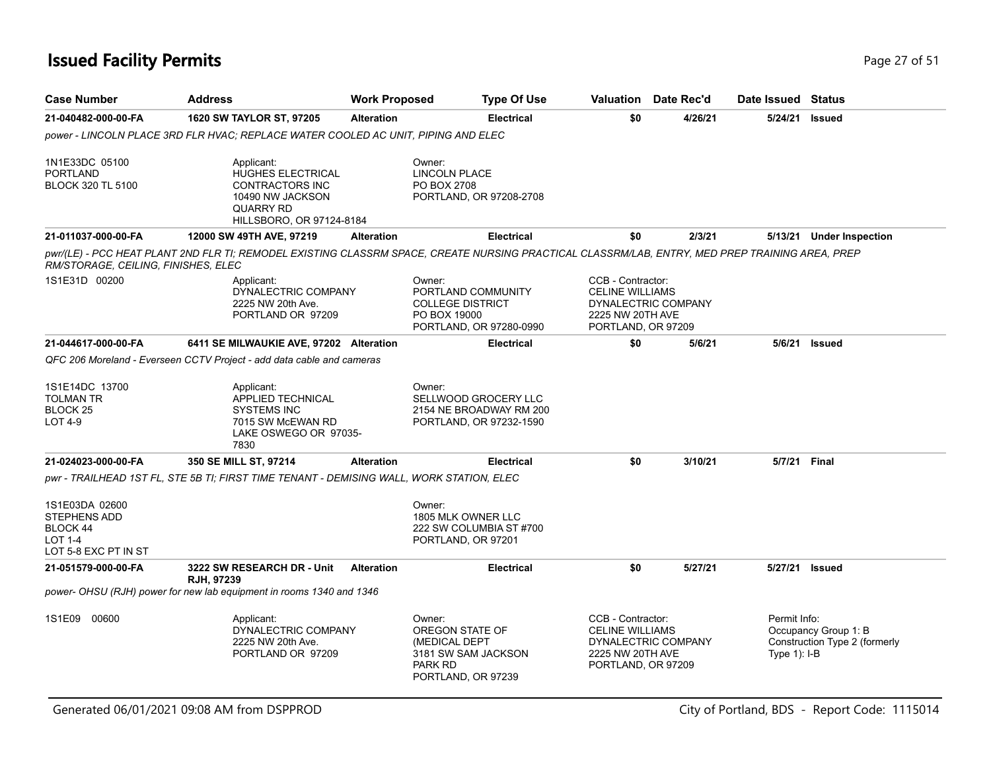## **Issued Facility Permits** Page 27 of 51

| <b>Case Number</b>                                                                          | <b>Address</b>                                                                                                                                  | <b>Work Proposed</b> | <b>Type Of Use</b>                                                                                 |                                                                                       | <b>Valuation</b> Date Rec'd | Date Issued Status             |                                                       |
|---------------------------------------------------------------------------------------------|-------------------------------------------------------------------------------------------------------------------------------------------------|----------------------|----------------------------------------------------------------------------------------------------|---------------------------------------------------------------------------------------|-----------------------------|--------------------------------|-------------------------------------------------------|
| 21-040482-000-00-FA                                                                         | 1620 SW TAYLOR ST, 97205                                                                                                                        | <b>Alteration</b>    | <b>Electrical</b>                                                                                  | \$0                                                                                   | 4/26/21                     | 5/24/21                        | <b>Issued</b>                                         |
|                                                                                             | power - LINCOLN PLACE 3RD FLR HVAC; REPLACE WATER COOLED AC UNIT, PIPING AND ELEC                                                               |                      |                                                                                                    |                                                                                       |                             |                                |                                                       |
| 1N1E33DC 05100<br><b>PORTLAND</b><br><b>BLOCK 320 TL 5100</b>                               | Applicant:<br><b>HUGHES ELECTRICAL</b><br>CONTRACTORS INC<br>10490 NW JACKSON<br><b>QUARRY RD</b><br>HILLSBORO, OR 97124-8184                   |                      | Owner:<br><b>LINCOLN PLACE</b><br>PO BOX 2708<br>PORTLAND, OR 97208-2708                           |                                                                                       |                             |                                |                                                       |
| 21-011037-000-00-FA                                                                         | 12000 SW 49TH AVE, 97219                                                                                                                        | <b>Alteration</b>    | <b>Electrical</b>                                                                                  | \$0                                                                                   | 2/3/21                      | 5/13/21                        | <b>Under Inspection</b>                               |
| RM/STORAGE, CEILING, FINISHES, ELEC                                                         | pwr/(LE) - PCC HEAT PLANT 2ND FLR TI; REMODEL EXISTING CLASSRM SPACE, CREATE NURSING PRACTICAL CLASSRM/LAB, ENTRY, MED PREP TRAINING AREA, PREP |                      |                                                                                                    |                                                                                       |                             |                                |                                                       |
| 1S1E31D 00200                                                                               | Applicant:<br>DYNALECTRIC COMPANY<br>2225 NW 20th Ave.<br>PORTLAND OR 97209                                                                     |                      | Owner:<br>PORTLAND COMMUNITY<br><b>COLLEGE DISTRICT</b><br>PO BOX 19000<br>PORTLAND, OR 97280-0990 | CCB - Contractor:<br><b>CELINE WILLIAMS</b><br>2225 NW 20TH AVE<br>PORTLAND, OR 97209 | DYNALECTRIC COMPANY         |                                |                                                       |
| 21-044617-000-00-FA                                                                         | 6411 SE MILWAUKIE AVE, 97202 Alteration                                                                                                         |                      | <b>Electrical</b>                                                                                  | \$0                                                                                   | 5/6/21                      | 5/6/21                         | Issued                                                |
|                                                                                             | QFC 206 Moreland - Everseen CCTV Project - add data cable and cameras                                                                           |                      |                                                                                                    |                                                                                       |                             |                                |                                                       |
| 1S1E14DC 13700<br><b>TOLMAN TR</b><br>BLOCK <sub>25</sub><br><b>LOT 4-9</b>                 | Applicant:<br><b>APPLIED TECHNICAL</b><br><b>SYSTEMS INC</b><br>7015 SW McEWAN RD<br>LAKE OSWEGO OR 97035-<br>7830                              |                      | Owner:<br>SELLWOOD GROCERY LLC<br>2154 NE BROADWAY RM 200<br>PORTLAND, OR 97232-1590               |                                                                                       |                             |                                |                                                       |
| 21-024023-000-00-FA                                                                         | 350 SE MILL ST, 97214                                                                                                                           | <b>Alteration</b>    | <b>Electrical</b>                                                                                  | \$0                                                                                   | 3/10/21                     | 5/7/21 Final                   |                                                       |
|                                                                                             | pwr - TRAILHEAD 1ST FL, STE 5B TI; FIRST TIME TENANT - DEMISING WALL, WORK STATION, ELEC                                                        |                      |                                                                                                    |                                                                                       |                             |                                |                                                       |
| 1S1E03DA 02600<br>STEPHENS ADD<br><b>BLOCK 44</b><br><b>LOT 1-4</b><br>LOT 5-8 EXC PT IN ST |                                                                                                                                                 |                      | Owner:<br>1805 MLK OWNER LLC<br>222 SW COLUMBIA ST #700<br>PORTLAND, OR 97201                      |                                                                                       |                             |                                |                                                       |
| 21-051579-000-00-FA                                                                         | 3222 SW RESEARCH DR - Unit<br>RJH, 97239                                                                                                        | <b>Alteration</b>    | <b>Electrical</b>                                                                                  | \$0                                                                                   | 5/27/21                     | 5/27/21                        | Issued                                                |
|                                                                                             | power- OHSU (RJH) power for new lab equipment in rooms 1340 and 1346                                                                            |                      |                                                                                                    |                                                                                       |                             |                                |                                                       |
| 1S1E09 00600                                                                                | Applicant:<br>DYNALECTRIC COMPANY<br>2225 NW 20th Ave.<br>PORTLAND OR 97209                                                                     |                      | Owner:<br>OREGON STATE OF<br>(MEDICAL DEPT<br>3181 SW SAM JACKSON<br>PARK RD<br>PORTLAND, OR 97239 | CCB - Contractor:<br><b>CELINE WILLIAMS</b><br>2225 NW 20TH AVE<br>PORTLAND, OR 97209 | DYNALECTRIC COMPANY         | Permit Info:<br>Type $1$ : I-B | Occupancy Group 1: B<br>Construction Type 2 (formerly |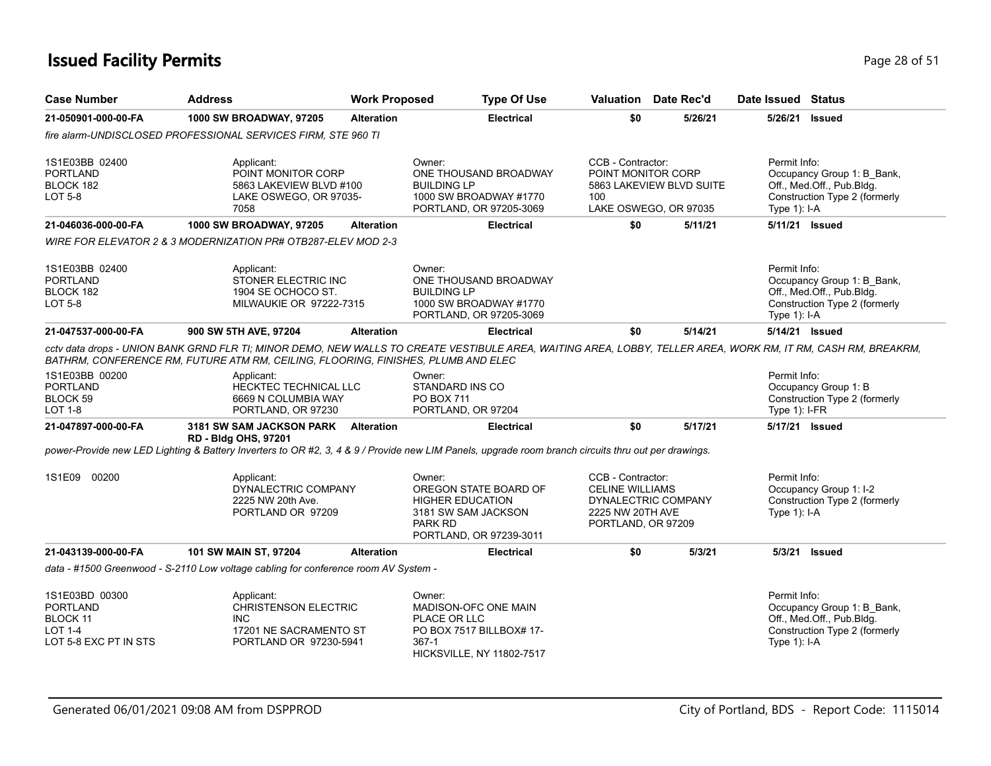## **Issued Facility Permits** Page 28 of 51

| <b>Case Number</b>                                                                | <b>Address</b>                                                                                                                                      | <b>Work Proposed</b> | <b>Type Of Use</b>                                                                                                             |                                                                                       | Valuation Date Rec'd                              | Date Issued Status                                                                                                                                            |
|-----------------------------------------------------------------------------------|-----------------------------------------------------------------------------------------------------------------------------------------------------|----------------------|--------------------------------------------------------------------------------------------------------------------------------|---------------------------------------------------------------------------------------|---------------------------------------------------|---------------------------------------------------------------------------------------------------------------------------------------------------------------|
| 21-050901-000-00-FA                                                               | 1000 SW BROADWAY, 97205                                                                                                                             | <b>Alteration</b>    | <b>Electrical</b>                                                                                                              | \$0                                                                                   | 5/26/21                                           | 5/26/21 Issued                                                                                                                                                |
|                                                                                   | fire alarm-UNDISCLOSED PROFESSIONAL SERVICES FIRM, STE 960 TI                                                                                       |                      |                                                                                                                                |                                                                                       |                                                   |                                                                                                                                                               |
| 1S1E03BB 02400<br><b>PORTLAND</b><br>BLOCK 182<br>LOT 5-8                         | Applicant:<br>POINT MONITOR CORP<br>5863 LAKEVIEW BLVD #100<br>LAKE OSWEGO, OR 97035-<br>7058                                                       |                      | Owner:<br>ONE THOUSAND BROADWAY<br><b>BUILDING LP</b><br>1000 SW BROADWAY #1770<br>PORTLAND, OR 97205-3069                     | CCB - Contractor:<br>POINT MONITOR CORP<br>100                                        | 5863 LAKEVIEW BLVD SUITE<br>LAKE OSWEGO, OR 97035 | Permit Info:<br>Occupancy Group 1: B_Bank,<br>Off., Med.Off., Pub.Bldg.<br>Construction Type 2 (formerly<br>Type 1): I-A                                      |
| 21-046036-000-00-FA                                                               | 1000 SW BROADWAY, 97205                                                                                                                             | <b>Alteration</b>    | <b>Electrical</b>                                                                                                              | \$0                                                                                   | 5/11/21                                           | 5/11/21 Issued                                                                                                                                                |
|                                                                                   | WIRE FOR ELEVATOR 2 & 3 MODERNIZATION PR# OTB287-ELEV MOD 2-3                                                                                       |                      |                                                                                                                                |                                                                                       |                                                   |                                                                                                                                                               |
| 1S1E03BB 02400<br>PORTLAND<br>BLOCK 182<br>LOT 5-8                                | Applicant:<br>STONER ELECTRIC INC<br>1904 SE OCHOCO ST.<br>MILWAUKIE OR 97222-7315                                                                  |                      | Owner:<br>ONE THOUSAND BROADWAY<br><b>BUILDING LP</b><br>1000 SW BROADWAY #1770<br>PORTLAND, OR 97205-3069                     |                                                                                       |                                                   | Permit Info:<br>Occupancy Group 1: B_Bank,<br>Off., Med.Off., Pub.Bldg.<br>Construction Type 2 (formerly<br>Type $1$ : I-A                                    |
| 21-047537-000-00-FA                                                               | 900 SW 5TH AVE, 97204                                                                                                                               | <b>Alteration</b>    | <b>Electrical</b>                                                                                                              | \$0                                                                                   | 5/14/21                                           | 5/14/21 Issued                                                                                                                                                |
|                                                                                   | BATHRM, CONFERENCE RM, FUTURE ATM RM, CEILING, FLOORING, FINISHES, PLUMB AND ELEC                                                                   |                      |                                                                                                                                |                                                                                       |                                                   | cctv data drops - UNION BANK GRND FLR TI; MINOR DEMO, NEW WALLS TO CREATE VESTIBULE AREA, WAITING AREA, LOBBY, TELLER AREA, WORK RM, IT RM, CASH RM, BREAKRM, |
| 1S1E03BB 00200<br>PORTLAND<br>BLOCK 59<br><b>LOT 1-8</b>                          | Applicant:<br><b>HECKTEC TECHNICAL LLC</b><br>6669 N COLUMBIA WAY<br>PORTLAND, OR 97230                                                             |                      | Owner:<br>STANDARD INS CO<br><b>PO BOX 711</b><br>PORTLAND, OR 97204                                                           |                                                                                       |                                                   | Permit Info:<br>Occupancy Group 1: B<br>Construction Type 2 (formerly<br>Type $1$ ): I-FR                                                                     |
| 21-047897-000-00-FA                                                               | 3181 SW SAM JACKSON PARK Alteration<br>RD - Bldg OHS, 97201                                                                                         |                      | <b>Electrical</b>                                                                                                              | \$0                                                                                   | 5/17/21                                           | 5/17/21 Issued                                                                                                                                                |
|                                                                                   | power-Provide new LED Lighting & Battery Inverters to OR #2, 3, 4 & 9 / Provide new LIM Panels, upgrade room branch circuits thru out per drawings. |                      |                                                                                                                                |                                                                                       |                                                   |                                                                                                                                                               |
| 1S1E09 00200                                                                      | Applicant:<br>DYNALECTRIC COMPANY<br>2225 NW 20th Ave.<br>PORTLAND OR 97209                                                                         |                      | Owner:<br>OREGON STATE BOARD OF<br><b>HIGHER EDUCATION</b><br>3181 SW SAM JACKSON<br><b>PARK RD</b><br>PORTLAND, OR 97239-3011 | CCB - Contractor:<br><b>CELINE WILLIAMS</b><br>2225 NW 20TH AVE<br>PORTLAND, OR 97209 | DYNALECTRIC COMPANY                               | Permit Info:<br>Occupancy Group 1: I-2<br>Construction Type 2 (formerly<br>Type $1$ : I-A                                                                     |
| 21-043139-000-00-FA                                                               | 101 SW MAIN ST, 97204                                                                                                                               | <b>Alteration</b>    | <b>Electrical</b>                                                                                                              | \$0                                                                                   | 5/3/21                                            | 5/3/21 Issued                                                                                                                                                 |
|                                                                                   | data - #1500 Greenwood - S-2110 Low voltage cabling for conference room AV System -                                                                 |                      |                                                                                                                                |                                                                                       |                                                   |                                                                                                                                                               |
| 1S1E03BD 00300<br><b>PORTLAND</b><br>BLOCK 11<br>LOT 1-4<br>LOT 5-8 EXC PT IN STS | Applicant:<br><b>CHRISTENSON ELECTRIC</b><br><b>INC</b><br>17201 NE SACRAMENTO ST<br>PORTLAND OR 97230-5941                                         |                      | Owner:<br>MADISON-OFC ONE MAIN<br>PLACE OR LLC<br>PO BOX 7517 BILLBOX# 17-<br>$367-1$<br>HICKSVILLE, NY 11802-7517             |                                                                                       |                                                   | Permit Info:<br>Occupancy Group 1: B_Bank,<br>Off., Med.Off., Pub.Bldg.<br>Construction Type 2 (formerly<br>Type $1$ : I-A                                    |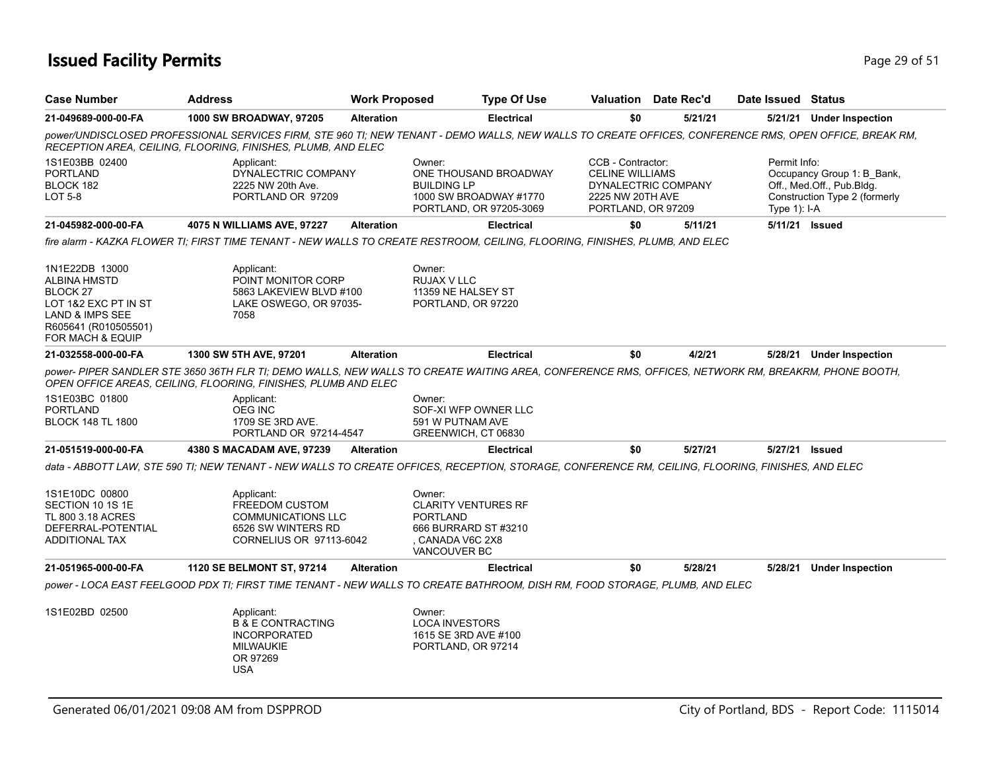## **Issued Facility Permits** Page 29 of 51

| <b>Case Number</b>                                                                                                                                  | <b>Address</b>                                                                                                                                                                                                         | <b>Work Proposed</b> |                                                                                                                     | <b>Type Of Use</b> | <b>Valuation</b> Date Rec'd                                                                                  |         | Date Issued Status             |                                                                                          |  |
|-----------------------------------------------------------------------------------------------------------------------------------------------------|------------------------------------------------------------------------------------------------------------------------------------------------------------------------------------------------------------------------|----------------------|---------------------------------------------------------------------------------------------------------------------|--------------------|--------------------------------------------------------------------------------------------------------------|---------|--------------------------------|------------------------------------------------------------------------------------------|--|
| 21-049689-000-00-FA                                                                                                                                 | <b>1000 SW BROADWAY, 97205</b>                                                                                                                                                                                         | <b>Alteration</b>    |                                                                                                                     | <b>Electrical</b>  | \$0                                                                                                          | 5/21/21 |                                | 5/21/21 Under Inspection                                                                 |  |
|                                                                                                                                                     | power/UNDISCLOSED PROFESSIONAL SERVICES FIRM, STE 960 TI; NEW TENANT - DEMO WALLS, NEW WALLS TO CREATE OFFICES, CONFERENCE RMS, OPEN OFFICE, BREAK RM,<br>RECEPTION AREA, CEILING, FLOORING, FINISHES, PLUMB, AND ELEC |                      |                                                                                                                     |                    |                                                                                                              |         |                                |                                                                                          |  |
| 1S1E03BB 02400<br><b>PORTLAND</b><br>BLOCK 182<br>LOT 5-8                                                                                           | Applicant:<br>DYNALECTRIC COMPANY<br>2225 NW 20th Ave.<br>PORTLAND OR 97209                                                                                                                                            |                      | Owner:<br>ONE THOUSAND BROADWAY<br><b>BUILDING LP</b><br>1000 SW BROADWAY #1770<br>PORTLAND, OR 97205-3069          |                    | CCB - Contractor:<br><b>CELINE WILLIAMS</b><br>DYNALECTRIC COMPANY<br>2225 NW 20TH AVE<br>PORTLAND, OR 97209 |         | Permit Info:<br>Type $1$ : I-A | Occupancy Group 1: B_Bank,<br>Off., Med.Off., Pub.Bldg.<br>Construction Type 2 (formerly |  |
| 21-045982-000-00-FA                                                                                                                                 | 4075 N WILLIAMS AVE, 97227                                                                                                                                                                                             | <b>Alteration</b>    |                                                                                                                     | <b>Electrical</b>  | \$0                                                                                                          | 5/11/21 |                                | 5/11/21 Issued                                                                           |  |
|                                                                                                                                                     | fire alarm - KAZKA FLOWER TI: FIRST TIME TENANT - NEW WALLS TO CREATE RESTROOM, CEILING, FLOORING, FINISHES, PLUMB, AND ELEC                                                                                           |                      |                                                                                                                     |                    |                                                                                                              |         |                                |                                                                                          |  |
| 1N1E22DB 13000<br><b>ALBINA HMSTD</b><br>BLOCK <sub>27</sub><br>LOT 1&2 EXC PT IN ST<br>LAND & IMPS SEE<br>R605641 (R010505501)<br>FOR MACH & EQUIP | Applicant:<br>POINT MONITOR CORP<br>5863 LAKEVIEW BLVD #100<br>LAKE OSWEGO, OR 97035-<br>7058                                                                                                                          |                      | Owner:<br><b>RUJAX V LLC</b><br>11359 NE HALSEY ST<br>PORTLAND, OR 97220                                            |                    |                                                                                                              |         |                                |                                                                                          |  |
| 21-032558-000-00-FA                                                                                                                                 | 1300 SW 5TH AVE, 97201                                                                                                                                                                                                 | <b>Alteration</b>    |                                                                                                                     | <b>Electrical</b>  | \$0                                                                                                          | 4/2/21  |                                | 5/28/21 Under Inspection                                                                 |  |
|                                                                                                                                                     | power- PIPER SANDLER STE 3650 36TH FLR TI; DEMO WALLS, NEW WALLS TO CREATE WAITING AREA, CONFERENCE RMS, OFFICES, NETWORK RM, BREAKRM, PHONE BOOTH,<br>OPEN OFFICE AREAS, CEILING, FLOORING, FINISHES, PLUMB AND ELEC  |                      |                                                                                                                     |                    |                                                                                                              |         |                                |                                                                                          |  |
| 1S1E03BC 01800<br><b>PORTLAND</b><br><b>BLOCK 148 TL 1800</b>                                                                                       | Applicant:<br><b>OEG INC</b><br>1709 SE 3RD AVE.<br>PORTLAND OR 97214-4547                                                                                                                                             |                      | Owner:<br>SOF-XI WFP OWNER LLC<br>591 W PUTNAM AVE<br>GREENWICH, CT 06830                                           |                    |                                                                                                              |         |                                |                                                                                          |  |
| 21-051519-000-00-FA                                                                                                                                 | 4380 S MACADAM AVE, 97239                                                                                                                                                                                              | <b>Alteration</b>    |                                                                                                                     | <b>Electrical</b>  | \$0                                                                                                          | 5/27/21 |                                | 5/27/21 <b>Issued</b>                                                                    |  |
|                                                                                                                                                     | data - ABBOTT LAW, STE 590 TI; NEW TENANT - NEW WALLS TO CREATE OFFICES, RECEPTION, STORAGE, CONFERENCE RM, CEILING, FLOORING, FINISHES, AND ELEC                                                                      |                      |                                                                                                                     |                    |                                                                                                              |         |                                |                                                                                          |  |
| 1S1E10DC 00800<br>SECTION 10 1S 1E<br><b>TL 800 3.18 ACRES</b><br>DEFERRAL-POTENTIAL<br><b>ADDITIONAL TAX</b>                                       | Applicant:<br><b>FREEDOM CUSTOM</b><br><b>COMMUNICATIONS LLC</b><br>6526 SW WINTERS RD<br>CORNELIUS OR 97113-6042                                                                                                      |                      | Owner:<br><b>CLARITY VENTURES RF</b><br><b>PORTLAND</b><br>666 BURRARD ST #3210<br>, CANADA V6C 2X8<br>VANCOUVER BC |                    |                                                                                                              |         |                                |                                                                                          |  |
| 21-051965-000-00-FA                                                                                                                                 | <b>1120 SE BELMONT ST, 97214</b>                                                                                                                                                                                       | <b>Alteration</b>    |                                                                                                                     | <b>Electrical</b>  | \$0                                                                                                          | 5/28/21 | 5/28/21                        | <b>Under Inspection</b>                                                                  |  |
|                                                                                                                                                     | power - LOCA EAST FEELGOOD PDX TI; FIRST TIME TENANT - NEW WALLS TO CREATE BATHROOM, DISH RM, FOOD STORAGE, PLUMB, AND ELEC                                                                                            |                      |                                                                                                                     |                    |                                                                                                              |         |                                |                                                                                          |  |
| 1S1E02BD 02500                                                                                                                                      | Applicant:<br><b>B &amp; E CONTRACTING</b><br><b>INCORPORATED</b><br><b>MILWAUKIE</b><br>OR 97269<br><b>USA</b>                                                                                                        |                      | Owner:<br><b>LOCA INVESTORS</b><br>1615 SE 3RD AVE #100<br>PORTLAND, OR 97214                                       |                    |                                                                                                              |         |                                |                                                                                          |  |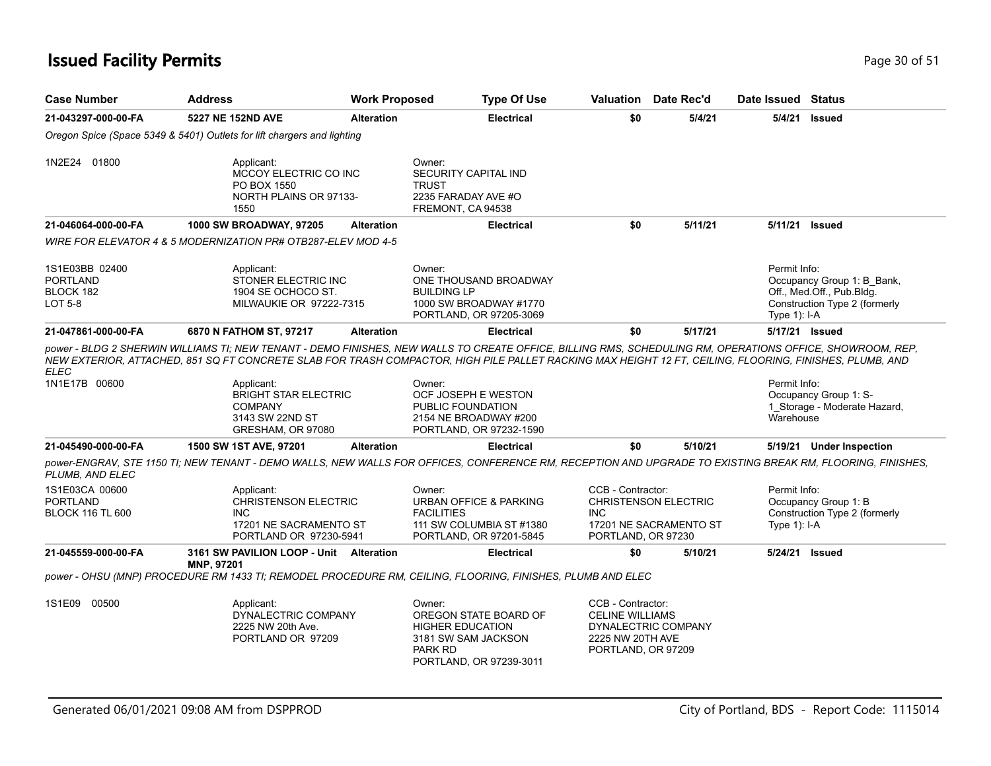#### **Issued Facility Permits** Provide a strategies of 51 and 200 of 51

| <b>Case Number</b>                                        | <b>Address</b>                                                                       | <b>Work Proposed</b> | <b>Type Of Use</b>                                                                                         | Valuation | Date Rec'd | Date Issued                    | Status                                                                                   |
|-----------------------------------------------------------|--------------------------------------------------------------------------------------|----------------------|------------------------------------------------------------------------------------------------------------|-----------|------------|--------------------------------|------------------------------------------------------------------------------------------|
| 21-043297-000-00-FA                                       | 5227 NE 152ND AVE                                                                    | <b>Alteration</b>    | <b>Electrical</b>                                                                                          | \$0       | 5/4/21     | 5/4/21                         | Issued                                                                                   |
|                                                           | Oregon Spice (Space 5349 & 5401) Outlets for lift chargers and lighting              |                      |                                                                                                            |           |            |                                |                                                                                          |
| 1N2E24<br>01800                                           | Applicant:<br>MCCOY ELECTRIC CO INC<br>PO BOX 1550<br>NORTH PLAINS OR 97133-<br>1550 |                      | Owner:<br><b>SECURITY CAPITAL IND</b><br>TRUST<br>2235 FARADAY AVE #O<br>FREMONT, CA 94538                 |           |            |                                |                                                                                          |
| 21-046064-000-00-FA                                       | <b>1000 SW BROADWAY, 97205</b>                                                       | <b>Alteration</b>    | <b>Electrical</b>                                                                                          | \$0       | 5/11/21    | 5/11/21                        | Issued                                                                                   |
|                                                           | WIRE FOR ELEVATOR 4 & 5 MODERNIZATION PR# OTB287-ELEV MOD 4-5                        |                      |                                                                                                            |           |            |                                |                                                                                          |
| 1S1E03BB 02400<br><b>PORTLAND</b><br>BLOCK 182<br>LOT 5-8 | Applicant:<br>STONER ELECTRIC INC<br>1904 SE OCHOCO ST.<br>MILWAUKIE OR 97222-7315   |                      | Owner:<br>ONE THOUSAND BROADWAY<br><b>BUILDING LP</b><br>1000 SW BROADWAY #1770<br>PORTLAND, OR 97205-3069 |           |            | Permit Info:<br>Type $1$ : I-A | Occupancy Group 1: B Bank,<br>Off., Med.Off., Pub.Bldg.<br>Construction Type 2 (formerly |
| 21-047861-000-00-FA                                       | 6870 N FATHOM ST, 97217                                                              | <b>Alteration</b>    | <b>Electrical</b>                                                                                          | \$0       | 5/17/21    |                                | 5/17/21 <b>Issued</b>                                                                    |

*NEW EXTERIOR, ATTACHED, 851 SQ FT CONCRETE SLAB FOR TRASH COMPACTOR, HIGH PILE PALLET RACKING MAX HEIGHT 12 FT, CEILING, FLOORING, FINISHES, PLUMB, AND ELEC* Permit Info: Occupancy Group 1: S-Owner: OCF JOSEPH E WESTON Applicant: BRIGHT STAR ELECTRIC 1N1E17B 00600

|                                                              | <b>BRIGHT STAR ELECTRIC</b><br><b>COMPANY</b><br>3143 SW 22ND ST<br>GRESHAM, OR 97080                                                                     | OCF JOSEPH E WESTON<br>PUBLIC FOUNDATION<br>2154 NE BROADWAY #200<br>PORTLAND, OR 97232-1590                |                                                                                                          |         | Occupancy Group 1: S-<br>Storage - Moderate Hazard,<br>Warehouse                        |
|--------------------------------------------------------------|-----------------------------------------------------------------------------------------------------------------------------------------------------------|-------------------------------------------------------------------------------------------------------------|----------------------------------------------------------------------------------------------------------|---------|-----------------------------------------------------------------------------------------|
| 21-045490-000-00-FA                                          | 1500 SW 1ST AVE, 97201                                                                                                                                    | <b>Electrical</b><br><b>Alteration</b>                                                                      | \$0                                                                                                      | 5/10/21 | 5/19/21<br><b>Under Inspection</b>                                                      |
| PLUMB. AND ELEC                                              | power-ENGRAV, STE 1150 TI; NEW TENANT - DEMO WALLS, NEW WALLS FOR OFFICES, CONFERENCE RM, RECEPTION AND UPGRADE TO EXISTING BREAK RM, FLOORING, FINISHES, |                                                                                                             |                                                                                                          |         |                                                                                         |
| 1S1E03CA 00600<br><b>PORTLAND</b><br><b>BLOCK 116 TL 600</b> | Applicant:<br><b>CHRISTENSON ELECTRIC</b><br>INC.<br>17201 NE SACRAMENTO ST<br>PORTLAND OR 97230-5941                                                     | Owner:<br>URBAN OFFICE & PARKING<br><b>FACILITIES</b><br>111 SW COLUMBIA ST#1380<br>PORTLAND, OR 97201-5845 | CCB - Contractor:<br><b>CHRISTENSON ELECTRIC</b><br>INC.<br>17201 NE SACRAMENTO ST<br>PORTLAND, OR 97230 |         | Permit Info:<br>Occupancy Group 1: B<br>Construction Type 2 (formerly<br>Type $1$ : I-A |
| 21-045559-000-00-FA                                          | 3161 SW PAVILION LOOP - Unit<br>Alteration<br><b>MNP. 97201</b>                                                                                           | <b>Electrical</b>                                                                                           | \$0                                                                                                      | 5/10/21 | 5/24/21<br>Issued                                                                       |
|                                                              | power - OHSU (MNP) PROCEDURE RM 1433 TI: REMODEL PROCEDURE RM, CEILING, FLOORING, FINISHES, PLUMB AND ELEC                                                |                                                                                                             |                                                                                                          |         |                                                                                         |

| 1S1E09 | 00500 | Applicant:          | Owner:                  | CCB - Contractor:   |
|--------|-------|---------------------|-------------------------|---------------------|
|        |       | DYNALECTRIC COMPANY | OREGON STATE BOARD OF   | CELINE WILLIAMS     |
|        |       | 2225 NW 20th Ave.   | <b>HIGHER EDUCATION</b> | DYNALECTRIC COMPANY |
|        |       | PORTLAND OR 97209   | 3181 SW SAM JACKSON     | 2225 NW 20TH AVE    |
|        |       |                     | PARK RD                 | PORTLAND, OR 97209  |
|        |       |                     | PORTLAND, OR 97239-3011 |                     |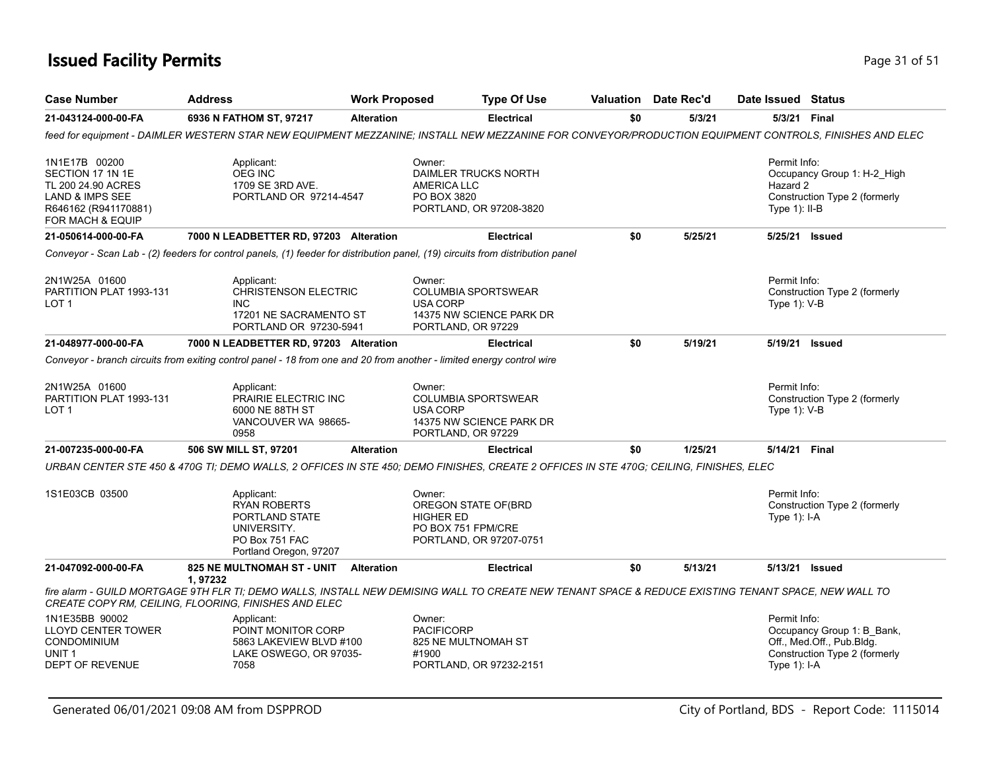### **Issued Facility Permits** Provide the Contract of 51 and 200 **Page 31 of 51** and 200 **Page 31 of 51**

| <b>Case Number</b>                                                                                                     | <b>Address</b>                                                                                                        | <b>Work Proposed</b> | <b>Type Of Use</b>                                                                                                                                     |     | <b>Valuation</b> Date Rec'd | Date Issued Status                           |                                                                                          |
|------------------------------------------------------------------------------------------------------------------------|-----------------------------------------------------------------------------------------------------------------------|----------------------|--------------------------------------------------------------------------------------------------------------------------------------------------------|-----|-----------------------------|----------------------------------------------|------------------------------------------------------------------------------------------|
| 21-043124-000-00-FA                                                                                                    | 6936 N FATHOM ST, 97217                                                                                               | <b>Alteration</b>    | <b>Electrical</b>                                                                                                                                      | \$0 | 5/3/21                      | 5/3/21 Final                                 |                                                                                          |
|                                                                                                                        |                                                                                                                       |                      | feed for equipment - DAIMLER WESTERN STAR NEW EQUIPMENT MEZZANINE; INSTALL NEW MEZZANINE FOR CONVEYOR/PRODUCTION EQUIPMENT CONTROLS, FINISHES AND ELEC |     |                             |                                              |                                                                                          |
| 1N1E17B 00200<br>SECTION 17 1N 1E<br>TL 200 24.90 ACRES<br>LAND & IMPS SEE<br>R646162 (R941170881)<br>FOR MACH & EQUIP | Applicant:<br>OEG INC<br>1709 SE 3RD AVE.<br>PORTLAND OR 97214-4547                                                   |                      | Owner:<br>DAIMLER TRUCKS NORTH<br>AMERICA LLC<br>PO BOX 3820<br>PORTLAND, OR 97208-3820                                                                |     |                             | Permit Info:<br>Hazard 2<br>Type $1$ ): II-B | Occupancy Group 1: H-2_High<br>Construction Type 2 (formerly                             |
| 21-050614-000-00-FA                                                                                                    | 7000 N LEADBETTER RD, 97203 Alteration                                                                                |                      | <b>Electrical</b>                                                                                                                                      | \$0 | 5/25/21                     | 5/25/21 Issued                               |                                                                                          |
|                                                                                                                        |                                                                                                                       |                      | Conveyor - Scan Lab - (2) feeders for control panels, (1) feeder for distribution panel, (19) circuits from distribution panel                         |     |                             |                                              |                                                                                          |
| 2N1W25A 01600<br>PARTITION PLAT 1993-131<br>LOT 1                                                                      | Applicant:<br><b>CHRISTENSON ELECTRIC</b><br><b>INC</b><br>17201 NE SACRAMENTO ST<br>PORTLAND OR 97230-5941           |                      | Owner:<br><b>COLUMBIA SPORTSWEAR</b><br>USA CORP<br>14375 NW SCIENCE PARK DR<br>PORTLAND, OR 97229                                                     |     |                             | Permit Info:<br>Type $1$ ): V-B              | Construction Type 2 (formerly                                                            |
| 21-048977-000-00-FA                                                                                                    | 7000 N LEADBETTER RD, 97203 Alteration                                                                                |                      | <b>Electrical</b>                                                                                                                                      | \$0 | 5/19/21                     |                                              | 5/19/21 Issued                                                                           |
|                                                                                                                        | Conveyor - branch circuits from exiting control panel - 18 from one and 20 from another - limited energy control wire |                      |                                                                                                                                                        |     |                             |                                              |                                                                                          |
| 2N1W25A 01600<br>PARTITION PLAT 1993-131<br>LOT <sub>1</sub>                                                           | Applicant:<br>PRAIRIE ELECTRIC INC<br>6000 NE 88TH ST<br>VANCOUVER WA 98665-<br>0958                                  |                      | Owner:<br><b>COLUMBIA SPORTSWEAR</b><br><b>USA CORP</b><br>14375 NW SCIENCE PARK DR<br>PORTLAND, OR 97229                                              |     |                             | Permit Info:<br>Type 1): V-B                 | Construction Type 2 (formerly                                                            |
| 21-007235-000-00-FA                                                                                                    | 506 SW MILL ST, 97201                                                                                                 | <b>Alteration</b>    | <b>Electrical</b>                                                                                                                                      | \$0 | 1/25/21                     | 5/14/21 Final                                |                                                                                          |
|                                                                                                                        |                                                                                                                       |                      | URBAN CENTER STE 450 & 470G TI; DEMO WALLS, 2 OFFICES IN STE 450; DEMO FINISHES, CREATE 2 OFFICES IN STE 470G; CEILING, FINISHES, ELEC                 |     |                             |                                              |                                                                                          |
| 1S1E03CB 03500                                                                                                         | Applicant:<br><b>RYAN ROBERTS</b><br>PORTLAND STATE<br>UNIVERSITY.<br>PO Box 751 FAC<br>Portland Oregon, 97207        |                      | Owner:<br>OREGON STATE OF(BRD<br><b>HIGHER ED</b><br>PO BOX 751 FPM/CRE<br>PORTLAND, OR 97207-0751                                                     |     |                             | Permit Info:<br>Type 1): I-A                 | Construction Type 2 (formerly                                                            |
| 21-047092-000-00-FA                                                                                                    | 825 NE MULTNOMAH ST - UNIT Alteration                                                                                 |                      | <b>Electrical</b>                                                                                                                                      | \$0 | 5/13/21                     | 5/13/21 Issued                               |                                                                                          |
|                                                                                                                        | 1,97232<br>CREATE COPY RM, CEILING, FLOORING, FINISHES AND ELEC                                                       |                      | fire alarm - GUILD MORTGAGE 9TH FLR TI; DEMO WALLS, INSTALL NEW DEMISING WALL TO CREATE NEW TENANT SPACE & REDUCE EXISTING TENANT SPACE, NEW WALL TO   |     |                             |                                              |                                                                                          |
| 1N1E35BB 90002<br>LLOYD CENTER TOWER<br><b>CONDOMINIUM</b><br>UNIT 1<br><b>DEPT OF REVENUE</b>                         | Applicant:<br>POINT MONITOR CORP<br>5863 LAKEVIEW BLVD #100<br>LAKE OSWEGO, OR 97035-<br>7058                         |                      | Owner:<br><b>PACIFICORP</b><br>825 NE MULTNOMAH ST<br>#1900<br>PORTLAND, OR 97232-2151                                                                 |     |                             | Permit Info:<br>Type 1): I-A                 | Occupancy Group 1: B_Bank,<br>Off., Med.Off., Pub.Bldg.<br>Construction Type 2 (formerly |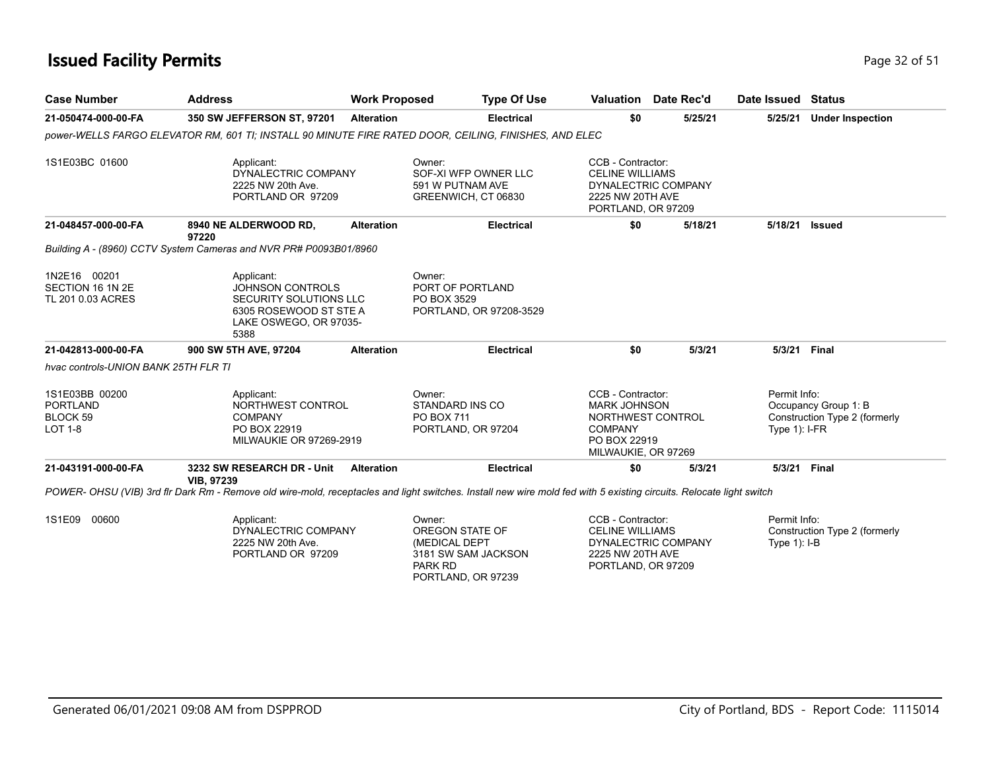#### **Issued Facility Permits** Provide the Contract of 51 and 200 minutes and 200 minutes of 51 and 200 minutes and 200 minutes of 51 and 200 minutes and 200 minutes and 200 minutes and 200 minutes and 200 minutes and 200 minut

| <b>Case Number</b>                                                         | <b>Address</b>                                                                                                                                                      | <b>Work Proposed</b> | <b>Type Of Use</b>                                                        | Valuation Date Rec'd                                                                                                   |         |         | Date Issued Status              |                                                       |
|----------------------------------------------------------------------------|---------------------------------------------------------------------------------------------------------------------------------------------------------------------|----------------------|---------------------------------------------------------------------------|------------------------------------------------------------------------------------------------------------------------|---------|---------|---------------------------------|-------------------------------------------------------|
| 21-050474-000-00-FA                                                        | 350 SW JEFFERSON ST, 97201                                                                                                                                          | <b>Alteration</b>    | <b>Electrical</b>                                                         | \$0                                                                                                                    |         | 5/25/21 | 5/25/21                         | <b>Under Inspection</b>                               |
|                                                                            | DOWER-WELLS FARGO ELEVATOR RM. 601 TI: INSTALL 90 MINUTE FIRE RATED DOOR. CEILING. FINISHES. AND ELEC                                                               |                      |                                                                           |                                                                                                                        |         |         |                                 |                                                       |
| 1S1E03BC 01600                                                             | Applicant:<br>DYNALECTRIC COMPANY<br>2225 NW 20th Ave.<br>PORTLAND OR 97209                                                                                         |                      | Owner:<br>SOF-XI WFP OWNER LLC<br>591 W PUTNAM AVE<br>GREENWICH, CT 06830 | CCB - Contractor:<br><b>CELINE WILLIAMS</b><br>DYNALECTRIC COMPANY<br>2225 NW 20TH AVE<br>PORTLAND, OR 97209           |         |         |                                 |                                                       |
| 21-048457-000-00-FA                                                        | 8940 NE ALDERWOOD RD,<br>97220                                                                                                                                      | <b>Alteration</b>    | <b>Electrical</b>                                                         | \$0                                                                                                                    | 5/18/21 |         | 5/18/21                         | Issued                                                |
|                                                                            | Building A - (8960) CCTV System Cameras and NVR PR# P0093B01/8960                                                                                                   |                      |                                                                           |                                                                                                                        |         |         |                                 |                                                       |
| 1N2E16 00201<br>SECTION 16 1N 2E<br>TL 201 0.03 ACRES                      | Applicant:<br><b>JOHNSON CONTROLS</b><br>SECURITY SOLUTIONS LLC<br>6305 ROSEWOOD ST STE A<br>LAKE OSWEGO, OR 97035-<br>5388                                         |                      | Owner:<br>PORT OF PORTLAND<br>PO BOX 3529<br>PORTLAND, OR 97208-3529      |                                                                                                                        |         |         |                                 |                                                       |
| 21-042813-000-00-FA                                                        | 900 SW 5TH AVE, 97204                                                                                                                                               | <b>Alteration</b>    | <b>Electrical</b>                                                         | \$0                                                                                                                    |         | 5/3/21  | 5/3/21 Final                    |                                                       |
| hvac controls-UNION BANK 25TH FLR TI                                       |                                                                                                                                                                     |                      |                                                                           |                                                                                                                        |         |         |                                 |                                                       |
| 1S1E03BB 00200<br><b>PORTLAND</b><br>BLOCK <sub>59</sub><br><b>LOT 1-8</b> | Applicant:<br>NORTHWEST CONTROL<br><b>COMPANY</b><br>PO BOX 22919<br><b>MILWAUKIE OR 97269-2919</b>                                                                 |                      | Owner:<br>STANDARD INS CO<br>PO BOX 711<br>PORTLAND, OR 97204             | CCB - Contractor:<br><b>MARK JOHNSON</b><br>NORTHWEST CONTROL<br><b>COMPANY</b><br>PO BOX 22919<br>MILWAUKIE, OR 97269 |         |         | Permit Info:<br>Type $1$ : I-FR | Occupancy Group 1: B<br>Construction Type 2 (formerly |
| 21-043191-000-00-FA                                                        | 3232 SW RESEARCH DR - Unit<br><b>VIB. 97239</b>                                                                                                                     | <b>Alteration</b>    | <b>Electrical</b>                                                         | \$0                                                                                                                    |         | 5/3/21  | 5/3/21 Final                    |                                                       |
|                                                                            | POWER- OHSU (VIB) 3rd fir Dark Rm - Remove old wire-mold, receptacles and light switches. Install new wire mold fed with 5 existing circuits. Relocate light switch |                      |                                                                           |                                                                                                                        |         |         |                                 |                                                       |
|                                                                            |                                                                                                                                                                     |                      |                                                                           |                                                                                                                        |         |         |                                 |                                                       |

Permit Info: Construction Type 2 (formerly Type 1): I-B CCB - Contractor: CELINE WILLIAMS DYNALECTRIC COMPANY 2225 NW 20TH AVE PORTLAND, OR 97209 Owner: OREGON STATE OF (MEDICAL DEPT 3181 SW SAM JACKSON PARK RD PORTLAND, OR 97239 Applicant: DYNALECTRIC COMPANY 2225 NW 20th Ave. PORTLAND OR 97209 1S1E09 00600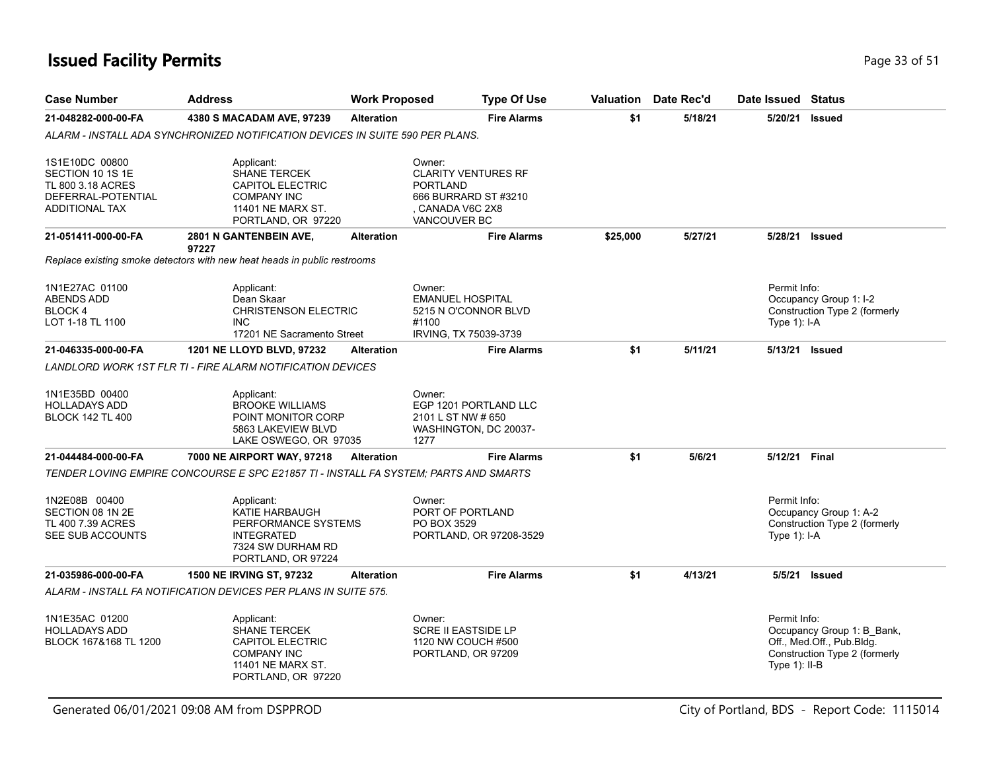## **Issued Facility Permits** Page 33 of 51

| <b>Case Number</b>                                                                                     | <b>Address</b>                                                                                                                | <b>Work Proposed</b> |                                                                                                                          | <b>Type Of Use</b>      | <b>Valuation</b> | Date Rec'd | Date Issued                      | <b>Status</b>                                                                            |
|--------------------------------------------------------------------------------------------------------|-------------------------------------------------------------------------------------------------------------------------------|----------------------|--------------------------------------------------------------------------------------------------------------------------|-------------------------|------------------|------------|----------------------------------|------------------------------------------------------------------------------------------|
| 21-048282-000-00-FA                                                                                    | 4380 S MACADAM AVE, 97239                                                                                                     | <b>Alteration</b>    |                                                                                                                          | <b>Fire Alarms</b>      | \$1              | 5/18/21    | 5/20/21 Issued                   |                                                                                          |
|                                                                                                        | ALARM - INSTALL ADA SYNCHRONIZED NOTIFICATION DEVICES IN SUITE 590 PER PLANS.                                                 |                      |                                                                                                                          |                         |                  |            |                                  |                                                                                          |
| 1S1E10DC 00800<br>SECTION 10 1S 1E<br>TL 800 3.18 ACRES<br>DEFERRAL-POTENTIAL<br><b>ADDITIONAL TAX</b> | Applicant:<br><b>SHANE TERCEK</b><br><b>CAPITOL ELECTRIC</b><br><b>COMPANY INC</b><br>11401 NE MARX ST.<br>PORTLAND, OR 97220 |                      | Owner:<br><b>CLARITY VENTURES RF</b><br><b>PORTLAND</b><br>666 BURRARD ST #3210<br>CANADA V6C 2X8<br><b>VANCOUVER BC</b> |                         |                  |            |                                  |                                                                                          |
| 21-051411-000-00-FA                                                                                    | 2801 N GANTENBEIN AVE,<br>97227                                                                                               | <b>Alteration</b>    |                                                                                                                          | <b>Fire Alarms</b>      | \$25,000         | 5/27/21    | 5/28/21 Issued                   |                                                                                          |
|                                                                                                        | Replace existing smoke detectors with new heat heads in public restrooms                                                      |                      |                                                                                                                          |                         |                  |            |                                  |                                                                                          |
| 1N1E27AC 01100<br>ABENDS ADD<br>BLOCK 4<br>LOT 1-18 TL 1100                                            | Applicant:<br>Dean Skaar<br><b>CHRISTENSON ELECTRIC</b><br><b>INC</b><br>17201 NE Sacramento Street                           |                      | Owner:<br><b>EMANUEL HOSPITAL</b><br>5215 N O'CONNOR BLVD<br>#1100<br>IRVING, TX 75039-3739                              |                         |                  |            | Permit Info:<br>Type 1): I-A     | Occupancy Group 1: I-2<br>Construction Type 2 (formerly                                  |
| 21-046335-000-00-FA                                                                                    | 1201 NE LLOYD BLVD, 97232                                                                                                     | <b>Alteration</b>    |                                                                                                                          | <b>Fire Alarms</b>      | \$1              | 5/11/21    | 5/13/21 Issued                   |                                                                                          |
|                                                                                                        | <b>LANDLORD WORK 1ST FLR TI - FIRE ALARM NOTIFICATION DEVICES</b>                                                             |                      |                                                                                                                          |                         |                  |            |                                  |                                                                                          |
| 1N1E35BD 00400<br><b>HOLLADAYS ADD</b><br><b>BLOCK 142 TL 400</b>                                      | Applicant:<br><b>BROOKE WILLIAMS</b><br>POINT MONITOR CORP<br>5863 LAKEVIEW BLVD<br>LAKE OSWEGO, OR 97035                     |                      | Owner:<br>2101 L ST NW # 650<br>WASHINGTON, DC 20037-<br>1277                                                            | EGP 1201 PORTLAND LLC   |                  |            |                                  |                                                                                          |
| 21-044484-000-00-FA                                                                                    | 7000 NE AIRPORT WAY, 97218                                                                                                    | <b>Alteration</b>    |                                                                                                                          | <b>Fire Alarms</b>      | \$1              | 5/6/21     | 5/12/21 Final                    |                                                                                          |
|                                                                                                        | TENDER LOVING EMPIRE CONCOURSE E SPC E21857 TI - INSTALL FA SYSTEM; PARTS AND SMARTS                                          |                      |                                                                                                                          |                         |                  |            |                                  |                                                                                          |
| 1N2E08B 00400<br>SECTION 08 1N 2E<br>TL 400 7.39 ACRES<br>SEE SUB ACCOUNTS                             | Applicant:<br>KATIE HARBAUGH<br>PERFORMANCE SYSTEMS<br><b>INTEGRATED</b><br>7324 SW DURHAM RD<br>PORTLAND, OR 97224           |                      | Owner:<br>PORT OF PORTLAND<br>PO BOX 3529                                                                                | PORTLAND, OR 97208-3529 |                  |            | Permit Info:<br>Type 1): I-A     | Occupancy Group 1: A-2<br>Construction Type 2 (formerly                                  |
| 21-035986-000-00-FA                                                                                    | 1500 NE IRVING ST, 97232                                                                                                      | <b>Alteration</b>    |                                                                                                                          | <b>Fire Alarms</b>      | \$1              | 4/13/21    |                                  | 5/5/21 Issued                                                                            |
|                                                                                                        | ALARM - INSTALL FA NOTIFICATION DEVICES PER PLANS IN SUITE 575.                                                               |                      |                                                                                                                          |                         |                  |            |                                  |                                                                                          |
| 1N1E35AC 01200<br><b>HOLLADAYS ADD</b><br>BLOCK 167&168 TL 1200                                        | Applicant:<br>SHANE TERCEK<br>CAPITOL ELECTRIC<br><b>COMPANY INC</b><br>11401 NE MARX ST.<br>PORTLAND, OR 97220               |                      | Owner:<br><b>SCRE II EASTSIDE LP</b><br>1120 NW COUCH #500<br>PORTLAND, OR 97209                                         |                         |                  |            | Permit Info:<br>Type $1$ ): II-B | Occupancy Group 1: B_Bank,<br>Off., Med.Off., Pub.Bldg.<br>Construction Type 2 (formerly |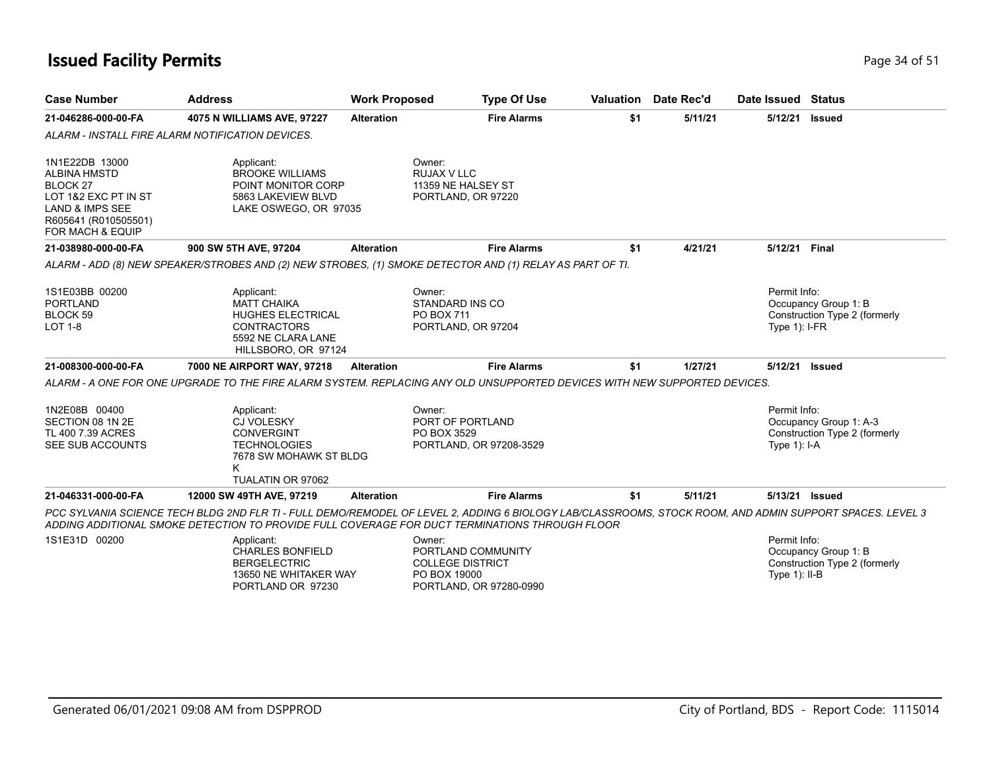# **Issued Facility Permits** Page 34 of 51

| <b>Case Number</b>                                                                                                                                             | <b>Address</b>                                                                                                                                                                                                                                             | <b>Work Proposed</b> | <b>Type Of Use</b>                                                                                 |     | <b>Valuation</b> Date Rec'd | Date Issued Status               |                                                         |
|----------------------------------------------------------------------------------------------------------------------------------------------------------------|------------------------------------------------------------------------------------------------------------------------------------------------------------------------------------------------------------------------------------------------------------|----------------------|----------------------------------------------------------------------------------------------------|-----|-----------------------------|----------------------------------|---------------------------------------------------------|
| 21-046286-000-00-FA                                                                                                                                            | 4075 N WILLIAMS AVE, 97227                                                                                                                                                                                                                                 | <b>Alteration</b>    | <b>Fire Alarms</b>                                                                                 | \$1 | 5/11/21                     | 5/12/21                          | <b>Issued</b>                                           |
|                                                                                                                                                                | ALARM - INSTALL FIRE ALARM NOTIFICATION DEVICES.                                                                                                                                                                                                           |                      |                                                                                                    |     |                             |                                  |                                                         |
| 1N1E22DB 13000<br><b>ALBINA HMSTD</b><br>BLOCK <sub>27</sub><br>LOT 1&2 EXC PT IN ST<br><b>LAND &amp; IMPS SEE</b><br>R605641 (R010505501)<br>FOR MACH & EQUIP | Applicant:<br><b>BROOKE WILLIAMS</b><br>POINT MONITOR CORP<br>5863 LAKEVIEW BLVD<br>LAKE OSWEGO, OR 97035                                                                                                                                                  |                      | Owner:<br><b>RUJAX V LLC</b><br>11359 NE HALSEY ST<br>PORTLAND, OR 97220                           |     |                             |                                  |                                                         |
| 21-038980-000-00-FA                                                                                                                                            | 900 SW 5TH AVE, 97204                                                                                                                                                                                                                                      | <b>Alteration</b>    | <b>Fire Alarms</b>                                                                                 | \$1 | 4/21/21                     | 5/12/21 Final                    |                                                         |
|                                                                                                                                                                | ALARM - ADD (8) NEW SPEAKER/STROBES AND (2) NEW STROBES. (1) SMOKE DETECTOR AND (1) RELAY AS PART OF TI.                                                                                                                                                   |                      |                                                                                                    |     |                             |                                  |                                                         |
| 1S1E03BB 00200<br><b>PORTLAND</b><br><b>BLOCK 59</b><br><b>LOT 1-8</b>                                                                                         | Applicant:<br><b>MATT CHAIKA</b><br><b>HUGHES ELECTRICAL</b><br><b>CONTRACTORS</b><br>5592 NE CLARA LANE<br>HILLSBORO, OR 97124                                                                                                                            |                      | Owner:<br><b>STANDARD INS CO</b><br>PO BOX 711<br>PORTLAND, OR 97204                               |     |                             | Permit Info:<br>Type $1$ : I-FR  | Occupancy Group 1: B<br>Construction Type 2 (formerly   |
| 21-008300-000-00-FA                                                                                                                                            | 7000 NE AIRPORT WAY, 97218                                                                                                                                                                                                                                 | <b>Alteration</b>    | <b>Fire Alarms</b>                                                                                 | \$1 | 1/27/21                     | 5/12/21                          | <b>Issued</b>                                           |
|                                                                                                                                                                | ALARM - A ONE FOR ONE UPGRADE TO THE FIRE ALARM SYSTEM. REPLACING ANY OLD UNSUPPORTED DEVICES WITH NEW SUPPORTED DEVICES.                                                                                                                                  |                      |                                                                                                    |     |                             |                                  |                                                         |
| 1N2E08B 00400<br>SECTION 08 1N 2E<br>TL 400 7.39 ACRES<br>SEE SUB ACCOUNTS                                                                                     | Applicant:<br><b>CJ VOLESKY</b><br><b>CONVERGINT</b><br><b>TECHNOLOGIES</b><br>7678 SW MOHAWK ST BLDG<br>K<br>TUALATIN OR 97062                                                                                                                            |                      | Owner:<br>PORT OF PORTLAND<br>PO BOX 3529<br>PORTLAND, OR 97208-3529                               |     |                             | Permit Info:<br>Type $1$ ): I-A  | Occupancy Group 1: A-3<br>Construction Type 2 (formerly |
| 21-046331-000-00-FA                                                                                                                                            | 12000 SW 49TH AVE, 97219                                                                                                                                                                                                                                   | <b>Alteration</b>    | <b>Fire Alarms</b>                                                                                 | \$1 | 5/11/21                     |                                  | 5/13/21 Issued                                          |
|                                                                                                                                                                | PCC SYLVANIA SCIENCE TECH BLDG 2ND FLR TI - FULL DEMO/REMODEL OF LEVEL 2, ADDING 6 BIOLOGY LAB/CLASSROOMS, STOCK ROOM, AND ADMIN SUPPORT SPACES. LEVEL 3<br>ADDING ADDITIONAL SMOKE DETECTION TO PROVIDE FULL COVERAGE FOR DUCT TERMINATIONS THROUGH FLOOR |                      |                                                                                                    |     |                             |                                  |                                                         |
| 1S1E31D 00200                                                                                                                                                  | Applicant:<br><b>CHARLES BONFIELD</b><br><b>BERGELECTRIC</b><br>13650 NE WHITAKER WAY<br>PORTLAND OR 97230                                                                                                                                                 |                      | Owner:<br>PORTLAND COMMUNITY<br><b>COLLEGE DISTRICT</b><br>PO BOX 19000<br>PORTLAND, OR 97280-0990 |     |                             | Permit Info:<br>Type $1$ ): II-B | Occupancy Group 1: B<br>Construction Type 2 (formerly   |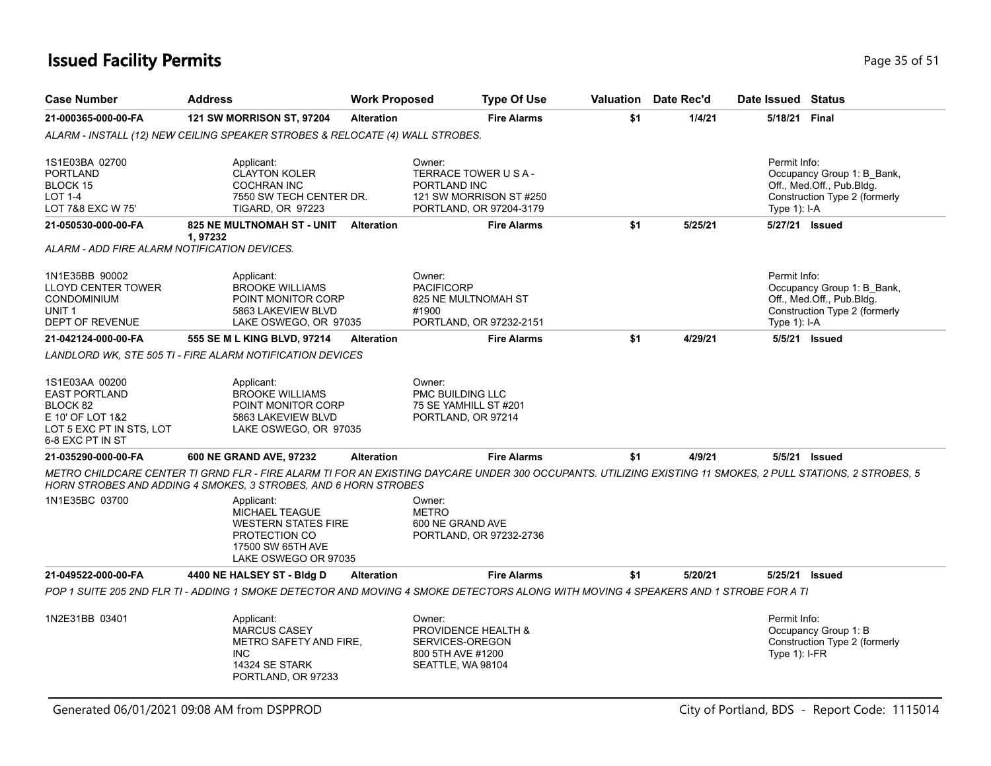### **Issued Facility Permits** Provide the Contract of the Page 35 of 51

| <b>Case Number</b>                                                                                                     | <b>Address</b>                                                                                                                                                                                                                        | <b>Work Proposed</b> |                                                                                            | <b>Type Of Use</b>                                 |     | <b>Valuation</b> Date Rec'd | Date Issued Status              |                                                                                          |
|------------------------------------------------------------------------------------------------------------------------|---------------------------------------------------------------------------------------------------------------------------------------------------------------------------------------------------------------------------------------|----------------------|--------------------------------------------------------------------------------------------|----------------------------------------------------|-----|-----------------------------|---------------------------------|------------------------------------------------------------------------------------------|
| 21-000365-000-00-FA                                                                                                    | <b>121 SW MORRISON ST, 97204</b>                                                                                                                                                                                                      | <b>Alteration</b>    |                                                                                            | <b>Fire Alarms</b>                                 | \$1 | 1/4/21                      |                                 | 5/18/21 Final                                                                            |
|                                                                                                                        | ALARM - INSTALL (12) NEW CEILING SPEAKER STROBES & RELOCATE (4) WALL STROBES.                                                                                                                                                         |                      |                                                                                            |                                                    |     |                             |                                 |                                                                                          |
| 1S1E03BA 02700<br><b>PORTLAND</b><br>BLOCK 15<br><b>LOT 1-4</b><br>LOT 7&8 EXC W 75'                                   | Applicant:<br><b>CLAYTON KOLER</b><br><b>COCHRAN INC</b><br>7550 SW TECH CENTER DR.<br><b>TIGARD, OR 97223</b>                                                                                                                        |                      | Owner:<br>TERRACE TOWER U S A -<br>PORTLAND INC                                            | 121 SW MORRISON ST #250<br>PORTLAND, OR 97204-3179 |     |                             | Permit Info:<br>Type 1): I-A    | Occupancy Group 1: B_Bank,<br>Off., Med.Off., Pub.Bldg.<br>Construction Type 2 (formerly |
| 21-050530-000-00-FA                                                                                                    | 825 NE MULTNOMAH ST - UNIT<br>1,97232                                                                                                                                                                                                 | Alteration           |                                                                                            | <b>Fire Alarms</b>                                 | \$1 | 5/25/21                     |                                 | 5/27/21 Issued                                                                           |
| ALARM - ADD FIRE ALARM NOTIFICATION DEVICES.                                                                           |                                                                                                                                                                                                                                       |                      |                                                                                            |                                                    |     |                             |                                 |                                                                                          |
| 1N1E35BB 90002<br><b>LLOYD CENTER TOWER</b><br><b>CONDOMINIUM</b><br>UNIT <sub>1</sub><br>DEPT OF REVENUE              | Applicant:<br><b>BROOKE WILLIAMS</b><br>POINT MONITOR CORP<br>5863 LAKEVIEW BLVD<br>LAKE OSWEGO, OR 97035                                                                                                                             |                      | Owner:<br><b>PACIFICORP</b><br>825 NE MULTNOMAH ST<br>#1900                                | PORTLAND, OR 97232-2151                            |     |                             | Permit Info:<br>Type 1): I-A    | Occupancy Group 1: B_Bank,<br>Off., Med.Off., Pub.Bldg.<br>Construction Type 2 (formerly |
| 21-042124-000-00-FA                                                                                                    | 555 SE M L KING BLVD, 97214                                                                                                                                                                                                           | <b>Alteration</b>    |                                                                                            | <b>Fire Alarms</b>                                 | \$1 | 4/29/21                     |                                 | 5/5/21 Issued                                                                            |
|                                                                                                                        | LANDLORD WK, STE 505 TI - FIRE ALARM NOTIFICATION DEVICES                                                                                                                                                                             |                      |                                                                                            |                                                    |     |                             |                                 |                                                                                          |
| 1S1E03AA 00200<br><b>EAST PORTLAND</b><br>BLOCK 82<br>E 10' OF LOT 1&2<br>LOT 5 EXC PT IN STS, LOT<br>6-8 EXC PT IN ST | Applicant:<br><b>BROOKE WILLIAMS</b><br>POINT MONITOR CORP<br>5863 LAKEVIEW BLVD<br>LAKE OSWEGO, OR 97035                                                                                                                             |                      | Owner:<br>PMC BUILDING LLC<br>75 SE YAMHILL ST #201<br>PORTLAND, OR 97214                  |                                                    |     |                             |                                 |                                                                                          |
| 21-035290-000-00-FA                                                                                                    | 600 NE GRAND AVE, 97232                                                                                                                                                                                                               | <b>Alteration</b>    |                                                                                            | <b>Fire Alarms</b>                                 | \$1 | 4/9/21                      |                                 | 5/5/21 <b>Issued</b>                                                                     |
|                                                                                                                        | METRO CHILDCARE CENTER TI GRND FLR - FIRE ALARM TI FOR AN EXISTING DAYCARE UNDER 300 OCCUPANTS. UTILIZING EXISTING 11 SMOKES, 2 PULL STATIONS, 2 STROBES, 5<br><b>HORN STROBES AND ADDING 4 SMOKES, 3 STROBES, AND 6 HORN STROBES</b> |                      |                                                                                            |                                                    |     |                             |                                 |                                                                                          |
| 1N1E35BC 03700                                                                                                         | Applicant:<br><b>MICHAEL TEAGUE</b><br><b>WESTERN STATES FIRE</b><br>PROTECTION CO<br>17500 SW 65TH AVE<br>LAKE OSWEGO OR 97035                                                                                                       |                      | Owner:<br><b>METRO</b><br>600 NE GRAND AVE                                                 | PORTLAND, OR 97232-2736                            |     |                             |                                 |                                                                                          |
| 21-049522-000-00-FA                                                                                                    | 4400 NE HALSEY ST - Bldg D                                                                                                                                                                                                            | <b>Alteration</b>    |                                                                                            | <b>Fire Alarms</b>                                 | \$1 | 5/20/21                     |                                 | 5/25/21 Issued                                                                           |
|                                                                                                                        | POP 1 SUITE 205 2ND FLR TI - ADDING 1 SMOKE DETECTOR AND MOVING 4 SMOKE DETECTORS ALONG WITH MOVING 4 SPEAKERS AND 1 STROBE FOR A TI                                                                                                  |                      |                                                                                            |                                                    |     |                             |                                 |                                                                                          |
| 1N2E31BB 03401                                                                                                         | Applicant:<br><b>MARCUS CASEY</b><br>METRO SAFETY AND FIRE,<br>INC.<br>14324 SE STARK<br>PORTLAND, OR 97233                                                                                                                           |                      | Owner:<br>PROVIDENCE HEALTH &<br>SERVICES-OREGON<br>800 5TH AVE #1200<br>SEATTLE, WA 98104 |                                                    |     |                             | Permit Info:<br>Type $1$ : I-FR | Occupancy Group 1: B<br>Construction Type 2 (formerly                                    |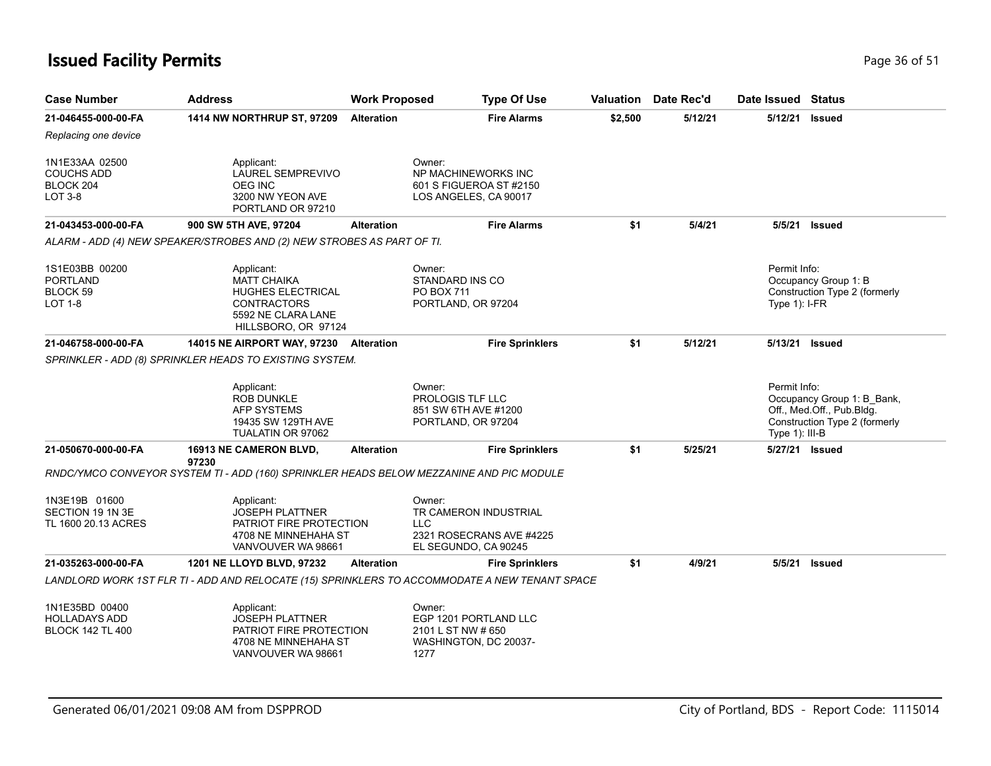### **Issued Facility Permits** Provide the Contract of the Page 36 of 51

| <b>Case Number</b>                                              | <b>Address</b>                                                                                                           | <b>Work Proposed</b> | <b>Type Of Use</b>                                                                                |         | Valuation Date Rec'd | Date Issued Status               |                                                                                          |
|-----------------------------------------------------------------|--------------------------------------------------------------------------------------------------------------------------|----------------------|---------------------------------------------------------------------------------------------------|---------|----------------------|----------------------------------|------------------------------------------------------------------------------------------|
| 21-046455-000-00-FA                                             | <b>1414 NW NORTHRUP ST, 97209</b>                                                                                        | <b>Alteration</b>    | <b>Fire Alarms</b>                                                                                | \$2,500 | 5/12/21              | 5/12/21 Issued                   |                                                                                          |
| Replacing one device                                            |                                                                                                                          |                      |                                                                                                   |         |                      |                                  |                                                                                          |
| 1N1E33AA 02500<br><b>COUCHS ADD</b><br>BLOCK 204<br>LOT 3-8     | Applicant:<br>LAUREL SEMPREVIVO<br><b>OEG INC</b><br>3200 NW YEON AVE<br>PORTLAND OR 97210                               |                      | Owner:<br>NP MACHINEWORKS INC<br>601 S FIGUEROA ST #2150<br>LOS ANGELES, CA 90017                 |         |                      |                                  |                                                                                          |
| 21-043453-000-00-FA                                             | 900 SW 5TH AVE, 97204                                                                                                    | <b>Alteration</b>    | <b>Fire Alarms</b>                                                                                | \$1     | 5/4/21               |                                  | 5/5/21 Issued                                                                            |
|                                                                 | ALARM - ADD (4) NEW SPEAKER/STROBES AND (2) NEW STROBES AS PART OF TI.                                                   |                      |                                                                                                   |         |                      |                                  |                                                                                          |
| 1S1E03BB 00200<br><b>PORTLAND</b><br>BLOCK 59<br><b>LOT 1-8</b> | Applicant:<br><b>MATT CHAIKA</b><br>HUGHES ELECTRICAL<br><b>CONTRACTORS</b><br>5592 NE CLARA LANE<br>HILLSBORO, OR 97124 |                      | Owner:<br>STANDARD INS CO<br>PO BOX 711<br>PORTLAND, OR 97204                                     |         |                      | Permit Info:<br>Type $1$ ): I-FR | Occupancy Group 1: B<br>Construction Type 2 (formerly                                    |
| 21-046758-000-00-FA                                             | <b>14015 NE AIRPORT WAY, 97230</b>                                                                                       | <b>Alteration</b>    | <b>Fire Sprinklers</b>                                                                            | \$1     | 5/12/21              | 5/13/21 Issued                   |                                                                                          |
|                                                                 | SPRINKLER - ADD (8) SPRINKLER HEADS TO EXISTING SYSTEM.                                                                  |                      |                                                                                                   |         |                      |                                  |                                                                                          |
|                                                                 | Applicant:<br><b>ROB DUNKLE</b><br>AFP SYSTEMS<br>19435 SW 129TH AVE<br>TUALATIN OR 97062                                |                      | Owner:<br><b>PROLOGIS TLF LLC</b><br>851 SW 6TH AVE #1200<br>PORTLAND, OR 97204                   |         |                      | Permit Info:<br>Type 1): III-B   | Occupancy Group 1: B Bank,<br>Off., Med.Off., Pub.Bldg.<br>Construction Type 2 (formerly |
| 21-050670-000-00-FA                                             | <b>16913 NE CAMERON BLVD,</b><br>97230                                                                                   | <b>Alteration</b>    | <b>Fire Sprinklers</b>                                                                            | \$1     | 5/25/21              | 5/27/21 Issued                   |                                                                                          |
|                                                                 | RNDC/YMCO CONVEYOR SYSTEM TI - ADD (160) SPRINKLER HEADS BELOW MEZZANINE AND PIC MODULE                                  |                      |                                                                                                   |         |                      |                                  |                                                                                          |
| 1N3E19B 01600<br>SECTION 19 1N 3E<br>TL 1600 20.13 ACRES        | Applicant:<br><b>JOSEPH PLATTNER</b><br>PATRIOT FIRE PROTECTION<br>4708 NE MINNEHAHA ST<br>VANVOUVER WA 98661            |                      | Owner:<br>TR CAMERON INDUSTRIAL<br><b>LLC</b><br>2321 ROSECRANS AVE #4225<br>EL SEGUNDO, CA 90245 |         |                      |                                  |                                                                                          |
| 21-035263-000-00-FA                                             | 1201 NE LLOYD BLVD, 97232                                                                                                | <b>Alteration</b>    | <b>Fire Sprinklers</b>                                                                            | \$1     | 4/9/21               |                                  | 5/5/21 Issued                                                                            |
|                                                                 | LANDLORD WORK 1ST FLR TI - ADD AND RELOCATE (15) SPRINKLERS TO ACCOMMODATE A NEW TENANT SPACE                            |                      |                                                                                                   |         |                      |                                  |                                                                                          |
| 1N1E35BD 00400<br>HOLLADAYS ADD<br><b>BLOCK 142 TL 400</b>      | Applicant:<br><b>JOSEPH PLATTNER</b><br>PATRIOT FIRE PROTECTION<br>4708 NE MINNEHAHA ST<br>VANVOUVER WA 98661            |                      | Owner:<br>EGP 1201 PORTLAND LLC<br>2101 L ST NW # 650<br>WASHINGTON, DC 20037-<br>1277            |         |                      |                                  |                                                                                          |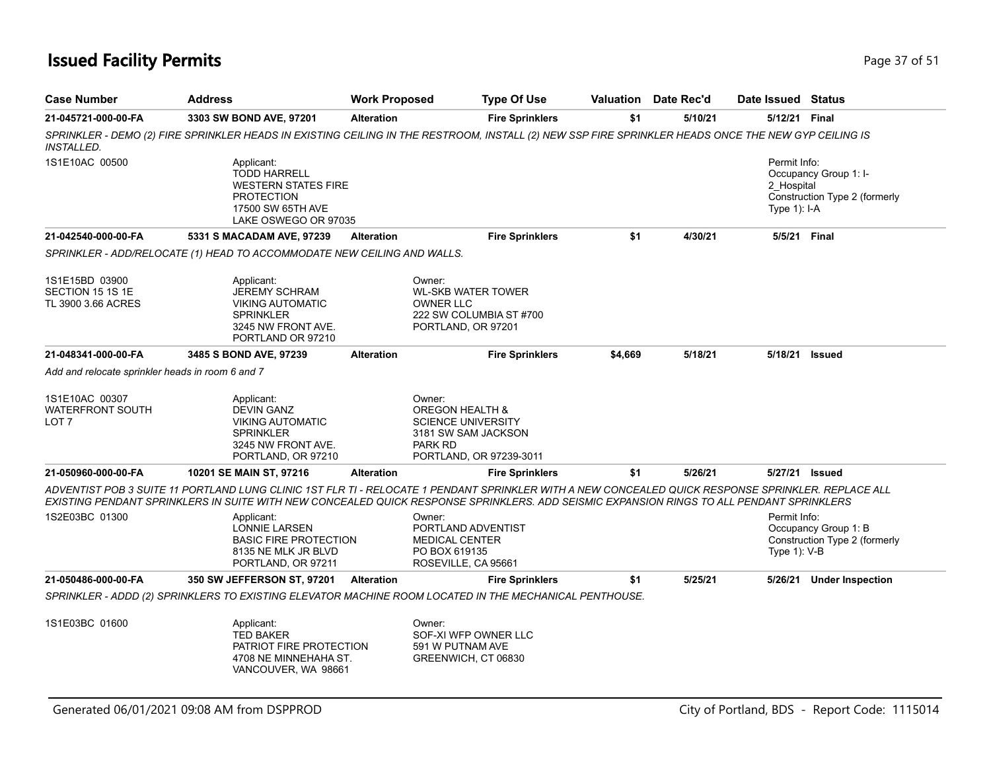### **Issued Facility Permits** Provide a strategies of 51 and 200 minutes and 200 minutes of 51 and 200 minutes and 200 minutes and 200 minutes and 200 minutes and 200 minutes and 200 minutes and 200 minutes and 200 minutes and

| <b>Case Number</b>                                       | <b>Address</b>                                                                                                                    | <b>Work Proposed</b> | <b>Type Of Use</b>                                                                                                                                                                                                                                                                             | Valuation | Date Rec'd | Date Issued Status                           |                                                        |
|----------------------------------------------------------|-----------------------------------------------------------------------------------------------------------------------------------|----------------------|------------------------------------------------------------------------------------------------------------------------------------------------------------------------------------------------------------------------------------------------------------------------------------------------|-----------|------------|----------------------------------------------|--------------------------------------------------------|
| 21-045721-000-00-FA                                      | 3303 SW BOND AVE, 97201                                                                                                           | <b>Alteration</b>    | <b>Fire Sprinklers</b>                                                                                                                                                                                                                                                                         | \$1       | 5/10/21    | 5/12/21                                      | Final                                                  |
| <i><b>INSTALLED.</b></i>                                 |                                                                                                                                   |                      | SPRINKLER - DEMO (2) FIRE SPRINKLER HEADS IN EXISTING CEILING IN THE RESTROOM, INSTALL (2) NEW SSP FIRE SPRINKLER HEADS ONCE THE NEW GYP CEILING IS                                                                                                                                            |           |            |                                              |                                                        |
| 1S1E10AC 00500                                           | Applicant:<br><b>TODD HARRELL</b><br><b>WESTERN STATES FIRE</b><br><b>PROTECTION</b><br>17500 SW 65TH AVE<br>LAKE OSWEGO OR 97035 |                      |                                                                                                                                                                                                                                                                                                |           |            | Permit Info:<br>2 Hospital<br>Type $1$ : I-A | Occupancy Group 1: I-<br>Construction Type 2 (formerly |
| 21-042540-000-00-FA                                      | 5331 S MACADAM AVE, 97239                                                                                                         | <b>Alteration</b>    | <b>Fire Sprinklers</b>                                                                                                                                                                                                                                                                         | \$1       | 4/30/21    | 5/5/21 Final                                 |                                                        |
|                                                          | SPRINKLER - ADD/RELOCATE (1) HEAD TO ACCOMMODATE NEW CEILING AND WALLS.                                                           |                      |                                                                                                                                                                                                                                                                                                |           |            |                                              |                                                        |
| 1S1E15BD 03900<br>SECTION 15 1S 1E<br>TL 3900 3.66 ACRES | Applicant:<br><b>JEREMY SCHRAM</b><br><b>VIKING AUTOMATIC</b><br><b>SPRINKLER</b><br>3245 NW FRONT AVE.<br>PORTLAND OR 97210      |                      | Owner:<br><b>WL-SKB WATER TOWER</b><br><b>OWNER LLC</b><br>222 SW COLUMBIA ST #700<br>PORTLAND, OR 97201                                                                                                                                                                                       |           |            |                                              |                                                        |
| 21-048341-000-00-FA                                      | 3485 S BOND AVE, 97239                                                                                                            | <b>Alteration</b>    | <b>Fire Sprinklers</b>                                                                                                                                                                                                                                                                         | \$4,669   | 5/18/21    | 5/18/21                                      | <b>Issued</b>                                          |
| Add and relocate sprinkler heads in room 6 and 7         |                                                                                                                                   |                      |                                                                                                                                                                                                                                                                                                |           |            |                                              |                                                        |
| 1S1E10AC 00307<br><b>WATERFRONT SOUTH</b><br>LOT 7       | Applicant:<br><b>DEVIN GANZ</b><br><b>VIKING AUTOMATIC</b><br><b>SPRINKLER</b><br>3245 NW FRONT AVE.<br>PORTLAND, OR 97210        |                      | Owner:<br><b>OREGON HEALTH &amp;</b><br><b>SCIENCE UNIVERSITY</b><br>3181 SW SAM JACKSON<br><b>PARK RD</b><br>PORTLAND, OR 97239-3011                                                                                                                                                          |           |            |                                              |                                                        |
| 21-050960-000-00-FA                                      | 10201 SE MAIN ST, 97216                                                                                                           | <b>Alteration</b>    | <b>Fire Sprinklers</b>                                                                                                                                                                                                                                                                         | \$1       | 5/26/21    |                                              | 5/27/21 Issued                                         |
|                                                          |                                                                                                                                   |                      | ADVENTIST POB 3 SUITE 11 PORTLAND LUNG CLINIC 1ST FLR TI - RELOCATE 1 PENDANT SPRINKLER WITH A NEW CONCEALED QUICK RESPONSE SPRINKLER. REPLACE ALL<br>EXISTING PENDANT SPRINKLERS IN SUITE WITH NEW CONCEALED QUICK RESPONSE SPRINKLERS. ADD SEISMIC EXPANSION RINGS TO ALL PENDANT SPRINKLERS |           |            |                                              |                                                        |
| 1S2E03BC 01300                                           | Applicant:<br><b>LONNIE LARSEN</b><br><b>BASIC FIRE PROTECTION</b><br>8135 NE MLK JR BLVD<br>PORTLAND, OR 97211                   |                      | Owner:<br>PORTLAND ADVENTIST<br><b>MEDICAL CENTER</b><br>PO BOX 619135<br>ROSEVILLE, CA 95661                                                                                                                                                                                                  |           |            | Permit Info:<br>Type 1): V-B                 | Occupancy Group 1: B<br>Construction Type 2 (formerly  |
| 21-050486-000-00-FA                                      | 350 SW JEFFERSON ST, 97201                                                                                                        | <b>Alteration</b>    | <b>Fire Sprinklers</b>                                                                                                                                                                                                                                                                         | \$1       | 5/25/21    | 5/26/21                                      | <b>Under Inspection</b>                                |
|                                                          |                                                                                                                                   |                      | SPRINKLER - ADDD (2) SPRINKLERS TO EXISTING ELEVATOR MACHINE ROOM LOCATED IN THE MECHANICAL PENTHOUSE.                                                                                                                                                                                         |           |            |                                              |                                                        |
| 1S1E03BC 01600                                           | Applicant:<br><b>TED BAKER</b><br>PATRIOT FIRE PROTECTION<br>4708 NE MINNEHAHA ST.<br>VANCOUVER, WA 98661                         |                      | Owner:<br>SOF-XI WFP OWNER LLC<br>591 W PUTNAM AVE<br>GREENWICH, CT 06830                                                                                                                                                                                                                      |           |            |                                              |                                                        |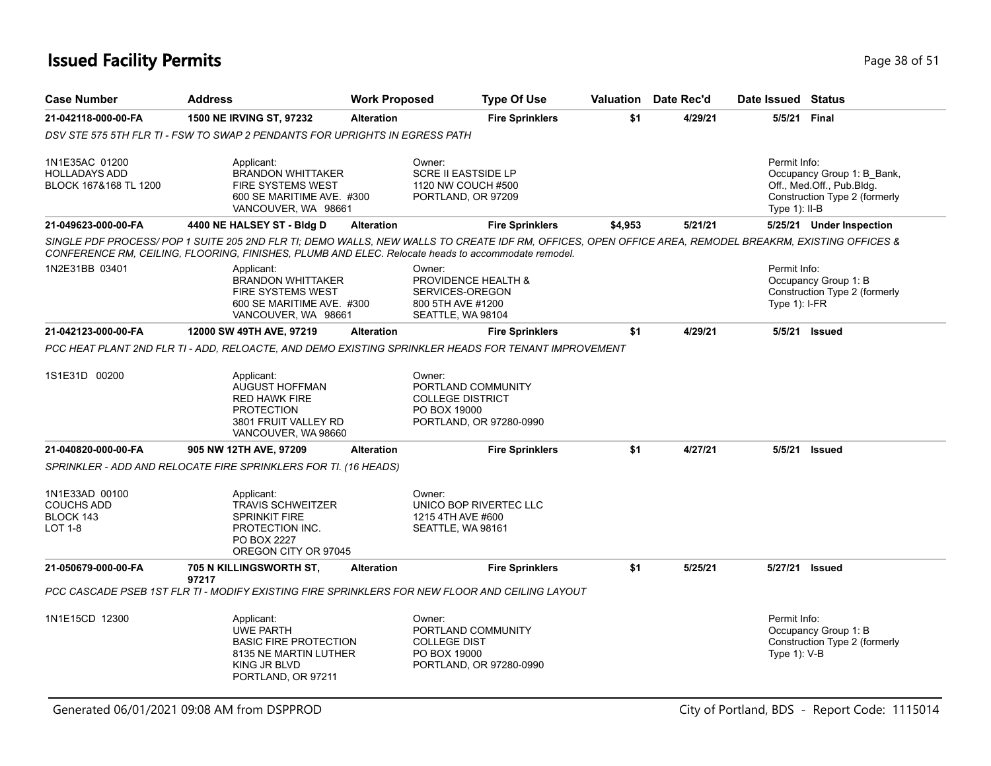### **Issued Facility Permits** Provide the Contract of the Contract of the Page 38 of 51

| <b>Case Number</b>                                                 | <b>Address</b>                                                                                                                | <b>Work Proposed</b> | <b>Type Of Use</b>                                                                                                                                    |         | <b>Valuation</b> Date Rec'd | Date Issued Status              |                                                                                          |
|--------------------------------------------------------------------|-------------------------------------------------------------------------------------------------------------------------------|----------------------|-------------------------------------------------------------------------------------------------------------------------------------------------------|---------|-----------------------------|---------------------------------|------------------------------------------------------------------------------------------|
| 21-042118-000-00-FA                                                | 1500 NE IRVING ST, 97232                                                                                                      | <b>Alteration</b>    | <b>Fire Sprinklers</b>                                                                                                                                | \$1     | 4/29/21                     | 5/5/21 Final                    |                                                                                          |
|                                                                    | DSV STE 575 5TH FLR TI - FSW TO SWAP 2 PENDANTS FOR UPRIGHTS IN EGRESS PATH                                                   |                      |                                                                                                                                                       |         |                             |                                 |                                                                                          |
| 1N1E35AC 01200<br>HOLLADAYS ADD<br>BLOCK 167&168 TL 1200           | Applicant:<br><b>BRANDON WHITTAKER</b><br><b>FIRE SYSTEMS WEST</b><br>600 SE MARITIME AVE. #300<br>VANCOUVER, WA 98661        |                      | Owner:<br><b>SCRE II EASTSIDE LP</b><br>1120 NW COUCH #500<br>PORTLAND, OR 97209                                                                      |         |                             | Permit Info:<br>Type $1$ : II-B | Occupancy Group 1: B_Bank,<br>Off., Med.Off., Pub.Bldg.<br>Construction Type 2 (formerly |
| 21-049623-000-00-FA                                                | 4400 NE HALSEY ST - Bldg D                                                                                                    | <b>Alteration</b>    | <b>Fire Sprinklers</b>                                                                                                                                | \$4,953 | 5/21/21                     |                                 | 5/25/21 Under Inspection                                                                 |
|                                                                    | CONFERENCE RM, CEILING, FLOORING, FINISHES, PLUMB AND ELEC. Relocate heads to accommodate remodel.                            |                      | SINGLE PDF PROCESS/POP 1 SUITE 205 2ND FLR TI; DEMO WALLS, NEW WALLS TO CREATE IDF RM, OFFICES, OPEN OFFICE AREA, REMODEL BREAKRM, EXISTING OFFICES & |         |                             |                                 |                                                                                          |
| 1N2E31BB 03401                                                     | Applicant:<br><b>BRANDON WHITTAKER</b><br><b>FIRE SYSTEMS WEST</b><br>600 SE MARITIME AVE. #300<br>VANCOUVER, WA 98661        |                      | Owner:<br>PROVIDENCE HEALTH &<br>SERVICES-OREGON<br>800 5TH AVE #1200<br>SEATTLE, WA 98104                                                            |         |                             | Permit Info:<br>Type $1$ : I-FR | Occupancy Group 1: B<br>Construction Type 2 (formerly                                    |
| 21-042123-000-00-FA                                                | 12000 SW 49TH AVE, 97219                                                                                                      | <b>Alteration</b>    | <b>Fire Sprinklers</b>                                                                                                                                | \$1     | 4/29/21                     | 5/5/21                          | <b>Issued</b>                                                                            |
|                                                                    |                                                                                                                               |                      | PCC HEAT PLANT 2ND FLR TI - ADD, RELOACTE, AND DEMO EXISTING SPRINKLER HEADS FOR TENANT IMPROVEMENT                                                   |         |                             |                                 |                                                                                          |
| 1S1E31D 00200                                                      | Applicant:<br>AUGUST HOFFMAN<br><b>RED HAWK FIRE</b><br><b>PROTECTION</b><br>3801 FRUIT VALLEY RD<br>VANCOUVER, WA 98660      |                      | Owner:<br>PORTLAND COMMUNITY<br><b>COLLEGE DISTRICT</b><br>PO BOX 19000<br>PORTLAND, OR 97280-0990                                                    |         |                             |                                 |                                                                                          |
| 21-040820-000-00-FA                                                | 905 NW 12TH AVE, 97209                                                                                                        | <b>Alteration</b>    | <b>Fire Sprinklers</b>                                                                                                                                | \$1     | 4/27/21                     |                                 | 5/5/21 Issued                                                                            |
|                                                                    | SPRINKLER - ADD AND RELOCATE FIRE SPRINKLERS FOR TI. (16 HEADS)                                                               |                      |                                                                                                                                                       |         |                             |                                 |                                                                                          |
| 1N1E33AD 00100<br><b>COUCHS ADD</b><br>BLOCK 143<br><b>LOT 1-8</b> | Applicant:<br><b>TRAVIS SCHWEITZER</b><br><b>SPRINKIT FIRE</b><br>PROTECTION INC.<br>PO BOX 2227<br>OREGON CITY OR 97045      |                      | Owner:<br>UNICO BOP RIVERTEC LLC<br>1215 4TH AVE #600<br>SEATTLE, WA 98161                                                                            |         |                             |                                 |                                                                                          |
| 21-050679-000-00-FA                                                | 705 N KILLINGSWORTH ST,<br>97217                                                                                              | <b>Alteration</b>    | <b>Fire Sprinklers</b>                                                                                                                                | \$1     | 5/25/21                     | 5/27/21                         | <b>Issued</b>                                                                            |
|                                                                    |                                                                                                                               |                      | PCC CASCADE PSEB 1ST FLR TI - MODIFY EXISTING FIRE SPRINKLERS FOR NEW FLOOR AND CEILING LAYOUT                                                        |         |                             |                                 |                                                                                          |
| 1N1E15CD 12300                                                     | Applicant:<br><b>UWE PARTH</b><br><b>BASIC FIRE PROTECTION</b><br>8135 NE MARTIN LUTHER<br>KING JR BLVD<br>PORTLAND, OR 97211 |                      | Owner:<br>PORTLAND COMMUNITY<br><b>COLLEGE DIST</b><br>PO BOX 19000<br>PORTLAND, OR 97280-0990                                                        |         |                             | Permit Info:<br>Type 1): V-B    | Occupancy Group 1: B<br>Construction Type 2 (formerly                                    |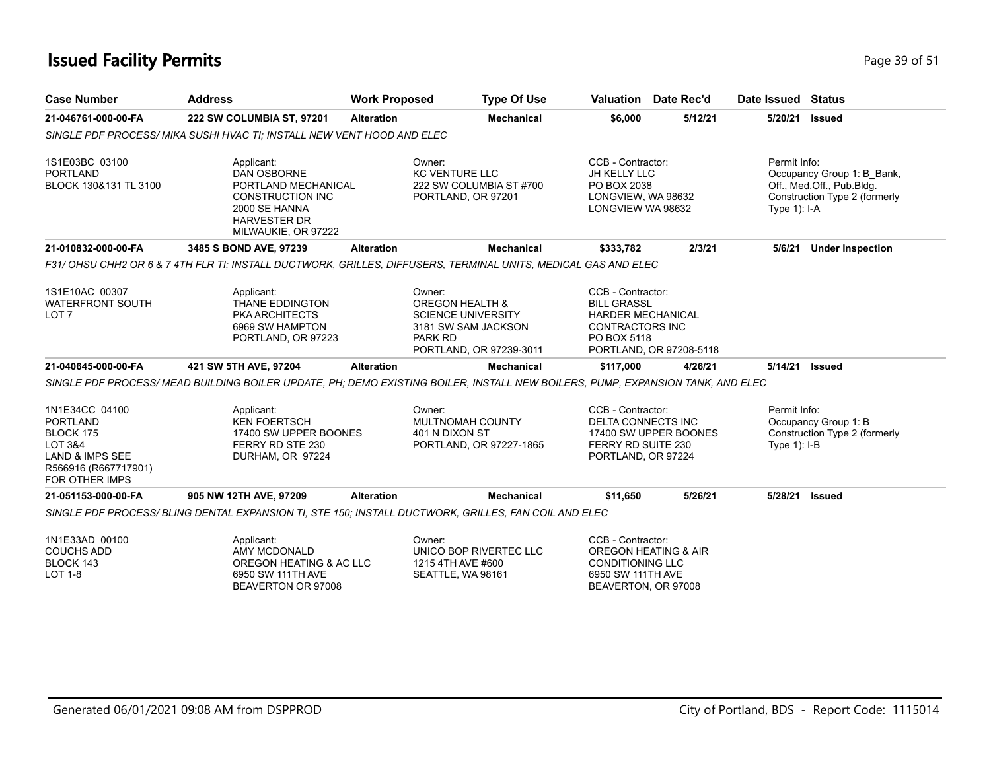## **Issued Facility Permits** Page 39 of 51

| <b>Case Number</b>                                                                                                                           | <b>Address</b>                                                                                                                                    | <b>Work Proposed</b> | <b>Type Of Use</b>                                                                                                             |                                                                                                                             | Valuation Date Rec'd    | Date Issued Status             |                                                                                          |
|----------------------------------------------------------------------------------------------------------------------------------------------|---------------------------------------------------------------------------------------------------------------------------------------------------|----------------------|--------------------------------------------------------------------------------------------------------------------------------|-----------------------------------------------------------------------------------------------------------------------------|-------------------------|--------------------------------|------------------------------------------------------------------------------------------|
| 21-046761-000-00-FA                                                                                                                          | 222 SW COLUMBIA ST, 97201                                                                                                                         | <b>Alteration</b>    | <b>Mechanical</b>                                                                                                              | \$6,000                                                                                                                     | 5/12/21                 | 5/20/21                        | <b>Issued</b>                                                                            |
|                                                                                                                                              | SINGLE PDF PROCESS/ MIKA SUSHI HVAC TI: INSTALL NEW VENT HOOD AND ELEC                                                                            |                      |                                                                                                                                |                                                                                                                             |                         |                                |                                                                                          |
| 1S1E03BC 03100<br><b>PORTLAND</b><br>BLOCK 130&131 TL 3100                                                                                   | Applicant:<br><b>DAN OSBORNE</b><br>PORTLAND MECHANICAL<br><b>CONSTRUCTION INC</b><br>2000 SE HANNA<br><b>HARVESTER DR</b><br>MILWAUKIE, OR 97222 |                      | Owner:<br><b>KC VENTURE LLC</b><br>222 SW COLUMBIA ST #700<br>PORTLAND, OR 97201                                               | CCB - Contractor:<br>JH KELLY LLC<br>PO BOX 2038<br>LONGVIEW, WA 98632<br>LONGVIEW WA 98632                                 |                         | Permit Info:<br>Type $1$ : I-A | Occupancy Group 1: B_Bank,<br>Off., Med.Off., Pub.Bldg.<br>Construction Type 2 (formerly |
| 21-010832-000-00-FA                                                                                                                          | 3485 S BOND AVE, 97239                                                                                                                            | <b>Alteration</b>    | <b>Mechanical</b>                                                                                                              | \$333,782                                                                                                                   | 2/3/21                  | 5/6/21                         | <b>Under Inspection</b>                                                                  |
|                                                                                                                                              | F31/ OHSU CHH2 OR 6 & 7 4TH FLR TI; INSTALL DUCTWORK, GRILLES, DIFFUSERS, TERMINAL UNITS, MEDICAL GAS AND ELEC                                    |                      |                                                                                                                                |                                                                                                                             |                         |                                |                                                                                          |
| 1S1E10AC 00307<br><b>WATERFRONT SOUTH</b><br>LOT <sub>7</sub>                                                                                | Applicant:<br>THANE EDDINGTON<br><b>PKA ARCHITECTS</b><br>6969 SW HAMPTON<br>PORTLAND, OR 97223                                                   |                      | Owner:<br><b>OREGON HEALTH &amp;</b><br><b>SCIENCE UNIVERSITY</b><br>3181 SW SAM JACKSON<br>PARK RD<br>PORTLAND, OR 97239-3011 | CCB - Contractor:<br><b>BILL GRASSL</b><br><b>HARDER MECHANICAL</b><br><b>CONTRACTORS INC</b><br>PO BOX 5118                | PORTLAND, OR 97208-5118 |                                |                                                                                          |
| 21-040645-000-00-FA                                                                                                                          | 421 SW 5TH AVE, 97204                                                                                                                             | <b>Alteration</b>    | <b>Mechanical</b>                                                                                                              | \$117,000                                                                                                                   | 4/26/21                 | 5/14/21 Issued                 |                                                                                          |
|                                                                                                                                              | SINGLE PDF PROCESS/MEAD BUILDING BOILER UPDATE, PH; DEMO EXISTING BOILER, INSTALL NEW BOILERS, PUMP, EXPANSION TANK, AND ELEC                     |                      |                                                                                                                                |                                                                                                                             |                         |                                |                                                                                          |
| 1N1E34CC 04100<br><b>PORTLAND</b><br>BLOCK 175<br><b>LOT 3&amp;4</b><br><b>LAND &amp; IMPS SEE</b><br>R566916 (R667717901)<br>FOR OTHER IMPS | Applicant:<br><b>KEN FOERTSCH</b><br>17400 SW UPPER BOONES<br>FERRY RD STE 230<br>DURHAM, OR 97224                                                |                      | Owner:<br>MULTNOMAH COUNTY<br>401 N DIXON ST<br>PORTLAND, OR 97227-1865                                                        | CCB - Contractor:<br><b>DELTA CONNECTS INC</b><br>FERRY RD SUITE 230<br>PORTLAND, OR 97224                                  | 17400 SW UPPER BOONES   | Permit Info:<br>Type 1): I-B   | Occupancy Group 1: B<br>Construction Type 2 (formerly                                    |
| 21-051153-000-00-FA                                                                                                                          | 905 NW 12TH AVE, 97209                                                                                                                            | <b>Alteration</b>    | <b>Mechanical</b>                                                                                                              | \$11,650                                                                                                                    | 5/26/21                 | 5/28/21                        | <b>Issued</b>                                                                            |
|                                                                                                                                              | SINGLE PDF PROCESS/BLING DENTAL EXPANSION TI, STE 150; INSTALL DUCTWORK, GRILLES, FAN COIL AND ELEC                                               |                      |                                                                                                                                |                                                                                                                             |                         |                                |                                                                                          |
| 1N1E33AD 00100<br><b>COUCHS ADD</b><br>BLOCK 143<br><b>LOT 1-8</b>                                                                           | Applicant:<br>AMY MCDONALD<br>OREGON HEATING & AC LLC<br>6950 SW 111TH AVE<br>BEAVERTON OR 97008                                                  |                      | Owner:<br>UNICO BOP RIVERTEC LLC<br>1215 4TH AVE #600<br>SEATTLE, WA 98161                                                     | CCB - Contractor:<br><b>OREGON HEATING &amp; AIR</b><br><b>CONDITIONING LLC</b><br>6950 SW 111TH AVE<br>BEAVERTON, OR 97008 |                         |                                |                                                                                          |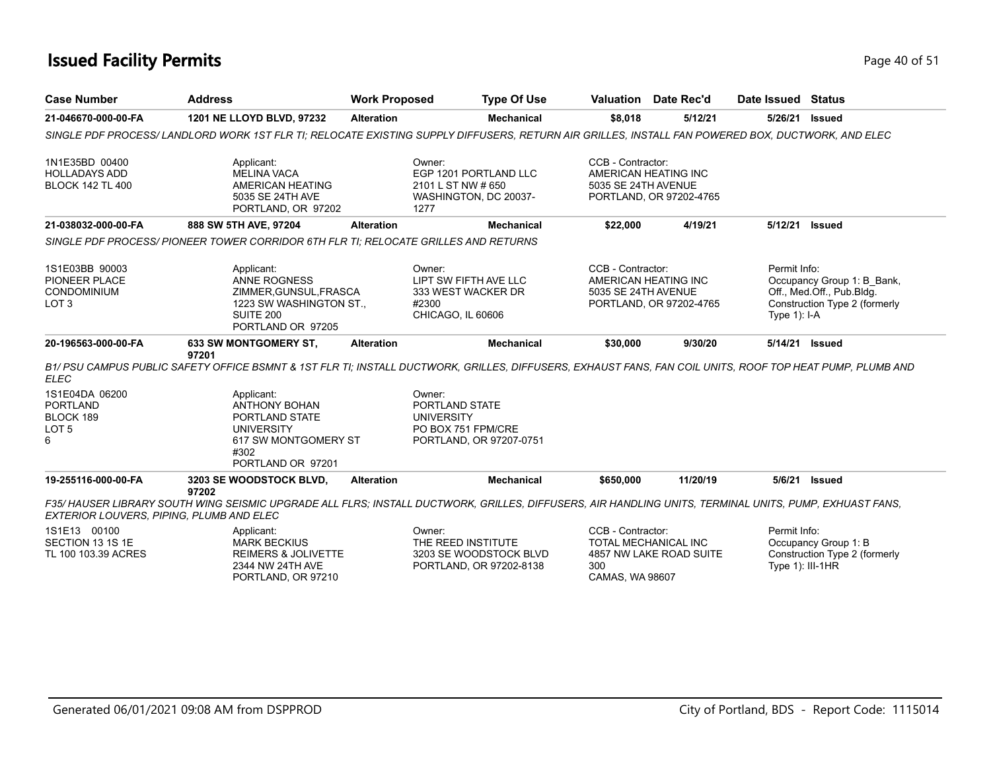### **Issued Facility Permits** Provide the Contract of 51 and 200 of 51 and 200 of 51 and 200 of 51 and 200 of 51 and 200 of 51 and 200 of 51 and 200 of 51 and 200 of 51 and 200 of 51 and 200 of 51 and 200 of 51 and 200 of 51 a

| <b>Case Number</b>                                                      | <b>Address</b>                                                                                                                                                  | <b>Work Proposed</b> | <b>Type Of Use</b>                                                                             |                                             | <b>Valuation</b> Date Rec'd                            | Date Issued Status                 |                                                                                          |
|-------------------------------------------------------------------------|-----------------------------------------------------------------------------------------------------------------------------------------------------------------|----------------------|------------------------------------------------------------------------------------------------|---------------------------------------------|--------------------------------------------------------|------------------------------------|------------------------------------------------------------------------------------------|
| 21-046670-000-00-FA                                                     | 1201 NE LLOYD BLVD, 97232                                                                                                                                       | <b>Alteration</b>    | <b>Mechanical</b>                                                                              | \$8,018                                     | 5/12/21                                                | 5/26/21                            | Issued                                                                                   |
|                                                                         | SINGLE PDF PROCESS/LANDLORD WORK 1ST FLR TI: RELOCATE EXISTING SUPPLY DIFFUSERS, RETURN AIR GRILLES, INSTALL FAN POWERED BOX, DUCTWORK, AND ELEC                |                      |                                                                                                |                                             |                                                        |                                    |                                                                                          |
| 1N1E35BD 00400<br><b>HOLLADAYS ADD</b><br><b>BLOCK 142 TL 400</b>       | Applicant:<br><b>MELINA VACA</b><br><b>AMERICAN HEATING</b><br>5035 SE 24TH AVE<br>PORTLAND, OR 97202                                                           |                      | Owner:<br>EGP 1201 PORTLAND LLC<br>2101 L ST NW # 650<br>WASHINGTON, DC 20037-<br>1277         | CCB - Contractor:<br>5035 SE 24TH AVENUE    | AMERICAN HEATING INC<br>PORTLAND, OR 97202-4765        |                                    |                                                                                          |
| 21-038032-000-00-FA                                                     | 888 SW 5TH AVE, 97204                                                                                                                                           | <b>Alteration</b>    | <b>Mechanical</b>                                                                              | \$22,000                                    | 4/19/21                                                | 5/12/21                            | <b>Issued</b>                                                                            |
|                                                                         | SINGLE PDF PROCESS/ PIONEER TOWER CORRIDOR 6TH FLR TI: RELOCATE GRILLES AND RETURNS                                                                             |                      |                                                                                                |                                             |                                                        |                                    |                                                                                          |
| 1S1E03BB 90003<br>PIONEER PLACE<br>CONDOMINIUM<br>LOT <sub>3</sub>      | Applicant:<br><b>ANNE ROGNESS</b><br>ZIMMER, GUNSUL, FRASCA<br>1223 SW WASHINGTON ST.,<br>SUITE 200<br>PORTLAND OR 97205                                        |                      | Owner:<br>LIPT SW FIFTH AVE LLC<br>333 WEST WACKER DR<br>#2300<br>CHICAGO, IL 60606            | CCB - Contractor:<br>5035 SE 24TH AVENUE    | AMERICAN HEATING INC<br>PORTLAND, OR 97202-4765        | Permit Info:<br>Type $1$ : I-A     | Occupancy Group 1: B Bank,<br>Off., Med.Off., Pub.Bldg.<br>Construction Type 2 (formerly |
| 20-196563-000-00-FA                                                     | 633 SW MONTGOMERY ST.<br>97201                                                                                                                                  | <b>Alteration</b>    | <b>Mechanical</b>                                                                              | \$30,000                                    | 9/30/20                                                | 5/14/21                            | <b>Issued</b>                                                                            |
| <b>ELEC</b>                                                             | B1/ PSU CAMPUS PUBLIC SAFETY OFFICE BSMNT & 1ST FLR TI; INSTALL DUCTWORK, GRILLES, DIFFUSERS, EXHAUST FANS, FAN COIL UNITS, ROOF TOP HEAT PUMP, PLUMB AND       |                      |                                                                                                |                                             |                                                        |                                    |                                                                                          |
| 1S1E04DA 06200<br><b>PORTLAND</b><br>BLOCK 189<br>LOT <sub>5</sub><br>6 | Applicant:<br><b>ANTHONY BOHAN</b><br>PORTLAND STATE<br><b>UNIVERSITY</b><br>617 SW MONTGOMERY ST<br>#302<br>PORTLAND OR 97201                                  |                      | Owner:<br>PORTLAND STATE<br><b>UNIVERSITY</b><br>PO BOX 751 FPM/CRE<br>PORTLAND, OR 97207-0751 |                                             |                                                        |                                    |                                                                                          |
| 19-255116-000-00-FA                                                     | 3203 SE WOODSTOCK BLVD,                                                                                                                                         | <b>Alteration</b>    | <b>Mechanical</b>                                                                              | \$650,000                                   | 11/20/19                                               | 5/6/21                             | Issued                                                                                   |
| EXTERIOR LOUVERS, PIPING, PLUMB AND ELEC                                | 97202<br>F35/ HAUSER LIBRARY SOUTH WING SEISMIC UPGRADE ALL FLRS: INSTALL DUCTWORK, GRILLES, DIFFUSERS, AIR HANDLING UNITS, TERMINAL UNITS, PUMP, EXHUAST FANS, |                      |                                                                                                |                                             |                                                        |                                    |                                                                                          |
| 1S1E13 00100<br>SECTION 13 1S 1E<br>TL 100 103.39 ACRES                 | Applicant:<br><b>MARK BECKIUS</b><br><b>REIMERS &amp; JOLIVETTE</b><br>2344 NW 24TH AVE<br>PORTLAND, OR 97210                                                   |                      | Owner:<br>THE REED INSTITUTE<br>3203 SE WOODSTOCK BLVD<br>PORTLAND, OR 97202-8138              | CCB - Contractor:<br>300<br>CAMAS, WA 98607 | <b>TOTAL MECHANICAL INC</b><br>4857 NW LAKE ROAD SUITE | Permit Info:<br>Type $1$ : III-1HR | Occupancy Group 1: B<br>Construction Type 2 (formerly                                    |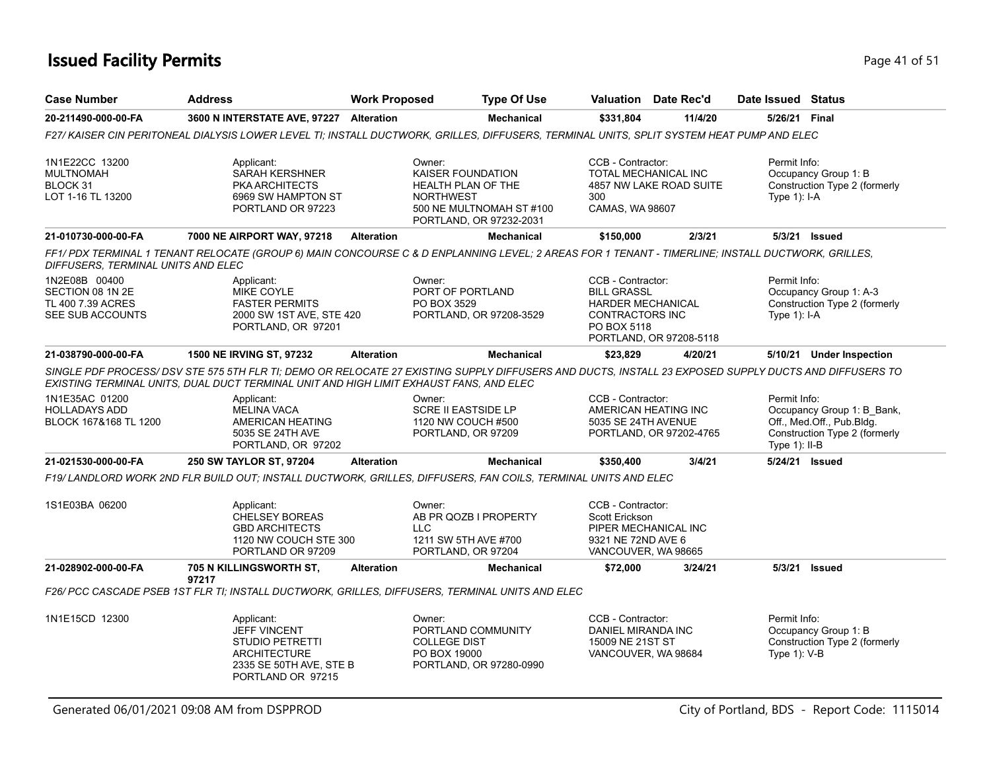### **Issued Facility Permits** Provide the Contract of 51 and 200 **Page 41 of 51**

| <b>Case Number</b>                                                         | <b>Address</b>                                                                                                                                                                                                                                  | <b>Work Proposed</b> |                                                                                             | <b>Type Of Use</b>                                  |                                                                                                          | <b>Valuation</b> Date Rec'd | Date Issued Status               |                                                                                          |
|----------------------------------------------------------------------------|-------------------------------------------------------------------------------------------------------------------------------------------------------------------------------------------------------------------------------------------------|----------------------|---------------------------------------------------------------------------------------------|-----------------------------------------------------|----------------------------------------------------------------------------------------------------------|-----------------------------|----------------------------------|------------------------------------------------------------------------------------------|
| 20-211490-000-00-FA                                                        | 3600 N INTERSTATE AVE, 97227 Alteration                                                                                                                                                                                                         |                      |                                                                                             | <b>Mechanical</b>                                   | \$331,804                                                                                                | 11/4/20                     | 5/26/21 Final                    |                                                                                          |
|                                                                            | F27/KAISER CIN PERITONEAL DIALYSIS LOWER LEVEL TI; INSTALL DUCTWORK, GRILLES, DIFFUSERS, TERMINAL UNITS, SPLIT SYSTEM HEAT PUMP AND ELEC                                                                                                        |                      |                                                                                             |                                                     |                                                                                                          |                             |                                  |                                                                                          |
| 1N1E22CC 13200<br><b>MULTNOMAH</b><br>BLOCK 31<br>LOT 1-16 TL 13200        | Applicant:<br><b>SARAH KERSHNER</b><br><b>PKA ARCHITECTS</b><br>6969 SW HAMPTON ST<br>PORTLAND OR 97223                                                                                                                                         |                      | Owner:<br>KAISER FOUNDATION<br>HEALTH PLAN OF THE<br><b>NORTHWEST</b>                       | 500 NE MULTNOMAH ST #100<br>PORTLAND, OR 97232-2031 | CCB - Contractor:<br>TOTAL MECHANICAL INC<br>300<br>CAMAS, WA 98607                                      | 4857 NW LAKE ROAD SUITE     | Permit Info:<br>Type $1$ ): I-A  | Occupancy Group 1: B<br>Construction Type 2 (formerly                                    |
| 21-010730-000-00-FA                                                        | 7000 NE AIRPORT WAY, 97218                                                                                                                                                                                                                      | <b>Alteration</b>    |                                                                                             | <b>Mechanical</b>                                   | \$150,000                                                                                                | 2/3/21                      |                                  | 5/3/21 Issued                                                                            |
| DIFFUSERS, TERMINAL UNITS AND ELEC                                         | FF1/ PDX TERMINAL 1 TENANT RELOCATE (GROUP 6) MAIN CONCOURSE C & D ENPLANNING LEVEL; 2 AREAS FOR 1 TENANT - TIMERLINE; INSTALL DUCTWORK, GRILLES,                                                                                               |                      |                                                                                             |                                                     |                                                                                                          |                             |                                  |                                                                                          |
| 1N2E08B 00400<br>SECTION 08 1N 2E<br>TL 400 7.39 ACRES<br>SEE SUB ACCOUNTS | Applicant:<br>MIKE COYLE<br><b>FASTER PERMITS</b><br>2000 SW 1ST AVE, STE 420<br>PORTLAND, OR 97201                                                                                                                                             |                      | Owner:<br>PORT OF PORTLAND<br>PO BOX 3529                                                   | PORTLAND, OR 97208-3529                             | CCB - Contractor:<br><b>BILL GRASSL</b><br><b>HARDER MECHANICAL</b><br>CONTRACTORS INC<br>PO BOX 5118    | PORTLAND, OR 97208-5118     | Permit Info:<br>Type 1): I-A     | Occupancy Group 1: A-3<br>Construction Type 2 (formerly                                  |
| 21-038790-000-00-FA                                                        | 1500 NE IRVING ST, 97232                                                                                                                                                                                                                        | <b>Alteration</b>    |                                                                                             | <b>Mechanical</b>                                   | \$23,829                                                                                                 | 4/20/21                     |                                  | 5/10/21 Under Inspection                                                                 |
|                                                                            | SINGLE PDF PROCESS/ DSV STE 575 5TH FLR TI; DEMO OR RELOCATE 27 EXISTING SUPPLY DIFFUSERS AND DUCTS, INSTALL 23 EXPOSED SUPPLY DUCTS AND DIFFUSERS TO<br>EXISTING TERMINAL UNITS, DUAL DUCT TERMINAL UNIT AND HIGH LIMIT EXHAUST FANS, AND ELEC |                      |                                                                                             |                                                     |                                                                                                          |                             |                                  |                                                                                          |
| 1N1E35AC 01200<br><b>HOLLADAYS ADD</b><br>BLOCK 167&168 TL 1200            | Applicant:<br><b>MELINA VACA</b><br>AMERICAN HEATING<br>5035 SE 24TH AVE<br>PORTLAND, OR 97202                                                                                                                                                  |                      | Owner:<br>SCRE II EASTSIDE LP<br>1120 NW COUCH #500<br>PORTLAND, OR 97209                   |                                                     | CCB - Contractor:<br>AMERICAN HEATING INC<br>5035 SE 24TH AVENUE                                         | PORTLAND, OR 97202-4765     | Permit Info:<br>Type $1$ ): II-B | Occupancy Group 1: B_Bank,<br>Off., Med.Off., Pub.Bldg.<br>Construction Type 2 (formerly |
| 21-021530-000-00-FA                                                        | <b>250 SW TAYLOR ST, 97204</b>                                                                                                                                                                                                                  | <b>Alteration</b>    |                                                                                             | <b>Mechanical</b>                                   | \$350,400                                                                                                | 3/4/21                      | 5/24/21 Issued                   |                                                                                          |
|                                                                            | F19/LANDLORD WORK 2ND FLR BUILD OUT; INSTALL DUCTWORK, GRILLES, DIFFUSERS, FAN COILS, TERMINAL UNITS AND ELEC                                                                                                                                   |                      |                                                                                             |                                                     |                                                                                                          |                             |                                  |                                                                                          |
| 1S1E03BA 06200                                                             | Applicant:<br><b>CHELSEY BOREAS</b><br><b>GBD ARCHITECTS</b><br>1120 NW COUCH STE 300<br>PORTLAND OR 97209                                                                                                                                      |                      | Owner:<br>AB PR QOZB I PROPERTY<br><b>LLC</b><br>1211 SW 5TH AVE #700<br>PORTLAND, OR 97204 |                                                     | CCB - Contractor:<br>Scott Erickson<br>PIPER MECHANICAL INC<br>9321 NE 72ND AVE 6<br>VANCOUVER, WA 98665 |                             |                                  |                                                                                          |
| 21-028902-000-00-FA                                                        | 705 N KILLINGSWORTH ST,<br>97217                                                                                                                                                                                                                | <b>Alteration</b>    |                                                                                             | <b>Mechanical</b>                                   | \$72,000                                                                                                 | 3/24/21                     | 5/3/21                           | <b>Issued</b>                                                                            |
|                                                                            | F26/ PCC CASCADE PSEB 1ST FLR TI; INSTALL DUCTWORK, GRILLES, DIFFUSERS, TERMINAL UNITS AND ELEC                                                                                                                                                 |                      |                                                                                             |                                                     |                                                                                                          |                             |                                  |                                                                                          |
| 1N1E15CD 12300                                                             | Applicant:<br><b>JEFF VINCENT</b><br><b>STUDIO PETRETTI</b><br><b>ARCHITECTURE</b><br>2335 SE 50TH AVE, STE B<br>PORTLAND OR 97215                                                                                                              |                      | Owner:<br>PORTLAND COMMUNITY<br><b>COLLEGE DIST</b><br>PO BOX 19000                         | PORTLAND, OR 97280-0990                             | CCB - Contractor:<br>DANIEL MIRANDA INC<br>15009 NE 21ST ST<br>VANCOUVER, WA 98684                       |                             | Permit Info:<br>Type 1): V-B     | Occupancy Group 1: B<br>Construction Type 2 (formerly                                    |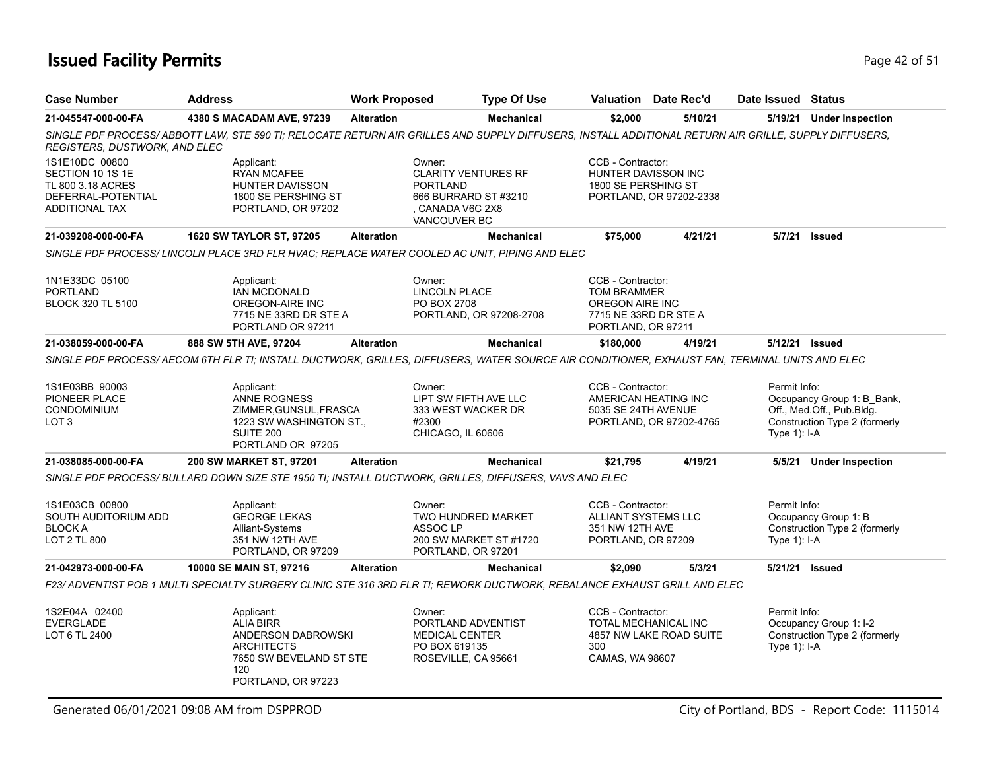### **Issued Facility Permits** Provide the Contract of 51 and 2015 1 and 2015 1 and 2015 1 and 2015 1 and 2015 1 and 2015 1 and 2015 1 and 2015 1 and 2015 1 and 2015 1 and 2015 1 and 2015 1 and 2015 1 and 2016 1 and 2016 1 and

| <b>Case Number</b>                                                                                     | <b>Address</b>                                                                                                                                       | <b>Work Proposed</b> |                                                                                                                     | <b>Type Of Use</b>      |                                                                                                           | Valuation Date Rec'd                            | Date Issued Status             |                                                                                          |
|--------------------------------------------------------------------------------------------------------|------------------------------------------------------------------------------------------------------------------------------------------------------|----------------------|---------------------------------------------------------------------------------------------------------------------|-------------------------|-----------------------------------------------------------------------------------------------------------|-------------------------------------------------|--------------------------------|------------------------------------------------------------------------------------------|
| 21-045547-000-00-FA                                                                                    | 4380 S MACADAM AVE, 97239                                                                                                                            | <b>Alteration</b>    |                                                                                                                     | <b>Mechanical</b>       | \$2,000                                                                                                   | 5/10/21                                         |                                | 5/19/21 Under Inspection                                                                 |
| REGISTERS, DUSTWORK, AND ELEC                                                                          | SINGLE PDF PROCESS/ABBOTT LAW, STE 590 TI; RELOCATE RETURN AIR GRILLES AND SUPPLY DIFFUSERS, INSTALL ADDITIONAL RETURN AIR GRILLE, SUPPLY DIFFUSERS, |                      |                                                                                                                     |                         |                                                                                                           |                                                 |                                |                                                                                          |
| 1S1E10DC 00800<br>SECTION 10 1S 1E<br>TL 800 3.18 ACRES<br>DEFERRAL-POTENTIAL<br><b>ADDITIONAL TAX</b> | Applicant:<br><b>RYAN MCAFEE</b><br><b>HUNTER DAVISSON</b><br>1800 SE PERSHING ST<br>PORTLAND, OR 97202                                              |                      | Owner:<br><b>CLARITY VENTURES RF</b><br><b>PORTLAND</b><br>666 BURRARD ST #3210<br>. CANADA V6C 2X8<br>VANCOUVER BC |                         | CCB - Contractor:<br>HUNTER DAVISSON INC<br>1800 SE PERSHING ST                                           | PORTLAND, OR 97202-2338                         |                                |                                                                                          |
| 21-039208-000-00-FA                                                                                    | 1620 SW TAYLOR ST, 97205                                                                                                                             | <b>Alteration</b>    |                                                                                                                     | <b>Mechanical</b>       | \$75,000                                                                                                  | 4/21/21                                         | 5/7/21                         | Issued                                                                                   |
|                                                                                                        | SINGLE PDF PROCESS/LINCOLN PLACE 3RD FLR HVAC; REPLACE WATER COOLED AC UNIT, PIPING AND ELEC                                                         |                      |                                                                                                                     |                         |                                                                                                           |                                                 |                                |                                                                                          |
| 1N1E33DC 05100<br><b>PORTLAND</b><br><b>BLOCK 320 TL 5100</b>                                          | Applicant:<br>IAN MCDONALD<br>OREGON-AIRE INC<br>7715 NE 33RD DR STE A<br>PORTLAND OR 97211                                                          |                      | Owner:<br><b>LINCOLN PLACE</b><br>PO BOX 2708                                                                       | PORTLAND, OR 97208-2708 | CCB - Contractor:<br><b>TOM BRAMMER</b><br>OREGON AIRE INC<br>7715 NE 33RD DR STE A<br>PORTLAND, OR 97211 |                                                 |                                |                                                                                          |
| 21-038059-000-00-FA                                                                                    | 888 SW 5TH AVE, 97204                                                                                                                                | <b>Alteration</b>    |                                                                                                                     | <b>Mechanical</b>       | \$180,000                                                                                                 | 4/19/21                                         |                                | 5/12/21 Issued                                                                           |
|                                                                                                        | SINGLE PDF PROCESS/ AECOM 6TH FLR TI; INSTALL DUCTWORK, GRILLES, DIFFUSERS, WATER SOURCE AIR CONDITIONER, EXHAUST FAN, TERMINAL UNITS AND ELEC       |                      |                                                                                                                     |                         |                                                                                                           |                                                 |                                |                                                                                          |
| 1S1E03BB 90003<br>PIONEER PLACE<br>CONDOMINIUM<br>LOT <sub>3</sub>                                     | Applicant:<br>ANNE ROGNESS<br>ZIMMER, GUNSUL, FRASCA<br>1223 SW WASHINGTON ST.,<br>SUITE 200<br>PORTLAND OR 97205                                    |                      | Owner:<br>LIPT SW FIFTH AVE LLC<br>333 WEST WACKER DR<br>#2300<br>CHICAGO, IL 60606                                 |                         | CCB - Contractor:<br>5035 SE 24TH AVENUE                                                                  | AMERICAN HEATING INC<br>PORTLAND, OR 97202-4765 | Permit Info:<br>Type 1): I-A   | Occupancy Group 1: B_Bank,<br>Off., Med.Off., Pub.Bldg.<br>Construction Type 2 (formerly |
| 21-038085-000-00-FA                                                                                    | 200 SW MARKET ST, 97201                                                                                                                              | <b>Alteration</b>    |                                                                                                                     | <b>Mechanical</b>       | \$21,795                                                                                                  | 4/19/21                                         |                                | 5/5/21 Under Inspection                                                                  |
|                                                                                                        | SINGLE PDF PROCESS/ BULLARD DOWN SIZE STE 1950 TI; INSTALL DUCTWORK, GRILLES, DIFFUSERS, VAVS AND ELEC                                               |                      |                                                                                                                     |                         |                                                                                                           |                                                 |                                |                                                                                          |
| 1S1E03CB 00800<br>SOUTH AUDITORIUM ADD<br><b>BLOCK A</b><br><b>LOT 2 TL 800</b>                        | Applicant:<br><b>GEORGE LEKAS</b><br>Alliant-Systems<br>351 NW 12TH AVE<br>PORTLAND, OR 97209                                                        |                      | Owner:<br>TWO HUNDRED MARKET<br>ASSOC <sub>LP</sub><br>200 SW MARKET ST #1720<br>PORTLAND, OR 97201                 |                         | CCB - Contractor:<br>ALLIANT SYSTEMS LLC<br>351 NW 12TH AVE<br>PORTLAND, OR 97209                         |                                                 | Permit Info:<br>Type $1$ : I-A | Occupancy Group 1: B<br>Construction Type 2 (formerly                                    |
| 21-042973-000-00-FA                                                                                    | 10000 SE MAIN ST, 97216                                                                                                                              | <b>Alteration</b>    |                                                                                                                     | <b>Mechanical</b>       | \$2,090                                                                                                   | 5/3/21                                          | 5/21/21 Issued                 |                                                                                          |
|                                                                                                        | F23/ ADVENTIST POB 1 MULTI SPECIALTY SURGERY CLINIC STE 316 3RD FLR TI; REWORK DUCTWORK, REBALANCE EXHAUST GRILL AND ELEC                            |                      |                                                                                                                     |                         |                                                                                                           |                                                 |                                |                                                                                          |
| 1S2E04A 02400<br><b>EVERGLADE</b><br>LOT 6 TL 2400                                                     | Applicant:<br><b>ALIA BIRR</b><br>ANDERSON DABROWSKI<br><b>ARCHITECTS</b><br>7650 SW BEVELAND ST STE<br>120<br>PORTLAND, OR 97223                    |                      | Owner:<br>PORTLAND ADVENTIST<br><b>MEDICAL CENTER</b><br>PO BOX 619135<br>ROSEVILLE, CA 95661                       |                         | CCB - Contractor:<br>300<br>CAMAS, WA 98607                                                               | TOTAL MECHANICAL INC<br>4857 NW LAKE ROAD SUITE | Permit Info:<br>Type 1): I-A   | Occupancy Group 1: I-2<br>Construction Type 2 (formerly                                  |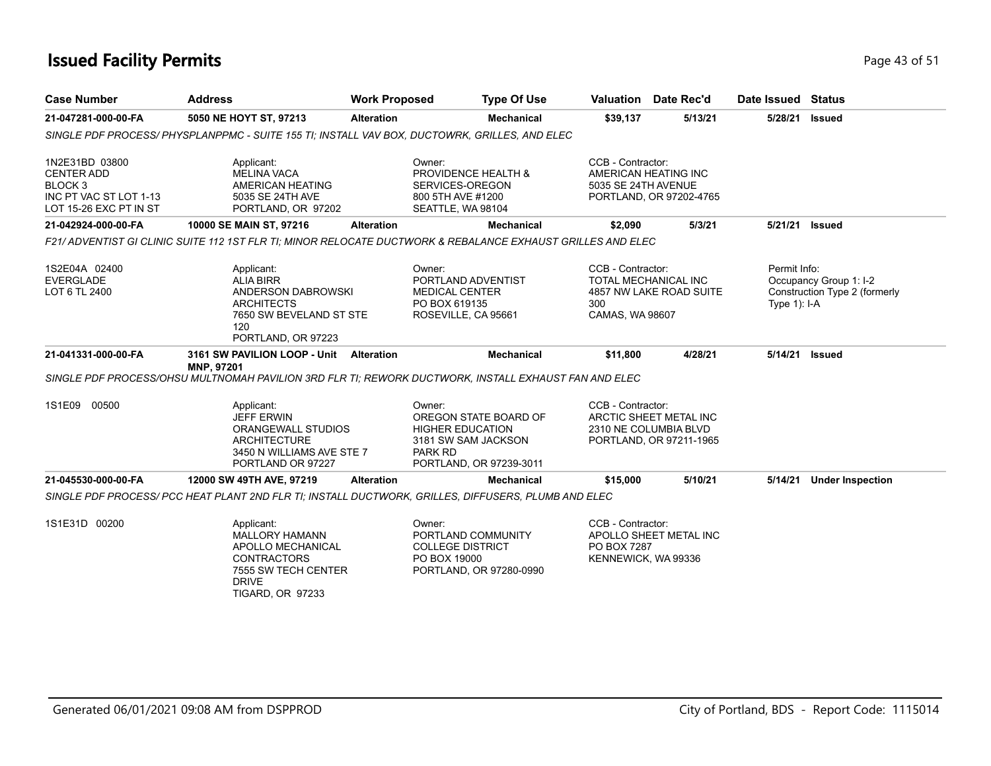### **Issued Facility Permits** Provide the Contract of Studies and Page 43 of 51 and Page 43 of 51

| <b>Case Number</b>                                                                                            | <b>Address</b>                                                                                                                                   | <b>Work Proposed</b> | <b>Type Of Use</b>                                                                                 |                                                                  | <b>Valuation</b> Date Rec'd                                                | Date Issued Status             |                                                         |
|---------------------------------------------------------------------------------------------------------------|--------------------------------------------------------------------------------------------------------------------------------------------------|----------------------|----------------------------------------------------------------------------------------------------|------------------------------------------------------------------|----------------------------------------------------------------------------|--------------------------------|---------------------------------------------------------|
| 21-047281-000-00-FA                                                                                           | 5050 NE HOYT ST, 97213                                                                                                                           | <b>Alteration</b>    | <b>Mechanical</b>                                                                                  | \$39,137                                                         | 5/13/21                                                                    | 5/28/21                        | <b>Issued</b>                                           |
|                                                                                                               | SINGLE PDF PROCESS/PHYSPLANPPMC - SUITE 155 TI; INSTALL VAV BOX, DUCTOWRK, GRILLES, AND ELEC                                                     |                      |                                                                                                    |                                                                  |                                                                            |                                |                                                         |
| 1N2E31BD 03800<br><b>CENTER ADD</b><br>BLOCK <sub>3</sub><br>INC PT VAC ST LOT 1-13<br>LOT 15-26 EXC PT IN ST | Applicant:<br><b>MELINA VACA</b><br>AMERICAN HEATING<br>5035 SE 24TH AVE<br>PORTLAND, OR 97202                                                   | Owner:               | PROVIDENCE HEALTH &<br>SERVICES-OREGON<br>800 5TH AVE #1200<br>SEATTLE, WA 98104                   | CCB - Contractor:<br>AMERICAN HEATING INC<br>5035 SE 24TH AVENUE | PORTLAND, OR 97202-4765                                                    |                                |                                                         |
| 21-042924-000-00-FA                                                                                           | 10000 SE MAIN ST, 97216                                                                                                                          | <b>Alteration</b>    | <b>Mechanical</b>                                                                                  | \$2,090                                                          | 5/3/21                                                                     | 5/21/21                        | <b>Issued</b>                                           |
|                                                                                                               | F21/ ADVENTIST GI CLINIC SUITE 112 1ST FLR TI: MINOR RELOCATE DUCTWORK & REBALANCE EXHAUST GRILLES AND ELEC                                      |                      |                                                                                                    |                                                                  |                                                                            |                                |                                                         |
| 1S2E04A 02400<br><b>EVERGLADE</b><br>LOT 6 TL 2400                                                            | Applicant:<br><b>ALIA BIRR</b><br>ANDERSON DABROWSKI<br><b>ARCHITECTS</b><br>7650 SW BEVELAND ST STE<br>120<br>PORTLAND, OR 97223                | Owner:               | PORTLAND ADVENTIST<br><b>MEDICAL CENTER</b><br>PO BOX 619135<br>ROSEVILLE, CA 95661                | CCB - Contractor:<br>300<br>CAMAS, WA 98607                      | TOTAL MECHANICAL INC<br>4857 NW LAKE ROAD SUITE                            | Permit Info:<br>Type $1$ : I-A | Occupancy Group 1: I-2<br>Construction Type 2 (formerly |
| 21-041331-000-00-FA                                                                                           | 3161 SW PAVILION LOOP - Unit<br>MNP, 97201                                                                                                       | <b>Alteration</b>    | <b>Mechanical</b>                                                                                  | \$11,800                                                         | 4/28/21                                                                    | 5/14/21                        | <b>Issued</b>                                           |
|                                                                                                               | SINGLE PDF PROCESS/OHSU MULTNOMAH PAVILION 3RD FLR TI; REWORK DUCTWORK, INSTALL EXHAUST FAN AND ELEC                                             |                      |                                                                                                    |                                                                  |                                                                            |                                |                                                         |
| 1S1E09 00500                                                                                                  | Applicant:<br><b>JEFF ERWIN</b><br>ORANGEWALL STUDIOS<br><b>ARCHITECTURE</b><br>3450 N WILLIAMS AVE STE 7<br>PORTLAND OR 97227                   | Owner:<br>PARK RD    | OREGON STATE BOARD OF<br><b>HIGHER EDUCATION</b><br>3181 SW SAM JACKSON<br>PORTLAND, OR 97239-3011 | CCB - Contractor:                                                | ARCTIC SHEET METAL INC<br>2310 NE COLUMBIA BLVD<br>PORTLAND, OR 97211-1965 |                                |                                                         |
| 21-045530-000-00-FA                                                                                           | 12000 SW 49TH AVE, 97219                                                                                                                         | <b>Alteration</b>    | <b>Mechanical</b>                                                                                  | \$15,000                                                         | 5/10/21                                                                    | 5/14/21                        | <b>Under Inspection</b>                                 |
|                                                                                                               | SINGLE PDF PROCESS/ PCC HEAT PLANT 2ND FLR TI; INSTALL DUCTWORK, GRILLES, DIFFUSERS, PLUMB AND ELEC                                              |                      |                                                                                                    |                                                                  |                                                                            |                                |                                                         |
| 1S1E31D 00200                                                                                                 | Applicant:<br><b>MALLORY HAMANN</b><br>APOLLO MECHANICAL<br><b>CONTRACTORS</b><br>7555 SW TECH CENTER<br><b>DRIVE</b><br><b>TIGARD, OR 97233</b> | Owner:               | PORTLAND COMMUNITY<br><b>COLLEGE DISTRICT</b><br>PO BOX 19000<br>PORTLAND, OR 97280-0990           | CCB - Contractor:<br>PO BOX 7287<br>KENNEWICK, WA 99336          | APOLLO SHEET METAL INC                                                     |                                |                                                         |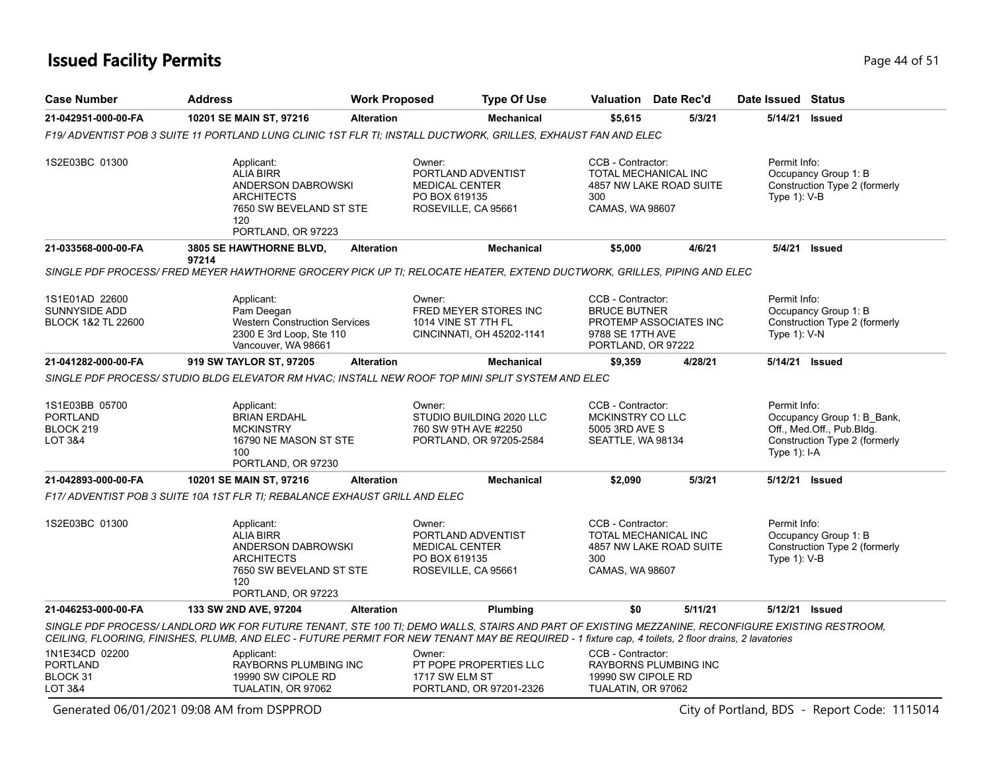### **Issued Facility Permits** Provide a strategies of 51 and 200 minutes and 200 minutes of 51 and 200 minutes and 200 minutes and 200 minutes and 200 minutes and 200 minutes and 200 minutes and 200 minutes and 200 minutes and

| <b>Case Number</b>                                                   | <b>Address</b>                                                                                                                                                                                                                                                                                          | <b>Work Proposed</b> | <b>Type Of Use</b>                                                                            | <b>Valuation</b> Date Rec'd                                                            |                         | Date Issued Status                |                                                                                          |
|----------------------------------------------------------------------|---------------------------------------------------------------------------------------------------------------------------------------------------------------------------------------------------------------------------------------------------------------------------------------------------------|----------------------|-----------------------------------------------------------------------------------------------|----------------------------------------------------------------------------------------|-------------------------|-----------------------------------|------------------------------------------------------------------------------------------|
| 21-042951-000-00-FA                                                  | 10201 SE MAIN ST, 97216                                                                                                                                                                                                                                                                                 | <b>Alteration</b>    | <b>Mechanical</b>                                                                             | \$5,615                                                                                | 5/3/21                  | 5/14/21                           | Issued                                                                                   |
|                                                                      | F19/ ADVENTIST POB 3 SUITE 11 PORTLAND LUNG CLINIC 1ST FLR TI; INSTALL DUCTWORK, GRILLES, EXHAUST FAN AND ELEC                                                                                                                                                                                          |                      |                                                                                               |                                                                                        |                         |                                   |                                                                                          |
| 1S2E03BC 01300                                                       | Applicant:<br>ALIA BIRR<br>ANDERSON DABROWSKI<br><b>ARCHITECTS</b><br>7650 SW BEVELAND ST STE<br>120<br>PORTLAND, OR 97223                                                                                                                                                                              |                      | Owner:<br>PORTLAND ADVENTIST<br><b>MEDICAL CENTER</b><br>PO BOX 619135<br>ROSEVILLE, CA 95661 | CCB - Contractor:<br>TOTAL MECHANICAL INC<br>300<br>CAMAS, WA 98607                    | 4857 NW LAKE ROAD SUITE | Permit Info:<br>Type 1): V-B      | Occupancy Group 1: B<br>Construction Type 2 (formerly                                    |
| 21-033568-000-00-FA                                                  | 3805 SE HAWTHORNE BLVD,                                                                                                                                                                                                                                                                                 | <b>Alteration</b>    | <b>Mechanical</b>                                                                             | \$5,000                                                                                | 4/6/21                  |                                   | 5/4/21 <b>Issued</b>                                                                     |
|                                                                      | 97214<br>SINGLE PDF PROCESS/FRED MEYER HAWTHORNE GROCERY PICK UP TI: RELOCATE HEATER, EXTEND DUCTWORK, GRILLES, PIPING AND ELEC                                                                                                                                                                         |                      |                                                                                               |                                                                                        |                         |                                   |                                                                                          |
| 1S1E01AD 22600<br>SUNNYSIDE ADD<br>BLOCK 1&2 TL 22600                | Applicant:<br>Pam Deegan<br>Western Construction Services<br>2300 E 3rd Loop, Ste 110<br>Vancouver, WA 98661                                                                                                                                                                                            |                      | Owner:<br>FRED MEYER STORES INC<br>1014 VINE ST 7TH FL<br>CINCINNATI, OH 45202-1141           | CCB - Contractor:<br><b>BRUCE BUTNER</b><br>9788 SE 17TH AVE<br>PORTLAND, OR 97222     | PROTEMP ASSOCIATES INC  | Permit Info:<br>Type $1$ ): $V-N$ | Occupancy Group 1: B<br>Construction Type 2 (formerly                                    |
| 21-041282-000-00-FA                                                  | 919 SW TAYLOR ST, 97205                                                                                                                                                                                                                                                                                 | <b>Alteration</b>    | <b>Mechanical</b>                                                                             | \$9,359                                                                                | 4/28/21                 |                                   | 5/14/21 Issued                                                                           |
| 1S1E03BB 05700<br><b>PORTLAND</b><br>BLOCK 219<br><b>LOT 3&amp;4</b> | SINGLE PDF PROCESS/ STUDIO BLDG ELEVATOR RM HVAC; INSTALL NEW ROOF TOP MINI SPLIT SYSTEM AND ELEC<br>Applicant:<br><b>BRIAN ERDAHL</b><br><b>MCKINSTRY</b><br>16790 NE MASON ST STE<br>100                                                                                                              |                      | Owner:<br>STUDIO BUILDING 2020 LLC<br>760 SW 9TH AVE #2250<br>PORTLAND, OR 97205-2584         | CCB - Contractor:<br>MCKINSTRY CO LLC<br>5005 3RD AVE S<br>SEATTLE, WA 98134           |                         | Permit Info:<br>Type 1): I-A      | Occupancy Group 1: B Bank,<br>Off., Med.Off., Pub.Bldg.<br>Construction Type 2 (formerly |
|                                                                      | PORTLAND, OR 97230                                                                                                                                                                                                                                                                                      |                      |                                                                                               |                                                                                        |                         |                                   |                                                                                          |
| 21-042893-000-00-FA                                                  | 10201 SE MAIN ST, 97216<br>F17/ ADVENTIST POB 3 SUITE 10A 1ST FLR TI; REBALANCE EXHAUST GRILL AND ELEC                                                                                                                                                                                                  | <b>Alteration</b>    | <b>Mechanical</b>                                                                             | \$2,090                                                                                | 5/3/21                  |                                   | 5/12/21 Issued                                                                           |
|                                                                      |                                                                                                                                                                                                                                                                                                         |                      |                                                                                               |                                                                                        |                         |                                   |                                                                                          |
| 1S2E03BC 01300                                                       | Applicant:<br><b>ALIA BIRR</b><br>ANDERSON DABROWSKI<br><b>ARCHITECTS</b><br>7650 SW BEVELAND ST STE<br>120<br>PORTLAND, OR 97223                                                                                                                                                                       |                      | Owner:<br>PORTLAND ADVENTIST<br><b>MEDICAL CENTER</b><br>PO BOX 619135<br>ROSEVILLE, CA 95661 | CCB - Contractor:<br>TOTAL MECHANICAL INC<br>300<br>CAMAS, WA 98607                    | 4857 NW LAKE ROAD SUITE | Permit Info:<br>Type $1$ ): $V-B$ | Occupancy Group 1: B<br>Construction Type 2 (formerly                                    |
| 21-046253-000-00-FA                                                  | 133 SW 2ND AVE, 97204                                                                                                                                                                                                                                                                                   | <b>Alteration</b>    | Plumbing                                                                                      | \$0                                                                                    | 5/11/21                 |                                   | 5/12/21 Issued                                                                           |
|                                                                      | SINGLE PDF PROCESS/LANDLORD WK FOR FUTURE TENANT, STE 100 TI; DEMO WALLS, STAIRS AND PART OF EXISTING MEZZANINE, RECONFIGURE EXISTING RESTROOM,<br>CEILING, FLOORING, FINISHES, PLUMB, AND ELEC - FUTURE PERMIT FOR NEW TENANT MAY BE REQUIRED - 1 fixture cap, 4 toilets, 2 floor drains, 2 lavatories |                      |                                                                                               |                                                                                        |                         |                                   |                                                                                          |
| 1N1E34CD 02200<br><b>PORTLAND</b><br>BLOCK 31<br>LOT 3&4             | Applicant:<br>RAYBORNS PLUMBING INC<br>19990 SW CIPOLE RD<br>TUALATIN, OR 97062                                                                                                                                                                                                                         |                      | Owner:<br>PT POPE PROPERTIES LLC<br>1717 SW ELM ST<br>PORTLAND, OR 97201-2326                 | CCB - Contractor:<br>RAYBORNS PLUMBING INC<br>19990 SW CIPOLE RD<br>TUALATIN, OR 97062 |                         |                                   |                                                                                          |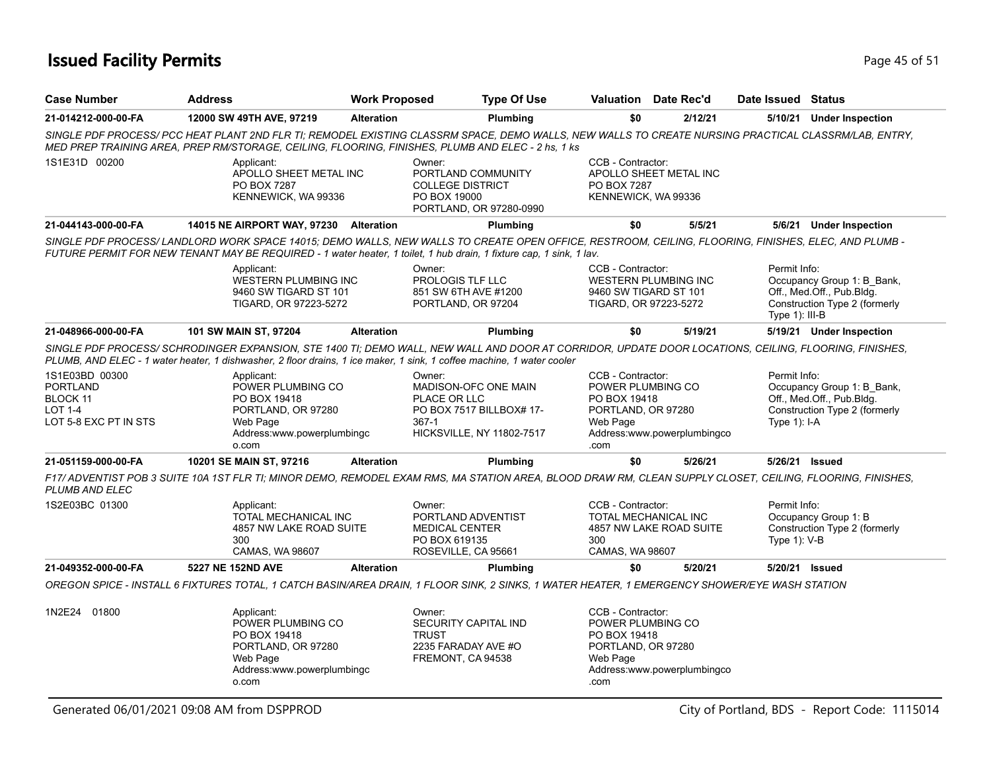### **Issued Facility Permits** Provide a strategies of 51 and 200 minutes and 200 minutes of 51 and 200 minutes and 200 minutes and 200 minutes and 200 minutes and 200 minutes and 200 minutes and 200 minutes and 200 minutes and

| <b>Case Number</b>                                                                              | <b>Address</b>                                                                                                                                                                                                                                                                 | <b>Work Proposed</b> |                                                                                               | <b>Type Of Use</b>                                                                   |                                                                                                                                 | Valuation Date Rec'd |         | Date Issued Status                |                                                                                          |  |
|-------------------------------------------------------------------------------------------------|--------------------------------------------------------------------------------------------------------------------------------------------------------------------------------------------------------------------------------------------------------------------------------|----------------------|-----------------------------------------------------------------------------------------------|--------------------------------------------------------------------------------------|---------------------------------------------------------------------------------------------------------------------------------|----------------------|---------|-----------------------------------|------------------------------------------------------------------------------------------|--|
| 21-014212-000-00-FA                                                                             | 12000 SW 49TH AVE, 97219                                                                                                                                                                                                                                                       | <b>Alteration</b>    |                                                                                               | Plumbing                                                                             | \$0                                                                                                                             |                      | 2/12/21 |                                   | 5/10/21 Under Inspection                                                                 |  |
|                                                                                                 | SINGLE PDF PROCESS/ PCC HEAT PLANT 2ND FLR TI; REMODEL EXISTING CLASSRM SPACE, DEMO WALLS, NEW WALLS TO CREATE NURSING PRACTICAL CLASSRM/LAB, ENTRY,<br>MED PREP TRAINING AREA, PREP RM/STORAGE, CEILING, FLOORING, FINISHES, PLUMB AND ELEC - 2 hs, 1 ks                      |                      |                                                                                               |                                                                                      |                                                                                                                                 |                      |         |                                   |                                                                                          |  |
| 1S1E31D 00200                                                                                   | Applicant:<br>APOLLO SHEET METAL INC<br>PO BOX 7287<br>KENNEWICK, WA 99336                                                                                                                                                                                                     |                      | Owner:<br><b>COLLEGE DISTRICT</b><br>PO BOX 19000                                             | PORTLAND COMMUNITY<br>PORTLAND, OR 97280-0990                                        | CCB - Contractor:<br>APOLLO SHEET METAL INC<br>PO BOX 7287<br>KENNEWICK, WA 99336                                               |                      |         |                                   |                                                                                          |  |
| 21-044143-000-00-FA                                                                             | 14015 NE AIRPORT WAY, 97230 Alteration                                                                                                                                                                                                                                         |                      |                                                                                               | Plumbing                                                                             | \$0                                                                                                                             |                      | 5/5/21  |                                   | 5/6/21 Under Inspection                                                                  |  |
|                                                                                                 | SINGLE PDF PROCESS/LANDLORD WORK SPACE 14015; DEMO WALLS, NEW WALLS TO CREATE OPEN OFFICE, RESTROOM, CEILING, FLOORING, FINISHES, ELEC, AND PLUMB -<br>FUTURE PERMIT FOR NEW TENANT MAY BE REQUIRED - 1 water heater, 1 toilet, 1 hub drain, 1 fixture cap, 1 sink, 1 lav.     |                      |                                                                                               |                                                                                      |                                                                                                                                 |                      |         |                                   |                                                                                          |  |
|                                                                                                 | Applicant:<br><b>WESTERN PLUMBING INC</b><br>9460 SW TIGARD ST 101<br>TIGARD, OR 97223-5272                                                                                                                                                                                    |                      | Owner:<br>PROLOGIS TLF LLC<br>851 SW 6TH AVE #1200<br>PORTLAND, OR 97204                      |                                                                                      | CCB - Contractor:<br><b>WESTERN PLUMBING INC</b><br>9460 SW TIGARD ST 101<br>TIGARD, OR 97223-5272                              |                      |         | Permit Info:<br>Type 1): III-B    | Occupancy Group 1: B Bank,<br>Off., Med.Off., Pub.Bldg.<br>Construction Type 2 (formerly |  |
| 21-048966-000-00-FA                                                                             | 101 SW MAIN ST, 97204                                                                                                                                                                                                                                                          | <b>Alteration</b>    |                                                                                               | Plumbing                                                                             | \$0                                                                                                                             |                      | 5/19/21 |                                   | 5/19/21 Under Inspection                                                                 |  |
|                                                                                                 | SINGLE PDF PROCESS/ SCHRODINGER EXPANSION, STE 1400 TI; DEMO WALL, NEW WALL AND DOOR AT CORRIDOR, UPDATE DOOR LOCATIONS, CEILING, FLOORING, FINISHES,<br>PLUMB, AND ELEC - 1 water heater, 1 dishwasher, 2 floor drains, 1 ice maker, 1 sink, 1 coffee machine, 1 water cooler |                      |                                                                                               |                                                                                      |                                                                                                                                 |                      |         |                                   |                                                                                          |  |
| 1S1E03BD 00300<br><b>PORTLAND</b><br><b>BLOCK 11</b><br><b>LOT 1-4</b><br>LOT 5-8 EXC PT IN STS | Applicant:<br>POWER PLUMBING CO<br>PO BOX 19418<br>PORTLAND, OR 97280<br>Web Page<br>Address:www.powerplumbingc<br>o.com                                                                                                                                                       |                      | Owner:<br>PLACE OR LLC<br>$367-1$                                                             | MADISON-OFC ONE MAIN<br>PO BOX 7517 BILLBOX# 17-<br><b>HICKSVILLE, NY 11802-7517</b> | CCB - Contractor:<br>POWER PLUMBING CO<br>PO BOX 19418<br>PORTLAND, OR 97280<br>Web Page<br>Address:www.powerplumbingco<br>.com |                      |         | Permit Info:<br>Type $1$ : I-A    | Occupancy Group 1: B_Bank,<br>Off., Med.Off., Pub.Bldg.<br>Construction Type 2 (formerly |  |
| 21-051159-000-00-FA                                                                             | 10201 SE MAIN ST, 97216                                                                                                                                                                                                                                                        | <b>Alteration</b>    |                                                                                               | Plumbing                                                                             | \$0                                                                                                                             |                      | 5/26/21 |                                   | 5/26/21 Issued                                                                           |  |
| PLUMB AND ELEC                                                                                  | F17/ ADVENTIST POB 3 SUITE 10A 1ST FLR TI; MINOR DEMO, REMODEL EXAM RMS, MA STATION AREA, BLOOD DRAW RM, CLEAN SUPPLY CLOSET, CEILING, FLOORING, FINISHES,                                                                                                                     |                      |                                                                                               |                                                                                      |                                                                                                                                 |                      |         |                                   |                                                                                          |  |
| 1S2E03BC 01300                                                                                  | Applicant:<br><b>TOTAL MECHANICAL INC</b><br>4857 NW LAKE ROAD SUITE<br>300<br>CAMAS, WA 98607                                                                                                                                                                                 |                      | Owner:<br>PORTLAND ADVENTIST<br><b>MEDICAL CENTER</b><br>PO BOX 619135<br>ROSEVILLE, CA 95661 |                                                                                      | CCB - Contractor:<br>TOTAL MECHANICAL INC<br>4857 NW LAKE ROAD SUITE<br>300<br>CAMAS, WA 98607                                  |                      |         | Permit Info:<br>Type $1$ ): $V-B$ | Occupancy Group 1: B<br>Construction Type 2 (formerly                                    |  |
| 21-049352-000-00-FA                                                                             | 5227 NE 152ND AVE                                                                                                                                                                                                                                                              | <b>Alteration</b>    |                                                                                               | Plumbing                                                                             | \$0                                                                                                                             |                      | 5/20/21 |                                   | 5/20/21 Issued                                                                           |  |
|                                                                                                 | OREGON SPICE - INSTALL 6 FIXTURES TOTAL, 1 CATCH BASIN/AREA DRAIN, 1 FLOOR SINK, 2 SINKS, 1 WATER HEATER, 1 EMERGENCY SHOWER/EYE WASH STATION                                                                                                                                  |                      |                                                                                               |                                                                                      |                                                                                                                                 |                      |         |                                   |                                                                                          |  |
| 1N2E24 01800                                                                                    | Applicant:<br>POWER PLUMBING CO<br>PO BOX 19418<br>PORTLAND, OR 97280<br>Web Page<br>Address:www.powerplumbingc<br>o.com                                                                                                                                                       |                      | Owner:<br>SECURITY CAPITAL IND<br><b>TRUST</b><br>2235 FARADAY AVE #O<br>FREMONT, CA 94538    |                                                                                      | CCB - Contractor:<br>POWER PLUMBING CO<br>PO BOX 19418<br>PORTLAND, OR 97280<br>Web Page<br>Address:www.powerplumbingco<br>.com |                      |         |                                   |                                                                                          |  |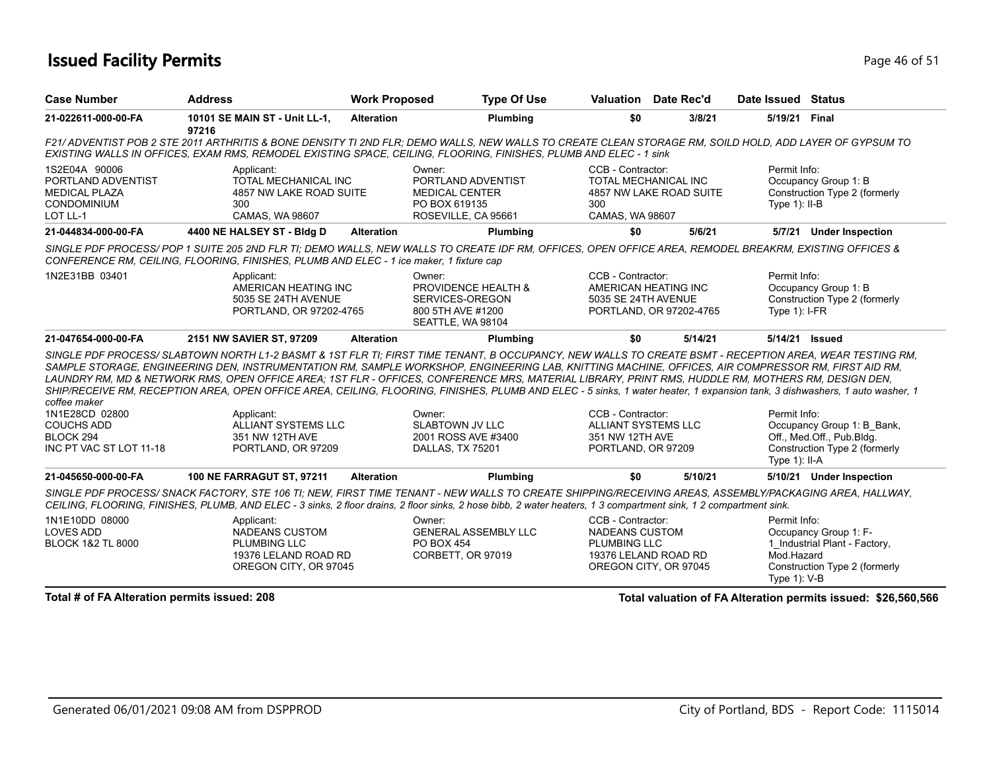### **Issued Facility Permits** Provide the Contract of 51 and 200 and 200 and 200 and 200 and 200 and 200 and 200 and 200 and 200 and 200 and 200 and 200 and 200 and 200 and 200 and 200 and 200 and 200 and 200 and 200 and 200 a

| <b>Case Number</b>                                                                                                                                                                                                                                                                                                          | <b>Address</b>                                                                                                                                                                                                                                                                                                                                                                                                                                                                                                                                                                                                                                    | <b>Work Proposed</b> | <b>Type Of Use</b>                                                                            |                                                                                           | <b>Valuation</b> Date Rec'd | Date Issued Status                            |                                                                                          |  |
|-----------------------------------------------------------------------------------------------------------------------------------------------------------------------------------------------------------------------------------------------------------------------------------------------------------------------------|---------------------------------------------------------------------------------------------------------------------------------------------------------------------------------------------------------------------------------------------------------------------------------------------------------------------------------------------------------------------------------------------------------------------------------------------------------------------------------------------------------------------------------------------------------------------------------------------------------------------------------------------------|----------------------|-----------------------------------------------------------------------------------------------|-------------------------------------------------------------------------------------------|-----------------------------|-----------------------------------------------|------------------------------------------------------------------------------------------|--|
| 21-022611-000-00-FA                                                                                                                                                                                                                                                                                                         | 10101 SE MAIN ST - Unit LL-1,<br>97216                                                                                                                                                                                                                                                                                                                                                                                                                                                                                                                                                                                                            | <b>Alteration</b>    | Plumbing                                                                                      | \$0                                                                                       | 3/8/21                      | 5/19/21                                       | Final                                                                                    |  |
|                                                                                                                                                                                                                                                                                                                             | F21/ ADVENTIST POB 2 STE 2011 ARTHRITIS & BONE DENSITY TI 2ND FLR; DEMO WALLS, NEW WALLS TO CREATE CLEAN STORAGE RM, SOILD HOLD, ADD LAYER OF GYPSUM TO<br>EXISTING WALLS IN OFFICES, EXAM RMS, REMODEL EXISTING SPACE, CEILING, FLOORING, FINISHES, PLUMB AND ELEC - 1 sink                                                                                                                                                                                                                                                                                                                                                                      |                      |                                                                                               |                                                                                           |                             |                                               |                                                                                          |  |
| 1S2E04A 90006<br>PORTLAND ADVENTIST<br><b>MEDICAL PLAZA</b><br><b>CONDOMINIUM</b><br>LOT LL-1                                                                                                                                                                                                                               | Applicant:<br>TOTAL MECHANICAL INC<br>4857 NW LAKE ROAD SUITE<br>300<br>CAMAS, WA 98607                                                                                                                                                                                                                                                                                                                                                                                                                                                                                                                                                           |                      | Owner:<br>PORTLAND ADVENTIST<br><b>MEDICAL CENTER</b><br>PO BOX 619135<br>ROSEVILLE, CA 95661 | CCB - Contractor:<br>TOTAL MECHANICAL INC<br>300<br>CAMAS, WA 98607                       | 4857 NW LAKE ROAD SUITE     | Permit Info:<br>Type $1$ : II-B               | Occupancy Group 1: B<br>Construction Type 2 (formerly                                    |  |
| 21-044834-000-00-FA                                                                                                                                                                                                                                                                                                         | 4400 NE HALSEY ST - Bldg D                                                                                                                                                                                                                                                                                                                                                                                                                                                                                                                                                                                                                        | <b>Alteration</b>    | Plumbing                                                                                      | \$0                                                                                       | 5/6/21                      |                                               | 5/7/21 Under Inspection                                                                  |  |
|                                                                                                                                                                                                                                                                                                                             | SINGLE PDF PROCESS/POP 1 SUITE 205 2ND FLR TI; DEMO WALLS, NEW WALLS TO CREATE IDF RM, OFFICES, OPEN OFFICE AREA, REMODEL BREAKRM, EXISTING OFFICES &<br>CONFERENCE RM, CEILING, FLOORING, FINISHES, PLUMB AND ELEC - 1 ice maker, 1 fixture cap                                                                                                                                                                                                                                                                                                                                                                                                  |                      |                                                                                               |                                                                                           |                             |                                               |                                                                                          |  |
| 1N2E31BB 03401                                                                                                                                                                                                                                                                                                              | Applicant:<br>AMERICAN HEATING INC<br>5035 SE 24TH AVENUE<br>PORTLAND, OR 97202-4765                                                                                                                                                                                                                                                                                                                                                                                                                                                                                                                                                              |                      | Owner:<br>PROVIDENCE HEALTH &<br>SERVICES-OREGON<br>800 5TH AVE #1200<br>SEATTLE, WA 98104    | CCB - Contractor:<br>AMERICAN HEATING INC<br>5035 SE 24TH AVENUE                          | PORTLAND, OR 97202-4765     | Permit Info:<br>Type $1$ : I-FR               | Occupancy Group 1: B<br>Construction Type 2 (formerly                                    |  |
| 21-047654-000-00-FA                                                                                                                                                                                                                                                                                                         | 2151 NW SAVIER ST, 97209                                                                                                                                                                                                                                                                                                                                                                                                                                                                                                                                                                                                                          | <b>Alteration</b>    | Plumbing                                                                                      | \$0                                                                                       | 5/14/21                     | 5/14/21                                       | Issued                                                                                   |  |
| coffee maker                                                                                                                                                                                                                                                                                                                | SINGLE PDF PROCESS/SLABTOWN NORTH L1-2 BASMT & 1ST FLR TI; FIRST TIME TENANT, B OCCUPANCY, NEW WALLS TO CREATE BSMT - RECEPTION AREA, WEAR TESTING RM,<br>SAMPLE STORAGE, ENGINEERING DEN, INSTRUMENTATION RM, SAMPLE WORKSHOP, ENGINEERING LAB, KNITTING MACHINE, OFFICES, AIR COMPRESSOR RM, FIRST AID RM,<br>LAUNDRY RM, MD & NETWORK RMS, OPEN OFFICE AREA; 1ST FLR - OFFICES, CONFERENCE MRS, MATERIAL LIBRARY, PRINT RMS, HUDDLE RM, MOTHERS RM, DESIGN DEN,<br>SHIP/RECEIVE RM, RECEPTION AREA, OPEN OFFICE AREA, CEILING, FLOORING, FINISHES, PLUMB AND ELEC - 5 sinks, 1 water heater, 1 expansion tank, 3 dishwashers, 1 auto washer, 1 |                      |                                                                                               |                                                                                           |                             |                                               |                                                                                          |  |
| 1N1E28CD 02800                                                                                                                                                                                                                                                                                                              | Applicant:                                                                                                                                                                                                                                                                                                                                                                                                                                                                                                                                                                                                                                        |                      | Owner:                                                                                        | CCB - Contractor:                                                                         |                             | Permit Info:                                  |                                                                                          |  |
| <b>COUCHS ADD</b><br>BLOCK <sub>294</sub><br>INC PT VAC ST LOT 11-18                                                                                                                                                                                                                                                        | <b>ALLIANT SYSTEMS LLC</b><br>351 NW 12TH AVE<br>PORTLAND, OR 97209                                                                                                                                                                                                                                                                                                                                                                                                                                                                                                                                                                               |                      | <b>SLABTOWN JV LLC</b><br>2001 ROSS AVE #3400<br>DALLAS, TX 75201                             | <b>ALLIANT SYSTEMS LLC</b><br>351 NW 12TH AVE<br>PORTLAND, OR 97209                       |                             | Type $1$ : II-A                               | Occupancy Group 1: B Bank,<br>Off., Med.Off., Pub.Bldg.<br>Construction Type 2 (formerly |  |
| 21-045650-000-00-FA                                                                                                                                                                                                                                                                                                         | <b>100 NE FARRAGUT ST, 97211</b>                                                                                                                                                                                                                                                                                                                                                                                                                                                                                                                                                                                                                  | <b>Alteration</b>    | Plumbing                                                                                      | \$0                                                                                       | 5/10/21                     |                                               | 5/10/21 Under Inspection                                                                 |  |
| SINGLE PDF PROCESS/ SNACK FACTORY. STE 106 TI: NEW. FIRST TIME TENANT - NEW WALLS TO CREATE SHIPPING/RECEIVING AREAS. ASSEMBLY/PACKAGING AREA. HALLWAY.<br>CEILING, FLOORING, FINISHES, PLUMB, AND ELEC - 3 sinks, 2 floor drains, 2 floor sinks, 2 hose bibb, 2 water heaters, 1 3 compartment sink, 1 2 compartment sink. |                                                                                                                                                                                                                                                                                                                                                                                                                                                                                                                                                                                                                                                   |                      |                                                                                               |                                                                                           |                             |                                               |                                                                                          |  |
| 1N1E10DD 08000<br><b>LOVES ADD</b><br><b>BLOCK 1&amp;2 TL 8000</b>                                                                                                                                                                                                                                                          | Applicant:<br><b>NADEANS CUSTOM</b><br><b>PLUMBING LLC</b><br>19376 LELAND ROAD RD<br>OREGON CITY, OR 97045                                                                                                                                                                                                                                                                                                                                                                                                                                                                                                                                       |                      | Owner:<br><b>GENERAL ASSEMBLY LLC</b><br><b>PO BOX 454</b><br>CORBETT, OR 97019               | CCB - Contractor:<br><b>NADEANS CUSTOM</b><br><b>PLUMBING LLC</b><br>19376 LELAND ROAD RD | OREGON CITY, OR 97045       | Permit Info:<br>Mod.Hazard<br>Type $1$ ): V-B | Occupancy Group 1: F-<br>1_Industrial Plant - Factory,<br>Construction Type 2 (formerly  |  |
|                                                                                                                                                                                                                                                                                                                             | Total # of FA Alteration permits issued: 208<br>Total valuation of FA Alteration permits issued: \$26,560,566                                                                                                                                                                                                                                                                                                                                                                                                                                                                                                                                     |                      |                                                                                               |                                                                                           |                             |                                               |                                                                                          |  |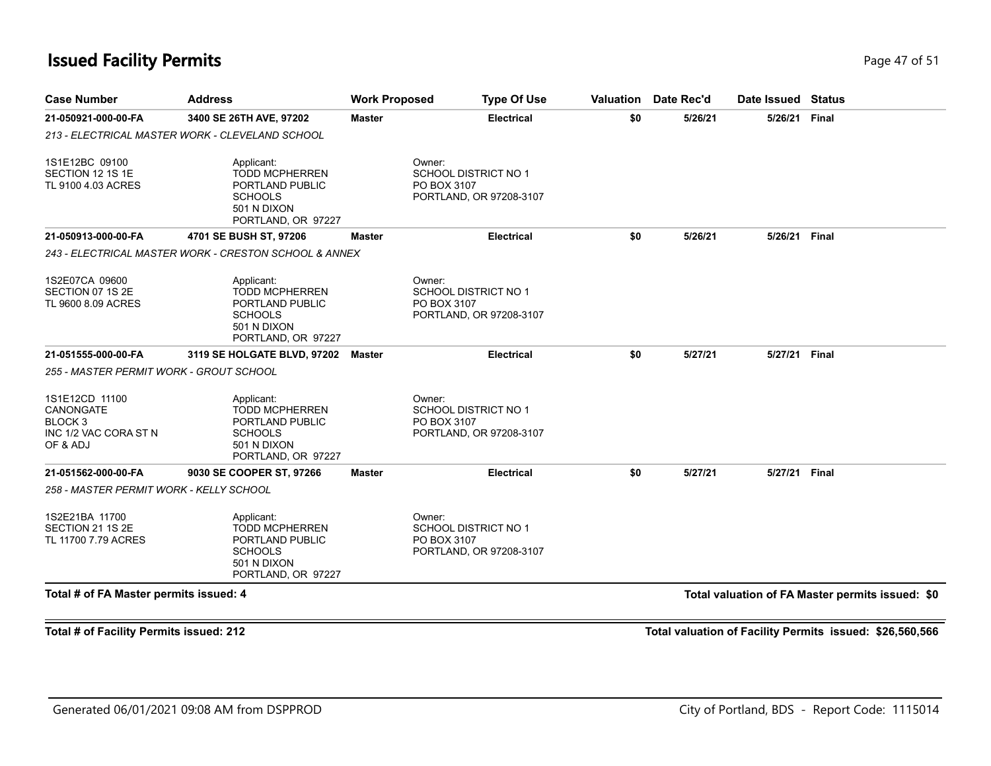### **Issued Facility Permits** Provide a strategies of 51 and 200 minutes and 200 minutes of 51 and 200 minutes and 200 minutes and 200 minutes and 200 minutes and 200 minutes and 200 minutes and 200 minutes and 200 minutes and

| <b>Case Number</b>                                                                     | <b>Address</b>                                                                                                | <b>Work Proposed</b> | <b>Type Of Use</b>                                                              | Valuation | Date Rec'd | Date Issued Status |                                                  |
|----------------------------------------------------------------------------------------|---------------------------------------------------------------------------------------------------------------|----------------------|---------------------------------------------------------------------------------|-----------|------------|--------------------|--------------------------------------------------|
| 21-050921-000-00-FA                                                                    | 3400 SE 26TH AVE, 97202                                                                                       | <b>Master</b>        | <b>Electrical</b>                                                               | \$0       | 5/26/21    | 5/26/21            | Final                                            |
|                                                                                        | 213 - ELECTRICAL MASTER WORK - CLEVELAND SCHOOL                                                               |                      |                                                                                 |           |            |                    |                                                  |
| 1S1E12BC 09100<br>SECTION 12 1S 1E<br>TL 9100 4.03 ACRES                               | Applicant:<br><b>TODD MCPHERREN</b><br>PORTLAND PUBLIC<br><b>SCHOOLS</b><br>501 N DIXON<br>PORTLAND, OR 97227 |                      | Owner:<br><b>SCHOOL DISTRICT NO 1</b><br>PO BOX 3107<br>PORTLAND, OR 97208-3107 |           |            |                    |                                                  |
| 21-050913-000-00-FA                                                                    | 4701 SE BUSH ST, 97206                                                                                        | <b>Master</b>        | <b>Electrical</b>                                                               | \$0       | 5/26/21    | 5/26/21            | Final                                            |
|                                                                                        | 243 - ELECTRICAL MASTER WORK - CRESTON SCHOOL & ANNEX                                                         |                      |                                                                                 |           |            |                    |                                                  |
| 1S2E07CA 09600<br>SECTION 07 1S 2E<br>TL 9600 8.09 ACRES                               | Applicant:<br><b>TODD MCPHERREN</b><br>PORTLAND PUBLIC<br><b>SCHOOLS</b><br>501 N DIXON<br>PORTLAND, OR 97227 |                      | Owner:<br><b>SCHOOL DISTRICT NO 1</b><br>PO BOX 3107<br>PORTLAND, OR 97208-3107 |           |            |                    |                                                  |
| 21-051555-000-00-FA                                                                    | 3119 SE HOLGATE BLVD, 97202                                                                                   | Master               | <b>Electrical</b>                                                               | \$0       | 5/27/21    | 5/27/21            | <b>Final</b>                                     |
| 255 - MASTER PERMIT WORK - GROUT SCHOOL                                                |                                                                                                               |                      |                                                                                 |           |            |                    |                                                  |
| 1S1E12CD 11100<br>CANONGATE<br>BLOCK <sub>3</sub><br>INC 1/2 VAC CORA ST N<br>OF & ADJ | Applicant:<br><b>TODD MCPHERREN</b><br>PORTLAND PUBLIC<br><b>SCHOOLS</b><br>501 N DIXON<br>PORTLAND, OR 97227 |                      | Owner:<br><b>SCHOOL DISTRICT NO 1</b><br>PO BOX 3107<br>PORTLAND, OR 97208-3107 |           |            |                    |                                                  |
| 21-051562-000-00-FA                                                                    | 9030 SE COOPER ST, 97266                                                                                      | <b>Master</b>        | <b>Electrical</b>                                                               | \$0       | 5/27/21    | 5/27/21 Final      |                                                  |
| 258 - MASTER PERMIT WORK - KELLY SCHOOL                                                |                                                                                                               |                      |                                                                                 |           |            |                    |                                                  |
| 1S2E21BA 11700<br>SECTION 21 1S 2E<br>TL 11700 7.79 ACRES                              | Applicant:<br><b>TODD MCPHERREN</b><br>PORTLAND PUBLIC<br><b>SCHOOLS</b><br>501 N DIXON<br>PORTLAND, OR 97227 |                      | Owner:<br><b>SCHOOL DISTRICT NO 1</b><br>PO BOX 3107<br>PORTLAND, OR 97208-3107 |           |            |                    |                                                  |
| Total # of FA Master permits issued: 4                                                 |                                                                                                               |                      |                                                                                 |           |            |                    | Total valuation of FA Master permits issued: \$0 |

**Total # of Facility Permits issued: 212 Total valuation of Facility Permits issued: \$26,560,566**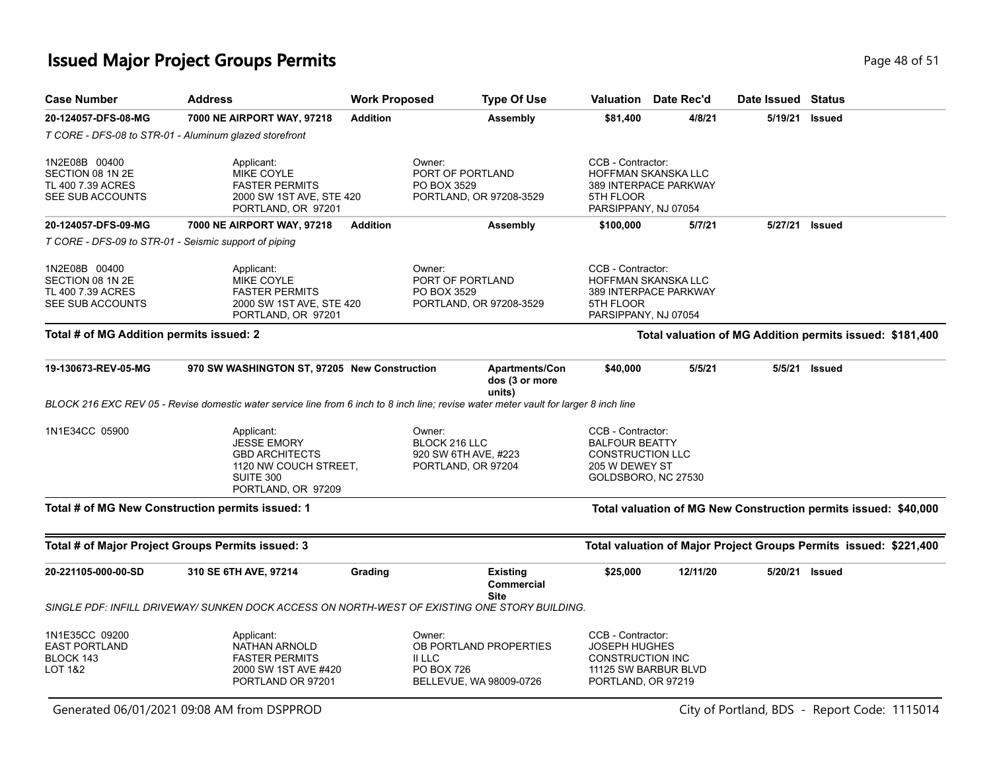### **Issued Major Project Groups Permits Page 18 of 51 Page 48 of 51**

| <b>Case Number</b>                                                         | <b>Address</b>                                                                                                                        | <b>Work Proposed</b> | <b>Type Of Use</b>                                                                         |                                                                                         | <b>Valuation</b> Date Rec'd                                          | Date Issued Status |                                                                   |
|----------------------------------------------------------------------------|---------------------------------------------------------------------------------------------------------------------------------------|----------------------|--------------------------------------------------------------------------------------------|-----------------------------------------------------------------------------------------|----------------------------------------------------------------------|--------------------|-------------------------------------------------------------------|
| 20-124057-DFS-08-MG                                                        | 7000 NE AIRPORT WAY, 97218                                                                                                            | <b>Addition</b>      | <b>Assembly</b>                                                                            | \$81,400                                                                                | 4/8/21                                                               | 5/19/21            | <b>Issued</b>                                                     |
|                                                                            | T CORE - DFS-08 to STR-01 - Aluminum glazed storefront                                                                                |                      |                                                                                            |                                                                                         |                                                                      |                    |                                                                   |
| 1N2E08B 00400<br>SECTION 08 1N 2E<br>TL 400 7.39 ACRES<br>SEE SUB ACCOUNTS | Applicant:<br>MIKE COYLE<br><b>FASTER PERMITS</b><br>2000 SW 1ST AVE, STE 420<br>PORTLAND, OR 97201                                   |                      | Owner:<br>PORT OF PORTLAND<br>PO BOX 3529<br>PORTLAND, OR 97208-3529                       | CCB - Contractor:<br>5TH FLOOR                                                          | HOFFMAN SKANSKA LLC<br>389 INTERPACE PARKWAY<br>PARSIPPANY, NJ 07054 |                    |                                                                   |
| 20-124057-DFS-09-MG                                                        | 7000 NE AIRPORT WAY, 97218                                                                                                            | <b>Addition</b>      | Assembly                                                                                   | \$100,000                                                                               | 5/7/21                                                               | 5/27/21            | <b>Issued</b>                                                     |
|                                                                            | T CORE - DFS-09 to STR-01 - Seismic support of piping                                                                                 |                      |                                                                                            |                                                                                         |                                                                      |                    |                                                                   |
| 1N2E08B 00400<br>SECTION 08 1N 2E<br>TL 400 7.39 ACRES<br>SEE SUB ACCOUNTS | Applicant:<br>MIKE COYLE<br><b>FASTER PERMITS</b><br>2000 SW 1ST AVE, STE 420<br>PORTLAND, OR 97201                                   |                      | Owner:<br>PORT OF PORTLAND<br>PO BOX 3529<br>PORTLAND, OR 97208-3529                       | CCB - Contractor:<br>5TH FLOOR                                                          | HOFFMAN SKANSKA LLC<br>389 INTERPACE PARKWAY<br>PARSIPPANY, NJ 07054 |                    |                                                                   |
| Total # of MG Addition permits issued: 2                                   |                                                                                                                                       |                      |                                                                                            |                                                                                         |                                                                      |                    | Total valuation of MG Addition permits issued: \$181,400          |
| 19-130673-REV-05-MG                                                        | 970 SW WASHINGTON ST, 97205 New Construction                                                                                          |                      | <b>Apartments/Con</b><br>dos (3 or more<br>units)                                          | \$40,000                                                                                | 5/5/21                                                               | 5/5/21             | <b>Issued</b>                                                     |
|                                                                            | BLOCK 216 EXC REV 05 - Revise domestic water service line from 6 inch to 8 inch line; revise water meter vault for larger 8 inch line |                      |                                                                                            |                                                                                         |                                                                      |                    |                                                                   |
| 1N1E34CC 05900                                                             | Applicant:<br><b>JESSE EMORY</b><br><b>GBD ARCHITECTS</b><br>1120 NW COUCH STREET,<br>SUITE 300<br>PORTLAND, OR 97209                 |                      | Owner:<br>BLOCK 216 LLC<br>920 SW 6TH AVE, #223<br>PORTLAND, OR 97204                      | CCB - Contractor:<br><b>BALFOUR BEATTY</b><br><b>CONSTRUCTION LLC</b><br>205 W DEWEY ST | GOLDSBORO, NC 27530                                                  |                    |                                                                   |
|                                                                            | Total # of MG New Construction permits issued: 1                                                                                      |                      |                                                                                            |                                                                                         |                                                                      |                    | Total valuation of MG New Construction permits issued: \$40,000   |
|                                                                            | Total # of Major Project Groups Permits issued: 3                                                                                     |                      |                                                                                            |                                                                                         |                                                                      |                    | Total valuation of Major Project Groups Permits issued: \$221,400 |
| 20-221105-000-00-SD                                                        | 310 SE 6TH AVE, 97214                                                                                                                 | Grading              | <b>Existing</b><br><b>Commercial</b><br><b>Site</b>                                        | \$25,000                                                                                | 12/11/20                                                             |                    | 5/20/21 Issued                                                    |
|                                                                            | SINGLE PDF: INFILL DRIVEWAY/ SUNKEN DOCK ACCESS ON NORTH-WEST OF EXISTING ONE STORY BUILDING.                                         |                      |                                                                                            |                                                                                         |                                                                      |                    |                                                                   |
| 1N1E35CC 09200<br><b>EAST PORTLAND</b><br>BLOCK 143<br>LOT 1&2             | Applicant:<br><b>NATHAN ARNOLD</b><br><b>FASTER PERMITS</b><br>2000 SW 1ST AVE #420<br>PORTLAND OR 97201                              |                      | Owner:<br>OB PORTLAND PROPERTIES<br>II LLC<br><b>PO BOX 726</b><br>BELLEVUE, WA 98009-0726 | CCB - Contractor:<br>JOSEPH HUGHES<br><b>CONSTRUCTION INC</b><br>PORTLAND, OR 97219     | 11125 SW BARBUR BLVD                                                 |                    |                                                                   |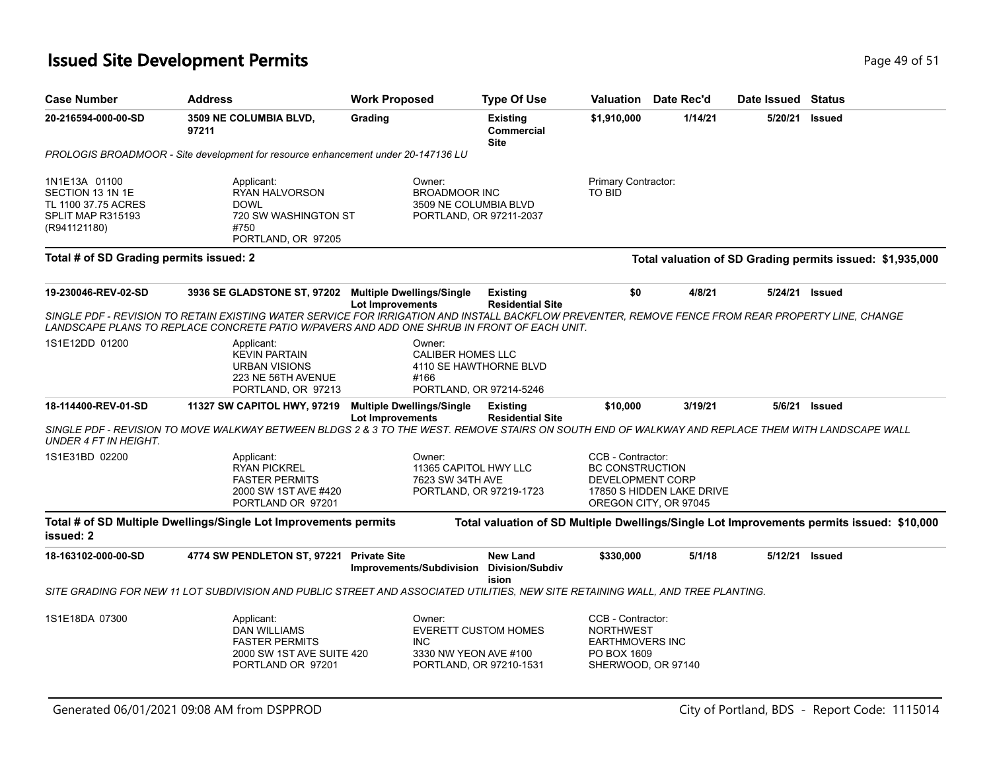### **Issued Site Development Permits Page 19 of 51 Page 49 of 51**

| <b>Case Number</b>                                                                            | <b>Address</b>                                                                                                                                                                                                                                                                                             | <b>Work Proposed</b>                                        | <b>Type Of Use</b>                                     |                                                                                                      | <b>Valuation</b> Date Rec'd                        | Date Issued Status |                                                                                           |
|-----------------------------------------------------------------------------------------------|------------------------------------------------------------------------------------------------------------------------------------------------------------------------------------------------------------------------------------------------------------------------------------------------------------|-------------------------------------------------------------|--------------------------------------------------------|------------------------------------------------------------------------------------------------------|----------------------------------------------------|--------------------|-------------------------------------------------------------------------------------------|
| 20-216594-000-00-SD                                                                           | 3509 NE COLUMBIA BLVD,<br>97211                                                                                                                                                                                                                                                                            | Grading                                                     | <b>Existing</b><br>Commercial<br><b>Site</b>           | \$1,910,000                                                                                          | 1/14/21                                            | 5/20/21            | <b>Issued</b>                                                                             |
|                                                                                               | PROLOGIS BROADMOOR - Site development for resource enhancement under 20-147136 LU                                                                                                                                                                                                                          |                                                             |                                                        |                                                                                                      |                                                    |                    |                                                                                           |
| 1N1E13A 01100<br>SECTION 13 1N 1E<br>TL 1100 37.75 ACRES<br>SPLIT MAP R315193<br>(R941121180) | Applicant:<br>RYAN HALVORSON<br><b>DOWL</b><br>720 SW WASHINGTON ST<br>#750<br>PORTLAND, OR 97205                                                                                                                                                                                                          | Owner:<br><b>BROADMOOR INC</b><br>3509 NE COLUMBIA BLVD     | PORTLAND, OR 97211-2037                                | Primary Contractor:<br>TO BID                                                                        |                                                    |                    |                                                                                           |
| Total # of SD Grading permits issued: 2                                                       |                                                                                                                                                                                                                                                                                                            |                                                             |                                                        |                                                                                                      |                                                    |                    | Total valuation of SD Grading permits issued: \$1,935,000                                 |
| 19-230046-REV-02-SD                                                                           | 3936 SE GLADSTONE ST, 97202 Multiple Dwellings/Single<br>SINGLE PDF - REVISION TO RETAIN EXISTING WATER SERVICE FOR IRRIGATION AND INSTALL BACKFLOW PREVENTER, REMOVE FENCE FROM REAR PROPERTY LINE, CHANGE<br>LANDSCAPE PLANS TO REPLACE CONCRETE PATIO W/PAVERS AND ADD ONE SHRUB IN FRONT OF EACH UNIT. | <b>Lot Improvements</b>                                     | <b>Existing</b><br><b>Residential Site</b>             | \$0                                                                                                  | 4/8/21                                             | 5/24/21            | <b>Issued</b>                                                                             |
| 1S1E12DD 01200                                                                                | Applicant:<br><b>KEVIN PARTAIN</b><br><b>URBAN VISIONS</b><br>223 NE 56TH AVENUE<br>PORTLAND, OR 97213                                                                                                                                                                                                     | Owner:<br><b>CALIBER HOMES LLC</b><br>#166                  | 4110 SE HAWTHORNE BLVD<br>PORTLAND, OR 97214-5246      |                                                                                                      |                                                    |                    |                                                                                           |
| 18-114400-REV-01-SD                                                                           | 11327 SW CAPITOL HWY, 97219<br>SINGLE PDF - REVISION TO MOVE WALKWAY BETWEEN BLDGS 2 & 3 TO THE WEST. REMOVE STAIRS ON SOUTH END OF WALKWAY AND REPLACE THEM WITH LANDSCAPE WALL                                                                                                                           | <b>Multiple Dwellings/Single</b><br><b>Lot Improvements</b> | <b>Existing</b><br><b>Residential Site</b>             | \$10,000                                                                                             | 3/19/21                                            | 5/6/21             | <b>Issued</b>                                                                             |
| UNDER 4 FT IN HEIGHT.                                                                         |                                                                                                                                                                                                                                                                                                            |                                                             |                                                        |                                                                                                      |                                                    |                    |                                                                                           |
| 1S1E31BD 02200                                                                                | Applicant:<br><b>RYAN PICKREL</b><br><b>FASTER PERMITS</b><br>2000 SW 1ST AVE #420<br>PORTLAND OR 97201                                                                                                                                                                                                    | Owner:<br>11365 CAPITOL HWY LLC<br>7623 SW 34TH AVE         | PORTLAND, OR 97219-1723                                | CCB - Contractor:<br><b>BC CONSTRUCTION</b><br>DEVELOPMENT CORP                                      | 17850 S HIDDEN LAKE DRIVE<br>OREGON CITY, OR 97045 |                    |                                                                                           |
| issued: 2                                                                                     | Total # of SD Multiple Dwellings/Single Lot Improvements permits                                                                                                                                                                                                                                           |                                                             |                                                        |                                                                                                      |                                                    |                    | Total valuation of SD Multiple Dwellings/Single Lot Improvements permits issued: \$10,000 |
| 18-163102-000-00-SD                                                                           | 4774 SW PENDLETON ST, 97221 Private Site                                                                                                                                                                                                                                                                   | Improvements/Subdivision                                    | <b>New Land</b><br><b>Division/Subdiv</b>              | \$330,000                                                                                            | 5/1/18                                             | 5/12/21            | <b>Issued</b>                                                                             |
|                                                                                               | SITE GRADING FOR NEW 11 LOT SUBDIVISION AND PUBLIC STREET AND ASSOCIATED UTILITIES, NEW SITE RETAINING WALL, AND TREE PLANTING.                                                                                                                                                                            |                                                             | ision                                                  |                                                                                                      |                                                    |                    |                                                                                           |
| 1S1E18DA 07300                                                                                | Applicant:<br><b>DAN WILLIAMS</b><br><b>FASTER PERMITS</b><br>2000 SW 1ST AVE SUITE 420<br>PORTLAND OR 97201                                                                                                                                                                                               | Owner:<br>INC.<br>3330 NW YEON AVE #100                     | <b>EVERETT CUSTOM HOMES</b><br>PORTLAND, OR 97210-1531 | CCB - Contractor:<br><b>NORTHWEST</b><br><b>EARTHMOVERS INC</b><br>PO BOX 1609<br>SHERWOOD, OR 97140 |                                                    |                    |                                                                                           |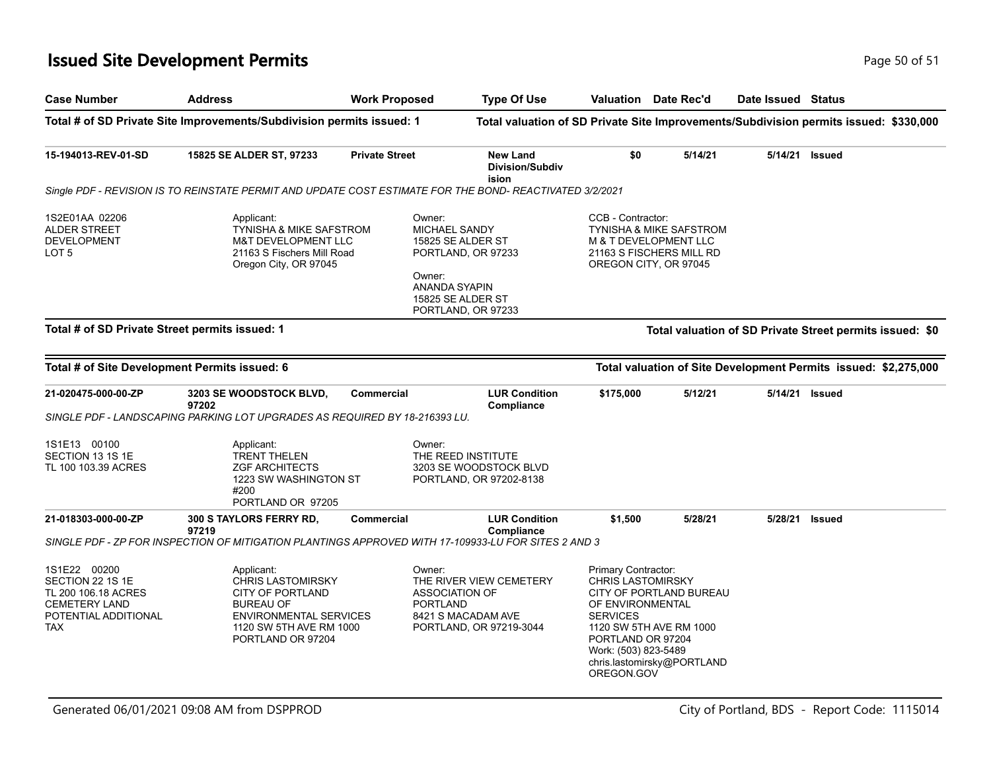### **Issued Site Development Permits Page 10 of 51 Page 50 of 51**

| <b>Case Number</b>                                                                                                    | <b>Address</b>                                                                                                                                                         | <b>Work Proposed</b>  | <b>Type Of Use</b>                                                                                                          |                                                                                                                                                   | <b>Valuation</b> Date Rec'd                                                             | Date Issued Status |                                                                                       |
|-----------------------------------------------------------------------------------------------------------------------|------------------------------------------------------------------------------------------------------------------------------------------------------------------------|-----------------------|-----------------------------------------------------------------------------------------------------------------------------|---------------------------------------------------------------------------------------------------------------------------------------------------|-----------------------------------------------------------------------------------------|--------------------|---------------------------------------------------------------------------------------|
|                                                                                                                       | Total # of SD Private Site Improvements/Subdivision permits issued: 1                                                                                                  |                       |                                                                                                                             |                                                                                                                                                   |                                                                                         |                    | Total valuation of SD Private Site Improvements/Subdivision permits issued: \$330,000 |
| 15-194013-REV-01-SD                                                                                                   | 15825 SE ALDER ST, 97233                                                                                                                                               | <b>Private Street</b> | <b>New Land</b><br><b>Division/Subdiv</b><br>ision                                                                          | \$0                                                                                                                                               | 5/14/21                                                                                 | 5/14/21            | <b>Issued</b>                                                                         |
|                                                                                                                       | Single PDF - REVISION IS TO REINSTATE PERMIT AND UPDATE COST ESTIMATE FOR THE BOND- REACTIVATED 3/2/2021                                                               |                       |                                                                                                                             |                                                                                                                                                   |                                                                                         |                    |                                                                                       |
| 1S2E01AA 02206<br>ALDER STREET<br><b>DEVELOPMENT</b><br>LOT <sub>5</sub>                                              | Applicant:<br><b>TYNISHA &amp; MIKE SAFSTROM</b><br><b>M&amp;T DEVELOPMENT LLC</b><br>21163 S Fischers Mill Road<br>Oregon City, OR 97045                              | Owner:<br>Owner:      | <b>MICHAEL SANDY</b><br>15825 SE ALDER ST<br>PORTLAND, OR 97233<br>ANANDA SYAPIN<br>15825 SE ALDER ST<br>PORTLAND, OR 97233 | CCB - Contractor:<br>OREGON CITY, OR 97045                                                                                                        | <b>TYNISHA &amp; MIKE SAFSTROM</b><br>M & T DEVELOPMENT LLC<br>21163 S FISCHERS MILL RD |                    |                                                                                       |
| Total # of SD Private Street permits issued: 1                                                                        |                                                                                                                                                                        |                       |                                                                                                                             |                                                                                                                                                   |                                                                                         |                    | Total valuation of SD Private Street permits issued: \$0                              |
|                                                                                                                       | Total # of Site Development Permits issued: 6                                                                                                                          |                       |                                                                                                                             |                                                                                                                                                   |                                                                                         |                    | Total valuation of Site Development Permits issued: \$2,275,000                       |
|                                                                                                                       |                                                                                                                                                                        |                       |                                                                                                                             |                                                                                                                                                   |                                                                                         |                    |                                                                                       |
| 21-020475-000-00-ZP                                                                                                   | 3203 SE WOODSTOCK BLVD,<br>97202<br>SINGLE PDF - LANDSCAPING PARKING LOT UPGRADES AS REQUIRED BY 18-216393 LU.                                                         | <b>Commercial</b>     | <b>LUR Condition</b><br>Compliance                                                                                          | \$175,000                                                                                                                                         | 5/12/21                                                                                 | 5/14/21            | Issued                                                                                |
| 1S1E13 00100<br>SECTION 13 1S 1E<br>TL 100 103.39 ACRES                                                               | Applicant:<br><b>TRENT THELEN</b><br><b>ZGF ARCHITECTS</b><br>1223 SW WASHINGTON ST<br>#200<br>PORTLAND OR 97205                                                       | Owner:                | THE REED INSTITUTE<br>3203 SE WOODSTOCK BLVD<br>PORTLAND, OR 97202-8138                                                     |                                                                                                                                                   |                                                                                         |                    |                                                                                       |
| 21-018303-000-00-ZP                                                                                                   | 300 S TAYLORS FERRY RD,<br>97219                                                                                                                                       | <b>Commercial</b>     | <b>LUR Condition</b><br><b>Compliance</b>                                                                                   | \$1,500                                                                                                                                           | 5/28/21                                                                                 | 5/28/21            | <b>Issued</b>                                                                         |
|                                                                                                                       | SINGLE PDF - ZP FOR INSPECTION OF MITIGATION PLANTINGS APPROVED WITH 17-109933-LU FOR SITES 2 AND 3                                                                    |                       |                                                                                                                             |                                                                                                                                                   |                                                                                         |                    |                                                                                       |
| 1S1E22 00200<br>SECTION 22 1S 1E<br>TL 200 106.18 ACRES<br><b>CEMETERY LAND</b><br>POTENTIAL ADDITIONAL<br><b>TAX</b> | Applicant:<br><b>CHRIS LASTOMIRSKY</b><br><b>CITY OF PORTLAND</b><br><b>BUREAU OF</b><br><b>ENVIRONMENTAL SERVICES</b><br>1120 SW 5TH AVE RM 1000<br>PORTLAND OR 97204 | Owner:                | THE RIVER VIEW CEMETERY<br><b>ASSOCIATION OF</b><br><b>PORTLAND</b><br>8421 S MACADAM AVE<br>PORTLAND, OR 97219-3044        | Primary Contractor:<br><b>CHRIS LASTOMIRSKY</b><br>OF ENVIRONMENTAL<br><b>SERVICES</b><br>PORTLAND OR 97204<br>Work: (503) 823-5489<br>OREGON.GOV | CITY OF PORTLAND BUREAU<br>1120 SW 5TH AVE RM 1000<br>chris.lastomirsky@PORTLAND        |                    |                                                                                       |